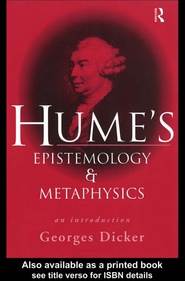

# IUME'S EPISTEMOLOGY சி METAPHYSICS

an introduction Georges Dicker

Also available as a printed book see title verso for ISBN details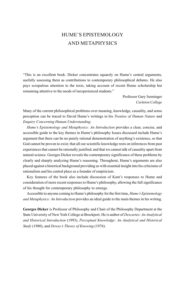# HUME'S EPISTEMOLOGY AND METAPHYSICS

"This is an excellent book. Dicker concentrates squarely on Hume's central arguments, usefully assessing them as contributions to contemporary philosophical debates. He also pays scrupulous attention to the texts, taking account of recent Hume scholarship but remaining attentive to the needs of inexperienced students."

> Professor Gary Iseminger *Carleton College*

Many of the current philosophical problems over meaning, knowledge, causality, and sense perception can be traced to David Hume's writings in his *Treatise of Human Nature* and *Enquiry Concerning Human Understanding.*

*Hume's Epistemology and Metaphysics: An Introduction* provides a clear, concise, and accessible guide to the key themes in Hume's philosophy Issues discussed include Hume's argument that there can be no purely rational demonstration of anything's existence, so that God cannot be proven to exist; that all our scientific knowledge rests on inferences from past experiences that cannot be rationally justified; and that we cannot talk of causality apart from natural science. Georges Dicker reveals the contemporary significance of these problems by clearly and sharply analyzing Hume's reasoning. Throughout, Hume's arguments are also placed against a historical background providing us with essential insight into his criticisms of rationalism and his central place as a founder of empiricism.

Key features of the book also include discussion of Kant's responses to Hume and consideration of more recent responses to Hume's philosophy, allowing the full significance of his thought for contemporary philosophy to emerge.

Accessible to anyone coming to Hume's philosophy for the first time, *Hume's Epistemology and Metaphysics: An Introduction* provides an ideal guide to the main themes in his writing.

**Georges Dicker** is Professor of Philosophy and Chair of the Philosophy Department at the State University of New York College at Brockport. He is author of *Descartes: An Analytical and Historical Introduction* (1993), *Perceptual Knowledge: An Analytical and Historical Study* (1980), and *Dewey's Theory of Knowing* (1976).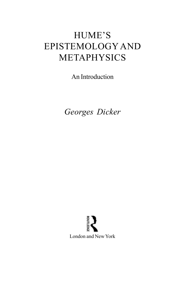# HUME'S EPISTEMOLOGY AND METAPHYSICS

An Introduction

*Georges Dicker*

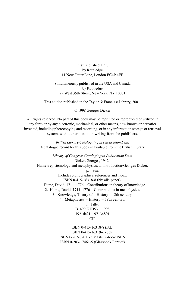First published 1998 by Routledge 11 New Fetter Lane, London EC4P 4EE

Simultaneously published in the USA and Canada by Routledge 29 West 35th Street, New York, NY 10001

This edition published in the Taylor & Francis e-Library, 2001.

© 1998 Georges Dicker

All rights reserved. No part of this book may be reprinted or reproduced or utilized in any form or by any electronic, mechanical, or other means, now known or hereafter invented, including photocopying and recording, or in any information storage or retrieval system, without permission in writing from the publishers.

> *British Library Cataloguing in Publication Data* A catalogue record for this book is available from the British Library

*Library of Congress Cataloging in Publication Data* Dicker, Georges, 1942– Hume's epistemology and metaphysics: an introduction/Georges Dicker. p. cm. Includes bibliographical references and index. ISBN 0-415-16318-8 (hb: alk. paper). 1. Hume, David, 1711–1776 – Contributions in theory of knowledge. 2. Hume, David, 1711–1776 – Contributions in metaphysics. 3. Knowledge, Theory of – History – 18th century. 4. Metaphysics – History – 18th century. I. Title. B1499.K7D53 1998 192–dc21 97–34891 CIP ISBN 0-415-16318-8 (hbk)

ISBN 0-415-16319-6 (pbk) ISBN 0-203-02071-5 Master e-book ISBN ISBN 0-203-17461-5 (Glassbook Format)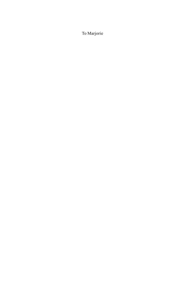To Marjorie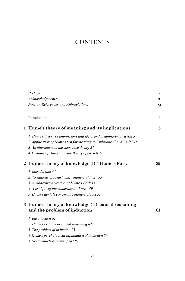# **CONTENTS**

| Preface                                                                                                                                                                                                                                        | $\mathbf{\dot{N}}$ |
|------------------------------------------------------------------------------------------------------------------------------------------------------------------------------------------------------------------------------------------------|--------------------|
| Acknowledgments                                                                                                                                                                                                                                | $\mathbf{X}$       |
| Note on References and Abbreviations                                                                                                                                                                                                           | хï                 |
| Introduction                                                                                                                                                                                                                                   | $\mathbf{1}$       |
| 1 Hume's theory of meaning and its implications                                                                                                                                                                                                | 5                  |
| 1 Hume's theory of impressions and ideas and meaning-empiricism 5<br>2 Application of Hume's test for meaning to "substance" and "self" 15<br>3 An alternative to the substance theory 21<br>4 Critique of Hume's bundle theory of the self 31 |                    |
| 2 Hume's theory of knowledge (I): "Hume's Fork"                                                                                                                                                                                                | 35                 |
| 1 Introduction 35                                                                                                                                                                                                                              |                    |
| 2 "Relations of ideas" and "matters of fact" 35                                                                                                                                                                                                |                    |
| 3 A modernized version of Hume's Fork 41                                                                                                                                                                                                       |                    |
| 4 A critique of the modernized "Fork" 49                                                                                                                                                                                                       |                    |
| 5 Hume's denials concerning matters of fact 55                                                                                                                                                                                                 |                    |
| 3 Hume's theory of knowledge (II): causal reasoning<br>and the problem of induction                                                                                                                                                            | 61                 |
| 1 Introduction 61                                                                                                                                                                                                                              |                    |
| 2 Hume's critique of causal reasoning 62                                                                                                                                                                                                       |                    |
| 3 The problem of induction 73                                                                                                                                                                                                                  |                    |
| 4 Hume's psychological explanation of induction 89                                                                                                                                                                                             |                    |
| 5 Need induction be justified? 91                                                                                                                                                                                                              |                    |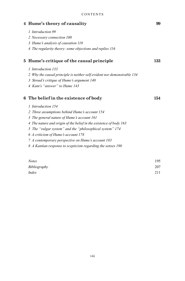| 4 Hume's theory of causality                                            | 99           |
|-------------------------------------------------------------------------|--------------|
| 1 Introduction 99                                                       |              |
| 2 Necessary connection 100                                              |              |
| 3 Hume's analysis of causation 110                                      |              |
| 4 The regularity theory: some objections and replies 116                |              |
| 5 Hume's critique of the causal principle                               | 133          |
| 1 Introduction 133                                                      |              |
| 2 Why the causal principle is neither self-evident nor demonstrable 134 |              |
| 3 Stroud's critique of Hume's argument 140                              |              |
| 4 Kant's "answer" to Hume 143                                           |              |
| 6 The belief in the existence of body                                   | 154          |
| 1 Introduction 154                                                      |              |
| 2 Three assumptions behind Hume's account 154                           |              |
| 3 The general nature of Hume's account 161                              |              |
| 4 The nature and origin of the belief in the existence of body 163      |              |
| 5 The "vulgar system" and the "philosophical system" 174                |              |
| 6 A criticism of Hume's account 178                                     |              |
| 7 A contemporary perspective on Hume's account 183                      |              |
| 8 A Kantian response to scepticism regarding the senses 190             |              |
| <b>Notes</b>                                                            | 195          |
|                                                                         | 207          |
| Index                                                                   | 211          |
|                                                                         | Bibliography |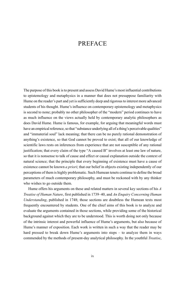## PREFACE

The purpose of this book is to present and assess David Hume's most influential contributions to epistemology and metaphysics in a manner that does not presuppose familiarity with Hume on the reader's part and yet is sufficiently deep and rigorous to interest more advanced students of his thought. Hume's influence on contemporary epistemology and metaphysics is second to none; probably no other philosopher of the "modern" period continues to have as much influence on the views actually held by contemporary analytic philosophers as does David Hume. Hume is famous, for example, for arguing that meaningful words must have an empirical reference, so that "substance underlying all of a thing's perceivable qualities" and "immaterial soul" lack meaning; that there can be no purely rational demonstration of anything's existence, so that God cannot be proved to exist; that all of our knowledge of scientific laws rests on inferences from experience that are not susceptible of any rational justification; that every claim of the type "A caused B" involves at least one law of nature, so that it is nonsense to talk of cause and effect or causal explanation outside the context of natural science; that the principle that every beginning of existence must have a cause of existence cannot be known *a priori*; that our belief in objects existing independently of our perceptions of them is highly problematic. Such Humean tenets continue to define the broad parameters of much contemporary philosophy, and must be reckoned with by any thinker who wishes to go outside them.

Hume offers his arguments on these and related matters in several key sections of his *A Treatise of Human Nature*, first published in 1739–40, and *An Enquiry Concerning Human Understanding*, published in 1748; those sections are doubtless the Humean texts most frequently encountered by students. One of the chief aims of this book is to analyze and evaluate the arguments contained in those sections, while providing some of the historical background against which they are to be understood. This is worth doing not only because of the intrinsic interest and powerful influence of Hume's arguments, but also because of Hume's manner of exposition. Each work is written in such a way that the reader may be hard pressed to break down Hume's arguments into steps – to analyze them in ways commended by the methods of present-day analytical philosophy. In the youthful *Treatise*,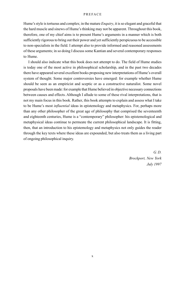#### PREFACE

Hume's style is tortuous and complex; in the mature *Enquiry*, it is so elegant and graceful that the hard muscle and sinews of Hume's thinking may not be apparent. Throughout this book, therefore, one of my chief aims is to present Hume's arguments in a manner which is both sufficiently rigorous to bring out their power and yet sufficiently perspicuous to be accessible to non-specialists in the field. I attempt also to provide informed and reasoned assessments of these arguments; in so doing I discuss some Kantian and several contemporary responses to Hume.

I should also indicate what this book does not attempt to do. The field of Hume studies is today one of the most active in philosophical scholarship, and in the past two decades there have appeared several excellent books proposing new interpretations of Hume's overall system of thought. Some major controversies have emerged: for example whether Hume should be seen as an empiricist and sceptic or as a constructive naturalist. Some novel proposals have been made: for example that Hume believed in objective necessary connections between causes and effects. Although I allude to some of these rival interpretations, that is not my main focus in this book. Rather, this book attempts to explain and assess what I take to be Hume's most *influential* ideas in epistemology and metaphysics. For, perhaps more than any other philosopher of the great age of philosophy that comprised the seventeenth and eighteenth centuries, Hume is a "contemporary" philosopher: his epistemological and metaphysical ideas continue to permeate the current philosophical landscape. It is fitting, then, that an introduction to his epistemology and metaphysics not only guides the reader through the key texts where these ideas are expounded, but also treats them as a living part of ongoing philosophical inquiry.

> *G. D. Brockport, New York July 1997*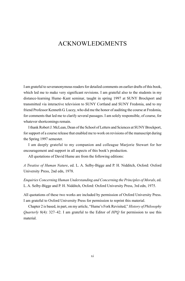# ACKNOWLEDGMENTS

I am grateful to severanonymous readers for detailed comments on earlier drafts of this book, which led me to make very significant revisions. I am grateful also to the students in my distance-learning Hume–Kant seminar, taught in spring 1997 at SUNY Brockport and transmitted via interactive television to SUNY Cortland and SUNY Fredonia, and to my friend Professor Kenneth G. Lucey, who did me the honor of auditing the course at Fredonia, for comments that led me to clarify several passages. I am solely responsible, of course, for whatever shortcomings remain.

I thank Robert J. McLean, Dean of the School of Letters and Sciences at SUNY Brockport, for support of a course release that enabled me to work on revisions of the manuscript during the Spring 1997 semester.

I am deeply grateful to my companion and colleague Marjorie Stewart for her encouragement and support in all aspects of this book's production.

All quotations of David Hume are from the following editions:

*A Treatise of Human Nature*, ed. L. A. Selby-Bigge and P. H. Nidditch, Oxford: Oxford University Press, 2nd edn, 1978.

*Enquiries Concerning Human Understanding and Concerning the Principles of Morals*, ed. L. A. Selby-Bigge and P. H. Nidditch, Oxford: Oxford University Press, 3rd edn, 1975.

All quotations of these two works are included by permission of Oxford University Press. I am grateful to Oxford University Press for permission to reprint this material.

Chapter 2 is based, in part, on my article, "Hume's Fork Revisited," *History of Philosophy Quarterly* 8(4): 327–42. I am grateful to the Editor of *HPQ* for permission to use this material.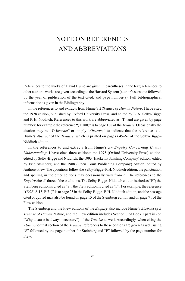# NOTE ON REFERENCES AND ABBREVIATIONS

References to the works of David Hume are given in parentheses in the text; references to other authors' works are given according to the Harvard System (author's surname followed by the year of publication of the text cited, and page number(s). Full bibliographical information is given in the Bibliography.

In the references to and extracts from Hume's *A Treatise of Human Nature*, I have cited the 1978 edition, published by Oxford University Press, and edited by L. A. Selby-Bigge and P. H. Nidditch. References to this work are abbreviated as "T" and are given by page number; for example the reference "(T:188)" is to page 188 of the *Treatise*. Occasionally the citation may be "*T:Abstract*" or simply "*Abstract,*" to indicate that the reference is to Hume's *Abstract* of the *Treatise*, which is printed on pages 645–62 of the Selby-Bigge– Nidditch edition.

In the references to and extracts from Hume's *An Enquiry Concerning Human Understanding*, I have cited three editions: the 1975 (Oxford University Press) edition, edited by Selby-Bigge and Nidditch; the 1993 (Hackett Publishing Company) edition, edited by Eric Steinberg; and the 1988 (Open Court Publishing Company) edition, edited by Anthony Flew. The quotations follow the Selby-Bigge–P. H. Nidditch edition; the punctuation and spelling in the other editions may occasionally vary from it. The references to the *Enquiry* cite all three of these editions. The Selby-Bigge–Nidditch edition is cited as "E"; the Steinberg edition is cited as "S"; the Flew edition is cited as "F". For example, the reference " $(E:25; S:15; F:71)$ " is to page 25 in the Selby-Bigge–P. H. Nidditch edition; and the passage cited or quoted may also be found on page 15 of the Steinberg edition and on page 71 of the Flew edition.

The Steinberg and the Flew editions of the *Enquiry* also include Hume's *Abstract of A Treatise of Human Nature*, and the Flew edition includes Section 3 of Book I part iii (on "Why a cause is always necessary") of the *Treatise* as well. Accordingly, when citing the *Abstract* or that section of the *Treatise*, references to these editions are given as well, using "S" followed by the page number for Steinberg and "F" followed by the page number for Flew.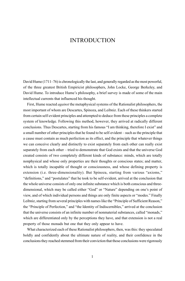## INTRODUCTION

David Hume (1711–76) is chronologically the last, and generally regarded as the most powerful, of the three greatest British Empiricist philosophers, John Locke, George Berkeley, and David Hume. To introduce Hume's philosophy, a brief survey is made of some of the main intellectual currents that influenced his thought.

First, Hume reacted *against* the metaphysical systems of the Rationalist philosophers, the most important of whom are Descartes, Spinoza, and Leibniz. Each of these thinkers started from certain self-evident principles and attempted to deduce from these principles a complete system of knowledge. Following this method, however, they arrived at radically different conclusions. Thus Descartes, starting from his famous "I am thinking, therefore I exist" and a small number of other principles that he found to be self-evident – such as the principle that a cause must contain as much perfection as its effect, and the principle that whatever things we can conceive clearly and distinctly to exist separately from each other can really exist separately from each other – tried to demonstrate that God exists and that the universe God created consists of two completely different kinds of substance: minds, which are totally nonphysical and whose only properties are their thoughts or conscious states; and matter, which is totally incapable of thought or consciousness, and whose defining property is extension (i.e. three-dimensionality). But Spinoza, starting from various "axioms," "definitions," and "postulates" that he took to be self-evident, arrived at the conclusion that the whole universe consists of only one infinite substance which is both conscious and threedimensional, which may be called either "God" or "Nature" depending on one's point of view, and of which individual persons and things are only finite aspects or "modes." Finally Leibniz, starting from several principles with names like the "Principle of Sufficient Reason," the "Principle of Perfection," and "the Identity of Indiscernibles," arrived at the conclusion that the universe consists of an infinite number of nonmaterial substances, called "monads," which are differentiated only by the perceptions they have, and that extension is not a real property of those monads but one that they only appear to have.

What characterized each of these Rationalist philosophers, then, was this: they speculated boldly and confidently about the ultimate nature of reality, and their confidence in the conclusions they reached stemmed from their conviction that those conclusions were rigorously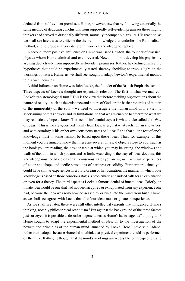#### INTRODUCTION

deduced from self-evident premisses. Hume, however, saw that by following essentially the same method of deducing conclusions from supposedly self-evident premisses these mighty thinkers had arrived at drastically different, mutually incompatible, results. His reaction, as we shall see later, was to criticize the theory of knowledge that underlies the Rationalists' method, and to propose a very different theory of knowledge to replace it.

A second, more positive, influence on Hume was Isaac Newton, the founder of classical physics whom Hume admired and even revered. Newton did not develop his physics by arguing deductively from supposedly self-evident premisses. Rather, he confined himself to hypotheses that could be experimentally tested, thereby shedding enormous light on the workings of nature. Hume, as we shall see, sought to adapt Newton's experimental method to his own inquiries.

A third influence on Hume was John Locke, the founder of the British Empiricist school. Three aspects of Locke's thought are especially relevant. The first is what we may call Locke's "epistemological turn." This is the view that before tackling big questions about the nature of reality – such as the existence and nature of God, or the basic properties of matter, or the immortality of the soul – we need to investigate the human mind with a view to ascertaining both its powers and its limitations, so that we are enabled to determine what we may realistically hope to know. The second influential aspect is what Locke called the "Way of Ideas." This is the view, derived mainly from Descartes, that what each human knows best and with certainty is his or her own conscious states or "ideas," and that all the rest of one's knowledge must in some fashion be based upon these ideas. Thus, for example, at this moment you presumably know that there are several physical objects close to you, such as the book you are reading, the desk or table at which you may be sitting, the windows and walls of the room in which you are, and so forth. According to the way-of-ideas doctrine, this knowledge must be based on certain conscious states you are in, such as visual experiences of color and shape and tactile sensations of hardness or solidity. Furthermore, since you could have similar experiences in a vivid dream or hallucination, the manner in which your knowledge is based on those conscious states is problematic and indeed calls for an explanation or even for a theory. The third aspect is Locke's famous denial of innate ideas. Briefly, an innate idea would be one that had not been acquired or extrapolated from any experience one had, because the idea was somehow possessed by or built into the mind from birth. Hume, as we shall see, agrees with Locke that all of our ideas must originate in experience.

As we shall see later, there were still other intellectual currents that influenced Hume's thinking, notably philosophical scepticism.<sup>1</sup> But against the background of the three factors just surveyed, it is possible to describe in general terms Hume's basic "agenda" or program.2 Hume sought to adapt the experimental method of Newton to the investigation of the powers and principles of the human mind launched by Locke. Here I have said "adapt" rather than "adopt," because Hume did not think that physical experiments could be performed on the mind. Rather, he thought that the mind's workings are accessible to introspection, and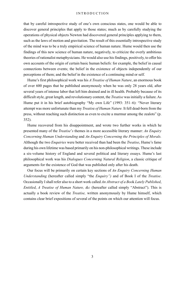#### INTRODUCTION

that by careful introspective study of one's own conscious states, one would be able to discover general principles that apply to those states; much as by carefully studying the operations of physical objects Newton had discovered general principles applying to them, such as the laws of motion and gravitation. The result of this essentially introspective study of the mind was to be a truly empirical science of human nature. Hume would then use the findings of this new science of human nature, negatively, to criticize the overly ambitious theories of rationalist metaphysicians. He would also use his findings, positively, to offer his own accounts of the origin of certain basic human beliefs: for example, the belief in causal connections between events; the belief in the existence of objects independently of our perceptions of them; and the belief in the existence of a continuing mind or self.

Hume's first philosophical work was his *A Treatise of Human Nature*, an enormous book of over 600 pages that he published anonymously when he was only 28 years old, after several years of intense labor that left him drained and in ill health. Probably because of its difficult style, great length, and revolutionary content, the *Treatise* was initially a failure. As Hume put it in his brief autobiography "My own Life" (1993: 351–6): "Never literary attempt was more unfortunate than my *Treatis*e *of Human Nature.* It fell dead-born from the press, without reaching such distinction as even to excite a murmur among the zealots" (p. 352).

Hume recovered from his disappointment, and wrote two further works in which he presented many of the *Treatise*'*s* themes in a more accessible literary manner: *An Enquiry Concerning Human Understanding* and *An Enquiry Concerning the Principles of Morals.* Although the two *Enquiries* were better received than had been the *Treatise*, Hume's fame during his own lifetime was based primarily on his non-philosophical writings. These include a six-volume history of England and several political and literary essays. Hume's last philosophical work was his *Dialogues Concerning Natural Religion*, a classic critique of arguments for the existence of God that was published only after his death.

Our focus will be primarily on certain key sections of *An Enquiry Concerning Human Understanding* (hereafter called simply "the *Enquiry")* and of Book I of the *Treatise*. Occasionally I shall refer also to a short work called *An Abstract of a Boo*k *Lately Published*, *Entitled*, *A Treatise of Human Nature, &c* (hereafter called simply "Abstract"). This is actually a book review of the *Treatise,* written anonymously by Hume himself, which contains clear brief expositions of several of the points on which our attention will focus.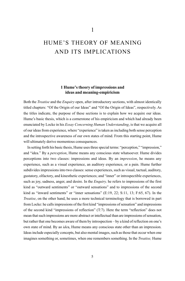# HUME'S THEORY OF MEANING AND ITS IMPLICATIONS

### **1 Hume's theory of impressions and ideas and meaning-empiricism**

Both the *Treatise* and the *Enquiry* open, after introductory sections, with almost identically titled chapters: "Of the Origin of our Ideas" and "Of the Origin of Ideas", respectively. As the titles indicate, the purpose of these sections is to explain how we acquire our ideas. Hume's basic thesis, which is a cornerstone of his empiricism and which had already been enunciated by Locke in his *Essay Concerning Human Understanding*, is that we acquire all of our ideas from experience, where "experience" is taken as including both sense perception and the introspective awareness of our own states of mind. From this starting point, Hume will ultimately derive momentous consequences.

In setting forth his basic thesis, Hume uses three special terms: "perception," "impression," and "idea." By a *perception*, Hume means any conscious state whatsoever. Hume divides perceptions into two classes: impressions and ideas. By an *impression*, he means any experience, such as a visual experience, an auditory experience, or a pain. Hume further subdivides impressions into two classes: sense experiences, such as visual, tactual, auditory, gustatory, olfactory, and kinesthetic experiences; and "inner" or introspectible experiences, such as joy, sadness, anger, and desire. In the *Enquiry,* he refers to impressions of the first kind as "outward sentiments" or "outward sensations" and to impressions of the second kind as "inward sentiments" or "inner sensations" (E:19, 22; S:11, 13; F:65, 67). In the *Treatise*, on the other hand, he uses a more technical terminology that is borrowed in part from Locke: he calls impressions of the first kind "impressions of sensation" and impressions of the second kind "impressions of reflection" (T:7). Here the term "reflection" does not mean that such impressions are more abstract or intellectual than are impressions of sensation, but rather that one becomes aware of them by introspection – by a kind of reflection on one's own state of mind. By a*n ide*a, Hume means any conscious state other than an impression. Ideas include especially concepts, but also mental images, such as those that occur when one imagines something or, sometimes, when one remembers something. In the *Treatise,* Hume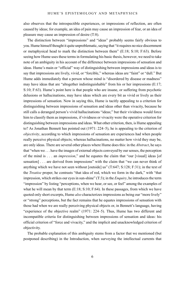also observes that the introspectible experiences, or impressions of reflection, are often caused by ideas; for example, an idea of pain may cause an impression of fear, or an idea of pleasure may cause an impression of desire (T:8).

The distinction between "impressions" and "ideas" probably seems fairly obvious to you. Hume himself thought it quite unproblematic, saying that "it requires no nice discernment or metaphysical head to mark the distinction between them" (E:18; S:10; F:63). Before seeing how Hume uses these terms in formulating his basic thesis, however, we need to take note of an ambiguity in his account of the difference between impressions of sensation and ideas. Hume's main or "official" way of distinguishing between impressions and ideas is to say that impressions are lively, vivid, or "forcible," whereas ideas are "faint" or "dull." But Hume adds immediately that a person whose mind is "disordered by disease or madness" may have ideas that are "altogether indistinguishable" from his or her impressions (E:17; S:10; F:63). Hume's point here is that people who are insane, or suffering from psychotic delusions or hallucinations, may have ideas which are every bit as vivid or lively as their impressions of sensation. Now in saying this, Hume is tacitly appealing to a criterion for distinguishing between impressions of sensation and ideas other than vivacity, because he still calls a deranged person's vivid hallucinations "ideas;" but their vividness would force him to classify them as impressions, if vividness or vivacity were the operative criterion for distinguishing between impressions and ideas. What other criterion, then, is Hume appealing to? As Jonathan Bennett has pointed out (1971: 224–5), he is appealing to the criterion of *objectivity*, according to which impressions of sensation are experiences had when people really perceive physical objects; whereas hallucinations, no matter how vivid they may be, are only ideas. There are several other places where Hume does this: in the *Abstract*, he says that "when we . . . have the images of external objects conveyed by our senses, the perception of the mind is . . . an *impression*," and he equates the claim that "our [visual] ideas [of sensation] . . . are derived from impressions" with the claim that "we can never think of anything which we have not seen without [outside] us"  $(T:647; S:128; F:31)$ ; in the text of the *Treatise* proper, he contrasts "that idea of red, which we form in the dark," with "that impression, which strikes our eyes in sun-shine" (T:3); in the *Enquiry*, he introduces the term "impression" by listing "perceptions, when we hear, or see, or feel" among the examples of what he will mean by that term  $(E:18; S:10; F:64)$ . In these passages, from which we have quoted only short excerpts, Hume *also* characterizes impressions as being our "more lively" or "strong" perceptions, but the fact remains that he equates impressions of sensation with those had when we are really perceiving physical objects or, in Bennett's language, having "experience of the objective realm" (1971: 224–5). Thus, Hume has two different and incompatible criteria for distinguishing between impressions of sensation and ideas: his official criterion of "force and vivacity," and the implicit and unacknowledged criterion of objectivity.

The probable explanation of this ambiguity stems from a factor that we mentioned (but postponed describing) in the Introduction, when surveying the intellectual currents that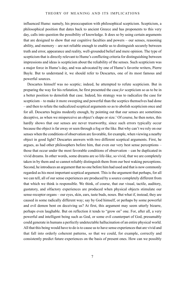influenced Hume: namely, his preoccupation with philosophical scepticism. Scepticism, a philosophical position that dates back to ancient Greece and has proponents to this very day, calls into question the possibility of knowledge. It does so by using certain arguments that are designed to show that our cognitive faculties and powers – our senses, reasoning ability, and memory – are not reliable enough to enable us to distinguish securely between truth and error, appearance and reality, well-grounded belief and mere opinion. The type of scepticism that is directly relevant to Hume's conflicting criteria for distinguishing between impressions and ideas is scepticism about the reliability of the senses. Such scepticism was a major force in Hume's day, and was advocated by one of Hume's favorite writers, Pierre Bayle. But to understand it, we should refer to Descartes, one of its most famous and powerful sources.

Descartes himself was no sceptic; indeed, he attempted to refute scepticism. But in preparing the way for his refutation, he first presented the case *for* scepticism so as to be in a better position to demolish that case. Indeed, his strategy was to radicalize the case for scepticism – to make it more sweeping and powerful than the sceptics themselves had done – and then to refute the radicalized sceptical arguments so as to abolish scepticism once and for all. Descartes begins modestly enough, by pointing out that our senses are sometimes deceptive, as when we misperceive an object's shape or size.<sup>1</sup> Of course, he then notes, this hardly shows that our senses are never trustworthy, since such errors typically occur because the object is far away or seen through a fog or the like. But why can't we rely on our senses when the conditions of observation are favorable, for example, when viewing a nearby object in good light? Descartes answers with two different sceptical arguments. First, he argues, as had other philosophers before him, that even our very best sense perceptions – those that occur under the most favorable conditions of observation – can be duplicated in vivid dreams. In other words, some dreams are so life-like, so vivid, that we are completely taken in by them and so cannot reliably distinguish them from our best waking perceptions. Second, he introduces an argument that no one before him had used and that is now commonly regarded as his most important sceptical argument. This is the argument that perhaps, for all we can tell, all of our sense experiences are produced by a source completely different from that which we think is responsible. We think, of course, that our visual, tactile, auditory, gustatory, and olfactory experiences are produced when physical objects stimulate our sense-receptor organs – our eyes, skin, ears, taste buds, noses. But what if, instead, they are caused in some radically different way; say by God himself, or perhaps by some powerful and evil demon bent on deceiving us? At first, this argument may seem utterly bizarre, perhaps even laughable. But on reflection it tends to "grow on" one. For, after all, a very powerful and intelligent being such as God, or some evil counterpart of God, presumably could generate in humans a perfectly undetectable hallucination of an entire physical world. All that this being would have to do is to cause us to have sense experiences that are vivid and that fall into orderly coherent patterns, so that we could, for example, correctly and consistently predict future experiences on the basis of present ones. How can we possibly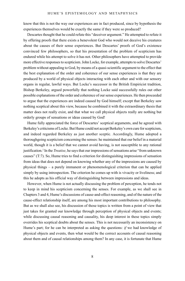know that this is not the way our experiences are in fact produced, since by hypothesis the experiences themselves would be exactly the same if they were so produced?

Descartes thought that he could refute this "deceiver argument." He attempted to refute it by offering proofs that there exists a benevolent God who would not deceive his creatures about the causes of their sense experiences. But Descartes' proofs of God's existence convinced few philosophers, so that his presentation of the problem of scepticism has endured while his attempt to solve it has not. Other philosophers have attempted to provide more effective responses to scepticism. John Locke, for example, attempts to solve Descartes' problem without appealing to God, by means of a quasi-scientific argument to the effect that the best explanation of the order and coherence of our sense experiences is that they are produced by a world of physical objects interacting with each other and with our sensory organs in regular, lawful ways. But Locke's successor in the British Empiricist tradition, Bishop Berkeley, argued powerfully that nothing Locke said successfully rules out other possible explanations of the order and coherence of our sense experiences. He then proceeded to argue that the experiences are indeed caused by God himself; except that Berkeley saw nothing sceptical about this view, because he combined it with the extraordinary thesis that matter does not really exist, and that what we call physical objects really are nothing but orderly groups of sensations or ideas caused by God!

Hume fully appreciated the force of Descartes' sceptical arguments, and he agreed with Berkeley's criticisms of Locke. But Hume could not accept Berkeley's own cure for scepticism, and indeed regarded Berkeley as just another sceptic. Accordingly, Hume adopted a thoroughgoing scepticism concerning the senses: he maintained that our belief in a material world, though it is a belief that we cannot avoid having, is not susceptible to any rational justification.2 In the *Treatise*, he says that our impressions of sensations arise "from unknown causes" (T:7). So, Hume tries to find a criterion for distinguishing impressions of sensation from ideas that does not depend on knowing whether any of the impressions are caused by physical things – a purely immanent or phenomenological criterion that can be applied simply by using introspection. The criterion he comes up with is vivacity or liveliness; and this he adopts as his official way of distinguishing between impressions and ideas.

However, when Hume is not actually discussing the problem of perception, he tends not to keep in mind his scepticism concerning the senses. For example, as we shall see in Chapters 3 and 4, Hume's discussions of cause-and-effect reasoning, and of the nature of the cause-effect relationship itself, are among his most important contributions to philosophy. But as we shall also see, his discussion of those topics is written from a point of view that just takes for granted our knowledge through perception of physical objects and events; while discussing causal reasoning and causality, his deep interest in these topics simply overrides his sceptical doubts about the senses. This is not necessarily an inconsistency on Hume's part; for he can be interpreted as asking the questions: *if* we had knowledge of physical objects and events, then what would be the correct accounts of causal reasoning about them and of causal relationships among them? In any case, it is fortunate that Hume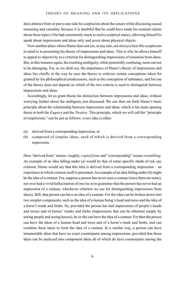does abstract from or put to one side his scepticism about the senses while discussing causal reasoning and causality, because it is doubtful that he could have made his seminal claims about these topics if he had consistently stuck to such a sceptical stance, allowing himself to speak about impressions and ideas only and never about physical objects.

Now another place where Hume does not (or, at any rate, not always) bear this scepticism in mind is in presenting his theory of impressions and ideas. This is why he allows himself to appeal to objectivity as a criterion for distinguishing impressions of sensation from ideas. But, in this instance again, the resulting ambiguity, while potentially confusing, turns out not to be damaging. For, as we shall see, the importance of Hume's theory of impressions and ideas lies chiefly in the way he uses the theory to criticize certain conceptions taken for granted by his philosophical predecessors, such as the conception of substance, and his use of the theory does not depend on which of the two criteria is used to distinguish between impressions and ideas.

Accordingly, let us grant Hume his distinction between impressions and ideas, without worrying further about the ambiguity just discussed. We can then set forth Hume's basic principle about the relationship between impressions and ideas, which is his main opening thesis in both the *Enquiry* and the *Treatise.* This principle, which we will call the "principle of empiricism," can be put as follows: every idea is either

- (a) derived from a corresponding impression, or
- (b) composed of simpler ideas, each of which is derived from a corresponding impression.

Here "derived from" means, roughly, *copied from* and "corresponding" means *resembling.* An example of an idea falling under (a) would be that of some specific shade of red, say crimson. Hume would say that this idea is derived from a corresponding impression – an experience in which crimson itself is presented. An example of an idea falling under (b) might be the idea of a centaur. For, suppose a person has never seen a centaur (since there are none), nor ever had a vivid hallucination of one (so as to guarantee that the person has never had an impression of a centaur, whichever criterion we use for distinguishing impressions from ideas). Still, that person can have an idea of a centaur. For this idea can be broken down into two simpler components, such as the idea of a human being's head and torso and the idea of a horse's trunk and limbs. So, provided the person has had impressions of people's heads and torsos and of horses' trunks and limbs (impressions that can be obtained simply by seeing people and seeing horses), he or she can have the idea of a centaur. For then the person can have the ideas of a human head and torso and of a horse's trunk and limbs, and can combine these ideas to form the idea of a centaur. In a similar way, a person can have innumerable ideas that have no exact counterparts among impressions, provided that those ideas can be analyzed into component ideas all of which do have counterparts among the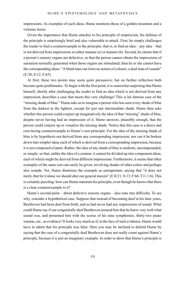impressions. As examples of such ideas, Hume mentions those of a golden mountain and a virtuous horse.

Given the importance that Hume attaches to his principle of empiricism, his defense of the principle is surprisingly brief and also vulnerable to attack. First, he simply challenges the reader to find a counterexample to the principle; that is, to find an idea – any idea – that is not derived from impressions in either manner (a) or manner (b). Second, he claims that if a person's sensory organs are defective, so that the person cannot obtain the impressions of sensation normally generated when those organs are stimulated, then he or she cannot have the corresponding ideas: "A blind man can form no notion of colours; a deaf man of sounds" (E:20; S:12; F:65).

At first, these two points may seem quite persuasive; but on further reflection both become quite problematic. To begin with the first point, it is somewhat surprising that Hume himself, shortly after challenging the reader to find an idea which is not derived from any impression, describes a case that meets this very challenge! This is his famous case of the "missing shade of blue." Hume asks us to imagine a person who has seen every shade of blue from the darkest to the lightest, except for just one intermediate shade. Hume then asks whether this person could conjure up imaginatively the idea of that "missing" shade of blue, despite never having had an impression of it. Hume answers, plausibly enough, that the person could conjure up or visualize the missing shade. Notice that this case is a direct and convincing counterexample to Hume's own principle. For the idea of the missing shade of blue is by hypothesis not derived from any corresponding impression; nor can it be broken down into simpler ideas each of which is derived from a corresponding impression, because it is not composed of parts. Rather, the idea of any shade of blue is uniform, uncompounded, or simple; so that, unlike the idea of a centaur, it cannot be divided up into component ideas, each of which might be derived from different impressions. Furthermore, it seems that other examples of the same sort can easily be given, involving shades of other colors and perhaps also sounds. Yet, Hume dismisses the example as unimportant, saying that "it does not merit, that for it alone we should alter our general maxim" (E II:21; S:13; F:66; T I i 1:6). This is certainly puzzling: how can Hume maintain his principle, even though he knows that there is a clear counterexample to it?

Hume's second point – about defective sensory organs – also runs into difficulty. To see why, consider a hypothetical case. Suppose that instead of becoming deaf in his later years, Beethoven had been deaf from birth, and so had never had any impressions of sound. What could Hume say if our congenitally deaf Beethoven assured him that he knew very well what sound was, and presented him with the scores of his nine symphonies, thirty-two piano sonatas, etc., as evidence? It looks very much as if, in the face of such evidence, Hume would have to admit that his principle was false. Here you may be inclined to defend Hume by saying that the case of a congenitally deaf Beethoven does not really count against Hume's principle, because it is just an imaginary example. In order to show that Hume's principle is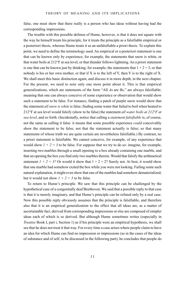false, one must show that there really is a person who has ideas without having had the corresponding impressions.

The trouble with this possible defense of Hume, however, is that it does not square with the way he himself treats his principle, for it treats the principle as a falsifiable empirical or a posteriori thesis, whereas Hume treats it as an unfalsifiable a priori thesis. To explain this point, we need to define the terminology used. An empirical or a posteriori statement is one that can be known only by experience; for example, the statements that snow is white, or that water boils at 212°F at sea level, or that thunder follows lightning. An a priori statement is one that can be known just by thinking; for example, the statements that  $1 + 2 = 3$ , or that nobody is his or her own mother, or that if X is to the left of Y, then Y is to the right of X. We shall meet this basic distinction again, and discuss it in more depth, in the next chapter. For the present, we need to note only one more point about it. This is that empirical generalizations, which are statements of the form "All *A*s are *B*s," are always falsifiable; meaning that one can always conceive of some experience or observation that would show such a statement to be false. For instance, finding a patch of purple snow would show that the statement *all snow is white* is false; finding some water that failed to boil when heated to 212°F at sea level would falsify (show to be false) the statement *all water boils at 212°F at sea level*, and so forth. (Incidentally, notice that calling a *statement falsifiable* is, of course, not the same as calling it false: it means that some possible experience *could* conceivably show the statement to be false, not that the statement actually is false; so that many statements of whose truth we are quite certain are nevertheless falsifiable.) By contrast, no a priori statement is falsifiable. We cannot conceive, for example, of any experience that would show  $1 + 2 = 3$  to be false. For suppose that we try to do so: imagine, for example, inserting two marbles through a small opening to a box already containing one marble, and that on opening the box you find only two marbles therein. Would that falsify the arithmetical statement  $1 + 2 = 3$ ? Or would it show that  $1 + 2 = 2$ ? Surely not. At best, it would show that one marble had somehow exited the box while you were not looking. Failing some such natural explanation, it might even show that one of the marbles had somehow dematerialized; but it would not show  $1 + 2 = 3$  to be false.

To return to Hume's principle. We saw that this principle can be challenged by the hypothetical case of a congenitally deaf Beethoven. We said that a possible reply to that case is that it is merely imaginary, and that Hume's principle can be refuted only by a real case. Now this possible reply obviously assumes that the principle is falsifiable, and therefore also that it is an empirical generalization to the effect that all ideas are, as a matter of ascertainable fact, derived from corresponding impressions or else are composed of simpler ideas each of which is so derived. But although Hume sometimes writes (especially in *Treatise* Book I, part i, Section 1) as if his principle were an empirical hypothesis, we shall see that he does not treat it that way. For every time a case arises where people claim to have an idea for which Hume can find no impression or impressions (as in the cases of the ideas of substance and of self, to be discussed in the following part), he concludes that people do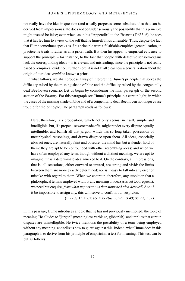not really have the idea in question (and usually proposes some substitute idea that can be derived from impressions). He does not consider seriously the possibility that his principle might instead be false; even when, as in his "Appendix" to the *Treatise* (T:633–6), he sees that it has led him to a view of the self that he himself finds untenable. Thus, despite the fact that Hume sometimes speaks as if his principle were a falsifiable empirical generalization, in practice he treats it rather as an a priori truth. But then his appeal to empirical evidence to support the principle – for instance, to the fact that people with defective sensory-organs lack the corresponding ideas – is irrelevant and misleading, since the principle is not really based on empirical evidence. Furthermore, it is not at all clear how a generalization about the origin of our ideas *could* be known a priori.

In what follows, we shall propose a way of interpreting Hume's principle that solves the difficulty raised by the missing shade of blue and the difficulty raised by the congenitally deaf Beethoven scenario. Let us begin by considering the final paragraph of the second section of the *Enquiry*. For this paragraph sets Hume's principle in a certain light, in which the cases of the missing shade of blue and of a congenitally deaf Beethoven no longer cause trouble for the principle. The paragraph reads as follows:

Here, therefore, is a proposition, which not only seems, in itself, simple and intelligible; but, if a proper use were made of it, might render every dispute equally intelligible, and banish all that jargon, which has so long taken possession of metaphysical reasonings, and drawn disgrace upon them. All ideas, especially abstract ones, are naturally faint and obscure: the mind has but a slender hold of them: they are apt to be confounded with other resembling ideas; and when we have often employed any term, though without a distinct meaning, we are apt to imagine it has a determinate idea annexed to it. On the contrary, all impressions, that is, all sensations, either outward or inward, are strong and vivid: the limits between them are more exactly determined: nor is it easy to fall into any error or mistake with regard to them. When we entertain, therefore, any suspicion that a philosophical term is employed without any meaning or idea (as is but too frequent), we need but enquire, *from what impression is that supposed idea derived*? And if it be impossible to assign any, this will serve to confirm our suspicion.

(E:22; S:13; F:67; see also *Abstract* in: T:649; S:129; F:32)

In this passage, Hume introduces a topic that he has not previously mentioned: the topic of meaning. He alludes to "jargon" (meaningless verbiage, gibberish), and implies that certain disputes are unintelligible. He twice mentions the possibility of a term being employed without any meaning, and tells us how to guard against this. Indeed, what Hume does in this paragraph is to derive from his principle of empiricism a test for meaning. This test can be put as follows: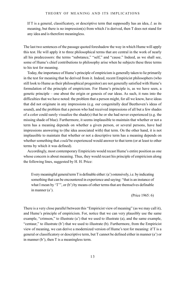If T is a general, classificatory, or descriptive term that supposedly has an idea, *I,* as its meaning, but there is no impression(s) from which *I* is derived, then T does not stand for any idea and is therefore meaningless.

The last two sentences of the passage quoted foreshadow the way in which Hume will apply this test. He will apply it to three philosophical terms that are central in the work of nearly all his predecessors: the terms "substance," "self," and "cause." Indeed, as we shall see, some of Hume's chief contributions to philosophy arise when he subjects these three terms to his test for meaning.

Today, the importance of Hume's principle of empiricism is generally taken to lie primarily in the test for meaning that he derived from it. Indeed, recent Empiricist philosophers (who still look to Hume as their philosophical progenitor) are not generally satisfied with Hume's formulation of the principle of empiricism. For Hume's principle is, as we have seen, a genetic principle – one about the origin or genesis of our ideas. As such, it runs into the difficulties that we have noted: the problem that a person might, for all we know, have ideas that did not originate in any impressions (e.g. our congenitally deaf Beethoven's ideas of sound), and the problem that a person who had received impressions of all but a few shades of a color could surely visualize the shade(s) that he or she had never experienced (e.g. the missing shade of blue). Furthermore, it seems implausible to maintain that whether or not a term has a meaning depends on whether a given person, or several persons, have had impressions answering to (the idea associated with) that term. On the other hand, it is not implausible to maintain that whether or not a descriptive term has a meaning depends on whether something that *could* be experienced would answer to that term (or at least to other terms by which it was defined).

Accordingly, most contemporary Empiricists would recast Hume's entire position as one whose concern is about meaning. Thus, they would recast his principle of empiricism along the following lines, suggested by H. H. Price:

Every meaningful general term T is definable either: (a') ostensively, i.e. by indicating something that can be encountered in experience and saying: "that is an instance of what I mean by 'T'", or (b') by means of other terms that are themselves definable in manner (a').

(Price 1965: 6)

There is a very close parallel between this "Empiricist view of meaning" (as we may call it), and Hume's principle of empiricism. For, notice that we can very plausibly use the same example, "crimson," to illustrate  $(a)$ " that we used to illustrate  $(a)$ , and the same example, "centaur," to illustrate (b') that we used to illustrate (b). Furthermore, from the Empiricist view of meaning, we can derive a modernized version of Hume's test for meaning: if T is a general or classificatory or descriptive term, but T cannot be defined either in manner (a') or in manner (b'), then T is a meaningless term.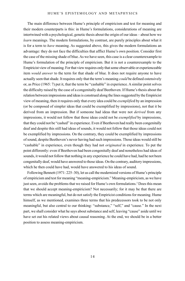The main difference between Hume's principle of empiricism and test for meaning and their modern counterparts is this: in Hume's formulations, considerations of meaning are intertwined with a psychological, genetic thesis about the origin of our ideas – about how we *learn* meanings. The modern formulations, by contrast, are purely principles about what it is for a term to *have* meaning. As suggested above, this gives the modern formulations an advantage: they do not face the difficulties that afflict Hume's own position. Consider first the case of the missing shade of blue. As we have seen, this case is a clear counterexample to Hume's formulation of the principle of empiricism. But it is not a counterexample to the Empiricist view of meaning. For that view requires only that some observable or experienceable item *would answer* to the term for that shade of blue. It does not require anyone to have actually seen that shade. It requires only that the term's meaning *could* be defined ostensively or, as Price (1965: 7) put it, that the term be "cashable" in experience. A similar point solves the difficulty raised by the case of a congenitally deaf Beethoven. If Hume's thesis about the relation between impressions and ideas is construed along the lines suggested by the Empiricist view of meaning, then it requires only that every idea could be *exemplifie*d by an impression (or be composed of simpler ideas that could be exemplified by impressions), not that it be derived from an impression. But if someone had ideas that were not *derived* from any impressions, it would not follow that those ideas could not be *exemplified* by impressions, that they could not be "cashed" in experience. Even if Beethoven had really been congenitally deaf and despite this still had ideas of sounds, it would not follow that those ideas could not be exemplified by impressions. On the contrary, they could be exemplified by impressions of sound, despite Beethoven's never having had such impressions. Those ideas would still be "cashable" in experience, even though they had not *originated* in experience. To put the point differently: even if Beethoven had been congenitally deaf and nonetheless had ideas of sounds, it would not follow that nothing in any experience he could have had, had he not been congenitally deaf, would have answered to those ideas. On the contrary, auditory impressions, which he then could have had, would have answered to his ideas of sound.

Following Bennett (1971: 225–30), let us call the modernized versions of Hume's principle of empiricism and test for meaning "meaning-empiricism." Meaning-empiricism, as we have just seen, avoids the problems that we raised for Hume's own formulations.<sup>3</sup> Does this mean that we should accept meaning-empiricism? Not necessarily; for it may be that there are terms which are meaningful, but do not satisfy the Empiricist conditions for meaning. Hume himself, as we mentioned, examines three terms that his predecessors took to be not only meaningful, but also central to our thinking: "substance," "self," and "cause." In the next part, we shall consider what he says about substance and self, leaving "cause" aside until we have set out his related views about causal reasoning. At the end, we should be in a better position to assess meaning-empiricism.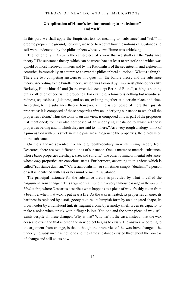## **2 Application of Hume's test for meaning to "substance" and "self"**

In this part, we shall apply the Empiricist test for meaning to "substance" and "self." In order to prepare the ground, however, we need to recount how the notions of substance and self were understood by the philosophers whose views Hume was criticizing.

The notion of *substance* is the centerpiece of a view that we shall call the "substance theory." The substance theory, which can be traced back at least to Aristotle and which was upheld by most medieval thinkers and by the Rationalists of the seventeenth and eighteenth centuries, is essentially an attempt to answer the philosophical question: "What is a thing?" There are two competing answers to this question: the bundle theory and the substance theory. According to the bundle theory, which was favored by Empiricist philosophers like Berkeley, Hume himself, and (in the twentieth century) Bertrand Russell, a thing is nothing but a collection of coexisting properties. For example, a tomato is nothing but roundness, redness, squashiness, juiciness, and so on, existing together at a certain place and time. According to the substance theory, however, a thing is composed of more than just its properties: it is composed of those properties *plus* an underlying substance to which all the properties belong.4 Thus the tomato, on this view, is composed only in part of the properties just mentioned; for it is also composed of an underlying substance to which all those properties belong and in which they are said to "inhere." As a very rough analogy, think of a pin-cushion with pins stuck in it: the pins are analogous to the properties, the pin-cushion to the substance.

On the standard seventeenth- and eighteenth-century view stemming largely from Descartes, there are two different kinds of substance. One is matter or material substance, whose basic properties are shape, size, and solidity.<sup>5</sup> The other is mind or mental substance, whose *only* properties are conscious states. Furthermore, according to this view, which is called "substance dualism," "Cartesian dualism," or sometimes simply "dualism," a person or self is identified with his or her mind or mental substance.

The principal rationale for the substance theory is provided by what is called the "argument from change." This argument is implicit in a very famous passage in the *Second Meditation,* where Descartes describes what happens to a piece of wax, freshly taken from a beehive, when that wax is put near a fire. As the wax is heated, its properties change: its hardness is replaced by a soft, gooey texture, its lumpish form by an elongated shape, its brown color by a translucid tint, its fragrant aroma by a smoky smell. Even its capacity to make a noise when struck with a finger is lost. Yet, one and the same piece of wax still exists despite all these changes. Why is that? Why isn't it the case, instead, that the wax ceases to exist and that another and new object begins to exist? The answer, according to the argument from change, is that although the properties of the wax have changed, the underlying substance has not: one and the same substance existed throughout the process of change and still exists now.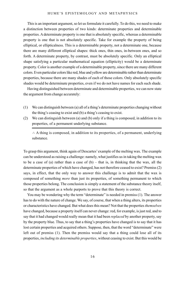This is an important argument, so let us formulate it carefully. To do this, we need to make a distinction between properties of two kinds: determinate properties and determinable properties. A determinate property is one that is absolutely specific, whereas a determinable property is one that is not absolutely specific. Take for example the property of being elliptical, or ellipticalness. This is a determinable property, not a determinate one, because there are many different elliptical shapes: thick ones, thin ones, in-between ones, and so forth. A determinate property, by contrast, must be absolutely specific. Only an elliptical shape satisfying a particular mathematical equation (ellipticity) would be a determinate property. Color is another example of a determinable property, since there are many different colors. Even particular colors like red, blue and yellow are determinable rather than determinate properties, because there are many shades of each of those colors. Only absolutely specific shades would be determinate properties, even if we do not have names for each such shade.

Having distinguished between determinate and determinable properties, we can now state the argument from change accurately:

- (1) We can distinguish between (a) all of a thing's determinate properties changing without the thing's ceasing to exist and (b) a thing's ceasing to exist.
- (2) We can distinguish between (a) and (b) only if a thing is composed, in addition to its properties, of a permanent underlying substance.

**• • •** A thing is composed, in addition to its properties, of a permanent, underlying substance.

To grasp this argument, think again of Descartes' example of the melting wax. The example can be understood as raising a challenge: namely, what justifies us in taking the melting wax to be a case of (a) rather than a case of  $(b)$  – that is, in thinking that the wax, all the determinate properties of which have changed, has not therefore ceased to exist? Premiss (2) says, in effect, that the only way to answer this challenge is to admit that the wax is composed of something *more* than just its properties, of something permanent to which those properties belong. The conclusion is simply a statement of the substance theory itself, so that the argument as a whole purports to prove that this theory is correct.

You may be wondering why the term "determinate" is needed in premiss (1). The answer has to do with the nature of change. We say, of course, that when a thing alters, its properties or characteristics have changed. But what does this mean? Not that the properties *themselves* have changed, because a property itself can never change: red, for example, is just red, and to say that it had changed would really mean that it had been *replaced* by another property, say by the property blue. Thus, to say that a thing's properties have changed is to say that it has lost certain properties and acquired others. Suppose, then, that the word "determinate" were left out of premiss (1). Then the premiss would say that a thing could lose all of its properties, *including its determinable properties*, without ceasing to exist. But this would be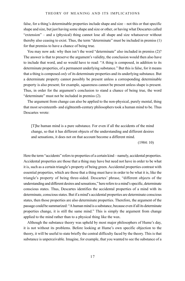false, for a thing's determinable properties include shape and size – not this or that specific shape and size, but just having some shape and size or other, or having what Descartes called "extension" – and a (physical) thing cannot lose all shape and size whatsoever without thereby also ceasing to exist. Thus, the term "determinate" must be included in premiss (1) for that premiss to have a chance of being true.

You may now ask: why then isn't the word "determinate" also included in premiss (2)? The answer is that to preserve the argument's validity, the conclusion would then also have to include that word, and so would have to read: "A thing is composed, in addition to its determinate properties, of a permanent underlying substance." But this is false, for it means that a thing is composed *only* of its determinate properties and its underlying substance. But a determinate property cannot possibly be present unless a corresponding determinable property is also present; for example, squareness cannot be present unless shape is present. Thus, in order for the argument's conclusion to stand a chance of being true, the word "determinate" must not be included in premiss (2).

The argument from change can also be applied to the non-physical, purely mental, thing that most seventeenth- and eighteenth-century philosophers took a human mind to be. Thus Descartes wrote:

[T]he human mind is a pure substance. For even if all the accidents of the mind change, so that it has different objects of the understanding and different desires and sensations, it does not on that account become a different mind.

(1984: 10)

Here the term "accidents" refers to properties of a certain kind – namely, accidental properties. Accidental properties are those that a thing may have but need not have in order to be what it is, such as a certain triangle's property of being green. Accidental properties contrast with essential properties, which are those that a thing must have in order to be what it is, like the triangle's property of being three-sided. Descartes' phrase, "different objects of the understanding and different desires and sensations," here refers to a mind's specific, determinate conscious states. Thus, Descartes identifies the accidental properties of a mind with its determinate, conscious states. But if a mind's accidental properties are determinate conscious states, then those properties are also determinate properties. Therefore, the argument of the passage could be summarized: "A human mind is a substance, because even if all its determinate properties change, it is still the same mind." This is simply the argument from change applied to the mind rather than to a physical thing like the wax.

Although the substance theory was upheld by most major philosophers of Hume's day, it is not without its problems. Before looking at Hume's own specific objection to the theory, it will be useful to state briefly the central difficulty faced by the theory. This is that substance is unperceivable. Imagine, for example, that you wanted to see the substance of a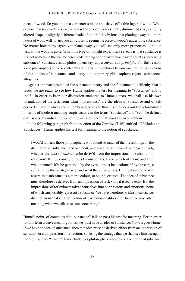piece of wood. So you obtain a carpenter's plane and shave off a thin layer of wood. What do you then see? Well, you see a new set of properties – a slightly diminished size, a slightly altered shape, a slightly different shade of color. It is obvious that planing away still more layers of wood will not get you any closer to seeing the piece of wood's underlying substance. No matter how many layers you plane away, you will see only more properties – until, at last, all the wood is gone. What this type of thought experiment reveals is that substance is just not something that can be perceived: nothing one could do would even count as perceiving substance.<sup>6</sup> Substance is, as philosophers say, unperceivable *in principle*. For this reason, some philosophers of the seventeenth and eighteenth centuries became increasingly suspicious of the notion of substance; and many contemporary philosophers reject "substance" altogether.

Against the background of the substance theory and the fundamental difficulty that it faces, we are ready to see how Hume applies his test for meaning to "substance" and to "self." In order to keep our discussion anchored to Hume's texts, we shall use his own formulation of the test: from what impression(s) are the ideas of substance and of self derived? It should always be remembered, however, that this question could be reformulated in terms of modern meaning-empiricism: can the terms "substance" and "self" be defined ostensively, by indicating something in experience that would answer to them?

In the following paragraph from a section of the *Treatise* (T:16) entitled "Of Modes and Substances," Hume applies his test for meaning to the notion of substance:

I wou'd fain ask those philosophers, who found so much of their reasonings on the distinction of substance and accident, and imagine we have clear ideas of each, whether the idea of *substance* be deriv'd from the impressions of sensation or reflexion? If it be convey'd to us by our senses, I ask, which of them; and after what manner? If it be perceiv'd by the eyes, it must be a colour; if by the ears, a sound; if by the palate, a taste; and so of the other senses. But I believe none will assert, that substance is either a colour, or sound, or taste. The idea of substance must therefore be derived from an impression of reflexion, if it really exist. But the impressions of reflexion resolve themselves into our passions and emotions; none of which can possibly represent a substance. We have therefore no idea of substance, distinct from that of a collection of particular qualities, nor have we any other meaning when we talk or reason concerning it.

Hume's point, of course, is that "substance" fails to pass his test for meaning. For in order for this term to have meaning for us, we must have an idea of substance. Now, argues Hume, if we have an idea of substance, then that idea must be derived either from an impression of sensation or an impression of reflection. So, using the strategy that we shall see him use again for "self" and for "cause," Hume challenges philosophers who rely on the notion of substance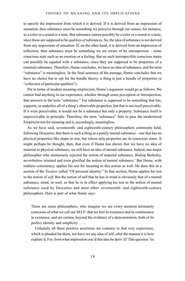to specify the impression from which it is derived. If it is derived from an impression of sensation, then substance must be something we perceive through our senses, for instance, as a color or a sound or a taste. But substance cannot possibly be a color or a sound or a taste, since these are supposed to be qualities *of* substances. So, the idea of substance is not derived from any impression of sensation. If, on the other hand, it is derived from an impression of reflection, then substance must be something we are aware of by introspection – some conscious state such as an emotion or a feeling. But no such introspectible conscious states can possibly be equated with a substance, since they are supposed to be properties of a (mental) substance. Therefore, Hume concludes, we have no idea of substance, and the term "substance" is meaningless. In the final sentence of the passage, Hume concludes that we have no choice but to opt for the bundle theory: a thing is just a bundle of properties (a "collection of particular qualities").

Put in terms of modern meaning-empiricism, Hume's argument would go as follows. We cannot find anything in our experience, whether through sense perception or introspection, that answers to the term "substance." For substance is supposed to be something that has, supports, or underlies all of a thing's observable properties, but that is not itself perceivable. If it were perceivable, it would not be a substance but only a property. Substance itself is unperceivable in principle. Therefore, the term "substance" fails to pass the modernized Empiricist test for meaning and is, accordingly, meaningless.

As we have said, seventeenth- and eighteenth-century philosophers commonly held, following Descartes, that there is such a thing as a purely mental substance – one that has no physical properties like shape or size, but whose only properties are its conscious states. It might perhaps be thought, then, that even if Hume has shown that we have no idea of material or physical substance, we still have an idea of mental substance. Indeed, one major philosopher who strenuously rejected the notion of material substance, Bishop Berkeley, nevertheless retained and even glorified the notion of mental substance.7 But Hume, with ruthless consistency, applies his test for meaning to this notion as well. He does this in a section of the *Treatise* called "Of personal identity." In that section, Hume applies his test to the notion of *self.* But the notion of self that he has in mind is obviously that of a mental substance, mind, or soul; so that he is in effect applying his test to the notion of mental substance used by Descartes and most other seventeenth- and eighteenth-century philosophers. Here is part of what Hume says:

There are some philosophers, who imagine we are every moment intimately conscious of what we call our SELF; that we feel its existence and its continuance in existence; and are certain, beyond the evidence of a demonstration, both of its perfect identity and simplicity . . . .

Unluckily all these positive assertions are contrary to that very experience, which is pleaded for them, nor have we any idea of self, after the manner it is here explain'd. For, from what impression cou'd this idea be deriv'd? This question 'tis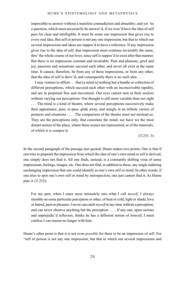impossible to answer without a manifest contradiction and absurdity; and yet 'tis a question, which must necessarily be answer'd, if we wou'd have the idea of self pass for clear and intelligible. It must be some one impression that gives rise to every real idea. But self or person is not any one impression, but that to which our several impressions and ideas are suppos'd to have a reference. If any impression gives rise to the idea of self, that impression must continue invariably the same, thro' the whole course of our lives; since self is suppos'd to exist after that manner. But there is no impression constant and invariable. Pain and pleasure, grief and joy, passions and sensations succeed each other, and never all exist at the same time. It cannot, therefore, be from any of these impressions, or from any other, that the idea of self is deriv'd; and consequently there is no such idea . . . .

I may venture to affirm . . . that [a mind is] nothing but a bundle or collection of different perceptions, which succeed each other with an inconceivable rapidity, and are in perpetual flux and movement. Our eyes cannot turn in their sockets without varying our perceptions. Our thought is still more variable than our sight . . . The mind is a kind of theatre, where several perceptions successively make their appearance; pass, re-pass, glide away, and mingle in an infinite variety of postures and situations . . . . The comparison of the theatre must not mislead us. They are the perceptions only, that constitute the mind; nor have we the most distant notion of the place, where these scenes are represented, or of the materials, of which it is compos'd.

(T:251–3)

In the second paragraph of the passage just quoted, Hume makes two points. One is that if one tries to pinpoint the impression from which the idea of one's own mind or self is derived, one simply does not find it. All one finds, instead, is a constantly shifting vista of sense impressions, feelings, images, etc. One does not find, in addition to these, any single enduring unchanging impression that one could identify as one's own self or mind. In other words, if one tries to spot one's own self or mind by introspection, one just cannot find it. As Hume puts it (T:252):

For my part, when I enter most intimately into what I call *myself*, I always stumble on some particular perception or other, of heat or cold, light or shade, love or hatred, pain or pleasure. I never can catch *myself* at any time without a perception, and can never observe anything but the perception . . . . If any one, upon serious and unprejudic'd reflexion, thinks he has a different notion of *himself*, I must confess I can reason no longer with him.

Hume's other point is that it is not even *possible* for there to be an impression of self. For "self or person is not any one impression, but that to which our several impressions and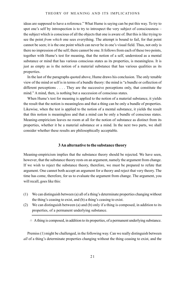ideas are supposed to have a reference." What Hume is saying can be put this way. To try to spot one's self by introspection is to try to introspect the very subject of consciousness – the subject which is conscious of all the objects that one is aware of. But this is like trying to see the point *from which* one sees everything. The attempt is bound to fail, for that point cannot be seen; it is the one point which can never be in one's visual field. Thus, not only is there no impression of the self; there cannot be one. It follows from each of these two points, together with Hume's test for meaning, that the notion of a self, understood as a mental substance or mind that has various conscious states as its properties, is meaningless. It is just as empty as is the notion of a material substance that has various qualities as its properties.

In the last of the paragraphs quoted above, Hume draws his conclusion. The only tenable view of the mind or self is in terms of a bundle theory: the mind is "a bundle or collection of different perceptions . . . . They are the successive perceptions only, that constitute the mind." A mind, then, is nothing but a succession of conscious states.

When Hume's test for meaning is applied to the notion of a material substance, it yields the result that the notion is meaningless and that a thing can be only a bundle of properties. Likewise, when the test is applied to the notion of a mental substance, it yields the result that this notion is meaningless and that a mind can be only a bundle of conscious states. Meaning-empiricism leaves no room at all for the notion of substance as distinct from its properties, whether it be a material substance or a mind. In the next two parts, we shall consider whether these results are philosophically acceptable.

#### **3 An alternative to the substance theory**

Meaning-empiricism implies that the substance theory should be rejected. We have seen, however, that the substance theory rests on an argument, namely the argument from change. If we wish to reject the substance theory, therefore, we must be prepared to refute that argument. One cannot both accept an argument for a theory and reject that very theory. The time has come, therefore, for us to evaluate the argument from change. The argument, you will recall, goes like this:

- (1) We can distinguish between (a) all of a thing's determinate properties changing without the thing's ceasing to exist, and (b) a thing's ceasing to exist.
- (2) We can distinguish between (a) and (b) only if a thing is composed, in addition to its properties, of a permanent underlying substance.

**• • •** A thing is composed, in addition to its properties, of a permanent underlying substance.

Premiss (1) might be challenged, in the following way. Can we really distinguish between *all* of a thing's determinate properties changing without the thing ceasing to exist, and the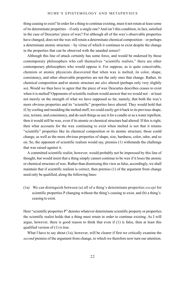thing ceasing to exist? In order for a thing to continue existing, must it not retain at least some of its determinate properties – if only a single one? And isn't this condition, in fact, satisfied in the case of Descartes' piece of wax? For although all of the wax's observable properties have changed, does not the wax still retain a determinate chemical composition – or perhaps a determinate atomic structure – by virtue of which it continues to exist despite the change in the properties that can be observed with the unaided senses?

Although this line of attack certainly has some force, and would be endorsed by those contemporary philosophers who call themselves "scientific realists," there are other contemporary philosophers who would oppose it. For suppose, as is quite conceivable, chemists or atomic physicists discovered that when wax is melted, its color, shape, consistency, and other observable properties are not the only ones that change. Rather, its chemical composition and/or atomic structure are *also* altered (perhaps only very slightly so). Would we then have to agree that the piece of wax Descartes describes ceases to exist when it is melted? Opponents of scientific realism would answer that we would not – at least not merely on the strength of what we have supposed so far, namely, that both the wax's more obvious properties and its "scientific" properties have altered. They would hold that if, by cooling and moulding the melted stuff, we could easily get it back to its previous shape, size, texture, and consistency, and do such things as use it for a candle or as a water repellent, then it would still be wax, even if its atomic or chemical structure had altered. If this is right, then what accounts for the wax continuing to exist when melted is not that it retains "scientific" properties like its chemical composition or its atomic structure; those could change, as well as the more obvious properties of shape, size, hardness, color, odor, and so on. So, the opponent of scientific realism would say, premiss (1) withstands the challenge that was raised against it.

A committed scientific realist, however, would probably not be impressed by this line of thought, but would insist that a thing simply cannot continue to be wax if it loses the atomic or chemical structure of wax. Rather than dismissing this view as false, accordingly, we shall maintain that if scientific realism is correct, then premiss (1) of the argument from change need only be qualified, along the following lines:

(1a) We can distinguish between (a) all of a thing's determinate properties *except* for scientific properties P changing without the thing's ceasing to exist, and (b) a thing's ceasing to exist.

Here "scientific properties P" denotes whatever determinate scientific property or properties the scientific realist holds that a thing must retain in order to continue existing. As I will argue, however, there is good reason to think that even if (1) is false, then at least this qualified version of (1) is true.

What I have to say about (1a), however, will be clearer if first we critically examine the *second* premiss of the argument from change, to which we therefore now turn our attention.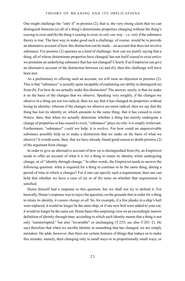One might challenge the "only if" in premiss (2), that is, the very strong claim that we can distinguish between (a) all of a thing's determinate properties changing without the thing's ceasing to exist and (b) the thing's ceasing to exist, in *only one* way – i.e. *only if* the substance theory is true. The best way to make good such a challenge, of course, would be to provide an alternative account of how this distinction can be made – an account that does not involve substance. For premiss (2) operates as a kind of challenge: how can we justify saying that a thing, all of whose determinate properties have changed, has not itself ceased to exist *unless* we postulate an underlying substance that has not changed? Clearly if an Empiricist can give an alternative account of the distinction between (a) and (b), then this challenge will have been met.

As a preliminary to offering such an account, we will raise an objection to premiss (2). This is that "substance" is actually quite incapable of explaining our ability to distinguish (a) from (b). For how do we actually make this distinction? The answer, surely, is that we make it on the basis of the changes that we observe. Speaking very roughly, if the changes we observe in a thing are not too radical, then we say that it has changed its properties without losing its identity; whereas if the changes we observe are more radical, then we say that the thing has lost its identity or, which amounts to the same thing, that it has ceased to exist. Notice, then, that when we actually determine whether a thing has merely undergone a change of properties or has ceased to exist, "substance" plays no role: it is simply irrelevant. Furthermore, "substance" *could not* help; it is *useless.* For how could an unperceivable substance possibly help us to make a distinction that we make on the basis of what we observe? It would seem, then, that we have already found good reason to doubt premiss (2) of the argument from change.

In order to give an alternative account of how (a) is distinguished from (b), an Empiricist needs to offer an account of what it is for a thing to retain its identity while undergoing change, or of "identity through change." In other words, the Empiricist needs to answer the following question: what is required for a thing to continue to be the same thing, during a period of time in which it changes? For if one can specify such a requirement, then one can hold that whether we have a case of (a) or of (b) turns on whether that requirement is satisfied.

Hume himself had a response to this question, but we shall not try to defend it. For basically, Hume's response was to reject the question, on the grounds that in order for a thing to retain its identity, it *cannot change at all.* So, for example, if a few planks in a ship's hull were replaced, it would no longer be the same ship; or if one new bolt were added to your car, it would no longer be the same car. Hume bases this surprising view on an exceedingly narrow definition of identity through time, according to which such identity means that a thing is not only "uninterrupted," but also "invariable" or unchanging (T:235; see also T:201–2). He says therefore that when we ascribe identity to something that has changed, we are simply mistaken. He adds, however, that there are certain features of things that induce us to make this mistake: namely, their changing only in small ways or in proportionally small ways, or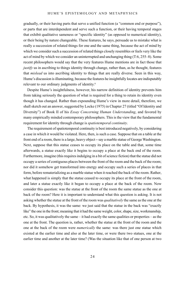gradually, or their having parts that serve a unified function (a "common end or purpose"), or parts that are interdependent and serve such a function, or their having temporal stages that exhibit qualitative sameness or "specific identity" (as opposed to numerical identity), or their being by nature changeable. These features, he says, persuade us to mistake what is really a succession of related things for one and the same thing, because the act of mind by which we consider such a succession of related things closely resembles or feels very like the act of mind by which we consider an uninterrupted and unchanging thing (T:6, 255–8). Some recent philosophers would say that the very features Hume mentions are in fact those that *justify* us in ascribing to things identity through change, rather than, as he thought, features that *mislead* us into ascribing identity to things that are really diverse. Seen in this way, Hume's discussion is illuminating, because the features he insightfully locates are indisputably relevant to our ordinary judgments of identity.8

Despite Hume's insightfulness, however, his narrow definition of identity prevents him from taking seriously the question of what is required for a thing to retain its identity even though it has changed. Rather than expounding Hume's view in more detail, therefore, we shall sketch out an answer, suggested by Locke (1975) in Chapter 27 (titled "Of Identity and Diversity") of Book II of his *Essay Concerning Human Understanding*, and favored by many empirically minded contemporary philosophers. This is the view that the fundamental requirement for identity through change is *spatiotemporal continuity*.

The requirement of spatiotemporal continuity is best introduced negatively, by considering a case in which it would be violated. Here, then, is such a case. Suppose that on a table at the front end of a room, there is a large, heavy object **–** say a marble statue of George Washington. Next, suppose that this statue ceases to occupy its place on the table and that, some time afterwards, a statue exactly like it begins to occupy a place at the back end of the room. Furthermore, imagine (this requires indulging in a bit of science fiction) that the statue did not occupy a series of contiguous places between the front of the room and the back of the room; nor did it somehow get transformed into energy and occupy such a series of places in that form, before rematerializing as a marble statue when it reached the back of the room. Rather, what happened is simply that the statue ceased to occupy its place at the front of the room, and later a statue exactly like it began to occupy a place at the back of the room. Now consider this question: was the statue at the front of the room the same statue as the one at back of the room? Here it is important to understand what this question is asking. It is not asking whether the statue at the front of the room was *qualitatively* the same as the one at the back. By hypothesis, it was the same: we just said that the statue in the back was "exactly like" the one in the front; meaning that it had the same weight, color, shape, size, workmanship, etc. So, it was qualitatively the same – it had exactly the same qualities or properties – as the one at the front. The question is, rather, whether the statue at the front of the room and the one at the back of the room were *numerically* the same: was there just one statue which existed at the earlier time and also at the later time, or were there two statues, one at the earlier time and another at the later time? (Was the situation like that of one person at two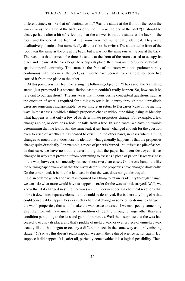different times, or like that of identical twins? Was the statue at the front of the room the *same one* as the statue at the back, or only the *same as* the one at the back?) It should be clear, perhaps after a bit of reflection, that the answer is that the statue at the back of the room and the one at the front of the room were not numerically identical. They were qualitatively identical, but numerically distinct (like the twins). The statue at the front of the room was the same as the one at the back, but it was not the same *one* as the one at the back. The reason is that between the time the statue at the front of the room ceased to occupy its place and the one at the back began to occupy its place, there was an interruption or break in spatiotemporal continuity. The statue at the front of the room was not spatiotemporally continuous with the one at the back, as it would have been if, for example, someone had carried it from one place to the other.

At this point, you may feel like raising the following objection. "The case of the 'vanishing statue' just presented is a science-fiction case; it couldn't really happen. So, how can it be relevant to our question?" The answer is that in considering conceptual questions, such as the question of what is required for a thing to retain its identity through time, unrealistic cases are sometimes indispensable. To see this, let us return to Descartes' case of the melting wax. In most cases in which a thing's properties change without the thing losing its identity, what happens is that only a few of its determinate properties change. For example, a leaf changes color, or develops a hole, or falls from a tree. In such cases, we have no trouble determining that the leaf is still the same leaf: it just hasn't changed enough for the question even to arise of whether it has ceased to exist. On the other hand, in cases where a thing changes so much that it does lose its identity, what generally happens is that the properties change quite drastically. For example, a piece of paper is burned until it is just a pile of ashes. In that case, we have no trouble determining that the paper has been destroyed: it has changed in ways that prevent it from continuing to exist as a piece of paper. Descartes' case of the wax, however, sits uneasily between those two clear cases. On the one hand, it is like the burning paper example in that the wax's determinate properties have changed drastically. On the other hand, it is like the leaf case in that the wax does not get destroyed.

So, in order to get clear on what is required for a thing to retain its identity through change, we can ask: what more would have to happen in order for the wax to be destroyed? Well, we know that if it changed in still other ways  $-$  if it underwent certain chemical reactions that broke it down into separate elements – it would be destroyed. But is there anything else that could conceivably happen, besides such a chemical change or some other dramatic change in the wax's properties, that would make the wax cease to exist? If we can specify something else, then we will have unearthed a condition of identity through change other than any condition pertaining to the loss and gain of properties. Well then: suppose that the wax had ceased to occupy its place, and that a puddle of melted wax, or even a piece of unmelted wax exactly like it, had begun to occupy a different place, in the same way as our "vanishing statue." *Of course* this doesn't really happen: we are in the realm of science fiction again. But suppose it did happen. It is, after all, perfectly conceivable; it is a logical possibility. Then,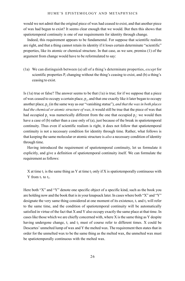would we not admit that the original piece of wax had ceased to exist, and that another piece of wax had begun to exist? It seems clear enough that we would. But then this shows that spatiotemporal continuity is one of our requirements for identity through change.

Indeed, this requirement appears to be fundamental. For suppose that scientific realists are right, and that a thing cannot retain its identity if it loses certain determinate "scientific" properties, like its atomic or chemical structure. In that case, as we saw, premiss (1) of the argument from change would have to be reformulated to say:

(1a) We can distinguish between (a) all of a thing's determinate properties, *except* for scientific properties P, changing without the thing's ceasing to exist, and (b) a thing's ceasing to exist.

Is (1a) true or false? The answer seems to be that (1a) is true; for if we suppose that a piece of wax ceased to occupy a certain place,  $p_1$ , and that one exactly like it later began to occupy another place,  $p_2$  (in the same way as our "vanishing statue"), *and that the wax in both places had the chemical or atomic structure of wax*, it would still be true that the piece of wax that had occupied  $p_1$  was numerically different from the one that occupied  $p_2$ : we would then have a case of (b) rather than a case only of (a), just because of the break in spatiotemporal continuity. Thus even if scientific realism is right, it does not follow that spatiotemporal continuity is not a necessary condition for identity through time. Rather, what follows is that keeping the same molecular or atomic structure is *also* a necessary condition of identity through time.

Having introduced the requirement of spatiotemporal continuity, let us formulate it explicitly, and give a definition of spatiotemporal continuity itself. We can formulate the requirement as follows:

X at time  $t_1$  is the same thing as Y at time  $t_2$  only if X is spatiotemporally continuous with  $Y$  from  $t_1$  to  $t_2$ .

Here both "X" and "Y" denote one specific object of a specific kind, such as the book you are holding now and the book that is in your knapsack later. In cases where both "X" and "Y" designate the very same thing considered at one moment of its existence,  $t_1$  and  $t_2$  will refer to the same time, and the condition of spatiotemporal continuity will be automatically satisfied in virtue of the fact that X and Y also occupy exactly the same place at that time. In cases like those which we are chiefly concerned with, where X is the same thing as Y despite having undergone change,  $t_1$  and  $t_2$  must of course refer to different times. X could be Descartes' unmelted lump of wax and Y the melted wax. The requirement then states that in order for the unmelted wax to be the same thing as the melted wax, the unmelted wax must be spatiotemporally continuous with the melted wax.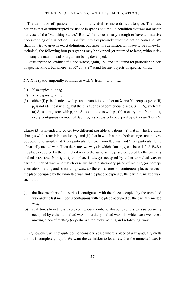The definition of spatiotemporal continuity itself is more difficult to give. The basic notion is that of uninterrupted existence in space and time – a condition that was *not* met in our case of the "vanishing statue." But, while it seems easy enough to have an intuitive understanding of this notion, it is difficult to say precisely what the notion comes to. We shall now try to give an exact definition, but since this definition will have to be somewhat technical, the following four paragraphs may be skipped (or returned to later) without risk of losing the main thread of argument being developed.

Let us try the following definition where, again, "X" and "Y" stand for particular objects of specific kinds, but where "an X" or "a Y" stand for any objects of specific kinds:

*D1*: X is spatiotemporally continuous with Y from  $t_1$  to  $t_2 = df$ .

- (1) X occupies  $p_1$  at  $t_1$ ;
- (2) Y occupies  $p_2$  at  $t_2$ ;
- (3) either (i)  $p_1$  is identical with  $p_2$  and, from  $t_1$  to  $t_2$ , either an X or a Y occupies  $p_2$ ; or (ii)  $p_1$  is not identical with  $p_2$ , but there is a series of contiguous places,  $S_1 \ldots S_n$ , such that (a)  $S_1$  is contiguous with  $p_1$  and  $S_n$  is contiguous with  $p_2$ , (b) at every time from  $t_1$  to  $t_2$ every contiguous member of  $S_1 \ldots S_n$  is successively occupied by either an X or a Y.

Clause (3) is intended to cov.er two different possible situations: (i) that in which a thing changes while remaining stationary; and (ii) that in which a thing both changes and moves. Suppose for example that X is a particular lump of unmelted wax and Y is a particular lump of partially melted wax. Then there are two ways in which clause (3) can be satisfied. *Either* the place occupied by the unmelted wax is the same as the place occupied by the partially melted wax, and from  $t_1$  to  $t_2$  this place is always occupied by either unmelted wax or partially melted wax – in which case we have a stationary piece of melting (or perhaps alternately melting and solidifying) wax. *Or* there is a series of contiguous places between the place occupied by the unmelted wax and the place occupied by the partially melted wax, such that:

- (a) the first member of the series is contiguous with the place occupied by the unmelted wax and the last member is contiguous with the place occupied by the partially melted wax;
- (b) at all times from  $t_1$  to  $t_2$ , every contiguous member of this series of places is successively occupied by either unmelted wax or partially melted wax – in which case we have a moving piece of melting (or perhaps alternately melting and solidifying) wax.

*D1*, however, will not quite do. For consider a case where a piece of wax gradually melts until it is completely liquid. We want the definition to let us say that the unmelted wax is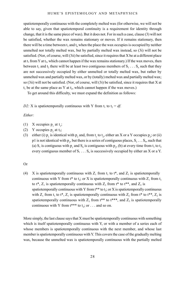spatiotemporally continuous with the completely melted wax (for otherwise, we will not be able to say, given that spatiotemporal continuity is a requirement for identity through change, that it is the same piece of wax). But it does not. For in such a case, clause (3) will not be satisfied, whether the wax remains stationary or moves. If it remains stationary, then there will be a time between  $t_1$  and  $t_n$  when the place the wax occupies is occupied by neither unmelted nor totally melted wax, but by partially melted wax instead, so (3i) will not be satisfied. (Nor, of course, will (3ii) be satisfied, since it requires that X be at a different place at t<sub>1</sub> from Y at t<sub>2</sub>, which cannot happen if the wax remains stationary.) If the wax moves, then between  $t_1$  and  $t_2$  there will be at least two contiguous members of  $S_1 \ldots S_n$  such that they are not successively occupied by either unmelted or totally melted wax, but rather by unmelted wax and partially melted wax, or by (totally) melted wax and partially melted wax; so (3ii) will not be satisfied. (Nor, of course, will (3i) be satisfied, since it requires that X at  $t<sub>1</sub>$  be at the same place as Y at  $t<sub>2</sub>$ , which cannot happen if the wax moves.)

To get around this difficulty, we must expand the definition as follows:

*D2:* X is spatiotemporally continuous with Y from  $t_1$  to  $t_2 = df$ .

### *Either:*

- (1) X occupies  $p_1$  at  $t_1$ ;
- (2) Y occupies  $p_2$  at  $t_2$ ;
- (3) either (i)  $p_1$  is identical with  $p_2$  and, from  $t_1$  to  $t_2$ , either an X or a Y occupies  $p_2$ ; or (ii) p1 is not identical with  $p_2$ , but there is a series of contiguous places,  $S_1 \ldots S_n$ , such that (a)  $S_1$  is contiguous with  $p_1$  and  $S_n$  is contiguous with  $p_2$ , (b) at every time from  $t_1$  to  $t_2$ every contiguous member of  $S_1 \ldots S_n$  is successively occupied by either an X or a Y.

### Or

(4) X is spatiotemporally continuous with  $Z_1$  from  $t_1$  to  $t^*$ , and  $Z_1$  is spatiotemporally continuous with Y from  $t^*$  to  $t_2$ ; or X is spatiotemporally continuous with  $Z_1$  from  $t_1$ to  $t^*$ ,  $Z_1$  is spatiotemporally continuous with  $Z_2$  from  $t^*$  to  $t^{**}$ , and  $Z_2$  is spatiotemporally continuous with Y from  $t^{**}$  to  $t_2$ ; or X is spatiotemporally continuous with  $Z_1$  from  $t_1$  to  $t^*$ ,  $Z_1$  is spatiotemporally continuous with  $Z_2$  from  $t^*$  to  $t^{**}$ ,  $Z_2$  is spatiotemporally continuous with  $Z_3$  from t\*\* to t\*\*\*, and  $Z_3$  is spatiotemporally continuous with Y from  $t^{***}$  to  $t_2$ ; or . . . and so on.

More simply, the last clause says that X must be spatiotemporally continuous with something which is itself spatiotemporally continuous with Y, or with a member of a series each of whose members is spatiotemporally continuous with the next member, and whose last member is spatiotemporally continuous with Y. This covers the case of the gradually melting wax, because the unmelted wax is spatiotemporally continuous with the partially melted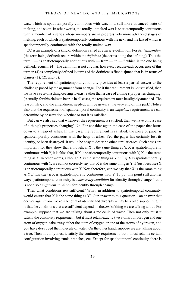wax, which is spatiotemporally continuous with wax in a still more advanced state of melting, and so on. In other words, the totally unmelted wax is spatiotemporally continuous with a member of a series whose members are in progressively more advanced stages of melting, each of which is spatiotemporally continuous with the next, and the last of which is spatiotemporally continuous with the totally melted wax.

*D2* is an example of a kind of definition called a *recursive* definition. For its *definiendum* (the term being defined) recurs within the *definiens* (the terms doing the defining). Thus the term, "— is spatiotemporally continuous with — from — to —," which is the one being defined, recurs in (4). The definition is not circular, however, because each occurrence of this term in (4) is completely defined in terms of the definiens's first disjunct, that is, in terms of clauses  $(1)$ ,  $(2)$ , and  $(3)$ .

The requirement of spatiotemporal continuity provides at least a partial answer to the challenge posed by the argument from change. For if that requirement is *not* satisfied, then we have a case of a thing ceasing to exist, rather than a case of a thing's properties changing. (Actually, for this claim to be true in all cases, the requirement must be slightly amended. The reason why, and the amendment needed, will be given at the very end of this part.) Notice also that the requirement of spatiotemporal continuity is an *empirical* requirement: we can determine by observation whether or not it is satisfied.

But can we also say that whenever the requirement is satisfied, then we have only a case of a thing's properties changing? No. For consider again the case of the paper that burns down to a heap of ashes. In that case, the requirement is satisfied: the piece of paper is spatiotemporally continuous with the heap of ashes. Yet, the paper has certainly lost its identity, or been destroyed. It would be easy to describe other similar cases. Such cases are important, for they show that although, if  $X$  is the same thing as  $Y$ ,  $X$  is spatiotemporally continuous with Y, it is false that, if X is spatiotemporally continuous with Y, X is the same thing as Y. In other words, although X is the same thing as Y *only if* X is spatiotemporally continuous with Y, we cannot correctly say that X is the same thing as Y if (just because) X is spatiotemporally continuous with Y. Nor, therefore, can we say that X is the same thing as Y *if and only if* X is spatiotemporally continuous with Y. To put this point still another way: spatiotemporal continuity is a *necessary condition* for identity through change, but it is not also a *sufficient condition* for identity through change.

Then what conditions *are* sufficient? What, in addition to spatiotemporal continuity, would ensure that X is the same thing as Y? Our answer to this question – an answer that derives again from Locke's account of identity and diversity – may be a bit disappointing. It is that the conditions that are sufficient depend on the *sort* of thing we are talking about. For example, suppose that we are talking about a molecule of water. Then not only must it satisfy the continuity requirement, but it must retain exactly two atoms of hydrogen and one atom of oxygen; take away either the atom of oxygen or one of the atoms of hydrogen, and you have destroyed the molecule of water. On the other hand, suppose we are talking about a tree. Then not only must it satisfy the continuity requirement, but it must retain a certain configuration involving trunk, branches, etc. Except for spatiotemporal continuity, there is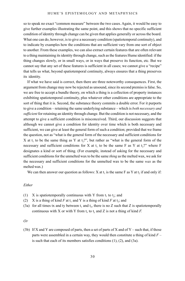so to speak no exact "common measure" between the two cases. Again, it would be easy to give further examples illustrating the same point, and this shows that no specific sufficient condition of identity through change can be given that applies generally or across the board. What one can do, however, is to give a necessary condition (spatiotemporal continuity), and to indicate by examples how the conditions that are sufficient vary from one sort of object to another. From these examples, we can also extract certain features that are often relevant to a thing maintaining its identity through change, such as the features Hume identified: if the thing changes slowly, or in small ways, or in ways that preserve its function, etc. But we cannot say that any set of these features is sufficient in all cases; we cannot give a "recipe" that tells us what, beyond spatiotemporal continuity, always ensures that a thing preserves its identity.

If what we have said is correct, then there are three noteworthy consequences. First, the argument from change may now be rejected as unsound, since its second premiss is false. So, we are free to accept a bundle theory, on which a thing is a collection of property instances exhibiting spatiotemporal continuity, plus whatever other conditions are appropriate to the sort of thing that it is. Second, the substance theory commits a double error. For it purports to give a condition – retaining the same underlying substance – which is *both necessary and sufficient* for retaining an identity through change. But the condition is not necessary, and the attempt to give a sufficient condition is misconceived. Third, our discussion suggests that although we cannot give a condition for identity over time which is both necessary and sufficient, we can give at least the general form of such a condition; provided that we frame the question, not as "what is the general form of the necessary and sufficient conditions for X at  $t_1$  to be the same thing as Y at  $t_2$ ?", but rather as "what is the general form of the necessary and sufficient conditions for X at t<sub>1</sub> to be the same F as Y at t<sub>2</sub>?" where F designates a kind or sort of thing. (For example, instead of asking for the necessary and sufficient conditions for the unmelted wax to be the same *thing* as the melted wax, we ask for the necessary and sufficient conditions for the unmelted wax to be the same *wax* as the melted wax.)

We can then answer our question as follows: X at  $t_1$  is the same F as Y at  $t_2$  if and only if:

### *Either*

- (1) X is spatiotemporally continuous with Y from  $t_1$  to  $t_2$ ; and
- (2) X is a thing of kind *F* at  $t_1$  and Y is a thing of kind *F* at  $t_2$ ; and
- (3a) for all times tx and ty between  $t_1$  and  $t_2$ , there is no Z such that Z is spatiotemporally continuous with X or with Y from  $t_x$  to  $t_y$  and Z is not a thing of kind *F*.

### *Or*

(3b) If X and Y are composed of parts, then a set of parts of X and of Y – such that, if those parts were assembled in a certain way, they would then constitute a thing of kind *F* – is such that each of its members satisfies conditions (1), (2), and (3a).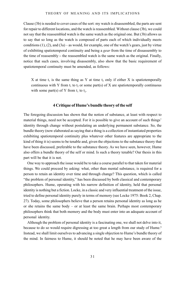Clause (3b) is needed to cover cases of the sort: my watch is disassembled, the parts are sent for repair to different locations, and the watch is reassembled. Without clause (3b), we could not say that the reassembled watch is the same watch as the original one. But (3b) allows us to say that so long as the watch is composed of parts each of which individually meets conditions  $(1)$ ,  $(2)$ , and  $(3a)$  – as would, for example, one of the watch's gears, just by virtue of exhibiting spatiotemporal continuity and being a *gear* from the time of dissassembly to the time of reassembly **–** the reassembled watch is the same watch as the original. Finally, notice that such cases, involving disassembly, also show that the basic requirement of spatiotemporal continuity must be amended, as follows:

X at time  $t_1$  is the same thing as Y at time  $t_2$  only if either X is spatiotemporally continuous with Y from  $t_1$  to  $t_2$  or some part(s) of X are spatiotemporally continuous with some part(s) of Y from  $t_1$  to  $t_2$ .

### **4 Critique of Hume's bundle theory of the self**

The foregoing discussion has shown that the notion of substance, at least with respect to material things, need not be accepted. For it is possible to give an account of such things' identity through change without postulating an underlying permanent substance. So, the bundle theory (now elaborated as saying that a thing is a collection of instantiated properties exhibiting spatiotemporal continuity plus whatever other features are appropriate to the kind of thing it is) seems to be tenable and, given the objections to the substance theory that have been discussed, preferable to the substance theory. As we have seen, however, Hume also offers a bundle theory of the self or mind. Is such a theory tenable? Our thesis in this part will be that it is not.

One way to approach the issue would be to take a course parallel to that taken for material things. We could proceed by asking: what, other than mental substance, is required for a person to retain an identity over time and through change? This question, which is called "the problem of personal identity," has been discussed by both classical and contemporary philosophers. Hume, operating with his narrow definition of identity, held that personal identity is nothing but a fiction. Locke, in a classic and very influential treatment of the issue, tried to define personal identity purely in terms of memory (see Locke 1975: Book 2, Chap. 27). Today, some philosophers believe that a person retains personal identity as long as he or she retains the same body – or at least the same brain. Perhaps most contemporary philosophers think that both memory and the body must enter into an adequate account of personal identity.

Although the problem of personal identity is a fascinating one, we shall not delve into it, because to do so would require digressing at too great a length from our study of Hume.<sup>9</sup> Instead, we shall limit ourselves to advancing a single objection to Hume's bundle theory of the mind. In fairness to Hume, it should be noted that he may have been aware of the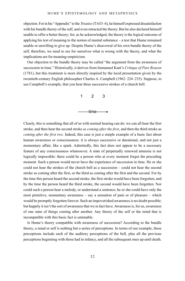objection. For in his "Appendix" to the *Treatise* (T:633–6), he himself expressed dissatisfaction with his bundle theory of the self, and even retracted the theory. But he also declared himself unable to offer a better theory; for, as he acknowledged, the theory is the logical outcome of applying his test of meaning to the notion of mental substance – a test that Hume remained unable or unwilling to give up. Despite Hume's disavowal of his own bundle theory of the self, therefore, we need to see for ourselves what is wrong with the theory, and what the implications are for meaning-empiricism.

Our objection to the bundle theory may be called "the argument from the awareness of succession in time." Historically, it derives from Immanuel Kant's *Critique of Pure Reason* (1781), but this treatment is more directly inspired by the lucid presentation given by the twentieth-century English philosopher Charles A. Campbell (1962: 224–235). Suppose, to use Campbell's example, that you hear three successive strokes of a church bell.

> 1 2 3  $-$ time $\longrightarrow$

Clearly, this is something that all of us with normal hearing can do: we can all hear the first stroke, and then hear the second stroke *as coming after the first*, and then the third stroke as *coming after the first two.* Indeed, this case is just a simple example of a basic fact about human awareness or consciousness: it is always successive or durational, and not just a momentary affair, like a spark. Admittedly, this fact does not appear to be a necessary feature of any consciousness whatsoever. A state of perpetually renewed amnesia is not logically impossible: there could be a person who at every moment forgot the preceding moment. Such a person would never have the experience of succession in time. He or she could not hear the strokes of the church bell as a succession – could not hear the second stroke as coming after the first, or the third as coming after the first and the second. For by the time this person heard the second stroke, the first stroke would have been forgotten, and by the time the person heard the third stroke, the second would have been forgotten. Nor could such a person hear a melody, or understand a sentence; he or she could have only the most primitive, momentary awareness  $-$  say a sensation of pain or of pleasure  $-$  which would be promptly forgotten forever. Such an impoverished awareness is no doubt possible; but happily it isn't the sort of awareness that we in fact have. Awareness is, for us, awareness of one state of things coming after another. Any theory of the self or the mind that is incompatible with this basic fact is untenable.

Is Hume's theory compatible with awareness of succession? According to the bundle theory, a mind or self is nothing but a series of perceptions. In terms of our example, these perceptions include each of the auditory perceptions of the bell, plus all the previous perceptions beginning with those had in infancy, and all the subsequent ones up until death.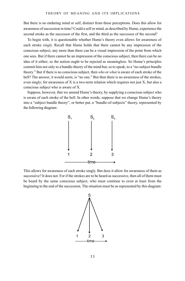But there is no enduring mind or self, distinct from these perceptions. Does this allow for awareness of succession in time? Could a self or mind, as described by Hume, experience the second stroke as the successor of the first, and the third as the successor of the second?

To begin with, it is questionable whether Hume's theory even allows for awareness of each stroke *singly.* Recall that Hume holds that there cannot be any impression of the conscious subject, any more than there can be a visual impression of the point from which one sees. But if there cannot be an impression of the conscious subject, then there can be no idea of it either; so the notion ought to be rejected as meaningless. So Hume's principles commit him not only to a bundle-theory of the mind but, so to speak, to a "no-subject bundle theory." But if there is no conscious subject, then *who* or *what* is aware of each stroke of the bell? The answer, it would seem, is "no one." But then there is no awareness of the strokes, even singly; for awareness of X is a two-term relation which requires not just X, but also a conscious subject who is aware of X.

Suppose, however, that we amend Hume's theory, by supplying a conscious subject who is aware of each stroke of the bell. In other words, suppose that we change Hume's theory into a "subject bundle theory", or better put, a "bundle-of-subjects" theory, represented by the following diagram:



This allows for awareness of each stroke singly. But does it allow for awareness of them as successive? It does not. For if the strokes are to be heard as successive, then all of them must be heard by the same conscious subject, who must continue to exist at least from the beginning to the end of the succession. The situation must be as represented by this diagram:

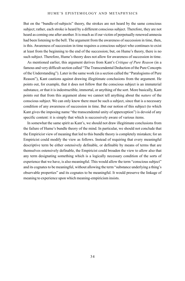But on the "bundle-of-subjects" theory, the strokes are not heard by the same conscious subject; rather, each stroke is heard by a different conscious subject. Therefore, they are not heard as coming one after another. It is much as if our victim of perpetually renewed amnesia had been listening to the bell. The argument from the awareness of succession in time, then, is this. Awareness of succession in time requires a conscious subject who continues to exist at least from the beginning to the end of the succession; but, on Hume's theory, there is no such subject. Therefore, Hume's theory does not allow for awareness of succession in time.

As mentioned earlier, this argument derives from Kant's *Critique of Pure Reason* (in a famous and very difficult section called "The Transcendental Deduction of the Pure Concepts of the Understanding"). Later in the same work (in a section called the "Paralogisms of Pure Reason"), Kant cautions against drawing illegitimate conclusions from the argument. He points out, for example, that it does not follow that the conscious subject is an immaterial substance, or that it is indestructible, immortal, or anything of the sort. More basically, Kant points out that from this argument alone we cannot tell anything about the *nature* of the conscious subject. We can only know there must be such a subject, since that is a necessary condition of any awareness of succession in time. But our notion of this subject (to which Kant gives the imposing name "the transcendental unity of apperception") is devoid of any specific content: it is simply that which is successively aware of various items.

In somewhat the same spirit as Kant's, we should not draw illegitimate conclusions from the failure of Hume's bundle theory of the mind. In particular, we should not conclude that the Empiricist view of meaning that led to this bundle theory is completely mistaken; for an Empiricist could modify the view as follows. Instead of requiring that every meaningful descriptive term be either ostensively definable, or definable by means of terms that are themselves ostensively definable, the Empiricist could broaden the view to allow also that any term designating something which is a logically necessary condition of the sorts of experience that we have, is also meaningful. This would allow the term "conscious subject" and its cognates to be meaningful, without allowing the term "substance underlying a thing's observable properties" and its cognates to be meaningful. It would preserve the linkage of meaning to experience upon which meaning-empiricism insists.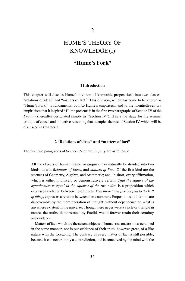# HUME'S THEORY OF KNOWLEDGE (I)

## **"Hume's Fork"**

### **1 Introduction**

This chapter will discuss Hume's division of knowable propositions into two classes: "relations of ideas" and "matters of fact."1 This division, which has come to be known as "Hume's Fork," is fundamental both to Hume's empiricism and to the twentieth-century empiricism that it inspired.2 Hume presents it in the first two paragraphs of Section IV of the *Enquiry* (hereafter designated simply as "Section IV"). It sets the stage for the seminal critique of causal and inductive reasoning that occupies the rest of Section IV, which will be discussed in Chapter 3.

### **2 "Relations of ideas" and "matters of fact"**

The first two paragraphs of Section IV of the *Enquiry* are as follows:

All the objects of human reason or enquiry may naturally be divided into two kinds, to wit, *Relations of Ideas*, and *Matters of Fact.* Of the first kind are the sciences of Geometry, Algebra, and Arithmetic; and, in short, every affirmation, which is either intuitively or demonstratively certain. *That the square of the hypothenuse is equal to the squares of the two sides*, is a proposition which expresses a relation between these figures. *That three times five is equal to the half of thirty*, expresses a relation between these numbers. Propositions of this kind are discoverable by the mere operation of thought, without dependence on what is anywhere existent in the universe. Though there never were a circle or triangle in nature, the truths, demonstrated by Euclid, would forever retain their certainty and evidence.

Matters of fact, which are the second objects of human reason, are not ascertained in the same manner; nor is our evidence of their truth, however great, of a like nature with the foregoing. The contrary of every matter of fact is still possible; because it can never imply a contradiction, and is conceived by the mind with the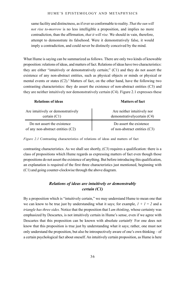same facility and distinctness, as if ever so conformable to reality. *That the sun will not rise to-morrow* is no less intelligible a proposition, and implies no more contradiction, than the affirmation, *that it will rise.* We should in vain, therefore, attempt to demonstrate its falsehood. Were it demonstratively false, it would imply a contradiction, and could never be distinctly conceived by the mind.

What Hume is saying can be summarized as follows. There are only two kinds of knowable proposition: relations of ideas, and matters of fact. Relations of ideas have two characteristics: they are either "intuitively or demonstratively certain;" (C1) and they do not assert the existence of any non-abstract entities, such as physical objects or minds or physical or mental events or states  $(C2)^3$ . Matters of fact, on the other hand, have the following two contrasting characteristics: they do assert the existence of non-abstract entities (C3) and they are neither intuitively nor demonstratively certain (C4). Figure 2.1 expresses these

| <b>Relations of ideas</b> |  |
|---------------------------|--|
|---------------------------|--|

### **Matters of fact**

| Are intuitively or demonstratively  | Are neither intuitively nor     |
|-------------------------------------|---------------------------------|
| certain $(C1)$                      | demonstratively certain (C4)    |
| Do not assert the existence         | Do assert the existence         |
| of any non-abstract entities $(C2)$ | of non-abstract entities $(C3)$ |

*Figure 2.1* Contrasting characteristics of relations of ideas and matters of fact

contrasting characteristics. As we shall see shortly, (C3) requires a qualification: there is a class of propositions which Hume regards as expressing matters of fact even though those propositions do not assert the existence of anything. But before introducing this qualification, an explanation is required of the first three characteristics just mentioned, beginning with (C1) and going counter-clockwise through the above diagram.

### *Relations of ideas are intuitively or demonstrably certain (C1)*

By a proposition which is "intuitively certain," we may understand Hume to mean one that we can know to be true just by understanding what it says; for example,  $I + I = 2$  and a *triangle has three sides.* Notice that the proposition that I *am thinking*, whose certainty was emphasized by Descartes, is not intuitively certain in Hume's sense, even if we agree with Descartes that this proposition can be known with absolute certainty. For one does not know that this proposition is true just by understanding what it says; rather, one must not only understand the proposition, but also be introspectively aware of one's own thinking  $-$  of a certain psychological fact about oneself. An intuitively certain proposition, as Hume is here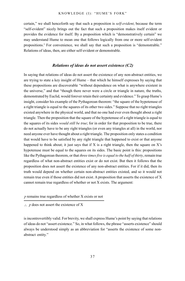certain," we shall henceforth say that such a proposition is *self-evident*, because the term "self-evident" nicely brings out the fact that such a proposition makes itself evident or provides the evidence for itself. By a proposition which is "demonstratively certain" we may understand Hume to mean one that follows logically from one or more self-evident propositions.5 For convenience, we shall say that such a proposition is "demonstrable." Relations of ideas, then, are either self-evident or demonstrable.

### *Relations of ideas do not assert existence (C2)*

In saying that relations of ideas do not assert the existence of any non-abstract entities, we are trying to state a key insight of Hume – that which he himself expresses by saying that these propositions are discoverable "without dependence on what is anywhere existent in the universe," and that "though there never were a circle or triangle in nature, the truths, demonstrated by Euclid, would forever retain their certainty and evidence." To grasp Hume's insight, consider his example of the Pythagorean theorem: "the square of the hypotenuse of a right triangle is equal to the squares of its other two sides." Suppose that no right triangles existed anywhere in the physical world, and that no one had ever even thought about a right triangle. Then the proposition that the square of the hypotenuse of a right triangle is equal to the squares of its sides *would still be true*; for in order for that proposition to be true, there do not actually have to be any right triangles (or even any triangles at all) in the world, nor need anyone ever have thought about a right triangle. The proposition only states a condition that would have to be satisfied by any right triangle that happened to exist or that anyone happened to think about; it just says that if X is a right triangle, then the square on  $X$ 's hypotenuse must be equal to the squares on its sides. The basic point is this: propositions like the Pythagorean theorem, or that *three times five is equal to the half of thirty*, remain true regardless of what non-abstract entities exist or do not exist. But then it follows that the proposition does not assert the existence of any non-abstract entities. For if it did, then its truth would depend on whether certain non-abstract entities existed, and so it would not remain true even if those entities did not exist. A proposition that asserts the existence of X cannot remain true regardless of whether or not X exists. The argument:

*p* remains true regardless of whether X exists or not

 $\therefore$  *p* does not assert the existence of X

is incontrovertibly valid. For brevity, we shall express Hume's point by saying that relations of ideas do not "assert existence." So, in what follows, the phrase "asserts existence" should always be understood simply as an abbreviation for "asserts the existence of some nonabstract entity."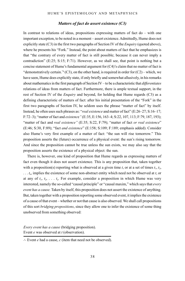### *Matters of fact do assert existence (C3)*

In contrast to relations of ideas, propositions expressing matters of fact  $d\rho$  – with one important exception, to be noted in a moment – assert existence. Admittedly, Hume does not explicitly state (C3) in the first two paragraphs of Section IV of the *Enquiry* (quoted above), where he presents his "Fork." Instead, the point about matters of fact that he emphasizes is that "the contrary of every matter of fact is still possible; because it can never imply a contradiction" (E:25; S:15; F:71). However, as we shall see, that point is nothing but a concise statement of Hume's fundamental argument for (C4)'s claim that no matter of fact is "demonstratively certain." $(°(C_3))$ , on the other hand, is required in order for  $(C_2)$  – which, we have seen, Hume does explicitly state, if only briefly and somewhat allusively, in his remarks about mathematics in the first paragraph of Section IV – to be a characteristic that *differentiates* relations of ideas from matters of fact. Furthermore, there is ample textual support, in the rest of Section IV of the *Enquiry* and beyond, for holding that Hume regards (C3) as a defining characteristic of matters of fact: after his initial presentation of the "Fork" in the first two paragraphs of Section IV, he seldom uses the phrase "matter of fact" by itself. Instead, he often uses such phrases as: "*real existence* and matter of fact" (E:26–27; S:16–17; F:72–3); "matter of fact and *existenc*e*"* (E:35, E:156, 163–4; S:22, 107, 113; F:79, 187, 193); "matter of fact and *real existence"* (E:35; S:22, F:79); "matter of fact *or real existence*" (E:46; S:30, F:89); "fact *and existence*" (E:158; S:109; F:189; emphasis added). Consider also Hume's very first example of a matter of fact: "the sun will rise tomorrow." This proposition asserts the (future) occurrence of a physical event: the sun's rising tomorrow. And since the proposition cannot be true unless the sun exists, we may also say that the proposition asserts the existence of a physical object: the sun.

There is, however, one kind of proposition that Hume regards as expressing matters of fact even though it does not assert existence. This is any proposition that, taken together with a proposition(s) reporting what is observed at a given time *t*, or at a set of times  $t_1, t_2$ ,  $\ldots$ ,  $t_n$ , implies the existence of some non-abstract entity which need not be observed at *t*, or at any of  $t_1, t_2, \ldots, t_n$ . For example, consider a proposition in which Hume was very interested, namely the so-called "causal principle" or "causal maxim," which says that *every event has a cause.* Taken by itself, this proposition does not assert the existence of anything. But, taken together with a proposition reporting some observed event, it implies the existence of a cause of that event – whether or not that cause is also observed. We shall call propositions of this sort *bridging propositions*, since they allow one to infer the existence of some thing unobserved from something observed:

*Every event has a cause* (bridging proposition). Event *e* was observed at *t* (observation).

 $\therefore$  Event *e* had a cause, *c* (item that need not be observed).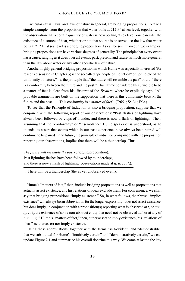Particular causal laws, and laws of nature in general, are bridging propositions. To take a simple example, from the proposition that water boils at  $212 \text{ F}^{\circ}$  at sea level, together with the observation that a certain quantity of water is now boiling at sea level, one can infer the existence of a source of heat, whether or not that source is observed; so the law that water boils at  $212 \text{ F}^{\circ}$  at sea level is a bridging proposition. As can be seen from our two examples, bridging propositions can have various degrees of generality. The principle that every event has a cause, ranging as it does over all events, past, present, and future, is much more general than the law about water or any other specific law of nature.

Another highly general bridging proposition in which Hume was especially interested (for reasons discussed in Chapter 3) is the so-called "principle of induction" or "principle of the uniformity of nature," i.e. the principle that "the future will resemble the past" or that "there is a conformity between the future and the past." That Hume considered this principle to be a matter of fact is clear from his *Abstract* of the *Treatise*, where he explicitly says: "All probable arguments are built on the supposition that there is this conformity betwixt the future and the past. . . . This conformity is a *matter of fact*"*.* (T:651; S:131; F:34).

To see that the Principle of Induction is also a bridging proposition, suppose that we conjoin it with the following report of our observations: "Past flashes of lightning have always been followed by claps of thunder, and there is now a flash of lightning." Then, assuming that the "conformity" or "resemblance" Hume speaks of is understood, as he intends, to assert that events which in our past experience have always been paired will continue to be paired in the future, the principle of induction, conjoined with the proposition reporting our observations, implies that there will be a thunderclap. Thus:

*The future will resemble the past* (bridging proposition). Past lightning flashes have been followed by thunderclaps, and there is now a flash of lightning (observations made at  $t_1, t_2, \ldots, t_n$ ).

There will be a thunderclap (the as yet unobserved event). **• • •**

Hume's "matters of fact," then, include bridging propositions as well as propositions that actually assert existence, and his relations of ideas exclude them. For convenience, we shall say that bridging propositions "imply existence." So, in what follows, the phrase "implies existence" will always be an abbreviation for the longer expression, "does not assert existence, but does imply, in conjunction with a proposition(s) reporting what is observed at  $t$ , or at  $t_1$ ,  $t_2 \ldots t_n$ , the existence of some non-abstract entity that need not be observed at *t*, or at any of  $t_1, t_2, \ldots, t_n$ ." Hume's "matters of fact," then, either assert or imply existence; his "relations of ideas" neither assert nor imply existence.

Using these abbreviations, together with the terms "self-evident" and "demonstrable" that we substituted for Hume's "intuitively certain" and "demonstratively certain," we can update Figure 2.1 and summarize his overall doctrine this way: We come at last to the key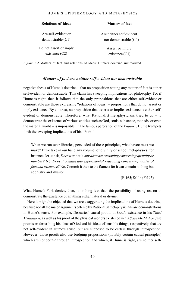### HUME'S EPISTEMOLOGY AND METAPHYSICS

| <b>Relations of ideas</b> | <b>Matters of fact</b>   |
|---------------------------|--------------------------|
| Are self-evident or       | Are neither self-evident |
| demonstrable $(C1)$       | nor demonstrable $(C4)$  |
| Do not assert or imply    | Assert or imply          |
| existence $(C2)$          | existence $(C3)$         |

*Figure 2.2* Matters of fact and relations of ideas: Hume's doctrine summarized

### *Matters of fact are neither self-evident nor demonstrable*

negative thesis of Hume's doctrine – that no proposition stating any matter of fact is either self-evident or demonstrable. This claim has sweeping implications for philosophy. For if Hume is right, then it follows that the only propositions that are either self-evident or demonstrable are those expressing "relations of ideas" – propositions that do not assert or imply existence. By contrast, no proposition that asserts or implies existence is either selfevident or demonstrable. Therefore, what Rationalist metaphysicians tried to do – to demonstrate the existence of various entities such as God, souls, substance, monads, or even the material world – is impossible. In the famous peroration of the *Enquiry*, Hume trumpets forth the sweeping implications of his "Fork:"

When we run over libraries, persuaded of these principles, what havoc must we make? If we take in our hand any volume; of divinity or school metaphysics, for instance; let us ask, *Does it contain any abstract reasoning concerning quantity or number?* No. *Does it contain any experimental reasoning concerning matter of fact and existence?* No. Commit it then to the flames: for it can contain nothing but sophistry and illusion.

(E:165; S:114; F:195)

What Hume's Fork denies, then, is nothing less than the possibility of using reason to demonstrate the existence of anything either natural or divine.

Here it might be objected that we are exaggerating the implications of Hume's doctrine, because not all the major arguments offered by Rationalist metaphysicians are demonstrations in Hume's sense. For example, Descartes' causal proofs of God's existence in his *Third Meditation*, as well as his proof of the physical world's existence in his *Sixth Meditation*, use premisses describing his ideas of God and his ideas of sensible things, respectively, that are not self-evident in Hume's sense, but are supposed to be certain through introspection. However, those proofs also use bridging propositions (notably certain causal principles) which are not certain through introspection and which, if Hume is right, are neither self-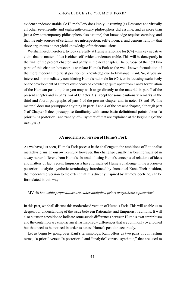evident nor demonstrable. So Hume's Fork does imply – assuming (as Descartes and virtually all other seventeenth- and eighteenth-century philosophers did assume, and as more than just a few contemporary philosophers also assume) that knowledge requires certainty, and that the only sources of certainty are introspection, self-evidence, and demonstration – that those arguments do not yield knowledge of their conclusions.

We shall need, therefore, to look carefully at Hume's rationale for  $(C4)$  – his key negative claim that no matter of fact is either self-evident or demonstrable. This will be done partly in the final of the present chapter, and partly in the next chapter. The purpose of the next two parts of this chapter, however, is to relate Hume's Fork to the well-known formulation of the more modern Empiricist position on knowledge due to Immanuel Kant. So, if you are interested in immediately considering Hume's rationale for (C4), or in focusing exclusively on the development of Hume's own theory of knowledge quite apart from Kant's formulation of the Humean position, then you may wish to go directly to the material in part 5 of the present chapter and in parts 1–4 of Chapter 3. (Except for some cautionary remarks in the third and fourth paragraphs of part 5 of the present chapter and in notes 18 and 19, this material does not presuppose anything in parts 3 and 4 of the present chapter, although part 5 of Chapter 3 does presuppose familiarity with some basic definitional points about "a priori"– "a posteriori" and "analytic"– "synthetic" that are explained at the beginning of the next part.)

### **3 A modernized version of Hume's Fork**

As we have just seen, Hume's Fork poses a basic challenge to the ambitions of Rationalist metaphysicians. In our own century, however, this challenge usually has been formulated in a way rather different from Hume's. Instead of using Hume's concepts of relations of ideas and matters of fact, recent Empiricists have formulated Hume's challenge in the a priori–a posteriori, analytic–synthetic terminology introduced by Immanuel Kant. Their position, the modernized version to the extent that it is directly inspired by Hume's doctrine, can be formulated in this way:

### MV *All knowable propositions are either analytic a priori or synthetic a posteriori.*

In this part, we shall discuss this modernized version of Hume's Fork. This will enable us to deepen our understanding of the issue between Rationalist and Empiricist traditions. It will also put us in a position to indicate some subtle differences between Hume's own empiricism and the contemporary empiricism it has inspired – differences that are commonly overlooked but that need to be noticed in order to assess Hume's position accurately.

Let us begin by going over Kant's terminology. Kant offers us two pairs of contrasting terms, "a priori" versus "a posteriori," and "analytic" versus "synthetic," that are used to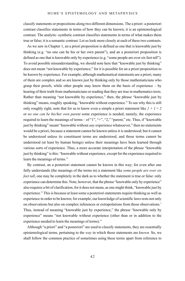classify statements or propositions along two different dimensions. The a priori–a posteriori contrast classifies statements in terms of how they can be known; it is an epistemological contrast. The analytic–synthetic contrast classifies statements in terms of what makes them true or false; it is a semantic contrast. Let us look more closely at each of these two contrasts.

As we saw in Chapter 1, an a priori proposition is defined as one that is knowable just by thinking (e.g. "no one can be his or her own parent"), and an a posteriori proposition is defined as one that is knowable only by experience (e.g. "some people are over six feet tall"). To avoid possible misunderstanding, we should note here that "knowable just by thinking" does not mean "not knowable by experience;" for it is possible for an a priori proposition to be known by experience. For example, although mathematical statements are a priori, many of them are complex and so are known just by thinking only by those mathematicians who grasp their proofs, while other people may know them on the basis of experience – by hearing of their truth from mathematicians or reading that they are true in mathematics texts. Rather than meaning "not knowable by experience," then, the phrase "knowable just by thinking" means, roughly speaking, "knowable without experience." To see why this is still only roughly right, note that for us to know even a simple a priori statement like  $1 + 1 = 2$ or *no one can be his/her own parent* some experience is needed; namely, the experience required to learn the meanings of terms – of "1", "+", "2," "parent," etc. Thus, if "knowable just by thinking" meant "knowable without *any* experience whatsoever," then no statements would be a priori, because a statement cannot be known unless it is understood; but it cannot be understood unless its constituent terms are understood, and those terms cannot be understood (at least by human beings) unless their meanings have been learned through various sorts of experience. Thus, a more accurate interpretation of the phrase "knowable just by thinking" is this: "knowable without experience, except for the experience required to learn the meanings of terms."

By contrast, an a posteriori statement cannot be known in this way; for even after one fully understands (the meanings of the terms in) a statement like *some people are over six feet tall*, one may be completely in the dark as to whether the statement is true or false: only experience can determine this. Note, however, that the phrase "knowable only by experience" also requires a bit of clarification; for it does not mean, as one might think, "knowable just by experience." This is because at least some a posteriori statements require thinking as well as experience in order to be known; for example, our knowledge of scientific laws rests not only on observations but also on complex inferences or extrapolations from those observations.7 Thus, instead of meaning "knowable just by experience," the phrase "knowable only by experience" means "not knowable without experience (other than or in addition to the experience needed to learn the meanings of terms)."

Although "a priori" and "a posteriori" are used to classify statements, they are essentially epistemological terms, pertaining to the *way* in which those statements are *known.* So, we shall follow the common practice of sometimes using these terms apart from reference to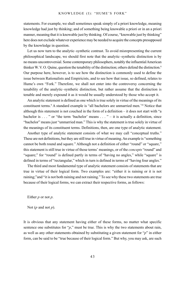statements. For example, we shall sometimes speak simply of a priori knowledge, meaning knowledge had just by thinking; and of something being knowable a priori or in an a priori manner, meaning that it is knowable just by thinking. Of course, "knowable just by thinking" here does not exclude whatever experience may be needed to acquire the concepts presupposed by the knowledge in question.

Let us now turn to the analytic–synthetic contrast. To avoid misrepresenting the current philosophical landscape, we should first note that the analytic–synthetic distinction is by no means uncontroversial. Some contemporary philosophers, notably the influential American thinker W. V. O. Quine, question the tenability of the distinction; others defend the distinction.8 Our purpose here, however, is to see how the distinction is commonly used to define the issue between Rationalists and Empiricists, and to see how that issue, so defined, relates to Hume's own "Fork." Therefore, we shall not enter into the controversy concerning the tenability of the analytic–synthetic distinction, but rather assume that the distinction is tenable and merely expound it as it would be usually understood by those who accept it.

An analytic statement is defined as one which is true solely in virtue of the meanings of its constituent terms.<sup>9</sup> A standard example is "all bachelors are unmarried men."<sup>10</sup> Notice that although this statement is not couched in the form of a definition – it does not start with "a bachelor is  $\dots$  " or "the term 'bachelor' means  $\dots$  " – it is actually a definition, since "bachelor" means just "unmarried man." This is why the statement is true solely in virtue of the meanings of its constituent terms. Definitions, then, are one type of analytic statement.

Another type of analytic statement consists of what we may call "conceptual truths." These are not definitions, but they are still true in virtue of meaning. An example is "something cannot be both round and square." Although not a definition of either "round" or "square," this statement is still true in virtue of those terms' meanings, or of the *concepts* "round" and "square;" for "round" is defined partly in terms of "having no angles," while "square" is defined in terms of "rectangular," which in turn is defined in terms of "having four angles."

The third and most fundamental type of analytic statement consists of statements that are true in virtue of their logical form. Two examples are: "either it is raining or it is not raining;"and "it is not both raining and not raining." To see why these two statements are true because of their logical forms, we can extract their respective forms, as follows:

Either *p* or not *p*.

Not (*p* and not *p*).

It is obvious that any statement having either of these forms, no matter what specific sentence one substitutes for " $p$ ," must be true. This is why the two statements about rain, as well as any other statements obtained by substituting a given statement for "*p*" in either form, can be said to be "true because of their logical form." But why, you may ask, are such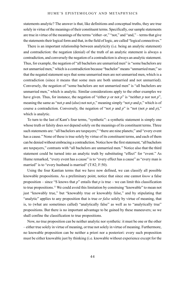statements analytic? The answer is that, like definitions and conceptual truths, they are true solely in virtue of the meanings of their constituent terms. Specifically, our sample statements are true in virtue of the meanings of the terms "either–or," "not," and "and," – terms that give the statements their logical form and that, in the field of logic, are called "logical connectives."

There is an important relationship between analyticity (i.e. being an analytic statement) and contradiction: the negation (denial) of the truth of an analytic statement is always a contradiction, and conversely the negation of a contradiction is always an analytic statement. Thus, for example, the negation of "all bachelors are unmarried men" is "some bachelors are not unmarried men," which is a contradiction because "bachelor" means "unmarried man;" so that the negated statement says that some unmarried men are not unmarried men, which is a contradiction (since it means that some men are both unmarried and not unmarried). Conversely, the negation of "some bachelors are not unmarried men" is "all bachelors are unmarried men," which is analytic. Similar considerations apply to the other examples we have given. Thus, for instance, the negation of "either *p* or not *p*" is "neither *p* nor not *p*", meaning the same as "not *p* and (also) not not *p*," meaning simply "not *p* and *p*," which is of course a contradiction. Conversely, the negation of "not *p* and  $p$ " is "not (not *p* and  $p$ )," which is analytic.

To turn to the last of Kant's four terms, "synthetic": a synthetic statement is simply one whose truth or falsity does *not* depend solely on the meanings of its constituent terms. Three such statements are: "all bachelors are taxpayers;" "there are nine planets;" and "every event has a cause." None of these is true solely by virtue of its constituent terms, and each of them can be denied without embracing a contradiction. Notice how the first statement, "all bachelors are taxpayers," contrasts with "all bachelors are unmarried men." Notice also that the third statement could be turned into an analytic truth by substituting "effect" for "event." As Hume remarked, "every event has a cause" is to "every effect has a cause" as "every man is married" is to "every husband is married" (T:82; F:50).

Using the four Kantian terms that we have now defined, we can classify all possible knowable propositions. As a preliminary point, notice that since one cannot *know* a false proposition – since "S knows that  $p$ " entails that  $p$  is true – we can limit this classification to true propositions.<sup>11</sup> We could avoid this limitation by construing "knowable" to mean not just "knowably true," but "knowably true or knowably false," and by stipulating that "analytic" applies to any proposition that is true *or false* solely by virtue of meaning, that is, to (what are sometimes called) "analytically false" as well as to "analytically true" propositions. But there is no important advantage to be gained by these maneuvers; so we shall confine the classification to true propositions.

Now, no true proposition can be neither analytic nor synthetic: it must be one or the other – either true solely in virtue of meaning, or true not solely in virtue of meaning. Furthermore, no knowable proposition can be neither a priori nor a posteriori: every such proposition must be either knowable just by thinking (i.e. knowable without experience except for the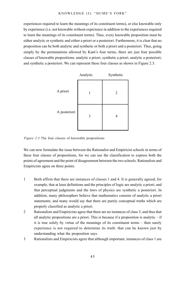experiences required to learn the meanings of its constituent terms), or else knowable only by experience (i.e. not knowable without experience in addition to the experiences required to learn the meanings of its constituent terms). Thus, every knowable proposition must be either analytic or synthetic and either a priori or a posteriori. Furthermore, it is clear that no proposition can be both analytic and synthetic or both a priori and a posteriori. Thus, going simply by the permutations allowed by Kant's four terms, there are just four possible classes of knowable propositions: analytic a priori; synthetic a priori; analytic a posteriori; and synthetic a posteriori. We can represent these four classes as shown in Figure 2.3.



*Figure 2.3* The four classes of knowable propositions

We can now formulate the issue between the Rationalist and Empiricist schools in terms of these four classes of propositions, for we can use the classification to express both the points of agreement and the point of disagreement between the two schools. Rationalists and Empiricists agree on three points.

- 1 Both affirm that there are instances of classes 1 and 4. It is generally agreed, for example, that at least definitions and the principles of logic are analytic a priori; and that perceptual judgments and the laws of physics are synthetic a posteriori. In addition, many philosophers believe that mathematics consists of analytic a priori statements; and many would say that there are purely conceptual truths which are properly classified as analytic a priori.
- 2 Rationalists and Empiricists agree that there are no instances of class 3, and thus that all analytic propositions are a priori. This is because if a proposition is analytic – if it is true solely by virtue of the meanings of its constituent terms – then surely experience is not required to determine its truth: that can be known just by understanding what the proposition says.
- 3 Rationalists and Empiricists agree that although important, instances of class 1 are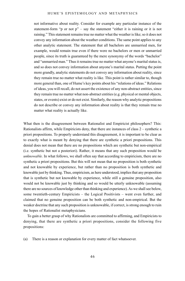not informative about reality. Consider for example any particular instance of the statement-form "p or not  $p$ " – say the statement "either it is raining or it is not raining." This statement remains true no matter what the weather is like; so it does not convey any information about the weather conditions. The same point applies to any other analytic statement. The statement that all bachelors are unmarried men, for example, would remain true even if there were no bachelors or men or unmarried people, since its truth is guaranteed by the mere synonymy of the words "bachelor" and "unmarried man." Thus it remains true no matter what anyone's marital status is, and so does not convey information about anyone's marital status. Putting the point more grandly, analytic statements do not convey any information about reality, since they remain true no matter what reality is like. This point is rather similar to, though more general than, one of Hume's key points about his "relations of ideas." Relations of ideas, you will recall, do not assert the existence of any non-abstract entities, since they remain true no matter what non-abstract entities (e.g. physical or mental objects, states, or events) exist or do not exist. Similarly, the reason why analytic propositions do not describe or convey any information about reality is that they remain true no matter what reality is actually like.

What then is the disagreement between Rationalist and Empiricist philosophers? This: Rationalists affirm, while Empiricists deny, that there are instances of class 2 – synthetic a priori propositions. To properly understand this disagreement, it is important to be clear as to exactly what is meant by denying that there are synthetic a priori propositions. This denial does not mean that there are no propositions which are synthetic but non-empirical (i.e. synthetic but not a posteriori). Rather, it means that any such proposition would be *unknowable.* In what follows, we shall often say that according to empiricism, there are no synthetic a priori propositions. But this will not mean that no proposition is both synthetic and not knowable by experience, but rather than no proposition is both synthetic and knowable just by thinking. Thus, empiricism, as here understood, implies that any proposition that is synthetic but not knowable by experience, while still a genuine proposition, also would not be knowable just by thinking and so would be utterly unknowable (assuming there are no sources of knowledge other than thinking and experience). As we shall see below, some twentieth-century Empiricists – the Logical Positivists – went even further, and claimed that no genuine proposition can be both synthetic and non-empirical. But the weaker doctrine that any such proposition is unknowable, if correct, is strong enough to ruin the hopes of Rationalist metaphysicians.

To gain a better grasp of why Rationalists are committed to affirming, and Empiricists to denying, that there are synthetic a priori propositions, consider the following five propositions:

(a) There is a reason or explanation for every matter of fact whatsoever.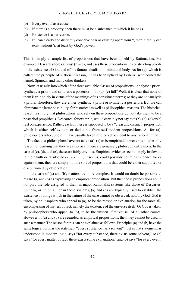- (b) Every event has a cause.
- (c) If there is a property, then there must be a substance to which it belongs.
- (d) Existence is a perfection.
- (e) If I can clearly and distinctly conceive of X as existing apart from Y, then X really can exist without Y, at least by God's power.

This is simply a sample list of propositions that have been upheld by Rationalists. For example, Descartes holds at least  $(b)$ – $(e)$ , and uses these propositions in constructing proofs of the existence of God and of his famous dualism of mind and body. As for (a), which is called "the principle of sufficient reason," it has been upheld by Leibniz (who coined the name), Spinoza, and many other thinkers.

Now let us ask: into which of the three available classes of propositions – analytic a priori, synthetic a priori, and synthetic a posteriori – do  $(a)$ – $(e)$  fall? Well, it is clear that none of them is true solely in virtue of the meanings of its constituent terms; so they are not analytic a priori. Therefore, they are either synthetic a priori or synthetic a posteriori. But we can eliminate the latter possibility, for historical as well as philosophical reasons. The historical reason is simply that philosophers who rely on these propositions do not take them to be a posteriori (empirical). Descartes, for example, would certainly not say that (b), (c), (d) or (e) rest on experience. Rather, each of these is supposed to be a "clear and distinct" proposition which is either self-evident or deducible from self-evident propositions. As for (a), philosophers who uphold it have usually taken it to be self-evident to any rational mind.

The fact that philosophers have not taken  $(a)$ – $(e)$  to be empirical, however, is not the only reason for denying that they are empirical; there are genuinely philosophical reasons. In the case of (c), (d), and (e), these are fairly obvious. Empirical evidence seems simply irrelevant to their truth or falsity; no *observation,* it seems, could possibly count as evidence for or against them: they are simply not the sort of propositions that could be either supported or disconfirmed by observation.

In the case of (a) and (b), matters are more complex. It would no doubt be possible to regard (a) and (b) as expressing an empirical proposition. But then those propositions could not play the role assigned to them in major Rationalist systems like those of Descartes, Spinoza, or Leibniz. For in those systems, (a) and (b) are typically used to establish the existence of things which in the nature of the case cannot be observed, notably God. God is taken, by philosophers who appeal to (a), to be the reason or explanation for the most allencompassing of matters of fact, namely the existence of the universe itself. Or God is taken, by philosophers who appeal to (b), to be the unseen "first cause" of all other causes. However, if (a) and (b) are regarded as empirical propositions, then they cannot be used in such a manner. The reason for this can be explained as follows. Principles (a) and (b) have the same logical form as the statement "every substance has a solvent": just as that statement, as understood in modern logic, says "for every substance, there exists some solvent," so (a) says "for every matter of fact, there exists some explanation," and (b) says "for every event,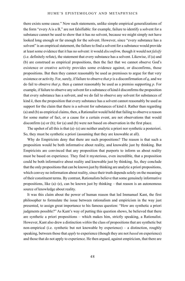there exists some cause." Now such statements, unlike simple empirical generalizations of the form "every A is a B," are not falsifiable: for example, failure to identify a solvent for a substance cannot be used to show that it has no solvent, because we might simply not have looked long enough or far enough for the solvent. However, since "every substance has a solvent" is an empirical statement, the failure to find a solvent for a substance would provide at least some evidence that it has no solvent: it would *disconfirm,* though it would not *falsify* (i.e. definitely refute), the statement that every substance has a solvent. Likewise, if (a) and (b) are construed as empirical propositions, then the fact that we cannot observe God's existence or creative activity provides some evidence against, or disconfirms, those propositions. But then they cannot reasonably be used as premisses to argue for that very existence or activity. For, surely, if failure to observe *that p* is a disconfirmation of *q*, and we do fail to observe *that p,* then *q* cannot reasonably be used as a premiss supporting *p*. For example, if failure to observe any solvent for a substance of kind *k* disconfirms the proposition that every substance has a solvent, and we do fail to observe any solvent for substances of kind  $k$ , then the proposition that every substance has a solvent cannot reasonably be used as support for the claim that there is a solvent for substances of kind *k*. Rather than regarding (a) and (b) as empirical claims, then, a Rationalist would hold that failing to observe a reason for some matter of fact, or a cause for a certain event, are not observations that would disconfirm (a) or (b); for (a) and (b) were not based on observation in the first place.

The upshot of all this is that (a)–(e) are neither analytic a priori nor synthetic a posteriori. So, they must be synthetic a priori (assuming that they are knowable at all).

Why do Empiricists deny that there are such propositions? The reason is that such a proposition would be both informative about reality, and knowable just by thinking. But Empiricists are convinced that any proposition that purports to inform us about reality must be based on experience. They find it mysterious, even incredible, that a proposition could be both informative about reality and knowable just by thinking. So, they conclude that the only propositions that can be known just by thinking are analytic a priori propositions, which convey no information about reality, since their truth depends solely on the meanings of their constituent terms. By contrast, Rationalists believe that some genuinely informative propositions, like  $(a)$ –(e), can be known just by thinking – that reason is an autonomous source of knowledge about reality.

It was this claim about the power of human reason that led Immanuel Kant, the first philosopher to formulate the issue between rationalism and empiricism in the way just presented, to assign great importance to his famous question: "How are synthetic a priori judgments possible?" As Kant's way of putting this question shows, he believed that there are synthetic a priori propositions – which makes him, strictly speaking, a Rationalist. However, Kant also drew a distinction *within* the class of propositions that are synthetic but non-empirical (i.e. synthetic but not knowable by experience) – a distinction, roughly speaking, between those that *apply* to experience (though they are not *based* on experience) and those that do not apply to experience. He then argued, against empiricism, that there are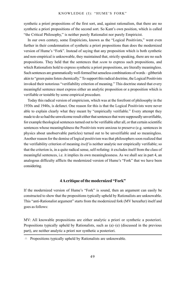synthetic a priori propositions of the first sort, and, against rationalism, that there are no synthetic a priori propositions of the second sort. So Kant's own position, which is called "the Critical Philosophy," is neither purely Rationalist nor purely Empiricist.

In our own century, some Empiricists, known as the "Logical Positivists," went even further in their condemnation of synthetic a priori propositions than does the modernized version of Hume's "Fork". Instead of saying that any proposition which is both synthetic and non-empirical is unknowable, they maintained that, strictly speaking, there are no such propositions. They held that the sentences that *seem* to express such propositions, and which Rationalists hold to express synthetic a priori propositions, are literally meaningless. Such sentences are grammatically well-formed but senseless combinations of words – gibberish akin to "green pains listen chemically." To support this radical doctrine, the Logical Positivists invoked their notorious "verifiability criterion of meaning." This doctrine stated that every meaningful sentence must express either an analytic proposition or a proposition which is verifiable or testable by some empirical procedure.

Today this radical version of empiricism, which was at the forefront of philosophy in the 1930s and 1940s, is defunct. One reason for this is that the Logical Positivists were never able to explain clearly what they meant by "empirically verifiable." Every attempt they made to do so had the unwelcome result either that sentences that were supposedly unverifiable, for example theological sentences turned out to be verifiable after all, or that certain scientific sentences whose meaningfulness the Positivists were anxious to preserve (e.g. sentences in physics about unobservable particles) turned out to be unverifiable and so meaningless. Another reason for the demise of logical positivism was that philosophers soon realized that the verifiability criterion of meaning *itself* is neither analytic nor empirically verifiable; so that the criterion is, in a quite radical sense, self-refuting: it excludes itself from the class of meaningful sentences, i.e. it implies its own meaninglessness. As we shall see in part 4, an analogous difficulty afflicts the modernized version of Hume's "Fork" that we have been considering.

### **4 A critique of the modernized "Fork"**

If the modernized version of Hume's "Fork" is sound, then an argument can easily be constructed to show that the propositions typically upheld by Rationalists are unknowable. This "anti-Rationalist argument" starts from the modernized fork (MV hereafter) itself and goes as follows:

MV: All knowable propositions are either analytic a priori or synthetic a posteriori. Propositions typically upheld by Rationalists, such as  $(a)$ –(e) (discussed in the previous part), are neither analytic a priori nor synthetic a posteriori.

<sup>•</sup> Propositions typically upheld by Rationalists are unknowable.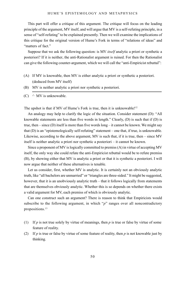This part will offer a critique of this argument. The critique will focus on the leading principle of the argument, MV itself, and will argue that MV is a self-refuting principle, in a sense of "self-refuting" to be explained presently. Then we will examine the implications of this critique for the original version of Hume's Fork in terms of "relations of ideas" and "matters of fact."

Suppose that we ask the following question: is MV *itself* analytic a priori or synthetic a posteriori? If it is neither, the anti-Rationalist argument is ruined. For then the Rationalist can give the following counter-argument, which we will call the "anti-Empiricist rebuttal":

- (A) If MV is knowable, then MV is either analytic a priori or synthetic a posteriori. (deduced from MV itself)
- (B) MV is neither analytic a priori nor synthetic a posteriori.
- $(C)$   $\therefore$  MV is unknowable.

The upshot is that if MV of Hume's Fork is true, then it is unknowable!<sup>12</sup>

An analogy may help to clarify the logic of the situation. Consider statement (D): "All knowable statements are less than five words in length." Clearly, (D) is such that if (D) is true, then – since (D) itself is more than five words long – it cannot be known. We might say that (D) is an "epistemologically self-refuting" statement – one that, if true, is unknowable. Likewise, according to the above argument, MV is such that, if it is true, then – since MV itself is neither analytic a priori nor synthetic a posteriori – it cannot be known.

Since a proponent of MV is logically committed to premiss (A) in virtue of accepting MV itself, the only way she could refute the anti-Empiricist rebuttal would be to refute premiss (B), by showing either that MV is analytic a priori or that it is synthetic a posteriori. I will now argue that neither of these alternatives is tenable.

Let us consider, first, whether MV is analytic. It is certainly not an obviously analytic truth, like "all bachelors are unmarried" or "triangles are three-sided." It might be suggested, however, that it is an unobviously analytic truth – that it follows logically from statements that are themselves obviously analytic. Whether this is so depends on whether there exists a valid argument for MV, each premiss of which is obviously analytic.

Can one construct such an argument? There is reason to think that Empiricists would subscribe to the following argument, in which " $p$ " ranges over all noncontradictory propositions.<sup>13</sup>

- (1) If *p* is not true solely by virtue of meanings, then *p* is true or false by virtue of some feature of reality.
- (2) If *p* is true or false by virtue of some feature of reality, then *p* is not knowable just by thinking.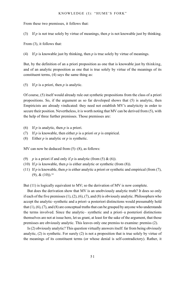From these two premisses, it follows that:

(3) If *p* is not true solely by virtue of meanings, then *p* is not knowable just by thinking.

From (3), it follows that:

(4) If *p* is knowable just by thinking, then *p* is true solely by virtue of meanings.

But, by the definition of an a priori proposition as one that is knowable just by thinking, and of an analytic proposition as one that is true solely by virtue of the meanings of its constituent terms, (4) says the same thing as:

(5) If *p* is a priori, then *p* is analytic.

Of course, (5) itself would already rule out synthetic propositions from the class of a priori propositions. So, if the argument as so far developed shows that (5) is analytic, then Empiricists are already vindicated: they need not establish MV's analyticity in order to secure their position. Nevertheless, it is worth noting that MV can be derived from (5), with the help of three further premisses. Those premisses are:

- (6) If *p* is analytic, then *p* is a priori.
- (7) If *p* is knowable, then either *p* is a priori or *p* is empirical.
- (8) Either *p* is analytic or *p* is synthetic.

MV can now be deduced from  $(5)$ – $(8)$ , as follows:

- (9) *p* is a priori if and only if *p* is analytic (from (5)  $\&$  (6)).
- (10) If  $p$  is knowable, then  $p$  is either analytic or synthetic (from (8)).
- (11) If *p* is knowable, then *p* is either analytic a priori or synthetic and empirical (from (7),  $(9)$ , &  $(10)$ ).<sup>14</sup>

But (11) is logically equivalent to MV; so the derivation of MV is now complete.

But does the derivation show that MV is an unobviously analytic truth? It does so only if each of the five premisses  $(1)$ ,  $(2)$ ,  $(6)$ ,  $(7)$ , and  $(8)$  is obviously analytic. Philosophers who accept the analytic–synthetic and a priori–a posteriori distinctions would presumably hold that  $(1)$ ,  $(6)$ ,  $(7)$ , and  $(8)$  are conceptual truths that can be grasped by anyone who understands the terms involved. Since the analytic– synthetic and a priori–a posteriori distinctions themselves are not at issue here, let us grant, at least for the sake of the argument, that those premisses are obviously analytic. This leaves only one premiss to examine: premiss (2).

Is (2) obviously analytic? This question virtually answers itself: far from being obviously analytic, (2) is synthetic. For surely (2) is not a proposition that is true solely by virtue of the meanings of its constituent terms (or whose denial is self-contradictory). Rather, it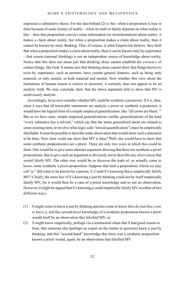expresses a substantive thesis. For the idea behind (2) is this: when a proposition is true or false because of some feature of reality – when its truth or falsity depends on what reality is like – then that proposition conveys some information (or misinformation) about reality: it makes a claim about reality; but when a proposition makes a claim about reality, then it cannot be known by mere thinking. That, of course, is what Empiricists believe: they hold that when a proposition makes a claim about reality, then it can be known only by experience – that reason (rational thinking) is not an independent source of knowledge about reality. Notice that this does not mean just that thinking alone cannot establish the *existence* of certain things, like God. It means also that thinking alone cannot show that things known to exist by experience, such as persons, have certain general features, such as being only material, or only mental, or both material and mental. Now whether this view about the limitations of human reason is correct or incorrect, it certainly does not appear to be an analytic truth. We may conclude, then, that the above argument fails to show that MV is unobviously analytic.

Accordingly, let us next consider whether MV could be synthetic a posteriori. If it is, then, since it says that all knowable statements are analytic a priori or synthetic a posteriori, it would have the logical form of a simple empirical generalization, like "all crows are black."<sup>15</sup> But as we have seen, simple empirical generalizations (unlike generalizations of the kind "every substance has a solvent," which say that the items generalized about are related to some existing item, or involve what logic calls "mixed quantification") must be empirically falsifiable. It must be possible to describe some observation that would show such a statement to be false. Now, how could one show that MV is false? Well, one would have to show that some synthetic proposition(s) are a priori. There are only two ways in which this could be done. One would be to give some abstract argument showing that there are synthetic a priori propositions. But to give such an argument is obviously not to describe any *observation* that would falsify MV. The other way would be to discover the truth of, or actually come to know, some synthetic a priori proposition. Suppose that such a proposition, which we may call "*p*," did come to be known by a person, S. Could S's knowing that *p* empirically falsify MV? Clearly, the mere fact of S's knowing p just by thinking could not by itself empirically falsify MV, for it would then be a case of a priori knowledge and so not an observation. However, it might be argued that S's knowing *p* could empirically falsify MV, in either of two different ways:

- (1) S might come to know *p* just by thinking and also come to know *that she had thus come to know p*, and this second-level knowledge of a synthetic proposition known a priori would itself be an observation that falsified MV; or
- (2) S might know empirically, perhaps via a testimonial chain that S had good reason to trust, that someone else (perhaps an expert on the matter in question) knew *p* just by thinking, and this "second-hand" knowledge that there was a synthetic proposition known a priori would, again, be an observation that falsified MV.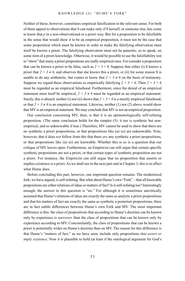Neither of these, however, constitutes empirical falsification in the relevant sense. For both of them appeal to observations that S can make only if S herself, or someone else, has come to know that *p* in a non-observational or a priori way. But for a proposition to be falsifiable in the sense that would show it to be an empirical proposition, it must not be the case that some proposition which must be known in order to make the falsifying observation must itself be known a priori. The falsifying observation must not be parasitic, so to speak, on some item of a priori knowledge. Otherwise, it would be possible to use the falsifiability test to "show" that many a priori propositions are really empirical ones. For consider a proposition that can be known a priori to be false, such as  $2 + 3 = 6$ . Suppose that either (i) S knows a priori that  $2 + 3 \neq 6$ , and observes that she knows this a priori, or (ii) for some reason S is unable to do any arithmetic, but comes to know that  $2 + 3 \neq 6$  on the basis of testimony. Suppose we regard these observations as empirically falsifying  $2 + 3 = 6$ . Then  $2 + 3 = 6$ must be regarded as an empirical falsehood. Furthermore, since the denial of an empirical statement must itself be empirical,  $2 + 3 \neq 6$  must be regarded as an empirical statement. Surely, this is absurd: neither (i) nor (ii) shows that  $2 + 3 = 6$  is a merely empirical falsehood, or that  $2 + 3 \neq 6$  is an empirical statement. Likewise, neither (1) nor (2) above would show that MV is an empirical statement. We may conclude that MV is not an empirical proposition.

Our conclusion concerning MV, then, is that it is an epistemologically self-refuting proposition. (The same conclusion holds for the simpler (5): it too is synthetic but nonempirical, and so unknowable if true.) Therefore, MV cannot be used to show that there are no synthetic a priori propositions, or that propositions like  $(a)$ –(e) are unknowable. Note, however, that it does *not* follow from this that there *are* any synthetic a priori propositions, or that propositions like (a)–(e) are knowable. Whether this is so is a question that our critique of MV leaves open. Furthermore, an Empiricist can still argue that certain specific synthetic propositions are not a priori, or that certain types of synthetic proposition are not a priori. For instance, the Empiricist can still argue that no proposition that asserts or implies existence is a priori. As we shall see in the next part and in Chapter 3, this is in effect what Hume does.

Before concluding this part, however, one important question remains. The modernized fork, we have argued, is self-refuting. But what about Hume's own "Fork" – that all knowable propositions are either relations of ideas or matters of fact? Is it self-refuting too? Interestingly enough, the answer to this question is "no." For although it is sometimes uncritically assumed that Hume's relations of ideas are exactly the same as analytic a priori propositions and that his matters of fact are exactly the same as synthetic a posteriori propositions, there are in fact subtle differences between Hume's own Fork and MV. The most important difference is this: the class of propositions that according to Hume's doctrine can be known only by experience is *narrower* than the class of propositions that can be known only by experience according to MV. Concomitantly, the class of propositions that can be known a priori is potentially wider on Hume's doctrine than on MV. The reason for this difference is that Hume's "matters of fact," as we have seen, include only propositions *that assert or imply existence.* Now it is plausible to hold (at least if the ontological argument for God's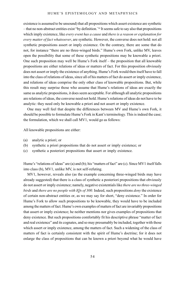existence is assumed to be unsound) that all propositions which assert existence are synthetic – that no non-abstract entities exist "by definition."16 It seems safe to say also that propositions which imply existence, like *every event has a cause* and *there is a reason or explanation for every matter of fact whatsoever*, are synthetic. However, the converse does not hold: not all synthetic propositions assert or imply existence. On the contrary, there are some that do not, for instance "there are no three-winged birds." Hume's own Fork, unlike MV, leaves open the possibility that some of these synthetic propositions may be knowable a priori. One such proposition may well be Hume's Fork itself – the proposition that all knowable propositions are either relations of ideas or matters of fact. For this proposition obviously does not assert or imply the existence of anything. Hume's Fork would then itself have to fall into the class of relations of ideas, since all of his matters of fact do assert or imply existence, and relations of ideas comprise the only other class of knowable propositions. But, while this result may surprise those who assume that Hume's relations of ideas are exactly the same as analytic propositions, it does seem acceptable. For although all analytic propositions are relations of ideas, the converse need not hold. Hume's relations of ideas do not have to be analytic: they need only be knowable a priori and not assert or imply existence.

One may well feel that despite the differences between MV and Hume's own Fork, it should be possible to formulate Hume's Fork in Kant's terminology. This is indeed the case; the formulation, which we shall call MV1, would go as follows:

All knowable propositions are either:

- (a) analytic a priori; or
- (b) synthetic a priori propositions that do not assert or imply existence; or
- (c) synthetic a posteriori propositions that assert or imply existence.

Hume's "relations of ideas" are (a) and (b); his "matters of fact" are (c). Since MV1 itself falls into class (b), MV1, unlike MV, is not self-refuting.

MV1, however, reveals also (as the example concerning three-winged birds may have already suggested) that there is a class of synthetic a posteriori propositions that obviously do not assert or imply existence; namely, negative existentials like *there are no three-winged birds* and *there are no people with IQs of 300.* Indeed, such propositions *deny* the existence of certain non-abstract entities or, as we may say for short, "deny existence." In order for Hume's Fork to allow such propositions to be knowable, they would have to be included among the matters of fact. Hume's own examples of matters of fact are invariably propositions that assert or imply existence; he neither mentions nor gives examples of propositions that deny existence. But such propositions comfortably fit his descriptive phrase "matter of fact and real existence" and its cognates, and so may presumably be included, together with those which assert or imply existence, among the matters of fact. Such a widening of the class of matters of fact is certainly consistent with the spirit of Hume's doctrine; for it does not enlarge the class of propositions that can be known a priori beyond what he would have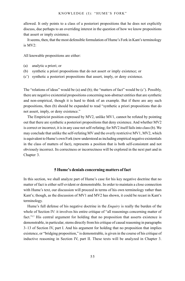allowed. It only points to a class of a posteriori propositions that he does not explicitly discuss, due perhaps to an overriding interest in the question of how we know propositions that assert or imply existence.

It seems, then, that the most defensible formulation of Hume's Fork in Kant's terminology is MV2:

All knowable propositions are either:

- (a) analytic a priori; or
- (b) synthetic a priori propositions that do not assert or imply existence; or
- (c') synthetic a posteriori propositions that assert, imply, or deny existence.

The "relations of ideas" would be (a) and (b); the "matters of fact" would be (c'). Possibly, there are negative existential propositions concerning non-abstract entities that are synthetic and non-empirical, though it is hard to think of an example. But if there are any such propositions, then (b) should be expanded to read "synthetic a priori propositions that do not assert, imply, or deny existence."

The Empiricist position expressed by MV2, unlike MV1, cannot be refuted by pointing out that there are synthetic a posteriori propositions that deny existence. And whether MV2 is correct or incorrect, it is in any case not self-refuting; for MV2 itself fails into class (b). We may conclude that unlike the self-refuting MV and the overly restrictive MV1, MV2, which is equivalent to Hume's own Fork (now understood as including empirical negative existentials in the class of matters of fact), represents a position that is both self-consistent and not obviously incorrect. Its correctness or incorrectness will be explored in the next part and in Chapter 3.

### **5 Hume's denials concerning matters of fact**

In this section, we shall analyze part of Hume's case for his key negative doctrine that no matter of fact is either self-evident or demonstrable. In order to maintain a close connection with Hume's text, our discussion will proceed in terms of his own terminology rather than Kant's; though, as the discussion of MV1 and MV2 has shown, it could be recast in Kant's terminology.

Hume's full defense of his negative doctrine in the *Enquiry* is really the burden of the whole of Section IV: it involves his entire critique of "all reasonings concerning matter of fact."<sup>17</sup> His central argument for holding that no proposition that asserts existence is demonstrable, in particular, stems directly from his critique of causal reasoning in paragraphs 3–13 of Section IV, part I. And his argument for holding that no proposition that implies existence, or "bridging proposition," is demonstrable, is given in the course of his critique of inductive reasoning in Section IV, part II. These texts will be analyzed in Chapter 3.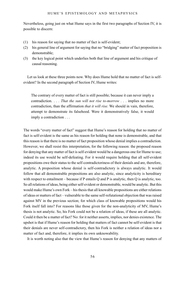### HUME'S EPISTEMOLOGY AND METAPHYSICS

Nevertheless, going just on what Hume says in the first two paragraphs of Section IV, it is possible to discern:

- (1) his reason for saying that no matter of fact is self-evident;
- (2) his general line of argument for saying that no "bridging" matter of fact proposition is demonstrable;
- (3) the key logical point which underlies both that line of argument and his critique of causal reasoning.

Let us look at these three points now. Why does Hume hold that no matter of fact is selfevident? In the second paragraph of Section IV, Hume writes:

The contrary of every matter of fact is still possible; because it can never imply a contradiction. . . *. That the sun will not rise to-morrow .* . . implies no more contradiction, than the affirmation *that it will rise.* We should in vain, therefore, attempt to demonstrate its falsehood. Were it demonstratively false, it would imply a contradiction . . .

The words "every matter of fact" suggest that Hume's reason for holding that no matter of fact is self-evident is the same as his reason for holding that none is demonstrable, and that this reason is that there is no matter of fact proposition whose denial implies a contradiction. However, we shall resist this interpretation, for the following reason: the proposed reason for denying that any matter of fact is self-evident would be a dangerous one for Hume to use; indeed its use would be self-defeating. For it would require holding that all self-evident propositions owe their status to the self-contradictoriness of their denials and are, therefore, analytic. A proposition whose denial is self-contradictory is always analytic. It would follow that all demonstrable propositions are also analytic, since analyticity is hereditary with respect to entailment – because if P entails Q and P is analytic, then Q is analytic, too. So all relations of ideas, being either self-evident or demonstrable, would be analytic. But this would make Hume's own Fork – his thesis that all knowable propositions are either relations of ideas or matters of fact – vulnerable to the same self-refutational objection that was raised against MV in the previous section; for which class of knowable propositions would his Fork itself fall into? For reasons like those given for the non-analyticity of MV, Hume's thesis is not analytic. So, his Fork could not be a relation of ideas, if these are all analytic. Could it then be a matter of fact? No: for it neither asserts, implies, nor denies existence. The upshot is that if Hume's reason for holding that matters of fact cannot be self-evident is that their denials are never self-contradictory, then his Fork is neither a relation of ideas nor a matter of fact and, therefore, it implies its own unknowability.

It is worth noting also that the view that Hume's reason for denying that any matters of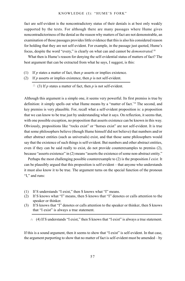fact are self-evident is the noncontradictory status of their denials is at best only weakly supported by the texts. For although there are many passages where Hume gives noncontradictoriness of the denial as the reason why matters of fact are not demonstrable, an examination of those passages provides little evidence that this is also his considered reason for holding that they are not self-evident. For example, in the passage just quoted, Hume's focus, despite the word "every," is clearly on what can and cannot be *demonstrated.*<sup>18</sup>

What then is Hume's reason for denying the self-evidential status of matters of fact? The best argument that can be extracted from what he says, I suggest, is this:

- (1) If *p* states a matter of fact, then *p* asserts or implies existence.
- (2) If *p* asserts or implies existence, then *p* is not self-evident.
	- $\cdot\cdot\cdot$  (3) If *p* states a matter of fact, then *p* is not self-evident.

Although this argument is a simple one, it seems very powerful. Its first premiss is true by definition: it simply spells out what Hume means by a "matter of fact."19 The second, and key premiss is very plausible. For, recall what a self-evident proposition is: a proposition that we can know to be true just by understanding what it says. On reflection, it seems that, with one possible exception, no proposition that asserts existence can be known in this way. Obviously, propositions like "rocks exist" or "horses exist" are not self-evident. It is true that some philosophers believe (though Hume himself did not believe) that numbers and/or other abstract entities (such as universals) exist, and that those same philosophers would say that the existence of such things is self-evident. But numbers and other abstract entities, even if they can be said really to exist, do not provide counterexamples to premiss (2), because "asserts existence" in (2) means "asserts the existence of some non-abstract entity."

Perhaps the most challenging possible counterexample to (2) is the proposition *I exist.* It can be plausibly argued that this proposition is self-evident – that anyone who understands it must also know it to be true. The argument turns on the special function of the pronoun "I," and runs:

- (1) If S understands "I exist," then S knows what "I" means.
- (2) If S knows what "I" means, then S knows that "I" denotes or calls attention to the speaker or thinker.
- (3) If S knows that "I" denotes or calls attention to the speaker or thinker, then S knows that "I exist" is always a true statement.
	- **• •** (4) If S understands "I exist," then S knows that "I exist" is always a true statement.

If this is a sound argument, then it seems to show that "I exist" is self-evident. In that case, the argument purporting to show that no matter of fact is self-evident must be amended – by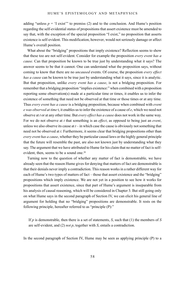adding "unless  $p =$  'I exist" to premiss (2) and to the conclusion. And Hume's position regarding the self-evidential status of propositions that assert existence must be amended to say that, with the exception of the special proposition "I exist," no proposition that asserts existence is self-evident. This modification, however, would not seriously damage or affect Hume's overall position.

What about the "bridging" propositions that imply existence? Reflection seems to show that these too are not self-evident. Consider for example the proposition *every event has a cause.* Can that proposition be known to be true just by understanding what it says? The answer seems to be that it cannot. One can understand what the proposition says, without coming to know that there are no *uncaused* events. Of course, the proposition *every effect has a cause* can be known to be true just by understanding what it says, since it is analytic. But that proposition, unlike *every event has a cause*, is not a bridging proposition. For remember that a bridging proposition "implies existence:" when combined with a proposition reporting some observation(s) made at a particular time or times, it enables us to infer the existence of something that need not be observed at that time or those times or at any time. Thus *every event has a cause* is a bridging proposition, because when combined with *event e was observed at time* t, it enables us to infer the existence of a cause of *e*, which we need not observe at *t* or at any other time. But *every effect has a cause* does not work in the same way. For we do not observe at *t* that something is an *effect*, as opposed to being just an *event*, unless we also observe its cause at  $t -$  in which case the cause is obviously not something that need not be observed at *t*. Furthermore, it seems clear that bridging propositions other than *every event has a cause*, whether they be particular causal laws or the highly general principle that the future will resemble the past, are also not known just by understanding what they say. The argument that we have attributed to Hume for his claim that no matter of fact is selfevident, then, seems to be a sound one.<sup>20</sup>

Turning now to the question of whether any matter of fact is demonstrable, we have already seen that the reason Hume gives for denying that matters of fact are demonstrable is that their denials never imply a contradiction. This reason works in a rather different way for each of Hume's two types of matters of fact – those that assert existence and the "bridging" propositions which imply existence. We are not yet in a position to see how it works for propositions that assert existence, since that part of Hume's argument is inseparable from his analysis of causal reasoning, which will be considered in Chapter 3. But still going only on what Hume says in the second paragraph of Section IV, we can elicit his general line of argument for holding that no "bridging" propositions are demonstrable. It rests on the following principle, hereafter referred to as "principle (P):"

If *p* is demonstrable, then there is a set of statements, *S*, such that (1) the members of *S* are self-evident, and (2) *not p*, together with *S*, entails a contradiction.

In the second paragraph of Section IV, Hume may be seen as applying principle (P) to a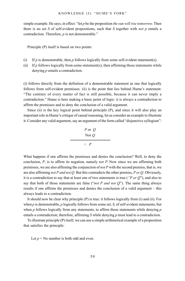simple example. He says, in effect: "let *p* be the proposition *the sun will rise tomorrow.* Then there is no set *S* of self-evident propositions, such that *S* together with *not p* entails a contradiction. Therefore, *p* is not demonstrable."

Principle (P) itself is based on two points:

- (i) If *p* is demonstrable, then *p* follows logically from some self-evident statement(s).
- (ii) If  $p$  follows logically from some statement(s), then affirming those statements while denying *p* entails a contradiction.

(i) follows directly from the definition of a demonstrable statement as one that logically follows from self-evident premisses. (ii) is the point that lies behind Hume's statement: "The contrary of every matter of fact is still possible, because it can never imply a contradiction." Hume is here making a basic point of logic: it is always a contradiction to affirm the premisses and to deny the conclusion of a valid argument.

Since (ii) is the key logical point behind principle (P), and since it will also play an important role in Hume's critique of causal reasoning, let us consider an example to illustrate it. Consider any valid argument, say an argument of the form called "disjunctive syllogism":

$$
\begin{array}{c}\nP \text{ or } Q \\
\text{Not } Q \\
\therefore P\n\end{array}
$$

What happens if one affirms the premisses and denies the conclusion? Well, to deny the conclusion, *P*, is to affirm its negation, namely *not P.* Now since we are affirming both premisses, we are also affirming the conjunction of *not P* with the second premiss, that is, we are also affirming *not P and not Q.* But this contradicts the other premiss, *P or Q.* Obviously, it is a contradiction to say that at least one of two statements is true (*"P or Q*"), and also to say that both of those statements are false ("*not P and not Q*"). The same thing always results if one affirms the premisses and denies the conclusion of a valid argument – this always leads to a contradiction.

It should now be clear why principle (P) is true: it follows logically from (i) and (ii). For when *p* is demonstrable, *p* logically follows from some set, *S*, of self-evident statements; but when *p* follows logically from any statements, to affirm those statements while denying *p* entails a contradiction; therefore, affirming *S* while denying *p* must lead to a contradiction.

To illustrate principle (P) itself, we can use a simple arithmetical example of a proposition that satisfies the principle:

Let  $p =$  No number is both odd and even.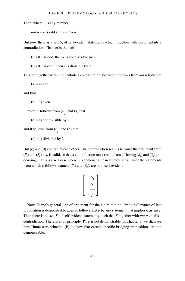Then, where *n* is any number,

*not*  $p = n$  *is* odd and *n* is even.

But now there is a set, *S*, of self-evident statements which, together with *not p*, entails a contradiction. That set is the pair:

 $(S_1)$  If *x* is odd, then *x* is not divisible by 2.

 $(S_2)$  If *x* is even, then *x* is divisible by 2.

This set together with *not p* entails a contradiction, because it follows from *not p* both that

(a) *n* is odd,

and that

(b) *n* is even.

Further, it follows from  $(S)$  and (a) that

(c) *n* is not divisible by 2,

and it follows from  $(S_2)$  and (b) that

(d) *n* is divisible by 2.

But (c) and (d) contradict each other. The contradiction results because the argument from  $(S_1)$  and  $(S_2)$  to *p* is valid, so that a contradiction must result from affirming  $(S_1)$  and  $(S_2)$  and denying *p*. This is also a case where *p* is demonstrable in Hume's sense, since the statements from which  $p$  follows, namely  $(S_1)$  and  $(S_2)$ , are both self-evident.

$$
\begin{bmatrix}\n(S_1) \\
(S_2) \\
\vdots \\
\vdots \\
\vdots\n\end{bmatrix}
$$

Now, Hume's general line of argument for the claim that no "bridging" matter-of-fact proposition is demonstrable goes as follows. Let *p* be any statement that implies existence. Then there is *no* set, *S*, of self-evident statements, such that *S* together with *not p* entails a contradiction. Therefore, by principle (P), *p* is not demonstrable. In Chapter 3, we shall see how Hume uses principle (P) to show that certain specific bridging propositions are not demonstrable.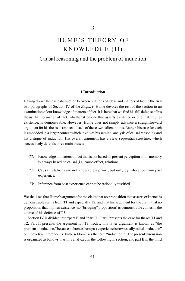# HUME'S THEORY OF KNOWLEDGE (II) Causal reasoning and the problem of induction

## **1 Introduction**

Having drawn his basic distinction between relations of ideas and matters of fact in the first two paragraphs of Section IV of the *Enquiry*, Hume devotes the rest of the section to an examination of our knowledge of matters of fact. It is here that we find his full defense of his thesis that no matter of fact, whether it be one that asserts existence or one that implies existence, is demonstrable. However, Hume does not simply advance a straightforward argument for his thesis in respect of each of these two salient points. Rather, his case for each is embedded in a larger context which involves his seminal analysis of causal reasoning and his critique of induction. His overall argument has a clear sequential structure, which successively defends three main theses:

- *T1*: Knowledge of matters of fact that is not based on present perception or on memory is always based on causal (i.e. cause-effect) relations.
- *T2*: Causal relations are not knowable a priori, but only by inference from past experience.
- *T3*: Inference from past experience cannot be rationally justified.

We shall see that Hume's argument for the claim that no proposition that asserts existence is demonstrable stems from T1 and especially T2, and that his argument for the claim that no proposition that implies existence (no "bridging" proposition) is demonstrable comes in the course of his defense of T3.

Section IV is divided into "part I" and "part II." Part I presents the case for theses T1 and T2; Part II presents the argument for T3. Today, this latter argument is known as "the problem of induction," because inference from past experience is now usually called "induction" or "inductive inference." (Hume seldom uses the term "induction.") The present discussion is organized as follows. Part I is analyzed in the following in section, and part II in the third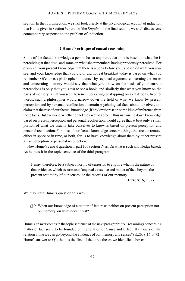section. In the fourth section, we shall look briefly at the psychological account of induction that Hume gives in Section V, part I, of the *Enquiry.* In the final section, we shall discuss one contemporary response to the problem of induction.

## **2 Hume's critique of causal reasoning**

Some of the factual knowledge a person has at any particular time is based on what she is perceiving at that time, and some on what she remembers having previously perceived. For example, your present knowledge that there is a book before you is based on what you now see, and your knowledge that you did or did not eat breakfast today is based on what you remember. Of course, a philosopher influenced by sceptical arguments concerning the senses and concerning memory would say that what you know on the basis of your current perceptions is only that you *seem* to see a book, and similarly that what you know on the basis of memory is that you seem to remember eating (or skipping) breakfast today. In other words, such a philosopher would narrow down the field of what we know by present perception and by personal recollection to certain psychological facts about ourselves, and claim that the rest of our factual knowledge (if any) must rest on some kind of inference from those facts. But everyone, whether or not they would agree in thus narrowing down knowledge based on present perception and personal recollection, would agree that at best only a small portion of what we usually take ourselves to know is based on present perception and personal recollection. For most of our factual knowledge concerns things that are too remote, either in space or in time, or both, for us to have knowledge about them by either present sense perception or personal recollection.

Now Hume's central question in part I of Section IV is: On what is such knowledge based? As he puts it in the topic sentence of the third paragraph:

It may, therefore, be a subject worthy of curiosity, to enquire what is the nature of that evidence, which assures us of any real existence and matter of fact, beyond the present testimony of our senses, or the records of our memory.

(E:26; S:16; F:72)

We may state Hume's question this way:

*Q1*: When our knowledge of a matter of fact rests neither on present perception nor on memory, on what does it rest?

Hume's answer comes in the topic sentence of the next paragraph: "All reasonings concerning matter of fact seem to be founded on the relation of Cause and Effect. By means of that relation alone we can go beyond the evidence of our memory and senses" (E:26; S:16; F:72). Hume's answer to Q1, then, is the first of the three theses we identified above: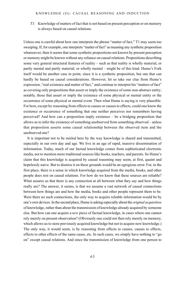*T1*: Knowledge of matters of fact that is not based on present perception or on memory is always based on causal relations.

Unless one is careful about how one interprets the phrase "matter of fact," T1 may seem too sweeping. If, for example, one interprets "matter of fact" as meaning any synthetic proposition whatsoever, then it seems that some synthetic propositions not known by present perception or memory might be known without any reliance on causal relations. Propositions describing some very general structural features of reality – such as that reality is wholly material, or partly mental and partly material, or wholly mental – might be of this kind. Hume's Fork itself would be another case in point, since it is a synthetic proposition, but one that can hardly be based on causal considerations. However, let us take our clue from Hume's expression, "real existence and matter of fact," and continue to interpret his "matters of fact" as covering only propositions that assert or imply the existence of some non-abstract entity; notably, those that assert or imply the existence of some physical or mental entity or the occurrence of some physical or mental event. Then what Hume is saying is very plausible. For how, except by reasoning from effects to causes or causes to effects, could one know the existence or occurrence of something that one neither perceives nor remembers having perceived? And how can a proposition imply existence – be a bridging proposition that allows us to infer the existence of something unobserved from something observed – unless that proposition asserts some causal relationship between the observed item and the unobserved one?

It is important not to be misled here by the way knowledge is shared and transmitted, especially in our own day and age. We live in an age of rapid, massive dissemination of information. Today, much of our factual knowledge comes from sophisticated electronic media, not to mention more traditional sources like books, teachers, and parents. So Hume's claim that this knowledge is acquired by causal reasoning may seem, at first, quaint and hopelessly naive. But to dismiss it on these grounds would be an egregious error. For, in the first place, there is a sense in which knowledge acquired from the media, books, and other people does rest on causal relations. For how do we know that these sources are reliable? What assures us that there is any connection at all between what they say and how things really are? The answer, it seems, is that we assume a vast network of causal connections between how things are and how the media, books and other people represent them to be. Were there no such connections, the only way to acquire reliable information would be by one's own devices. In the second place, Hume is asking especially about the *original acquisition* of knowledge, rather than about the transmission of knowledge already acquired by someone else. But how can one acquire a *new* piece of factual knowledge, in cases where one cannot rely merely on present observation? (Obviously one could not then rely merely on memory, which allows us to store previously acquired knowledge but not to acquire new knowledge.) The only way, it would seem, is by reasoning from effects to causes, causes to effects, effects to other effects of the same cause, etc. In such cases, we simply have nothing to "go on" except causal relations. And since the transmission of knowledge from one person to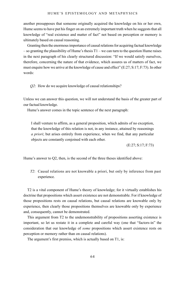another presupposes that someone originally acquired the knowledge on his or her own, Hume seems to have put his finger on an extremely important truth when he suggests that all knowledge of "real existence and matter of fact" not based on perception or memory is ultimately based on causal reasoning.

Granting then the enormous importance of causal relations for acquiring factual knowledge  $-$  so granting the plausibility of Hume's thesis T1 – we can turn to the question Hume raises in the next paragraph of his clearly structured discussion: "If we would satisfy ourselves, therefore, concerning the nature of that evidence, which assures us of matters of fact, we must enquire how we arrive at the knowledge of cause and effect" (E:27; S:17; F:73). In other words:

*Q2*: How do we acquire knowledge of causal relationships?

Unless we can answer this question, we will not understand the basis of the greater part of our factual knowledge.

Hume's answer comes in the topic sentence of the next paragraph:

I shall venture to affirm, as a general proposition, which admits of no exception, that the knowledge of this relation is not, in any instance, attained by reasonings *a priori*; but arises entirely from experience, when we find, that any particular objects are constantly conjoined with each other.

(E:27; S:17; F:73)

Hume's answer to Q2, then, is the second of the three theses identified above:

*T2*: Causal relations are not knowable a priori, but only by inference from past experience.

T2 is a vital component of Hume's theory of knowledge; for it virtually establishes his doctrine that propositions which assert existence are not demonstrable. For if knowledge of those propositions rests on causal relations, but causal relations are knowable only by experience, then clearly those propositions themselves are knowable only by experience and, consequently, cannot be demonstrated.

This argument from T2 to the undemonstrability of propositions asserting existence is important, so let us restate it in a complete and careful way (one that "factors-in" the consideration that our knowledge of *some* propositions which assert existence rests on perception or memory rather than on causal relations).

The argument's first premiss, which is actually based on T1, is: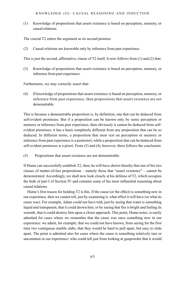(1) Knowledge of propositions that assert existence is based on perception, memory, or causal relations.

The crucial T2 enters the argument as its second premiss:

(2) Causal relations are knowable only by inference from past experience.

This is just the second, affirmative, clause of T2 itself. It now follows from (1) and (2) that:

(3) Knowledge of propositions that assert existence is based on perception, memory, or inference from past experience.

Furthermore, we may correctly assert that:

(4) If knowledge of propositions that assert existence is based on perception, memory, or inference from past experience, then propositions that assert existence are not demonstrable.

This is because a demonstrable proposition is, by definition, one that can be deduced from self-evident premisses. But if a proposition can be known only by sense perception or memory or inference from past experience, then obviously it cannot be deduced from selfevident premisses; it has a basis completely different from any proposition that can be so deduced. In different terms, a proposition that must rest on perception or memory or inference from past experience is a posteriori; while a proposition that can be deduced from self-evident premisses is a priori. From (3) and (4), however, there follows the conclusion:

(5) Propositions that assert existence are not demonstrable.

If Hume can successfully establish T2, then, he will have shown thereby that one of his two classes of matter-of-fact propositions – namely those that "assert existence" – cannot be demonstrated. Accordingly, we shall now look closely at his defense of T2, which occupies the bulk of part I of Section IV and contains some of his most influential reasoning about causal relations.

Hume's first reason for holding T2 is this. If the cause (or the effect) is something new in our experience, then we cannot tell, just by examining it, what effect it will have (or what its cause was). For example, Adam could not have told, just by seeing that water is something liquid and transparent, that it could drown him; or by seeing that fire is bright and feeling its warmth, that it could destroy him upon a closer approach. This point, Hume notes, is easily admitted for cases where we remember that the cause was once something new in our experience: we admit, for example, that we could not have known, from seeing for the first time two contiguous marble slabs, that they would be hard to pull apart, but easy to slide apart. The point is admitted also for cases where the cause is something relatively rare or uncommon in our experience: who could tell just from looking at gunpowder that it would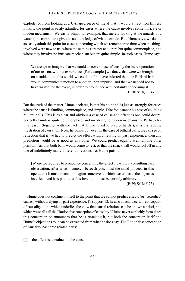explode, or from looking at a U-shaped piece of metal that it would attract iron filings? Finally, the point is easily admitted for cases where the cause involves some intricate or hidden mechanism. We easily admit, for example, that merely looking at the innards of a watch (or a computer!) gives us no knowledge of what it can do. But, Hume says, we do not so easily admit this point for cases concerning which we remember no time when the things involved were new to us, where those things are not at all rare but quite commonplace, and where they involve no intricate mechanism but are quite simple. In such cases, Hume says:

We are apt to imagine that we could discover these effects by the mere operation of our reason, without experience. [For example,] we fancy, that were we brought on a sudden into this world, we could at first have inferred that one Billiard-ball would communicate motion to another upon impulse; and that we needed not to have waited for the event, in order to pronounce with certainty concerning it. (E:28; S:18; F:74)

But the truth of the matter, Hume declares, is that his point holds just as strongly for cases where the cause is familiar, commonplace, and simple. Take for instance his case of colliding billiard balls. This is as clear and obvious a case of cause-and-effect as one could desire: perfectly familiar, quite commonplace, and involving no hidden mechanisms. Perhaps for this reason (together with the fact that Hume loved to play billiards!), it is his favorite illustration of causation. Now, he points out, even in the case of billiard balls, we can see on reflection that if we had to predict the effect without relying on past experience, then any prediction would be as good as any other. We could predict equally well, among other possibilities, that both balls would come to rest, or that the struck ball would roll off in any one of indefinitely many different directions. As Hume puts it:

[W]ere we required to pronounce concerning the effect . . . without consulting past observation; after what manner, I beseech you, must the mind proceed in this operation? It must invent or imagine some event, which it ascribes to the object as its effect; and it is plain that this invention must be entirely arbitrary.

(E:29; S:18; F:75)

Hume does not confine himself to the point that we cannot predict effects (or "retrodict" causes) without relying on past experience. To support T2, he also attacks a certain conception of causality – one which underlies the view that causal relations can be known a priori, and which we shall call the "Rationalist conception of causality." Hume never explicitly formulates this conception or announces that he is attacking it, but both the conception itself and Hume's objections to it can be extracted from what he does say. The Rationalist conception of causality has three related parts:

(a) the effect is contained in the cause;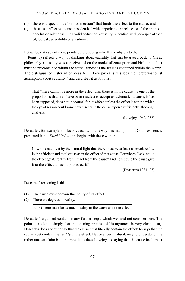## KNOWLEDGE (II): CAUSAL REASONING AND INDUCTION

- (b) there is a special "tie" or "connection" that binds the effect to the cause; and
- (c) the cause–effect relationship is identical with, or perhaps a special case of, the premiss– conclusion relationship in a valid deduction: causality is identical with, or a special case of, logical deducibility or entailment.

Let us look at each of these points before seeing why Hume objects to them.

Point (a) reflects a way of thinking about causality that can be traced back to Greek philosophy. Causality was conceived of on the model of conception and birth: the effect must be precontained within the cause, almost as the fetus is contained within the womb. The distinguished historian of ideas A. O. Lovejoy calls this idea the "preformationist assumption about causality," and describes it as follows:

That "there cannot be more in the effect than there is in the cause" is one of the propositions that men have been readiest to accept as axiomatic; a cause, it has been supposed, does not "account" for its effect, unless the effect is a thing which the eye of reason could somehow discern in the cause, upon a sufficiently thorough analysis.

(Lovejoy 1962: 286)

Descartes, for example, thinks of causality in this way; his main proof of God's existence, presented in his *Third Meditation*, begins with these words:

Now it is manifest by the natural light that there must be at least as much reality in the efficient and total cause as in the effect of that cause. For where, I ask, could the effect get its reality from, if not from the cause? And how could the cause give it to the effect unless it possessed it?

(Descartes 1984: 28)

Descartes' reasoning is this:

- (1) The cause must contain the reality of its effect.
- (2) There are degrees of reality.

**••** (3) There must be as much reality in the cause as in the effect.

Descartes' argument contains many further steps, which we need not consider here. The point to notice is simply that the opening premiss of his argument is very close to (a). Descartes does not quite say that the cause must literally contain the effect; he says that the cause must contain the *reality of* the effect. But one, very natural, way to understand this rather unclear claim is to interpret it, as does Lovejoy, as saying that the cause itself must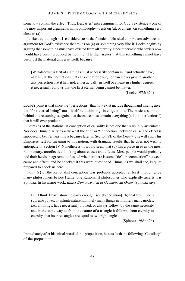somehow contain the effect. Thus, Descartes' entire argument for God's existence – one of the most important arguments in his philosophy – rests on (a), or at least on something very close to (a).

Locke too, although he is considered to be the founder of classical empiricism, advances an argument for God's existence that relies on (a) or something very like it. Locke begins by arguing that something must have existed from all eternity, since otherwise what exists now would have been "produced by nothing." He then argues that this something cannot have been just the material universe itself, because

[W]hatsoever is first of all things must necessarily contain in it and actually have, at least, all the perfections that can ever after exist; nor can it ever give to another any perfection that it hath not, either actually in itself or at least in a higher degree: it necessarily follows that the first eternal being cannot be matter.

(Locke 1975: 624)

Locke's point is that since the "perfections" that now exist include thought and intelligence, the "first eternal being" must itself be a thinking, intelligent one. The basic assumption behind this reasoning is, again, that the cause must contain everything (all the "perfections") that it will ever produce.

Point (b) of the Rationalist conception of causality is not one that is usually articulated. Nor does Hume clarify exactly what the "tie" or "connection" between cause and effect is supposed to be. Perhaps this is because later, in Section VII of the *Enquiry*, he will apply his Empiricist test for meaning to this notion, with dramatic results that he does not wish to anticipate in Section IV. Nonetheless, it would seem that (b) has a place in even the most rudimentary, unreflective thinking about causes and effects. Most people would probably nod their heads in agreement if asked whether there is some "tie" or "connection" between cause and effect, and be shocked if this were questioned. Hume, as we shall see, is quite prepared to shock us here.

Point (c) of the Rationalist conception was probably accepted, at least implicitly, by many philosophers before Hume; one Rationalist philosopher who explicitly asserts it is Spinoza. In his major work, *Ethics Demonstrated in Geometrical Order*, Spinoza says:

But I think I have shown clearly enough (see [Proposition] 16) that from God's supreme power, *or* infinite nature, infinitely many things in infinitely many modes, i.e., all things, have necessarily flowed, or always follow, by the same necessity and in the same way as from the nature of a triangle it follows, from eternity to eternity, that its three angles are equal to two right angles.

(Spinoza 1985: 426)

Immediately after his initial proof of this proposition, he sets forth the following "Corollary" of the proposition: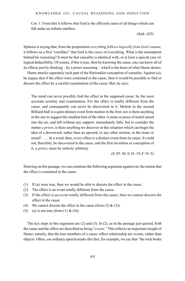Cor. 1: From this it follows that God is the efficient cause of all things which can fall under an infinite intellect.

(ibid.: 425)

Spinoza is saying that, from the proposition *everything follows logically from God's nature*, it follows as a first "corollary" that God is the *cause* of everything. What is the assumption behind his reasoning? It must be that causality is identical with, or at least a special case of, logical deducibility. Of course, if this is true, then by knowing the cause, one can know all of its effects just by thinking – by a priori reasoning – which is the heart of what Hume denies.

Hume attacks separately each part of the Rationalist conception of causality. Against (*a*), he argues that if the effect were contained in the cause, then it would be possible to find or discern the effect by a careful examination of the cause. But, he says:

The mind can never possibly find the effect in the supposed cause, by the most accurate scrutiny and examination. For the effect is totally different from the cause, and consequently can never be discovered in it. Motion in the second Billiard-ball is a quite distinct event from motion in the first; nor is there anything in the one to suggest the smallest hint of the other. A stone or piece of metal raised into the air, and left without any support, immediately falls: but to consider the matter *a priori*, is there anything we discover in this situation which can beget the idea of a downward, rather than an upward, or any other motion, in the stone or metal? . . . . In a word, then, every effect is a distinct event from its cause. It could not, therefore, be discovered in the cause, and the first invention or conception of it, *a priori*, must be entirely arbitrary.

(E:29–30; S:18–19; F:74–5)

Drawing on this passage, we can construct the following argument against (a); the notion that the effect is contained in the cause:

- (1) If (a) were true, then we would be able to discern the effect in the cause.
- (2) The effect is an event totally different from the cause.
- (3) If the effect is an event totally different from the cause, then we cannot discern the effect in the cause.
- (4) We cannot discern the effect in the cause (from  $(2) \& (3)$ ).
- (5) (a) is not true (from  $(1) & (4)$ ).

The key steps in this argument are  $(2)$  and  $(3)$ . In  $(2)$ , as in the passage just quoted, both the cause and the effect are described as being "*events.*" This reflects an important insight of Hume: namely, that the true members of a cause–effect relationship are events, rather than objects. Often, our ordinary speech masks this fact; for example, we say that "the rock broke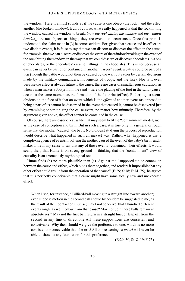the window." Here it almost sounds as if the cause is one object (the rock), and the effect another (the broken window). But, of course, what really happened is that the rock hitting the window caused the window to break. Now *the rock hitting the window* and *the window breaking* are not objects or things; they are events or occurrences. Once this point is understood, the claim made in (3) becomes evident. For, given that a cause and its effect are two distinct events, it is false to say that we can discern or discover the effect in the cause; for example, that we can discern or discover the event of the window breaking in the event of the rock hitting the window, in the way that we could discern or discover chocolates in a box of chocolates, or the chocolates' caramel fillings in the chocolates. This is not because an event can never be part of or contained in another "larger" event: a battle could be part of a war (though the battle would not then be caused by the war, but rather by certain decisions made by the military commanders, movements of troops, and the like). Nor is it even because the effect is always future to the cause: there are cases of simultaneous causation, as when a man makes a footprint in the sand – here the placing of the foot in the sand (cause) occurs at the same moment as the formation of the footprint (effect). Rather, it just seems obvious on the face of it that an event which is the *effect* of another event (as opposed to being a part of it) cannot be discerned in the event that caused it, cannot be discovered just by examining or scrutinizing the cause-event, no matter how minutely. Therefore, by the argument given above, the effect cannot be contained in the cause.

Of course, there are cases of causality that may seem to fit the "containment" model, such as the case of conception and birth. But in such a case, it is true only in a general or rough sense that the mother "caused" the baby. No biologist studying the process of reproduction would describe what happened in such an inexact way. Rather, what happened is that a complex sequence of events involving the mother caused the event of the baby's birth, and it makes little if any sense to say that any of those events "contained" their effects. It would seem, then, that Hume is on strong ground in thinking that the "containment" view of causality is an erroneously mythological one.

Hume finds (b) no more plausible than (a). Against the "supposed tie or connexion between the cause and effect, which binds them together, and renders it impossible that any other effect could result from the operation of that cause" (E:29; S:18; F:74–75), he argues that it is perfectly conceivable that a cause might have some totally new and unexpected effect:

When I see, for instance, a Billiard-ball moving in a straight line toward another; even suppose motion in the second ball should by accident be suggested to me, as the result of their contact or impulse; may I not conceive, that a hundred different events might as well follow from that cause? May not both these balls remain at absolute rest? May not the first ball return in a straight line, or leap off from the second in any line or direction? All these suppositions are consistent and conceivable. Why then should we give the preference to one, which is no more consistent or conceivable than the rest? All our reasonings *a priori* will never be able to show us any foundation for this preference.

(E:29–30; S:18–19; F:75)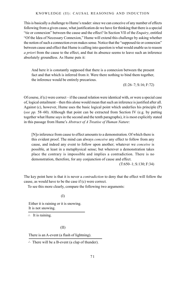## KNOWLEDGE (II): CAUSAL REASONING AND INDUCTION

This is basically a challenge to Hume's reader: since we can conceive of any number of effects following from a given cause, what justification do we have for thinking that there is a special "tie or connexion" between the cause and the effect? In Section VII of the *Enquiry*, entitled "Of the Idea of Necessary Connexion," Hume will extend this challenge by asking whether the notion of such a connection even makes sense. Notice that the "supposed tie or connexion" between cause and effect that Hume is calling into question is what would enable us to reason *a priori* from the cause to the effect, and that its absence seems to leave such an inference absolutely groundless. As Hume puts it:

And here it is constantly supposed that there is a connexion between the present fact and that which is inferred from it. Were there nothing to bind them together, the inference would be entirely precarious.

(E:26–7; S:16; F:72)

Of course, if (c) were correct – if the causal relation were identical with, or were a special case of, logical entailment – then this alone would mean that such an inference is justified after all. Against (c), however, Hume uses the basic logical point which underlies his principle (P) (*see pp.* 58–60). Although that point can be extracted from Section IV (e.g. by putting together what Hume says in the second and the tenth paragraphs), it is most explicitly stated in this passage from Hume's *Abstract of A Treatise of Human Nature*:

[N]o inference from cause to effect amounts to a demonstration. Of which there is this evident proof. The mind can always *conceive* any effect to follow from any cause, and indeed any event to follow upon another; whatever we *conceive* is possible, at least in a metaphysical sense; but wherever a demonstration takes place the contrary is impossible and implies a contradiction. There is no demonstration, therefore, for any conjunction of cause and effect.

(T:650–1; S:130; F:34)

The key point here is that it is never a *contradiction* to deny that the effect will follow the cause, as would have to be the case if (c) were correct.

To see this more clearly, compare the following two arguments:

(I)

Either it is raining or it is snowing. It is not snowing.

: It is raining.

(II)

There is an A-event (a flash of lightning).

There will be a B-event (a clap of thunder). **• • •**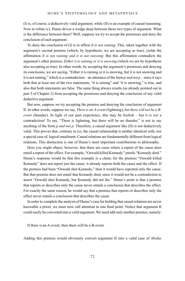(I) is, of course, a deductively valid argument; while (II) is an example of causal reasoning. Now to refute (c), Hume drives a wedge deep between these two types of argument. What is the difference between them? Well, suppose we try to accept the premisses and deny the conclusion of each argument.

To deny the conclusion of (I) is to affirm *It is not raining.* This, taken together with the argument's second premiss (which, by hypothesis, we are accepting as true), yields the affirmation *It is not raining and it is not snowing.* But this affirmation contradicts the argument's other premiss, *Either it is raining or it is snowing* (which we are by hypothesis also accepting as true). In other words, by accepting the argument's premisses and denying its conclusion, we are saying, "Either it is raining or it is snowing, but it is not snowing and it is not raining," which is a contradiction – an utterance of the form *p and not p* – since it says both that at least one of the two statements, "it is raining" and "it is snowing," is true, and also that both statements are false. The same thing always results (as already pointed out in part 5 of Chapter 2) from accepting the premisses and denying the conclusion of any valid deductive argument.

But now, suppose we try accepting the premiss and denying the conclusion of argument II. In other words, suppose we say, *There is an A-event* (lightning), *but there will not be a Bevent* (thunder). In light of our past experience, this may be foolish – but it is *not* a contradiction! To say, "There is lightning, but there will be no thunder," is not to say anything of the form *p and not p.* Therefore, a causal argument like (II) is not deductively valid. This proves that, contrary to (c), the causal relationship is neither identical with, nor a special case of, logical entailment. Causal relations are fundamentally different from logical relations. This distinction is one of Hume's most important contributions to philosophy.

Here you might object, however, that there are cases where a report of the cause does entail a report of the effect. For example, "Oswald killed Kennedy" entails "Kennedy died." Hume's response would be that this example is a cheat; for the premiss "Oswald killed Kennedy" does not report just the cause: it already reports both the cause and the effect. If the premiss had been "Oswald shot Kennedy," then it would have reported only the cause. But that premiss does not entail that Kennedy died; since it would not be a contradiction to assert "Oswald shot Kennedy, but Kennedy did not die." Hume's point is that a premiss that reports or describes only the cause never entails a conclusion that describes the effect. For exactly the same reason, he would say that a premiss that reports or describes only the effect never entails a conclusion that describes the cause.

In order to complete the analysis of Hume's case for holding that causal relations are never knowable a priori, we must now call attention to one final point. Notice that argument II could easily be converted into a valid argument. We need add only another premiss, namely:

If there is an A-event, then there will be a B-event.

Adding this premiss would obviously convert argument II into a valid case of *Modus*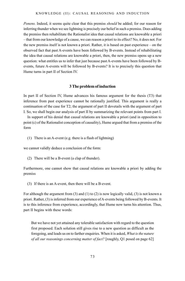#### KNOWLEDGE (II): CAUSAL REASONING AND INDUCTION

*Ponens.* Indeed, it seems quite clear that this premiss *should* be added; for our reason for inferring thunder when we see lightning is precisely our belief in such a premiss. Does adding the premiss then rehabilitate the Rationalist idea that causal relations are knowable a priori – that from our knowledge of a cause, we can reason a priori to its effect? No, it does not. For the new premiss itself is not known a priori. Rather, it is based on past experience – on the observed fact that past A-events have been followed by B-events. Instead of rehabilitating the idea that causal relations are knowable a priori, then, the new premiss opens up a new question: what entitles us to infer that just because past A-events have been followed by Bevents, future A-events will be followed by B-events? It is to precisely this question that Hume turns in part II of Section IV.

## **3 The problem of induction**

In part II of Section IV, Hume advances his famous argument for the thesis (T3) that inference from past experience cannot be rationally justified. This argument is really a continuation of the case for T2; the argument of part II dovetails with the argument of part I. So, we shall begin our analysis of part II by summarizing the relevant points from part I.

In support of his denial that causal relations are knowable a priori (and in opposition to point (c) of the Rationalist conception of causality), Hume argued that from a premiss of the form

(1) There is an A-event (e.g. there is a flash of lightning)

we cannot validly deduce a conclusion of the form:

(2) There will be a B-event (a clap of thunder).

Furthermore, one cannot show that causal relations are knowable a priori by adding the premiss

(3) If there is an A-event, then there will be a B-event.

For although the argument from (3) and (1) to (2) is now logically valid, (3) is not known a priori. Rather, (3) is inferred from our experience of A-events being followed by B-events. It is to this inference from experience, accordingly, that Hume now turns his attention. Thus, part II begins with these words:

But we have not yet attained any tolerable satisfaction with regard to the question first proposed. Each solution still gives rise to a new question as difficult as the foregoing, and leads us on to farther enquiries. When it is asked, *What is the nature of all our reasonings concerning matter of fact?* [roughly, Q1 posed on page 62]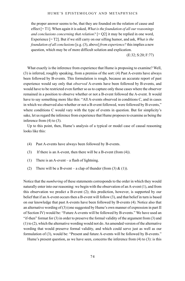the proper answer seems to be, that they are founded on the relation of cause and effect [= T1]. When again it is asked, *What is the foundation of all our reasonings and conclusions concerning tha*t *relation?* [= Q2] it may be replied in one word, Experience [= T2]. But if we still carry on our sifting humor, and ask, *What is the foundation of all conclusions* [e.g. (3), above] *from experience?* this implies a new question, which may be of more difficult solution and explication.

(E:32; S:20; F:77)

What exactly is the inference from experience that Hume is proposing to examine? Well, (3) is inferred, roughly speaking, from a premiss of the sort: (4) Past A-events have always been followed by B-events. This formulation is rough, because an accurate report of past experience would say only that *observed* A-events have been followed by B-events, and would have to be restricted even further so as to capture only those cases where the observer remained in a position to observe whether or not a B-event followed the A-event. It would have to say something more like this: "All A-events observed in conditions C, and in cases in which we observed also whether or not a B-event followed, were followed by B-events," where conditions C would vary with the type of events in question. But for simplicity's sake, let us regard the inference from experience that Hume proposes to examine as being the inference from (4) to (3).

Up to this point, then, Hume's analysis of a typical or model case of causal reasoning looks like this:

- (4) Past A-events have always been followed by B-events.
- (3) If there is an A-event, then there will be a B-event (from (4)).
- (1) There is an A-event a flash of lightning.
- (2) There will be a B-event a clap of thunder (from  $(3) & (1)$ ).

Notice that the *numbering* of these statements corresponds to the order in which they would naturally enter into our reasoning: we begin with the observation of an A-event (1), and from this observation we predict a B-event (2); this prediction, however, is supported by our belief that if an A-event occurs then a B-event will follow (3), and that belief in turn is based on our knowledge that past A-events have been followed by B-events (4). Notice also that an alternative wording of (3) (one suggested by Hume's own manner of expression in part II of Section IV) would be: "Future A-events will be followed by B-events." We have used an "if-then" format for  $(3)$  in order to preserve the formal validity of the argument from  $(3)$  and (1) to (2), which the alternative wording would not do. An amended version of the alternative wording that would preserve formal validity, and which could serve just as well as our formulation of (3), would be: "Present and future A-events will be followed by B-events."

Hume's present question, as we have seen, concerns the inference from (4) to (3): is this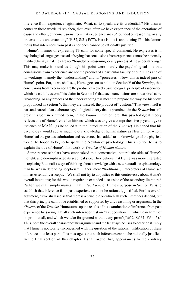inference from experience legitimate? What, so to speak, are its credentials? His answer comes in these words: "I say then, that, even after we have experience of the operations of cause and effect, our conclusions from that experience are *not* founded on reasoning, or any process of the understanding" (E:32; S:21; F:77). Here Hume is announcing T3 – his famous thesis that inferences from past experience cannot be rationally justified.

Hume's manner of expressing T3 calls for some special comment. He expresses it in psychological language: instead of saying that conclusions from experience cannot be rationally justified, he says that they are not "founded on reasoning, or any process of the understanding." This may make it sound as though his point were merely the psychological one that conclusions from experience are not the product of a particular faculty of our minds and of its workings, namely the "understanding" and its "processes." Now, this is indeed part of Hume's point. For, as we shall see, Hume goes on to hold, in Section V of the *Enquiry*, that conclusions from experience are the product of a purely psychological principle of association which he calls "custom;" his claim in Section IV that such conclusions are not arrived at by "reasoning, or any process of the understanding," is meant to prepare the way for his view, propounded in Section V, that they are, instead, the product of "custom." That view itself is part and parcel of an elaborate psychological theory that is prominent in the *Treatise* but still present, albeit in a muted form, in the *Enquiry.* Furthermore, this psychological theory reflects one of Hume's chief ambitions, which was to give a comprehensive psychology or "science of MAN" (as he called it in the Introduction of the *Treatise*). He hoped that his psychology would add as much to our knowledge of human nature as Newton, for whom Hume had the greatest admiration and reverence, had added to our knowledge of the physical world; he hoped to be, so to speak, the Newton of psychology. This ambition helps to explain the title of Hume's first work: *A Treatise of Human Nature.*

Some recent scholars have emphasized this constructive, naturalistic side of Hume's thought, and de-emphasized its sceptical side. They believe that Hume was more interested in replacing Rationalist ways of thinking about knowledge with a new naturalistic epistemology than he was in defending scepticism.1 Other, more "traditional," interpreters of Hume see him as essentially a sceptic.<sup>2</sup> We shall not try to do justice to this controversy about Hume's overall intentions; for this would require an extended discussion of the secondary literature.<sup>3</sup> Rather, we shall simply maintain that *at least part* of Hume's purpose in Section IV is to establish that inference from past experience cannot be rationally justified. For his overall argument, as we shall see, is that there is a principle on which all such inferences depend, but that this principle cannot be established or supported by any reasoning or argument. In the *Abstract* of the *Treatise*, Hume sums up the results of his examination of inference from past experience by saying that all such inferences rest on "a supposition . . . which can admit of no proof at all, and which we take for granted without any proof (T:652; S:131; F:34–5)." Thus, both the overall character of his argument and the language he uses to describe it imply that Hume is not totally unconcerned with the question of the rational justification of these inferences – at least part of his message is that such inferences cannot be rationally justified. In the final section of this chapter, I shall argue that, appearances to the contrary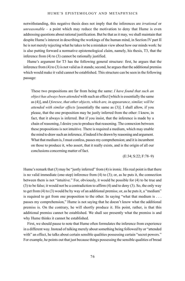notwithstanding, this negative thesis does not imply that the inferences are *irrational* or *unreasonable* – a point which may reduce the motivation to deny that Hume is even addressing questions about rational justification. But be that as it may, we shall maintain that despite Hume's interest in describing the workings of the human mind, in Section IV part II he is not merely rejecting what he takes to be a mistaken view about how our minds work: he is also putting forward a normative epistemological claim, namely, his thesis, T3, that the inference from (4) to (3) cannot be rationally justified.

Hume's argument for T3 has the following general structure: first, he argues that the inference from (4) to (3) is not valid as it stands; second, he argues that the additional premiss which would make it valid cannot be established. This structure can be seen in the following passage:

These two propositions are far from being the same: *I have found that such an object has always been attended* with such an effect [which is essentially the same as (4)], and *I foresee, that other objects, which are, in appearance, similar, will be attended with similar effects* [essentially the same as (3)]. I shall allow, if you please, that the one proposition may be justly inferred from the other: I know, in fact, that it always is inferred. But if you insist, that the inference is made by a chain of reasoning, I desire you to produce that reasoning. The connexion between these propositions is not intuitive. There is required a medium, which may enable the mind to draw such an inference, if indeed it be drawn by reasoning and argument. What that medium is, I must confess, passes my comprehension; and it is incumbent on those to produce it, who assert, that it really exists, and is the origin of all our conclusions concerning matter of fact.

(E:34; S:22; F:78–9)

Hume's remark that  $(3)$  may be "justly inferred" from  $(4)$  is ironic. His real point is that there is no valid immediate (one-step) inference from  $(4)$  to  $(3)$ ; or, as he puts it, the connection between them is not "intuitive." For, obviously, it would be possible for (4) to be true and (3) to be false; it would not be a contradiction to affirm (4) and to deny (3). So, the only way to get from  $(4)$  to  $(3)$  would be by way of an additional premiss; or, as he puts it, a "medium" is required to get from one proposition to the other. In saying "what that medium is . . . passes my comprehension," Hume is not saying that he doesn't know what the additional premiss is. On the contrary, he will shortly produce it. His point, rather, is that this additional premiss cannot be established. We shall see presently what the premiss is and why Hume thinks it cannot be established.

First, we should pause to note that Hume often formulates the inference from experience in a different way. Instead of talking merely about something being followed by or "attended with" an effect, he talks about certain sensible qualities possessing certain "secret powers." For example, he points out that just because things possessing the sensible qualities of bread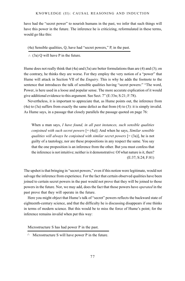have had the "secret power" to nourish humans in the past, we infer that such things will have this power in the future. The inference he is criticizing, reformulated in these terms, would go like this:

(4a) Sensible qualities, Q, have had "secret powers," P, in the past.

(3a) Q will have P in the future. **• • •**

Hume does not really think that (4a) and (3a) are better formulations than are (4) and (3); on the contrary, he thinks they are worse. For they employ the very notion of a "power" that Hume will attack in Section VII of the *Enquiry.* This is why he adds the footnote to the sentence that introduces the talk of sensible qualities having "secret powers:" "The word, Power, is here used in a loose and popular sense. The more accurate explication of it would give additional evidence to this argument. See Sect. 7" (E:33n; S:21; F:78).

Nevertheless, it is important to appreciate that, as Hume points out, the inference from (4a) to (3a) suffers from exactly the same defect as that from (4) to (3): it is simply invalid. As Hume says, in a passage that closely parallels the passage quoted on page 76:

When a man says, *I have found, in all past instances, such sensible qualities conjoined with such secret powers* [= (4a)]: And when he says, *Similar sensible qualities will always be conjoined with similar secret powers* [= (3a)], he is not guilty of a tautology, nor are these propositions in any respect the same. You say that the one proposition is an inference from the other. But you must confess that the inference is not intuitive; neither is it demonstrative: Of what nature is it, then? (E:37; S:24; F:81)

The upshot is that bringing in "secret powers," even if this notion were legitimate, would not salvage the inference from experience. For the fact that certain observed qualities have been joined to certain secret powers in the past would not prove that they will be joined to those powers in the future. Nor, we may add, does the fact that those powers have *operated* in the past prove that they will operate in the future.

Here you might object that Hume's talk of "secret" powers reflects the backward state of eighteenth-century science, and that the difficulty he is discussing disappears if one thinks in terms of modern science. But this would be to miss the force of Hume's point; for the inference remains invalid when put this way:

Microstructure S has had power P in the past.

<sup>••</sup> Microstructure S will have power P in the future.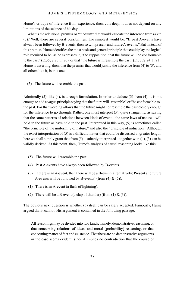Hume's critique of inference from experience, then, cuts deep; it does not depend on any limitations of the science of his day.

What is the additional premiss or "medium" that would validate the inference from (4) to (3)? Well, there are several possibilities. The simplest would be: "If past A-events have always been followed by B-events, then so will present and future A-events." But instead of this premiss, Hume identifies the most basic and general principle that could play the logical role required to be, as he expresses it, "the supposition, that the future will be conformable to the past" (E:35; S:23; F:80), or that "the future will resemble the past" (E:37; S:24; F:81). Hume is asserting, then, that the premiss that would justify the inference from (4) to (3), and all others like it, is this one:

(5) The future will resemble the past.

Admittedly (5), like (4), is a rough formulation. In order to deduce (3) from (4), it is not enough to add a vague principle saying that the future will "resemble" or "be conformable to" the past. For that wording allows that the future might not resemble the past closely enough for the inference to go through. Rather, one must interpret (5), quite stringently, as saying that the same patterns of relations between kinds of event – the same laws of nature – will hold in the future as have held in the past. Interpreted in this way, (5) is sometimes called "the principle of the uniformity of nature," and also the "principle of induction." Although the exact interpretation of  $(5)$  is a difficult matter that could be discussed at greater length, here we shall simply grant that from  $(5)$  – suitably interpreted – together with  $(4)$ ,  $(3)$  can be validly derived. At this point, then, Hume's analysis of causal reasoning looks like this:

- (5) The future will resemble the past.
- (4) Past A-events have always been followed by B-events.
- (3) If there is an A-event, then there will be a B-event (alternatively: Present and future A-events will be followed by B-events) (from  $(4) \& (5)$ ).
- (1) There is an A-event (a flash of lightning).
- (2) There will be a B-event (a clap of thunder) (from  $(1) & (3)$ ).

The obvious next question is whether (5) itself can be safely accepted. Famously, Hume argued that it cannot. His argument is contained in the following passage:

All reasonings may be divided into two kinds, namely, demonstrative reasoning, or that concerning relations of ideas, and moral [probability] reasoning, or that concerning matter of fact and existence. That there are no demonstrative arguments in the case seems evident; since it implies no contradiction that the course of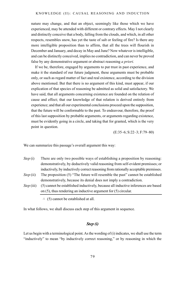## KNOWLEDGE (II): CAUSAL REASONING AND INDUCTION

nature may change, and that an object, seemingly like those which we have experienced, may be attended with different or contrary effects. May I not clearly and distinctly conceive that a body, falling from the clouds, and which, in all other respects, resembles snow, has yet the taste of salt or feeling of fire? Is there any more intelligible proposition than to affirm, that all the trees will flourish in December and January, and decay in May and June? Now whatever is intelligible, and can be distinctly conceived, implies no contradiction, and can never be proved false by any demonstrative argument or abstract reasoning *a priori.*

If we be, therefore, engaged by arguments to put trust in past experience, and make it the standard of our future judgment, these arguments must be probable only, or such as regard matter of fact and real existence, according to the division above mentioned. But that there is no argument of this kind, must appear, if our explication of that species of reasoning be admitted as solid and satisfactory. We have said, that all arguments concerning existence are founded on the relation of cause and effect; that our knowledge of that relation is derived entirely from experience; and that all our experimental conclusions proceed upon the supposition, that the future will be conformable to the past. To endeavour, therefore, the proof of this last supposition by probable arguments, or arguments regarding existence, must be evidently going in a circle, and taking that for granted, which is the very point in question.

(E:35–6; S:22–3; F:79–80)

We can summarize this passage's overall argument this way:

- *Step* (i) There are only two possible ways of establishing a proposition by reasoning: demonstratively, by deductively valid reasoning from self-evident premisses; or inductively, by inductively correct reasoning from rationally acceptable premisses.
- *Step* (ii) The proposition (5) "The future will resemble the past" cannot be established demonstratively, because its denial does not imply a contradiction.
- *Step* (iii) (5) cannot be established inductively, because all inductive inferences are based on (5), thus rendering an inductive argument for (5) circular.

(5) cannot be established at all. **• • •**

In what follows, we shall discuss each step of this argument in sequence.

## *Step (i)*

Let us begin with a terminological point. As the wording of  $(i)$  indicates, we shall use the term "inductively" to mean "by inductively correct reasoning," or by reasoning in which the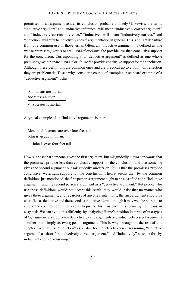#### HUME'S EPISTEMOLOGY AND METAPHYSICS

premisses of an argument render its conclusion probable or likely.4 Likewise, the terms "inductive argument" and "inductive inference" will mean "inductively correct argument" and "inductively correct inference," "inductive" will mean "inductively correct," and "induction" will refer to inductively correct argumentation in general. This is a slight departure from one common use of those terms. Often, an "inductive argument" is defined as one whose premisses *purport* or are *intended* or *claimed* to provide less than conclusive support for the conclusion. Correspondingly, a "deductive argument" is defined as one whose premisses *purport* or are *intended* or *claimed* to provide conclusive support for the conclusion. Although these definitions are common ones and are practical up to a point, on reflection they are problematic. To see why, consider a couple of examples. A standard example of a "deductive argument" is this:

All humans are mortal. Socrates is human.

Socrates is mortal. **• • •**

A typical example of an "inductive argument" is this:

Most adult humans are over four feet tall. John is an adult human.

John is over four feet tall. **• • •**

Now suppose that someone gives the first argument, but misguidedly *intends* or *claims* that the premisses provide less than conclusive support for the conclusion, and that someone gives the second argument but misguidedly *intends* or *claims* that the premisses provide conclusive, watertight support for the conclusion. Then it seems that, by the common definitions just mentioned, the first person's argument ought to be classified as an "inductive argument," and the second person's argument as a "deductive argument." But people who use those definitions would not accept this result: they would insist that no matter who gives these arguments, and regardless of anyone's intentions, the first argument should be classified as deductive and the second as inductive. Now although it may well be possible to amend the common definitions so as to justify this insistence, this seems by no means an easy task. We can avoid this difficulty by analyzing Hume's position in terms of two types of *logically correct* argument – deductively valid arguments and inductively correct arguments – rather than simply as two types of argument. This is why, throughout the rest of this chapter, we shall use "induction" as a label for inductively correct reasoning, "inductive argument" as short for "inductively correct argument," and "inductively" as short for "by inductively correct reasoning."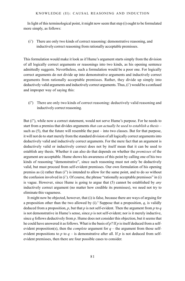In light of this terminological point, it might now seem that step (i) ought to be formulated more simply, as follows:

(i') There are only two kinds of correct reasoning: demonstrative reasoning, and inductively correct reasoning from rationally acceptable premisses.

This formulation would make it look as if Hume's argument starts simply from the division of all logically correct arguments or reasonings into two kinds, as his opening sentence admittedly suggests. Nevertheless, such a formulation would be a poor one. For logically correct arguments do not divide up into demonstrative arguments and inductively correct arguments from rationally acceptable premisses. Rather, they divide up simply into deductively valid arguments and inductively correct arguments. Thus, (i') would be a confused and improper way of saying this:

(i") There are only two kinds of correct reasoning: deductively valid reasoning and inductively correct reasoning.

But (i"), while now a correct statement, would not serve Hume's purpose. For he needs to start from a premiss that divides arguments *that can actually be used to establish a thesis –* such as (5), that the future will resemble the past – into two classes. But for that purpose, it will not do to start merely from the standard division of all logically correct arguments into deductively valid and inductively correct arguments. For the mere fact that an argument is deductively valid or inductively correct does not by itself mean that it can be used to establish any thesis. Whether it can also do that depends on whether the *premisses* of the argument are acceptable. Hume shows his awareness of this point by calling one of his two kinds of reasoning "demonstrative", since such reasoning must not only be deductively valid, but must proceed from self-evident premisses. Our own formulation of his opening premiss as (i) rather than (i") is intended to allow for the same point, and to do so without the confusion involved in (i'). Of course, the phrase "rationally acceptable premisses" in (i) is vague. However, since Hume is going to argue that (5) cannot be established by *any* inductively correct argument (no matter how credible its premisses), we need not try to eliminate this vagueness.

It might now be objected, however, that (i) is false, because there are ways of arguing for a proposition other than the two allowed by  $(i)$ .<sup>5</sup> Suppose that a proposition, *q*, is validly deduced from a proposition, *p*, but that *p* is not self-evident. Then the argument from *p* to *q* is not demonstrative in Hume's sense, since *p* is not self-evident; nor is it merely inductive, since *q* follows deductively from *p*. Hume does not consider this objection, but it seems that he could have answered it as follows. What is the basis of *p*? If *p* is itself deduced from a selfevident proposition(s), then the *complete* argument for  $q$  – the argument from those selfevident propositions to *p* to  $q$  – is demonstrative after all. If *p* is not deduced from selfevident premisses, then there are four possible cases to consider.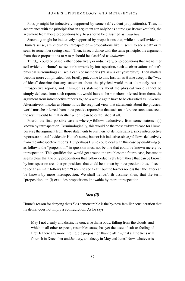First, *p* might be inductively supported by some self-evident proposition(s). Then, in accordance with the principle that an argument can only be as a strong as its weakest link, the argument from those propositions to *p* to *q* should be classified as *inductive.*

Second, *p* might be inductively supported by propositions that, while not self-evident in Hume's sense, are known by introspection – propositions like "I seem to see a cat" or "I seem to remember seeing a cat." Then, in accordance with the same principle, the argument from those propositions to *p* to *q* should be classified as *inductive.*

Third, *p* could be based, either deductively or inductively, on propositions that are neither self-evident in Hume's sense nor knowable by introspection, such as observations of one's physical surroundings ("I see a cat") or memories ("I saw a cat yesterday"). Then matters become more complicated, but, briefly put, come to this. Insofar as Hume accepts the "way of ideas" doctrine that any statement about the physical world must ultimately rest on introspective reports, and inasmuch as statements about the physical world cannot be simply deduced from such reports but would have to be somehow inferred from them, the argument from introspective reports to *p* to *q* would again have to be classified as *inductive.* Alternatively, insofar as Hume holds the sceptical view that statements about the physical world must be inferred from introspective reports but that such an inference cannot succeed, the result would be that neither *p* nor *q* can be established at all.

Fourth, the final possible case is where *p* follows deductively from some statement(s) known by introspection. Terminologically, this would be the most awkward case for Hume, because the argument from those statements to *p* is then not demonstrative, since introspective reports are not self-evident in Hume's sense; but nor is it inductive, since *p* follows deductively from the introspective reports. But perhaps Hume could deal with this case by qualifying (i) as follows: the "proposition" in question must not be one that could be known merely by introspection. This qualification would get around the troublesome fourth case, because it seems clear that the only propositions that follow deductively from those that can be known by introspection are other propositions that could be known by introspection; thus, "I seem to see an animal" follows from "I seem to see a cat," but the former no less than the latter can be known by mere introspection. We shall henceforth assume, then, that the term "proposition" in (i) excludes propositions knowable by mere introspection.

## *Step (ii)*

Hume's reason for denying that (5) is demonstrable is the by-now familiar consideration that its denial does not imply a contradiction. As he says:

May I not clearly and distinctly conceive that a body, falling from the clouds, and which in all other respects, resembles snow, has yet the taste of salt or feeling of fire? Is there any more intelligible proposition than to affirm, that all the trees will flourish in December and January, and decay in May and June? Now, whatever is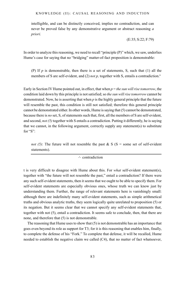intelligible, and can be distinctly conceived, implies no contradiction, and can never be proved false by any demonstrative argument or abstract reasoning *a priori.*

(E:35; S:22; F:79)

In order to analyze this reasoning, we need to recall "principle (P)" which, we saw, underlies Hume's case for saying that no "bridging" matter-of-fact proposition is demonstrable:

(P) If *p* is demonstrable, then there is a set of statements, S, such that (1) all the members of S are self-evident, and (2) *not p*, together with S, entails a contradiction.<sup>6</sup>

Early in Section IV Hume pointed out, in effect, that when  $p =$  *the sun will rise tomorrow*, the condition laid down by this principle is not satisfied; so *the sun will rise tomorrow* cannot be demonstrated. Now, he is asserting that when *p* is the highly general principle that the future will resemble the past, this condition is still not satisfied; therefore this general principle cannot be demonstrated either. In other words, Hume is saying that (5) cannot be demonstrated, because there is *no* set, S, of statements such that, first, all the members of S are self-evident, and second, *not (5)* together with S entails a contradiction. Putting it differently, he is saying that we cannot, in the following argument, correctly supply any statement(s) to substitute for "S":

*not (5)*: The future will not resemble the past & S (S = some set of self-evident statements).

#### contradiction **• • •**

t is very difficult to disagree with Hume about this. For *what* self-evident statement(s), together with "the future will not resemble the past," entail a contradiction? If there were any such self-evident statements, then it seems that we ought to be able to specify them. For self-evident statements are especially obvious ones, whose truth we can know just by understanding them. Further, the range of relevant statements here is vanishingly small: although there are indefinitely many self-evident statements, such as simple arithmetical truths and obvious analytic truths, they seem logically quite unrelated to proposition (5) or its negation. But it seems clear that we cannot specify any self-evident statements that, together with not (5), entail a contradiction. It seems safe to conclude, then, that there are none, and therefore that (5) is not demonstrable.

The reasoning that Hume uses to show that (5) is not demonstrable has an importance that goes even beyond its role as support for T3; for it is this reasoning that enables him, finally, to complete the defense of his "Fork." To complete that defense, it will be recalled, Hume needed to establish the negative claim we called (C4), that no matter of fact whatsoever,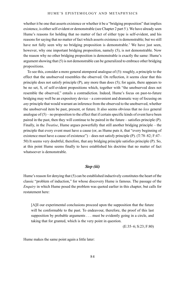whether it be one that asserts existence or whether it be a "bridging proposition" that implies existence, is either self-evident or demonstrable (see Chapter 2 part 5 ). We have already seen Hume's reasons for holding that no matter of fact of either type is self-evident, and his reasons for saying that no matter of fact which asserts existence is demonstrable; but we still have not fully seen why no bridging proposition is demonstrable.<sup>7</sup> We have just seen, however, why one important bridging proposition, namely (5), is not demonstrable. Now the reason why no other bridging proposition is demonstrable is exactly the same: Hume's argument showing that (5) is not demonstrable can be generalized to embrace other bridging propositions.

To see this, consider a more general atemporal analogue of (5): roughly, a principle to the effect that the unobserved resembles the observed. On reflection, it seems clear that this principle does not satisfy principle (P), any more than does (5); for again, there appears to be no set, S, of self-evident propositions which, together with "the unobserved does not resemble the observed," entails a contradiction. Indeed, Hume's focus on past-to-future bridging may well be an expository device – a convenient and dramatic way of focusing on *any* principle that would warrant an inference from the observed to the unobserved, whether the unobserved item be past, present, or future. It also seems obvious that no *less* general analogue of  $(5)$  – no proposition to the effect that if certain specific kinds of event have been paired in the past, then they will continue to be paired in the future – satisfies principle (P). Finally, in the *Treatise*, Hume argues powerfully that still another bridging principle – the principle that every event must have a cause (or, as Hume puts it, that "every beginning of existence must have a cause of existence") – does not satisfy principle (P). (T:78–82; F:47– 50) It seems very doubtful, therefore, that any bridging principle satisfies principle (P). So, at this point Hume seems finally to have established his doctrine that no matter of fact whatsoever is demonstrable.

## *Step (iii)*

Hume's reason for denying that (5) can be established inductively constitutes the heart of the classic "problem of induction," for whose discovery Hume is famous. The passage of the *Enquiry* in which Hume posed the problem was quoted earlier in this chapter, but calls for restatement here:

[A]ll our experimental conclusions proceed upon the supposition that the future will be conformable to the past. To endeavour, therefore, the proof of this last supposition by probable arguments . . . must be evidently going in a circle, and taking that for granted, which is the very point in question.

(E:35–6; S:23; F:80)

Hume makes the same point again a little later: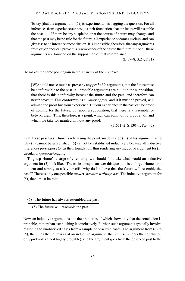To say [that the argument for (5)] is experimental, is begging the question. For all inferences from experience suppose, as their foundation, that the future will resemble the past . . . . If there be any suspicion, that the course of nature may change, and that the past may be no rule for the future, all experience becomes useless, and can give rise to no inference or conclusion. It is impossible, therefore, that any arguments from experience can prove this resemblance of the past to the future; since all these arguments are founded on the supposition of that resemblance.

(E:37–8; S:24; F:81)

He makes the same point again in the *Abstract* of the *Treatise*:

[W]e could not so much as prove by any *probable* arguments, that the future must be conformable to the past. All probable arguments are built on the supposition, that there is this conformity betwixt the future and the past, and therefore can never prove it. This conformity is a *matter of fact*, and if it must be proved, will admit of no proof but from experience. But our experience in the past can be proof of nothing for the future, but upon a supposition, that there is a resemblance betwixt them. This, therefore, is a point, which can admit of no proof at all, and which we take for granted without any proof.

(T:651–2; S:130–1; F:34–5)

In all these passages, Hume is rehearsing the point, made in step (iii) of his argument, as to why (5) cannot be established: (5) cannot be established inductively because all inductive inferences presuppose  $(5)$  as their foundation, thus rendering any inductive argument for  $(5)$ circular or question-begging.

To grasp Hume's charge of circularity, we should first ask: what would an inductive argument for  $(5)$  look like?<sup>8</sup> The easiest way to answer this question is to forget Hume for a moment and simply to ask yourself: "why do I believe that the future will resemble the past?" There is only one possible answer: *because it always has*! The inductive argument for (5), then, must be this:

## (6) The future has always resembled the past.

(5) The future will resemble the past. **• • •**

Now, an inductive argument is one the premisses of which show only that the conclusion is probable, rather than establishing it conclusively. Further, such arguments typically involve reasoning to unobserved cases from a sample of observed cases. The argument from (6) to (5), then, has the hallmarks of an inductive argument: the premiss renders the conclusion only probable (albeit highly probable), and the argument goes from the observed past to the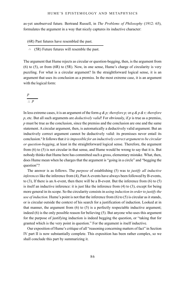as-yet unobserved future. Bertrand Russell, in *The Problems of Philosophy* (1912: 65), formulates the argument in a way that nicely captures its inductive character:

(6R) Past futures have resembled the past.

(5R) Future futures will resemble the past. **• • •**

The argument that Hume rejects as circular or question-begging, then, is the argument from (6) to (5), or from (6R) to (5R). Now, in one sense, Hume's charge of circularity is very puzzling. For what is a circular argument? In the straightforward logical sense, it is an argument that uses its conclusion as a premiss. In the most extreme case, it is an argument with the logical form:

$$
\frac{p}{\therefore p}
$$

In less extreme cases, it is an argument of the form *q & p; therefore p;* or *q & p &* r*; therefore p*, etc. But all such arguments are *deductively valid*! For obviously, if *p* is true as a premiss, *p* must be true as the conclusion, since the premiss and the conclusion are one and the same statement. A circular argument, then, is automatically a deductively valid argument. But an inductively correct argument cannot be deductively valid: its premisses never entail its conclusion.9 It follows that *it is impossible for an inductively correct argument to be circular or question-begging*, at least in the straightforward logical sense. Therefore, the argument from (6) to (5) is not circular in that sense, and Hume would be wrong to say that it is. But nobody thinks that Hume here has committed such a gross, elementary mistake. What, then, does Hume mean when he charges that the argument is "going in a circle" and "begging the question"?

The answer is as follows. The *purpose* of establishing (5) was to *justify all inductive inferences* like the inference from (4), Past A-events have always been followed by B-events, to  $(3)$ , If there is an A-event, then there will be a B-event. But the inference from  $(6)$  to  $(5)$ is itself an inductive inference: it is just like the inference from  $(4)$  to  $(3)$ , except for being more general in its scope. So the circularity consists in *using induction in order to justify the use of induction.* Hume's point is not that the inference from (6) to (5) is circular as it stands, or is circular outside the context of his search for a justification of induction. Looked at in that manner, the argument from  $(6)$  to  $(5)$  is a perfectly respectable inductive argument; indeed (6) is the only possible reason for believing (5). But anyone who uses this argument for the purpose of justifying induction is indeed begging the question, or "taking that for granted which is the very point in question." For the argument is itself inductive.

Our exposition of Hume's critique of all "reasoning concerning matters of fact" in Section IV part II is now substantially complete. This exposition has been rather complex, so we shall conclude this part by summarizing it.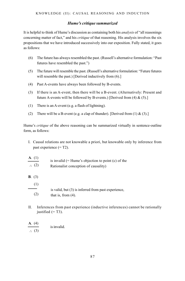# *Hume's critique summarized*

It is helpful to think of Hume's discussion as containing both his *analysis* of "all reasonings concerning matter of fact," and his *critique* of that reasoning. His analysis involves the six propositions that we have introduced successively into our exposition. Fully stated, it goes as follows:

- (6) The future has always resembled the past. (Russell's alternative formulation: "Past futures have resembled the past.")
- (5) The future will resemble the past. (Russell's alternative formulation: "Future futures will resemble the past.) [Derived inductively from  $(6)$ .]
- (4) Past A-events have always been followed by B-events.
- (3) If there is an A-event, then there will be a B-event. (Alternatively: Present and future A-events will be followed by B-events.) [Derived from  $(4) \& (5)$ .]
- (1) There is an A-event (e.g. a flash of lightning).
- (2) There will be a B-event (e.g. a clap of thunder). [Derived from (1)  $\&$  (3).]

Hume's *critique* of the above reasoning can be summarized virtually in sentence-outline form, as follows:

- I. Causal relations are not knowable a priori, but knowable only by inference from past experience  $(= T2)$ .
- is invalid  $(=$  Hume's objection to point  $(c)$  of the Rationalist conception of causality)  $\therefore$  (2) **A**. (1)
- **B**. (3)
- is valid, but (3) is inferred from past experience, that is, from (4). (1) (2)
- II. Inferences from past experience (inductive inferences) cannot be rationally justified  $(= T3)$ .
- is invalid. **• • • A**. (4)  $\therefore$  (3)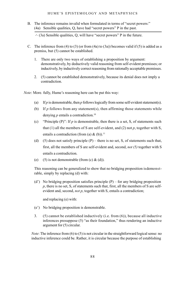## HUME'S EPISTEMOLOGY AND METAPHYSICS

 B. The inference remains invalid when formulated in terms of "secret powers:" (4a) Sensible qualities, Q, have had "secret powers" P in the past.

•• (3a) Sensible qualities, Q, will have "secret powers" P in the future.

- C. The inference from (4) to (3) (or from (4a) to (3a)) becomes valid if (5) is added as a premiss, but (5) cannot be established.
	- 1. There are only two ways of establishing a proposition by argument: demonstratively, by deductively valid reasoning from self-evident premisses; or inductively, by inductively correct reasoning from rationally acceptable premisses.
	- 2. (5) cannot be established demonstratively, because its denial does not imply a contradiction.

*Note*: More. fully, Hume's reasoning here can be put this way:

- (a) If *p* is demonstrable, then *p* follows logically from some self-evident statement(s).
- (b) If  $p$  follows from any statement(s), then affirming those statements while denying *p* entails a contradiction.<sup>10</sup>
- (c) "Principle  $(P)$ ": If *p* is demonstrable, then there is a set, *S*, of statements such that (1) all the members of S are self-evident, and (2) not *p*, together with S, entails a contradiction (from (a)  $\&$  (b)).<sup>11</sup>
- (d) (5) does not satisfy principle  $(P)$  there is no set, S, of statements such that, first, all the members of S are self-evident and, second, *not (5)* together with S entails a contradiction.
- (e) (5) is not demonstrable (from (c)  $\&$  (d)).

This reasoning can be generalized to show that no bridging proposition isdemonstrable, simply by replacing (d) with:

(d') No bridging proposition satisfies principle (P) – for any bridging proposition *p*, there is no set, S, of statements such that, first, all the members of S are selfevident and, second, *not p*, together with S, entails a contradiction;

and replacing (e) with:

- (e') No bridging proposition is demonstrable.
- 3.  $(5)$  cannot be established inductively (i.e. from  $(6)$ ), because all inductive inferences presuppose (5) "as their foundation," thus rendering an inductive argument for (5) circular.

*Note*: The inference from (6) to (5) is not circular in the straightforward logical sense: no inductive inference could be. Rather, it is circular because the purpose of establishing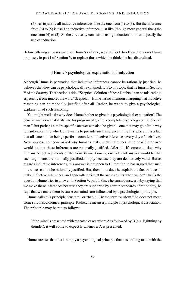(5) was to justify all inductive inferences, like the one from (4) to (3). But the inference from (6) to (5) is itself an inductive inference, just like (though more general than) the one from (4) to (3). So the circularity consists in using induction in order to justify the use of induction.

Before offering an assessment of Hume's critique, we shall look briefly at the views Hume proposes, in part I of Section V, to replace those which he thinks he has discredited.

## **4 Hume's psychological explanation of induction**

Although Hume is persuaded that inductive inferences cannot be rationally justified, he believes that they can be psychologically explained. It is to this topic that he turns in Section V of the *Enquiry.* That section's title, "Sceptical Solution of these Doubts," can be misleading; especially if one ignores the word "Sceptical." Hume has no intention of arguing that inductive reasoning can be rationally justified after all. Rather, he wants to give a psychological explanation of such reasoning.

You might well ask: why does Hume bother to give this psychological explanation? The general answer is that it fits into his program of giving a complete psychology or "science of man." But perhaps a more specific answer can also be given – one that may go a little way toward explaining why Hume wants to provide such a science in the first place. It is a fact that all sane human beings perform countless inductive inferences every day of their lives. Now suppose someone asked *why* humans make such inferences. One possible answer would be that these inferences are rationally justified. After all, if someone asked why humans accept arguments of the form *Modus Ponens*, one relevant answer would be that such arguments are rationally justified, simply because they are deductively valid. But as regards inductive inferences, this answer is not open to Hume; for he has argued that such inferences cannot be rationally justified. But, then, how does he explain the fact that we all make inductive inferences, and generally arrive at the same results when we do? This is the question Hume tries to answer in Section V, part I. Since he cannot answer it by saying that we make these inferences because they are supported by certain standards of rationality, he says that we make them because our minds are influenced by a psychological principle.

Hume calls this principle "custom" or "habit." By the term "custom," he does not mean some sort of sociological principle. Rather, he means a principle of psychological association. The principle may be put as follows:

If the mind is presented with repeated cases where A is followed by  $B$  (e.g. lightning by thunder), it will come to expect B whenever A is presented.

Hume stresses that this is simply a psychological principle that has nothing to do with the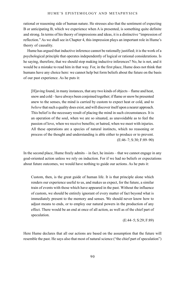rational or reasoning side of human nature. He stresses also that the sentiment of expecting B or anticipating B, which we experience when A is presented, is something quite definite and strong. In terms of his theory of impressions and ideas, it is a distinctive "impression of reflection." As we shall see in Chapter 4, this impression plays an important role in Hume's theory of causality.

Hume has argued that inductive inference cannot be rationally justified; it is the work of a psychological principle that operates independently of logical or rational considerations. Is he saying, therefore, that we should stop making inductive inferences? No, he is not, and it would be a mistake to read him in that way. For, in the first place, Hume does not think that humans have any choice here: we cannot help but form beliefs about the future on the basis of our past experience. As he puts it:

[H]aving found, in many instances, that any two kinds of objects – flame and heat, snow and cold – have always been conjoined together; if flame or snow be presented anew to the senses, the mind is carried by custom to expect heat or cold, and to *believe* that such a quality does exist, and will discover itself upon a nearer approach. This belief is the necessary result of placing the mind in such circumstances. It is an operation of the soul, when we are so situated, as unavoidable as to feel the passion of love, when we receive benefits; or hatred, when we meet with injuries. All these operations are a species of natural instincts, which no reasoning or process of the thought and understanding is able either to produce or to prevent. (E:46–7; S:30; F:89–90)

In the second place, Hume freely admits – in fact, he insists – that we cannot engage in any goal-oriented action unless we rely on induction. For if we had no beliefs or expectations about future outcomes, we would have nothing to guide our actions. As he puts it:

Custom, then, is the great guide of human life. It is that principle alone which renders our experience useful to us, and makes us expect, for the future, a similar train of events with those which have appeared in the past. Without the influence of custom, we should be entirely ignorant of every matter of fact beyond what is immediately present to the memory and senses. We should never know how to adjust means to ends, or to employ our natural powers in the production of any effect. There would be an end at once of all action, as well as of the chief part of speculation.

(E:44–5; S:29; F:89)

Here Hume declares that all our actions are based on the assumption that the future will resemble the past. He says also that most of natural science ("the chief part of speculation")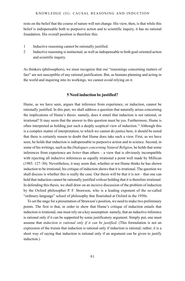rests on the belief that the course of nature will not change. His view, then, is that while this belief is indispensable both to purposive action and to scientific inquiry, it has no rational foundation. His overall position is therefore this:

- 1 Inductive reasoning cannot be rationally justified.
- 2 Inductive reasoning is instinctual, as well as indispensable to both goal-oriented action and scientific inquiry.

As thinkers (philosophers), we must recognize that our "reasonings concerning matters of fact" are not susceptible of any rational justification. But, as humans planning and acting in the world and inquiring into its workings, we cannot avoid relying on it.

## **5 Need induction be justified?**

Hume, as we have seen, argues that inference from experience, or induction, cannot be rationally justified. In this part, we shall address a question that naturally arises concerning the implications of Hume's thesis: namely, does it entail that induction is not rational, or irrational? It may seem that the answer to this question must be yes. Furthermore, Hume is often interpreted as holding just such a deeply sceptical view of induction.12 Although this is a complex matter of interpretation, to which we cannot do justice here, it should be noted that there is certainly reason to doubt that Hume does take such a view. First, as we have seen, he holds that induction is indispensable to purposive action and in science. Second, in some of his writings, such as the *Dialogues concerning Natural Religion*, he holds that some inferences from experience are *better* than others – a view that is obviously incompatible with rejecting all inductive inferences as equally irrational a point well made by Millican (1985: 127–30). Nevertheless, it may seem that, whether or not Hume thinks he has shown induction to be irrational, his critique of induction shows that it is irrational. The question we shall discuss is whether this is really the case. Our thesis will be that it is not – that one can hold that induction cannot be rationally justified *without* holding that it is therefore irrational. In defending this thesis, we shall draw on an incisive discussion of the problem of induction by the Oxford philosopher P. F. Strawson, who is a leading exponent of the so-called "ordinary-language" school of philosophy that flourished at Oxford in the 1950s.

To set the stage for a presentation of Strawson's position, we need to make two preliminary points. The first is that, in order to show that Hume's critique of induction entails that induction is irrational, one must rely on a key assumption: namely, that an inductive inference is rational only if it can be supported by some justificatory argument. Simply put, one must assume that *induction is rational only if it can be justified.* (This formulation is not an expression of the truism that induction is rational only if induction is rational; rather, it is a short way of saying that induction is rational only if an argument can be given to justify induction.)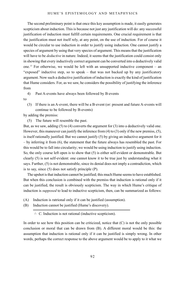The second preliminary point is that once this key assumption is made, it easily generates scepticism about induction. This is because not just any justification will do: any successful justification of induction must fulfill certain requirements. One crucial requirement is that the justification must not itself rely, at any point, on the use of induction. For of course it would be circular to use induction in order to justify using induction. One cannot justify a species of argument by using that very species of argument. This means that the justification will have to be *deductive* in nature. Indeed, it seems that the justification could consist only in showing that every inductively correct argument can be converted into a deductively valid one.<sup>13</sup> For otherwise, we would be left with an unsupported inductive component – an "exposed" inductive step, so to speak – that was not backed up by any justificatory argument. Now such a deductive justification of induction is exactly the kind of justification that Hume considers. For, as we saw, he considers the possibility of justifying the inference from

4) Past A-events have always been followed by B-events

to

(3) If there is an A-event, there will be a B-event (or: present and future A-events will continue to be followed by B-events)

by adding the premiss:

(5) The future will resemble the past.

But, as we saw, adding  $(5)$  to  $(4)$  converts the argument for  $(3)$  into a deductively valid one. However, this maneuver can justify the inference from (4) to (3) only if the new premiss, (5), is itself rationally justified. But we cannot justify  $(5)$  by giving an inductive argument for it – by inferring it from (6), the statement that the future always has resembled the past. For this would be to fall into circularity; we would be using induction to justify using induction. So, the only course left open is to show that (5) is either self-evident or demonstrable. But clearly (5) is not self-evident: one cannot know it to be true just by understanding what it says. Further, (5) is not demonstrable, since its denial does not imply a contradiction, which is to say, since (5) does not satisfy principle (P).

The upshot is that induction cannot be justified; this much Hume seems to have established. But when this conclusion is combined with the premiss that induction is rational only if it can be justified, the result is obviously scepticism. The way in which Hume's critique of induction is *supposed* to lead to inductive scepticism, then, can be summarized as follows:

- (A) Induction is ratrional only if it can be justified (assumption).
- (B) Induction cannot be justified (Hume's discovery).

C. Induction is not rational (inductive scepticism). **• • •**

In order to see how this position can be criticized, notice that  $(C)$  is not the only possible conclusion or moral that can be drawn from (B). A different moral would be this: the assumption that induction is rational only if it can be justified is simply wrong. In other words, perhaps the correct response to the above argument would be to apply to it what we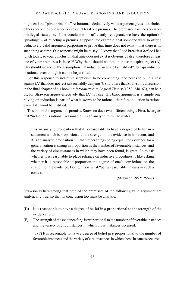might call the "pivot principle." At bottom, a deductively valid argument gives us a choice: either accept the conclusion, or reject at least one premiss. The premisses have no special or privileged status; so, if the conclusion is sufficiently repugnant, we have the option of "pivoting" – of rejecting a premiss. Suppose, for example, that someone were to offer a deductively valid argument purporting to prove that time does not exist – that there is no such thing as time. Our response might be to say: "I know that I had breakfast *before* I had lunch today, so your conclusion that time does not exist is obviously false; therefore at least one of your premisses is false.<sup>"14</sup> Why then, should we not, in the same spirit, reject  $(A)$ : why should we accept the assumption that induction needs to be justified? Perhaps induction is rational even though it cannot be justified.

For this response to inductive scepticism to be convincing, one needs to build a case against  $(A)$  that does not rest just on baldly denying  $(C)$ . It is here that Strawson's discussion, in the final chapter of his book *An Introduction to Logical Theory* (1952: 248–63), can help us; for Strawson argues effectively that (A) is false. His basic argument is a simple one: relying on induction is part of what it *means* to be rational, therefore induction is rational even if it cannot be justified.

To support this argument's premiss, Strawson does two different things. First, he argues that "induction is rational (reasonable)" is an analytic truth. He writes:

It is an analytic proposition that it is reasonable to have a degree of belief in a statement which is proportional to the strength of the evidence in its favour; and it is an analytic proposition . . . that, other things being equal, the evidence for a generalization is strong in proportion as the number of favourable instances, and the variety of circumstances in which they have been found, is great. So to ask whether it is reasonable to place reliance on inductive procedures is like asking whether it is reasonable to proportion the degree of one's convictions on the strength of the evidence. Doing this is what "being reasonable" means in such a context.

(Strawson 1952: 256–7)

Strawson is here saying that both of the premisses of the following valid argument are analytically true, so that its conclusion too must be analytic:

- (D) It is reasonable to have a degree of belief in *p* proportional to the strength of the evidence for *p*.
- (E) The strength of the evidence for *p* is proportional to the number of favorable instances and the variety of circumstances in which those instances occurred.

<sup>∴</sup> (F) It is reasonable to have a degree of belief in *p* proportional to the number of favorable instances and the variety of circumstances in which those instances occurred.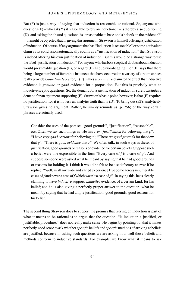But (F) is just a way of saying that induction is reasonable or rational. So, anyone who questions  $(F)$  – who asks "is it reasonable to rely on induction?" – is thereby also questioning (D), and asking the absurd question: "is it reasonable to base one's beliefs on the evidence?"

It might be objected that in giving this argument, Strawson is himself offering a justification of induction. Of course, if any argument that has "induction is reasonable" or some equivalent claim as its conclusion automatically counts as a "justification of induction," then Strawson is indeed offering his own justification of induction. But this would be a strange way to use the label "justification of induction." For anyone who harbors sceptical doubts about induction would presumably question  $(E)$ , or regard  $(E)$  as question-begging. For  $(E)$  says that there being a large number of favorable instances that have occurred in a variety of circumstances really provides *sound evidence* for *p*: (E) makes a *normative* claim to the effect that inductive evidence is *genuine* or *good* evidence for a proposition. But this is precisely what an inductive sceptic questions. So, the demand for a justification of induction surely *includes* a demand for an argument supporting (E). Strawson's basic point, however, is that (E) requires no justification, for it is no less an analytic truth than is (D). To bring out (E)'s analyticity, Strawson gives no argument. Rather, he simply reminds us (p. 256) of the way certain phrases are actually used:

Consider the uses of the phrases "good grounds", "justification", "reasonable", &c. Often we say such things as "He has *every justification* for believing that *p*"; "I have *very good reasons* for believing it"; "There are *good grounds* for the view that *q*"; "There is *good evidence* that *r*". We often talk, in such ways as these, of justification, good grounds or reasons or evidence for certain beliefs. Suppose such a belief were one expressible in the form "Every case of *f* is a case of *g*". And suppose someone were asked what he meant by saying that he had good grounds or reasons for holding it. I think it would be felt to be a satisfactory answer if he replied: "Well, in all my wide and varied experience I've come across innumerable cases of *f* and never a case of *f* which wasn't a case of *g*". In saying this, he is clearly claiming to have *inductive* support, *inductive* evidence, of a certain kind, for his belief; and he is also giving a perfectly proper answer to the question, what he meant by saying that he had ample justification, good grounds, good reasons for his belief.

The second thing Strawson does to support the premiss that relying on induction is part of what it means to be rational is to argue that the question, "is induction a justified, or justifiable, procedure?" does not really make sense. He begins by pointing out that it makes perfectly good sense to ask whether *specific* beliefs and *specific* methods of arriving at beliefs are justified, because in asking such questions we are asking how well those beliefs and methods conform to inductive standards. For example, we know what it means to ask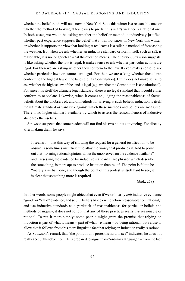### KNOWLEDGE (II): CAUSAL REASONING AND INDUCTION

whether the belief that it will not snow in New York State this winter is a reasonable one, or whether the method of looking at tea leaves to predict this year's weather is a rational one. In both cases, we would be asking whether the belief or method is inductively justified: whether past experience supports the belief that it will not snow in New York this winter, or whether it supports the view that looking at tea leaves is a reliable method of forecasting the weather. But when we ask whether an inductive standard or norm itself, such as (E), is reasonable, it is no longer clear what the question means. The question, Strawson suggests, is like asking whether the law is legal. It makes sense to ask whether particular actions are legal. For then we are asking whether they conform to the law. It even makes sense to ask whether particular laws or statutes are legal. For then we are asking whether those laws conform to the highest law of the land (e.g. its Constitution). But it does not make sense to ask whether the highest law of the land is legal (e.g. whether the Constitution is constitutional). For since it is itself the ultimate legal standard, there is no legal standard that it could either conform to or violate. Likewise, when it comes to judging the reasonableness of factual beliefs about the unobserved, and of methods for arriving at such beliefs, induction is itself the ultimate standard or yardstick against which these methods and beliefs are measured. There is no higher standard available by which to assess the reasonableness of inductive standards themselves.

Strawson suspects that some readers will not find his two points convincing. For directly after making them, he says:

It seems . . . that this way of showing the request for a general justification to be absurd is sometimes insufficient to allay the worry that produces it. And to point out that "forming rational opinions about the unobserved on the evidence available" and "assessing the evidence by inductive standards" are phrases which describe the same thing, is more apt to produce irritation than relief. The point is felt to be "merely a verbal" one; and though the point of this protest is itself hard to see, it is clear that something more is required.

(ibid.: 258)

In other words, some people might object that even if we ordinarily *call* inductive evidence "good" or "valid" evidence, and so *call* beliefs based on induction "reasonable" or "rational," and use inductive standards as a yardstick of reasonableness for particular beliefs and methods of inquiry, it does not follow that any of these practices really *are* reasonable or rational. To put it more simply: some people might grant the premiss that relying on induction is part of what it means **–** part of what *we* mean – by being rational, but refuse to allow that it follows from this mere linguistic fact that relying on induction really *is* rational.

As Strawson's remark that "the point of this protest is hard to see" indicates, he does not really accept this objection. He is prepared to argue from "ordinary language" – from the fact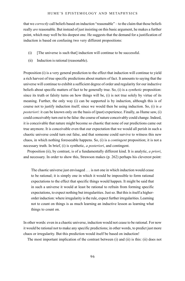that we *correctly* call beliefs based on induction "reasonable" – to the claim that those beliefs really *are* reasonable. But instead of just insisting on this basic argument, he makes a further point, which may well be his deepest one. He suggests that the demand for a justification of induction is based on confusing two very different propositions:

- (i) [The universe is such that] induction will continue to be successful.
- (ii) Induction is rational (reasonable).

Proposition (i) is a very general prediction to the effect that induction will continue to yield a rich harvest of true specific predictions about matters of fact. It amounts to saying that the universe will continue to exhibit a sufficient degree of order and regularity for our inductive beliefs about specific matters of fact to be generally true. So, (i) is a *synthetic* proposition: since its truth or falsity turns on how things will be, (i) is not true solely by virtue of its meaning. Further, the only way (i) can be supported is by induction, although this is of course not to justify induction itself; since we would then be using induction. So, (i) is *a posteriori*: it can be known only on the basis of (past) experience. Finally, as Hume saw, (i) could conceivably turn out to be false: the course of nature conceivably could change. Indeed, it is conceivable that nature might become so chaotic that none of our predictions came out true anymore. It is conceivable even that our expectation that we would all perish in such a chaotic universe could turn out false, and that someone could survive to witness this new chaos, in which nothing foreseeable happens. So, (i) is a *contingent* proposition; it is not a necessary truth. In brief, (i) is synthetic, *a posteriori*, and contingent.

Proposition (ii), by contrast, is of a fundamentally different kind. It is analytic, *a priori*, and necessary. In order to show this, Strawson makes (p. 262) perhaps his cleverest point:

The chaotic universe just envisaged . . . is not one in which induction would cease to be rational; it is simply one in which it would be impossible to form rational expectations to the effect that specific things would happen. It might be said that in such a universe it would at least be rational to refrain from forming specific expectations, to expect nothing but irregularities. Just so. But this is itself a higherorder induction: where irregularity is the rule, expect further irregularities. Learning not to count on things is as much learning an inductive lesson as learning what things to count on.

In other words: even in a chaotic universe, induction would not cease to be rational. For now it would be rational not to make any specific predictions; in other words, to predict just more chaos or irregularity. But this prediction would itself be based on induction!

The most important implication of the contrast between (i) and (ii) is this: (ii) does not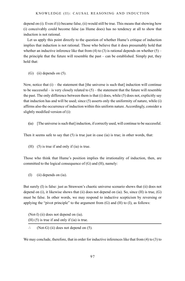depend on (i). Even if (i) became false, (ii) would still be true. This means that showing how (i) conceivably could become false (as Hume does) has no tendency at all to show that induction is not rational.

Let us apply this point directly to the question of whether Hume's critique of induction implies that induction is not rational. Those who believe that it does presumably hold that whether an inductive inference like that from (4) to (3) is rational depends on whether  $(5)$  – the principle that the future will resemble the past – can be established. Simply put, they hold that:

(G) (ii) depends on (5).

Now, notice that  $(i)$  – the statement that [the universe is such that] induction will continue to be successful – is very closely related to  $(5)$  – the statement that the future will resemble the past. The only difference between them is that (i) does, while (5) does not, explicitly say that induction has and will be used; since (5) asserts only the uniformity of nature, while (i) affirms also the occurrence of induction within this uniform nature. Accordingly, consider a slightly modified version of (i):

**(**ia) [The universe is such that] induction, if correctly used, will continue to be successful.

Then it seems safe to say that (5) is true just in case (ia) is true; in other words, that:

(H) (5) is true if and only if (ia) is true.

Those who think that Hume's position implies the irrationality of induction, then, are committed to the logical consequence of (G) and (H), namely:

(I) (ii) depends on (ia).

But surely (I) is false: just as Strawson's chaotic universe scenario shows that (ii) does not depend on (i), it likewise shows that (ii) does not depend on (ia). So, since  $(H)$  is true,  $(G)$ must be false. In other words, we may respond to inductive scepticism by reversing or applying the "pivot principle" to the argument from  $(G)$  and  $(H)$  to  $(I)$ , as follows:

(Not-I) (ii) does not depend on (ia). (H) (5) is true if and only if (ia) is true.

(Not-G) (ii) does not depend on (5). **• • •**

We may conclude, therefore, that in order for inductive inferences like that from (4) to (3) to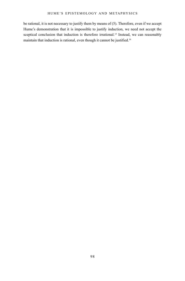be rational, it is not necessary to justify them by means of (5). Therefore, even if we accept Hume's demonstration that it is impossible to justify induction, we need not accept the sceptical conclusion that induction is therefore irrational.<sup>15</sup> Instead, we can reasonably maintain that induction is rational, even though it cannot be justified.16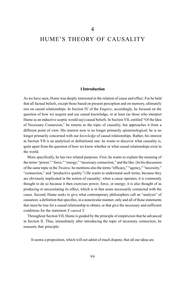# HUME'S THEORY OF CAUSALITY

#### **1 Introduction**

As we have seen, Hume was deeply interested in the relation of cause and effect. For he held that all factual beliefs, except those based on present perception and on memory, ultimately rest on causal relationships. In Section IV of the *Enquiry*, accordingly, he focused on the question of how we acquire and use causal knowledge, or at least (as those who interpret Hume as an inductive sceptic would say) causal beliefs. In Section VII, entitled "Of the Idea of Necessary Connexion," he returns to the topic of causality, but approaches it from a different point of view. His interest now is no longer primarily epistemological; he is no longer primarily concerned with our *knowledge* of causal relationships. Rather, his interest in Section VII is an analytical or definitional one: he wants to discover what causality is, quite apart from the question of how we know whether or what causal relationships exist in the world.

More specifically, he has two related purposes. First, he wants to explain the meaning of the terms "power," "force," "energy," "necessary connection," and the like. (In his discussion of the same topic in the *Treatise*, he mentions also the terms "efficacy," "agency," "necessity," "connection," and "productive quality.") He wants to understand such terms, because they are obviously implicated in the notion of causality: when a cause operates, it is commonly thought to do so because it then exercises power, force, or energy; it is also thought of as producing or necessitating its effect, which is in that sense necessarily connected with the cause. Second, Hume seeks to give what contemporary philosophers call an "analysis" of causation: a definition that specifies, in a noncircular manner, only and all of those statements that must be true for a causal relationship to obtain, or that give the necessary and sufficient conditions for the statement *X caused Y.*

Throughout Section VII, Hume is guided by the principle of empiricism that he advanced in Section II. Thus, immediately after introducing the topic of necessary connection, he reasserts that principle:

It seems a proposition, which will not admit of much dispute, that all our ideas are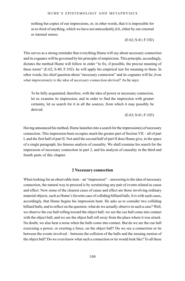nothing but copies of our impressions, or, in other words, that it is impossible for us to *think* of anything, which we have not antecedently *felt*, either by our external or internal senses.

(E:62; S:41; F:102)

This serves as a strong reminder that everything Hume will say about necessary connection and its cognates will be governed by his principle of empiricism. This principle, accordingly, dictates the method Hume will follow in order "to fix, if possible, the precise meaning of these terms" (E:62; S:40; F:102): he will apply his empirical test for meaning to them. In other words, his chief question about "necessary connexion" and its cognates will be: *from what impression(s) is the idea o*f *necessary connection derived?* As he says:

To be fully acquainted, therefore, with the idea of power or necessary connexion, let us examine its impression; and in order to find the impression with greater certainty, let us search for it in all the sources, from which it may possibly be derived.

(E:63; S:41; F:103)

Having announced his method, Hume launches into a search for the impression(s) of necessary connection. This impression hunt occupies much the greater part of Section VII – all of part I, and the first half of part II. Not until the second half of part II does Hume give, in the space of a single paragraph, his famous analysis of causality. We shall examine his search for the impression of necessary connection in part 2, and his analysis of causality in the third and fourth parts of this chapter.

## **2 Necessary connection**

When looking for an observable item – an "impression" – answering to the idea of necessary connection, the natural way to proceed is by scrutinizing any pair of events related as cause and effect. Now some of the clearest cases of cause and effect are those involving ordinary material objects, such as Hume's favorite case of colliding billiard balls. It is with such cases, accordingly, that Hume begins his impression hunt. He asks us to consider two colliding billiard balls, and to reflect on the question: what do we actually observe in such a case? Well, we observe the cue ball rolling toward the object ball; we see the cue ball come into contact with the object ball, and we see the object ball roll away from the place where it was struck. No doubt, we also hear a noise when the balls come into contact. But do we see the cue ball exercising a power, or exerting a force, on the object ball? Do we see a connection or tie between the events involved – between the collision of the balls and the ensuing motion of the object ball? Do we even know what such a connection or tie would look like? To all these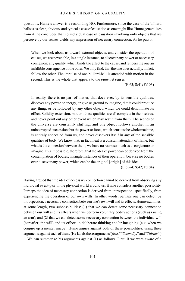questions, Hume's answer is a resounding NO. Furthermore, since the case of the billiard balls is as clear, obvious, and typical a case of causation as one might like, Hume generalizes from it: he concludes that no individual case of causation involving only objects that we perceive by our senses yields any impression of necessary connection. As he puts it:

When we look about us toward external objects, and consider the operation of causes, we are never able, in a single instance, to discover any power or necessary connexion; any quality, which binds the effect to the cause, and renders the one an infallible consequence of the other. We only find, that the one does actually, in fact, follow the other. The impulse of one billiard-ball is attended with motion in the second. This is the whole that appears to the *outward* senses.

(E:63; S:41; F:103)

In reality, there is no part of matter, that does ever, by its sensible qualities, discover any power or energy, or give us ground to imagine, that it could produce any thing, or be followed by any other object, which we could denominate its effect. Solidity, extension, motion; these qualities are all complete in themselves, and never point out any other event which may result from them. The scenes of the universe are constantly shifting, and one object follows another in an uninterrupted succession; but the power or force, which actuates the whole machine, is entirely concealed from us, and never discovers itself in any of the sensible qualities of body. We know that, in fact, heat is a constant attendant of flame; but what is the connexion between them, we have no room so much as to conjecture or imagine. It is impossible, therefore, that the idea of power can be derived from the contemplation of bodies, in single instances of their operation; because no bodies ever discover any power, which can be the original [origin] of this idea.

(E:63–4; S:42; F:104)

Having argued that the idea of necessary connection cannot be derived from observing any individual event-pair in the physical world around us, Hume considers another possibility. Perhaps the idea of necessary connection is derived from introspection; specifically, from experiencing the operation of our own wills. In other words, perhaps one can detect, by introspection, a necessary connection between one's own will and its effects. Hume examines, at some length, two subpossibilities: (1) that we can detect some necessary connection between our will and its effects when we perform voluntary bodily actions (such as raising an arm); and (2) that we can detect some necessary connection between the individual will (hereafter, the will) and its effects in deliberate thinking and/or imagining (e.g. when we conjure up a mental image). Hume argues against both of these possibilities, using three arguments against each of them. (He labels these arguments "*first,*" "*Secondly*," and "*Thirdly*".)

We can summarize his arguments against (1) as follows. First, if we were aware of a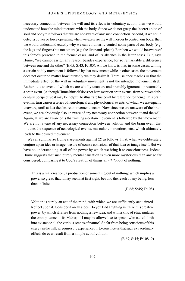necessary connection between the will and its effects in voluntary action, then we would understand how the mind interacts with the body. Since we do not grasp the "secret union of soul and body," it follows that we are not aware of any such connection. Second, if we could detect a power or force operating when we exercise the will in order to control our body, then we would understand exactly why we can voluntarily control some parts of our body (e.g. the legs and fingers) but not others (e.g. the liver and spleen). For then we would be aware of this force's presence in the former cases, and of its absence in the latter cases. But, says Hume, "we cannot assign any reason besides experience, for so remarkable a difference between one and the other" (E:65; S:43; F:105). All we know is that, in some cases, willing a certain bodily movement is followed by that movement; while in other cases, the movement does not occur no matter how intensely we may desire it. Third, science teaches us that the immediate effect of the will in voluntary movement is not the intended movement itself. Rather, it is an event of which we are wholly unaware and probably ignorant – presumably a brain event. (Although Hume himself does not here mention brain events, from our twentiethcentury perspective it may be helpful to illustrate his point by reference to them.) This brain event in turn causes a series of neurological and physiological events, of which we are equally unaware, until at last the desired movement occurs. Now since we are unaware of the brain event, we are obviously also unaware of any necessary connection between it and the will. Again, all we are aware of is that willing a certain movement is followed by that movement. We are not aware of any necessary connection between volition and the brain event that initiates the sequence of neurological events, muscular contractions, etc., which ultimately leads to the desired movement.

We can summarize Hume's arguments against (2) as follows. First, when we deliberately conjure up an idea or image, we are of course conscious of that idea or image itself. But we have no understanding at all of the power by which we bring it to consciousness. Indeed, Hume suggests that such purely mental causation is even more mysterious than any so far considered, comparing it to God's creation of things *ex nihilo*, out of nothing:

This is a real creation; a production of something out of nothing: which implies a power so great, that it may seem, at first sight, beyond the reach of any being, less than infinite.

(E:68; S:45; F:108)

Volition is surely an act of the mind, with which we are sufficiently acquainted. Reflect upon it. Consider it on all sides. Do you find anything in it like this creative power, by which it raises from nothing a new idea, and with a kind of *Fiat*, imitates the omnipotence of its Maker, if I may be allowed so to speak, who called forth into existence all the various scenes of nature? So far from being conscious of this energy in the will, it requires . . . experience . . . to convince us that such extraordinary effects do ever result from a simple act of volition.

(E:69; S:45; F:108–9)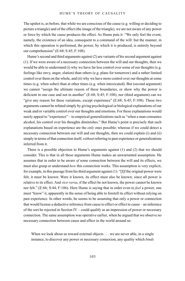The upshot is, as before, that while we are conscious of the cause (e.g. willing or deciding to picture a triangle) and of the effect (the image of the triangle), we are not aware of any power or force by which the cause produces the effect. As Hume puts it: "We only feel the event, namely, the existence of an idea, consequent to a command of the will: but the manner, in which this operation is performed, the power, by which it is produced, is entirely beyond our comprehension" (E:68; S:45; F:108).

Hume's second and third arguments against (2) are variants of his second argument against (1). If we were aware of a necessary connection between the will and our thoughts, then we would be able to understand (i) why we have far less control over some of our thoughts (e.g. feelings like envy, anger, elation) than others (e.g. plans for tomorrow) and a rather limited control over them on the whole, and (ii) why we have more control over our thoughts at some times (e.g. when sober) than at other times (e.g. when intoxicated). But (second argument) we cannot "assign the ultimate reason of these boundaries, or show why the power is deficient in one case and not in another" (E:68; S:45; F:108); nor (third argument) can we "give any reason for these variations, except experience" (E:68; S:45; F:108). These two arguments cannot be refuted simply by giving psychological or biological explanations of our weak and/or variable control over our thoughts and emotions. For these explanations would surely appeal to "experience" – to empirical generalizations such as "when a man consumes alcohol, his control over his thoughts diminishes." But Hume's point is precisely that such explanations based on experience are the *only* ones possible; whereas if we could detect a necessary connection between our will and our thoughts, then we could explain (i) and (ii) simply in terms of that connection itself, *without* referring to past experience or generalizations inferred from it.

There is a possible objection to Hume's arguments against (1) and (2) that we should consider. This is that in all these arguments Hume makes an unwarranted assumption. He assumes that in order to be aware *of* some connection between the will and its effects, we must also grasp or understand *how* this connection works. This assumption is very explicit, for example, in this passage from his third argument against (1): "[I]f the original power were felt, it must be known: Were it known, its effect must also be known; since all power is relative to its effect. And *vice-versa*, if the effect be not known, the power cannot be known nor felt." (E:66; S:44; F:106). Here Hume is saying that in order even to *feel* a power, one must "know" it, apparently in the sense of being able to foretell its effect without relying on past experience. In other words, he seems to be assuming that only a power or connection that would license a deductive inference from cause to effect or effect to cause – an inference of the sort he rejected in Section IV – could qualify as an impression of power or necessary connection. The same assumption was operative earlier, when he argued that we observe no necessary connection between cause and effect in the world around us:

When we look about us toward external objects . . . we are never able, in a single instance, to discover any power or necessary connexion, any quality which *binds*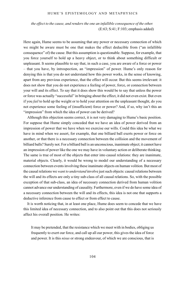#### HUME'S EPISTEMOLOGY AND METAPHYSICS

*the effect to the cause, and renders the one an infallible consequence of the other.* (E:63; S:41; F:103; emphasis added)

Here again, Hume seems to be assuming that any power or necessary connection of which we might be aware must be one that makes the effect deducible from ("an infallible consequence" of) the cause. But this assumption is questionable. Suppose, for example, that you force yourself to hold up a heavy object, or to think about something difficult or unpleasant. It seems plausible to say that, in such a case, you are aware of a force or power – that you have, by introspection, an "impression" of power. Hume's only reason for denying this is that you do not understand how this power works, in the sense of knowing, apart from any previous experience, that the effect will occur. But this seems irrelevant: it does not show that you do not experience a feeling of power, force, or connection between your will and its effect. To say that it does show this would be to say that unless the power or force was actually "successful" in bringing about the effect, it did not even exist. But even if you *fail* to hold up the weight or to hold your attention on the unpleasant thought, do you not experience some feeling of (insufficient) force or power? And, if so, why isn't this an "impression" from which the idea of power can be derived?

Although this objection seems correct, it is not very damaging to Hume's basic position. For suppose that Hume simply conceded that we have an idea of power derived from an impression of power that we have when we exercise our wills. Could this idea be what we have in mind when we assert, for example, that one billiard ball exerts power or force on another, or that there is a necessary connection between the collision and the movement of billiard balls? Surely not. For a billiard ball is an unconscious, inanimate object; it cannot have an impression of power like the one we may have in voluntary action or deliberate thinking. The same is true of most of the objects that enter into causal relations: they are inanimate, material objects. Clearly, it would be wrong to model our understanding of a necessary connection between events involving these inanimate objects on human volition. But most of the causal relations we *want to understand* involve just such objects: causal relations between the will and its effects are only a tiny sub-class of all causal relations. So, with the possible exception of that sub-class, an idea of necessary connection derived from human volition cannot advance our understanding of causality. Furthermore, even if we do have some idea of a necessary connection between the will and its effects, this idea is not one that supports a deductive inference from cause to effect or from effect to cause.

It is worth noticing that, in at least one place, Hume does seem to concede that we have this limited idea of necessary connection, and to also point out that this does not seriously affect his overall position. He writes:

It may be pretended, that the resistance which we meet with in bodies, obliging us frequently to exert our force, and call up all our power, this gives the idea of force and power. It is this *nisus* or strong endeavour, of which we are conscious, that is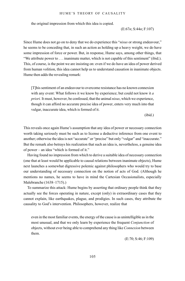#### HUME'S THEORY OF CAUSALITY

the original impression from which this idea is copied.

(E:67*n*; S:44*n*; F:107)

Since Hume does not go on to deny that we do experience this "*nisus* or strong endeavour," he seems to be conceding that, in such an action as holding up a heavy weight, we do have some impression of force or power. But, in response, Hume says, among other things, that "We attribute power to . . . inanimate matter, which is not capable of this sentiment" (ibid.). This, of course, is the point we are insisting on: even if we do have an idea of power derived from human volition, this idea cannot help us to understand causation in inanimate objects. Hume then adds the revealing remark:

[T]his sentiment of an endeavour to overcome resistance has no known connexion with any event: What follows it we know by experience; but could not know it *a priori.* It must, however, be confessed, that the animal *nisus*, which we experience, though it can afford no accurate precise idea of power, enters very much into that vulgar, inaccurate idea, which is formed of it.

(ibid.)

This reveals once again Hume's assumption that any idea of power or necessary connection worth taking seriously must be such as to license a deductive inference from one event to another; otherwise the idea is not "accurate" or "precise" but only "vulgar" and "inaccurate." But the remark also betrays his realization that such an idea is, nevertheless, a genuine idea of power – an idea "which is formed of it."

Having found no impression from which to derive a suitable idea of necessary connection (one that at least would be applicable to causal relations between inanimate objects), Hume next launches a somewhat digressive polemic against philosophers who would try to base our understanding of necessary connection on the notion of acts of God. (Although he mentions no names, he seems to have in mind the Cartesian Occasionalists, especially Malebranche (1638–1715).)

To summarize this attack: Hume begins by asserting that ordinary people think that they actually see the forces operating in nature, except (only) in extraordinary cases that they cannot explain, like earthquakes, plague, and prodigies. In such cases, they attribute the causality to God's intervention. Philosophers, however, realize that

even in the most familiar events, the energy of the cause is as unintelligible as in the most unusual, and that we only learn by experience the frequent *Conjunction* of objects, without ever being able to comprehend any thing like *Connexion* between them.

(E:70; S:46; F:109)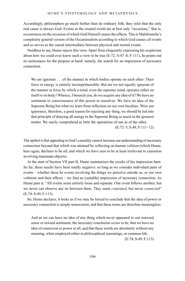Accordingly, philosophers go much further than do ordinary folk: they infer that the only real cause is always God. Events in the created world are at best only "occasions," that is, occurrences on the occasion of which God Himself causes the effects. This is Malebranche's completely general version of the Occasionalism according to which God causes *all* events and so serves as the causal intermediary between physical and mental events.

Needless to say, Hume rejects this view. Apart from eloquently expressing his scepticism about how we could ever know such a view to be true  $(E:72; S:47-8; F:111)$ , he points out its uselessness for the purpose at hand: namely, the search for an impression of necessary connection.

We are ignorant . . . of the manner in which bodies operate on each other: Their force or energy is entirely incomprehensible: But are we not equally ignorant of the manner or force by which a mind, even the supreme mind, operates either on itself or on body? Whence, I beseech you, do we acquire any idea of it? We have no sentiment or consciousness of this power in ourselves. We have no idea of the Supreme Being but what we learn from reflection on our own faculties. Were our ignorance, therefore, a good reason for rejecting any thing, we should be led into that principle of denying all energy in the Supreme Being as much in the grossest matter. We surely comprehend as little the operations of one as of the other. (E:72–3; S:48; F:111–12)

The upshot is that appealing to God's causality cannot increase our understanding of necessary connection beyond that which was attained by reflecting on human volition (which Hume, here again, declares to be nil, and which we have seen to be at least irrelevant to causation involving inanimate objects).

At the start of Section VII part II, Hume summarizes the results of his impression hunt. So far, these results have been totally negative: so long as we consider individual pairs of events – whether these be events involving the things we perceive outside us, or our own volitions and their effects – we find no (suitable) impression of necessary connection. As Hume puts it: "All events seem entirely loose and separate. One event follows another; but we never can observe any tie between them. They seem *conjoined*, but never *connected*" (E:74; S:49; F:113).

So, Hume declares, it looks as if we may be forced to conclude that the idea of power or necessary connection is simply nonexistent, and that these terms are therefore meaningless:

And as we can have no idea of any thing which never appeared to our outward sense or inward sentiment, the necessary conclusion *seems* to be, that we have no idea of connexion or power at all, and that these words are absolutely without any meaning, when employed either in philosophical reasonings, or common life.

(E:74; S:49; F:113)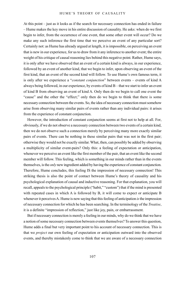At this point – just as it looks as if the search for necessary connection has ended in failure – Hume makes the key move in his entire discussion of causality. He asks: when do we first begin to infer, from the occurrence of one event, that some other event will occur? Do we make any such inference the first time that we perceive an event of any particular sort? Certainly not: as Hume has already argued at length, it is impossible, on perceiving an event that is new in our experience, for us to draw from it any inference to another event; the entire weight of his critique of causal reasoning lies behind this negative point. Rather, Hume says, it is only after we have observed that an event of a certain kind is always, in our experience, followed by an event of another kind, that we begin to infer, upon observing an event of the first kind, that an event of the second kind will follow. To use Hume's own famous term, it is only after we experience a "*constant conjunction*" between events – events of kind A always being followed, in our experience, by events of kind B – that we start to infer an event of kind B from observing an event of kind A. Only then do we begin to call one event the "cause" and the other the "effect;" only then do we begin to think that there is some necessary connection between the events. So, the idea of necessary connection must somehow arise from observing many similar pairs of events rather than any individual pairs: it arises from the experience of constant conjunction.

However, the introduction of constant conjunction seems at first not to help at all. For, obviously, if we do not observe a necessary connection between two events of a certain kind, then we do not observe such a connection merely by perceiving many more exactly similar pairs of events. There can be nothing in these similar pairs that was not in the first pair; otherwise they would not be exactly similar. What, then, can possibly be added by observing a multiplicity of similar event-pairs? Only this: a feeling of expectation or anticipation, whenever we perceive an event like the first member of the pair, that an event like the second member will follow. This feeling, which is something in our minds rather than in the events themselves, is the *only* new ingredient added by having the experience of constant conjunction. Therefore, Hume concludes, this feeling IS the impression of necessary connection! This striking thesis is also the point of contact between Hume's theory of causality and his psychological explanation of causal and inductive reasoning. For that explanation, you will recall, appeals to the psychological principle ("habit," "custom") that if the mind is presented with repeated cases in which A is followed by B, it will come to expect or anticipate B whenever it perceives A. Hume is now saying that this feeling of anticipation *is* the impression of necessary connection for which he has been searching. In the terminology of the *Treatise*, it is a definite "impression of reflection," just like joy, pain, or embarrassment.

But if necessary connection is merely a feeling in our minds, why do we think that we have a notion of some necessary connection between events themselves? To answer this question, Hume adds a final but very important point to his account of necessary connection. This is that we *project* our own feeling of expectation or anticipation outward into the observed events, and thereby mistakenly come to think that we are aware of a necessary connection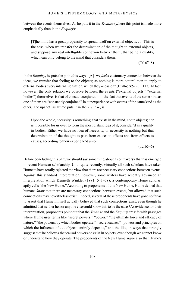between the events themselves. As he puts it in the *Treatise* (where this point is made more emphatically than in the *Enquiry*):

[T]he mind has a great propensity to spread itself on external objects. . . . This is the case, when we transfer the determination of the thought to external objects, and suppose any real intelligible connexion betwixt them; that being a quality, which can only belong to the mind that considers them.

(T:167–8)

In the *Enquiry*, he puts the point this way: "[A]s we *feel* a customary connexion between the ideas, we transfer that feeling to the objects; as nothing is more natural than to apply to external bodies every internal sensation, which they occasion" (E:78*n*; S:52*n*; F:117). In fact, however, the only relation we observe between the events ("external objects," "external bodies") themselves is that of constant conjunction – the fact that events of the same kind as one of them are "constantly conjoined" in our experience with events of the same kind as the other. The upshot, as Hume puts it in the *Treatise*, is:

Upon the whole, necessity is something, that exists in the mind, not in objects; nor is it possible for us ever to form the most distant idea of it, consider'd as a quality in bodies. Either we have no idea of necessity, or necessity is nothing but that determination of the thought to pass from causes to effects and from effects to causes, according to their experienc'd union.

(T:165–6)

Before concluding this part, we should say something about a controversy that has emerged in recent Humean scholarship. Until quite recently, virtually all such scholars have taken Hume to have totally rejected the view that there are necessary connections between events. Against this standard interpretation, however, some writers have recently advanced an interpretation which Kenneth Winkler (1991: 541–79), a contemporary Hume scholar, aptly calls "the New Hume." According to proponents of this New Hume, Hume denied that humans *know* that there are necessary connections between events, but allowed that such connections may nevertheless exist.<sup>1</sup> Indeed, several of these proponents have gone so far as to assert that Hume himself actually believed that such connections exist, even though he admitted that neither he nor anyone else could know this to be the case.<sup>2</sup> As evidence for their interpretation, proponents point out that the *Treatise* and the *Enquiry* are rife with passages where Hume uses terms like "secret powers," "power," "the ultimate force and efficacy of nature," "the powers, by which bodies operate," "secret causes," "powers and principles on which the influence of . . . objects entirely depends," and the like, in ways that strongly suggest that he believes that causal powers do exist in objects, even though we cannot know or understand how they operate. The proponents of the New Hume argue also that Hume's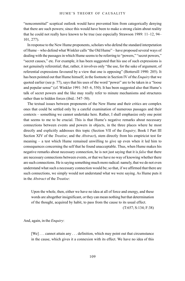"noncommittal" sceptical outlook would have prevented him from categorically denying that there are such powers; since this would have been to make a strong claim about reality that he could not really have known to be true (see especially Strawson 1989: 11–12, 94– 101, 277).

In response to the New Hume proponents, scholars who defend the standard interpetation of Hume – who defend what Winkler calls "the Old Hume" – have proposed several ways of dealing with the passages in which Hume seems to be referring to "powers," "secret powers," "secret causes," etc. For example, it has been suggested that his use of such expressions is not genuinely referential; that, rather, it involves only "the use, for the sake of argument, of referential expressions favoured by a view that one is opposing" (Bottersill 1990: 205). It has been pointed out that Hume himself, in the footnote in Section IV of the *Enquiry* that we quoted earlier (see p. 77), says that his uses of the word "power" are to be taken in a "loose and popular sense" (cf. Winkler 1991: 545–6, 550). It has been suggested also that Hume's talk of secret powers and the like may really refer to minute mechanisms and structures rather than to hidden forces (ibid.: 547–50).

The textual issues between proponents of the New Hume and their critics are complex ones that could be settled only by a careful examination of numerous passages and their contexts – something we cannot undertake here. Rather, I shall emphasize only one point that seems to me to be crucial. This is that Hume's negative remarks about necessary connections between events and powers in objects, in the three places where he most directly and explicitly addresses this topic (Section VII of the *Enquiry*; Book I Part III Section XIV of the *Treatise*; and the *Abstract*), stem directly from his empiricist test for meaning – a test which Hume remained unwilling to give up even when it led him to consequences concerning the self that he found unacceptable. Thus, when Hume makes his negative remarks about necessary connection, he is not just saying that it is *false* that there are necessary connections between events, or that we have no way of knowing whether there are such connections. He is saying something much more radical: namely, that we do not even understand what such a necessary connection would be; so that, if we affirmed that there are such connections, we simply would not understand what we were saying. As Hume puts it in the *Abstract* of the *Treatise*:

Upon the whole, then, either we have no idea at all of force and energy, and these words are altogether insignificant, or they can mean nothing but that determination of the thought, acquired by habit, to pass from the cause to its usual effect.

(T:657; S:134; F:38)

And, again, in the *Enquiry*:

[We] ... cannot attain any ... definition, which may point out that circumstance in the cause, which gives it a connexion with its effect. We have no idea of this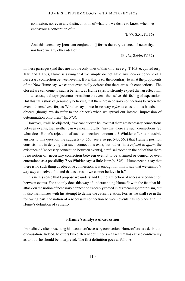connexion, nor even any distinct notion of what it is we desire to know, when we endeavour a conception of it.

(E:77; S:51; F:116)

And this constancy [constant conjunction] forms the very essence of necessity, nor have we any other idea of it.

(E:96*n*; S:64*n*; F:132)

In these passages (and they are not the only ones of this kind: see e.g. T:165–6, quoted on p. 108; and T:168), Hume is saying that we simply do not have any idea or concept of a necessary connection between events. But if this is so, then contrary to what the proponents of the New Hume say, we cannot even really *believe* that there are such connections.3 The closest we can come to such a belief is, as Hume says, to strongly expect that an effect will follow a cause, and to project onto or read into the events themselves this feeling of expectation. But this falls short of genuinely believing that there are necessary connections between the events themselves; for, as Winkler says, "we in no way *refer* to causation as it exists in objects (though we do refer to the objects) when we spread our internal impression of determination onto them" (p. 573).

However, it will be objected, if we cannot even believe that there are necessary connections between events, then neither can we meaningfully *deny* that there are such connections. So what does Hume's rejection of such connections amount to? Winkler offers a plausible answer to this question: he suggests (p. 560; see also pp. 543, 567) that Hume's position consists, not in denying that such connections exist, but rather "in a *refusal to affirm* the existence of [necessary connection between events], a refusal rooted in the belief that there is no notion of [necessary connection between events] to be affirmed or denied, or even entertained as a possibility."4 As Winkler says a little later (p. 576): "Hume needn't say that there is no such thing as objective connection; it is enough for him to say that we cannot *in any way* conceive of it, and that as a result we cannot believe in it."

It is in this sense that I propose we understand Hume's rejection of necessary connection between events. For not only does this way of understanding Hume fit with the fact that his attack on the notion of necessary connection is deeply rooted in his meaning-empiricism, but it also harmonizes with his attempt to define the causal relation. For, as we shall see in the following part, the notion of a necessary connection between events has no place at all in Hume's definition of causality.

### **3 Hume's analysis of causation**

Immediately after presenting his account of necessary connection, Hume offers us a definition of causation. Indeed, he offers two different definitions – a fact that has caused controversy as to how he should be interpreted. The first definition goes as follows: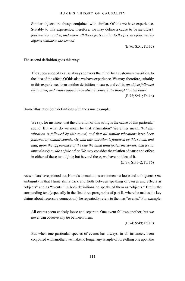Similar objects are always conjoined with similar. Of this we have experience. Suitably to this experience, therefore, we may define a cause to be *an object, followed by another, and where all the objects similar to the first are followed by objects similar to the second.*

(E:76; S:51; F:115)

The second definition goes this way:

The appearance of a cause always conveys the mind, by a customary transition, to the idea of the effect. Of this also we have experience. We may, therefore, suitably to this experience, form another definition of cause, and call it, *an object followed by another, and whose appearance always conveys the thought to that other.* (E:77; S:51; F:116)

Hume illustrates both definitions with the same example:

We say, for instance, that the vibration of this string is the cause of this particular sound. But what do we mean by that affirmation? We either mean, *that this vibration is followed by this sound, and that all similar vibrations hav*e *been followed by similar sounds:* Or, *that this vibration is followed by this sound, and that, upon the appearance of the one the mind anticipates the senses, and forms immediately an idea of the other.* We may consider the relation of cause and effect in either of these two lights; but beyond these, we have no idea of it.

(E:77; S:51–2; F:116)

As scholars have pointed out, Hume's formulations are somewhat loose and ambiguous. One ambiguity is that Hume shifts back and forth between speaking of causes and effects as "objects" and as "events." In both definitions he speaks of them as "objects." But in the surrounding text (especially in the first three paragraphs of part II, where he makes his key claims about necessary connection), he repeatedly refers to them as "events." For example:

All events seem entirely loose and separate. One event follows another; but we never can observe any tie between them.

(E:74; S:49; F:113)

But when one particular species of events has always, in all instances, been conjoined with another, we make no longer any scruple of foretelling one upon the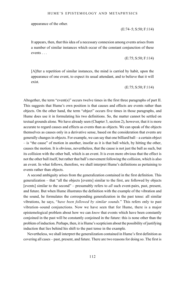appearance of the other.

(E:74–5; S:50; F:114)

It appears, then, that this idea of a necessary connexion among events arises from a number of similar instances which occur of the constant conjunction of these events .

(E:75; S:50; F:114)

[A]fter a repetition of similar instances, the mind is carried by habit, upon the appearance of one event, to expect its usual attendant, and to believe that it will exist.

(E:75; S:50; F:114)

Altogether, the term "event(s)" occurs twelve times in the first three paragraphs of part II. This suggests that Hume's own position is that causes and effects are events rather than objects. On the other hand, the term "object" occurs five times in those paragraphs, and Hume does use it in formulating his two definitions. So, the matter cannot be settled on textual grounds alone. We have already seen (Chapter 3, section 2), however, that it is more accurate to regard causes and effects as events than as objects. We can speak of the objects themselves as causes only in a derivative sense, based on the consideration that events are generally changes in objects. For example, we can say that one billiard ball – a certain object – is "the cause" of motion in another, insofar as it is that ball which, by hitting the other, causes the motion. It is obvious, nevertheless, that the cause is not just the ball as such, but its collision with the other ball, which is an event. It is even more obvious that the effect is not the other ball itself, but rather that ball's movement following the collision, which is also an event. In what follows, therefore, we shall interpret Hume's definitions as pertaining to events rather than objects.

A second ambiguity arises from the generalization contained in the first definition. This generalization – that "all the objects [events] similar to the first, are followed by objects [events] similar to the second" – presumably refers to *all* such event-pairs, past, present, and future. But when Hume illustrates the definition with the example of the vibration and the sound, he formulates the corresponding generalization in the past tense: all similar vibrations, he says, "*have been followed by similar sounds.*" This refers only to past vibration–sound conjunctions. Now we have seen that for Hume, there is a major epistemological problem about how we can *know* that events which have been constantly conjoined in the past will be constantly conjoined in the future: this is none other than the problem of induction. Perhaps, then, it is Hume's scepticism about the possibility of justifying induction that lies behind his shift to the past tense in the example.

Nevertheless, we shall interpret the generalization contained in Hume's first definition as covering all cases – past, present, and future. There are two reasons for doing so. The first is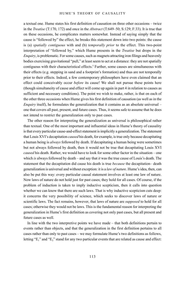a textual one. Hume states his first definition of causation on three other occasions – twice in the *Treatise* (T:170, 172) and once in the *Abstract* (T:649–50; S:129; F:33). It is true that on these occasions, he complicates matters somewhat. Instead of saying simply that the cause is "followed by" the effect, he breaks this statement down into two points: the cause is (a) *spatially contiguous* with and (b) *temporally prior* to the effect. This two-point interpretation of "followed by," which Hume presents in the *Treatise* but drops in the *Enquiry*, is problematic. For some causes, such as magnets attracting iron filings and heavenly bodies exercising gravitational "pull," at least seem to act at a distance: they are not spatially contiguous with their characteristical effects.<sup>5</sup> Further, some causes are simultaneous with their effects (e.g. stepping in sand and a footprint's formation) and thus are not temporally prior to their effects. Indeed, a few contemporary philosophers have even claimed that an effect could conceivably occur *before* its cause! We shall not pursue these points here (though simultaneity of cause and effect will come up again in part 4 in relation to causes as sufficient and necessary conditions). The point we wish to make, rather, is that on each of the other three occasions when Hume gives his first definition of causation (as well as in the *Enquiry* itself), he formulates the generalization that it contains as an absolute universal – one that covers all past, present, and future cases. Thus, it seems safe to assume that he does not intend to restrict the generalization only to past cases.

The other reason for interpreting the generalization as universal is philosophical rather than textual. One of the most important and influential ideas in Hume's theory of causality is that every particular cause-and-effect statement is implicitly a generalization. The statement that Louis XVI's decapitation *caused* his death, for example, is true only because decapitating a human being is *always* followed by death. If decapitating a human being were sometimes but not always followed by death, then it would not be true that decapitating Louis XVI *caused* his death. Rather, we would have to look for some other factor in the situation – one which *is* always followed by death – and say that *it* was the true cause of Louis's death. The statement that the decapitation did cause his death is true *because* the decapitation– death generalization is universal and without exception: it is a *law of nature.* Hume's idea, then, can also be put this way: every particular causal statement involves at least one law of nature. Now laws of nature do not hold just for past cases; they hold for all cases. Of course, if the problem of induction is taken to imply inductive scepticism, then it calls into question whether we can know that there are such laws. That is why inductive scepticism cuts deep: it concerns the very possibility of science, which seeks to discover laws of nature or scientific laws. The fact remains, however, that laws of nature are *supposed* to hold for all cases; otherwise they would not be laws. This is the fundamental reason for interpreting the generalization in Hume's first definition as covering not only past cases, but all present and future cases as well.

In line with the two interpretive points we have made – that both definitions pertain to events rather than objects, and that the generalization in the first definition pertains to all cases rather than only to past cases – we may formulate Hume's two definitions as follows, letting " $E_1$ " and " $E_2$ " stand for any two particular events that are related as cause and effect: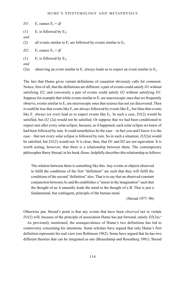*D1*: E<sub>1</sub> causes E<sub>2</sub> = df

(1)  $E_1$  is followed by  $E_2$ ;

*and*

(2) all events similar to  $E_1$  are followed by events similar to  $E_2$ .

*D2*: E<sub>1</sub> causes E<sub>2</sub> = *df* 

(1)  $E_1$  is followed by  $E_2$ ;

*and*

(2a) observing an event similar to  $E_1$  always leads us to expect an event similar to  $E_2$ .

The fact that Hume gives variant definitions of causation obviously calls for comment. Notice, first of all, that the definitions are different: a pair of events could satisfy *D1* without satisfying *D2*, and conversely a pair of events could satisfy *D2* without satisfying *D1.* Suppose for example that while events similar to  $E_1$  are macroscopic ones that we frequently observe, events similar to  $E<sub>2</sub>$  are microscopic ones that science has not yet discovered. Then it could be true that events like  $E_1$  are always followed by events like  $E_2$ , but false that events like E<sub>2</sub> always (or ever) lead us to expect events like  $E_2$ . In such a case, *D1*(2) would be satisfied, but *D2* (2a) would not be satisfied. Or suppose that we had been conditioned to expect rain after every solar eclipse, because, as it happened, each solar eclipse we knew of had been followed by rain. It could nonetheless be the case – in fact you and I know it is the case – that not every solar eclipse is followed by rain. So in such a situation, *D2*(2a) would be satisfied, but *D1*(2) would not. It is clear, then, that D1 and D2 are not equivalent. It is worth noting, however, that there is a relationship between them. The contemporary philosopher Barry Stroud, in his book *Hume*, helpfully describes this relationship as follows:

The relation between them is something like this. Any events or objects observed to fulfil the conditions of the first "definition" are such that they will fulfil the conditions of the second "definition" also. That is to say that an observed constant conjunction between As and Bs establishes a "union in the imagination" such that the thought of an A naturally leads the mind to the thought of a B. That is just a fundamental, but contingent, principle of the human mind.

(Stroud 1977: 90)

Otherwise put, Stroud's point is that any events that have been *observed* not to violate *D1*(2) will, because of the principle of association Hume has put forward, satisfy *D2*(2a).<sup>6</sup>

As previously mentioned, the nonequivalence of Hume's two definitions has led to controversy concerning his intentions. Some scholars have argued that only Hume's first definition represents his real view (see Robinson 1962). Some have argued that he has two different theories that can be integrated as one (Beauchamp and Rosenberg 1981). Stroud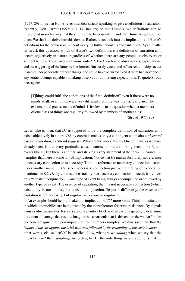#### HUME'S THEORY OF CAUSALITY

(1977: 89) holds that Hume never intended, strictly speaking, to give a definition of causation. Recently, Don Garrett (1997: 107–17) has argued that Hume's two definitions can be interpreted in such a way that they turn out to be equivalent, and that Hume accepts both of them. We shall not delve into this debate. Rather, let us look into the implications of Hume's definitions for their own sake, without worrying further about his exact intentions. Specifically, let us ask this question: which of Hume's two definitions is a definition of causation as it occurs objectively in nature, regardless of whether there are any people or observers or sentient beings? The answer is obvious: only *D1.* For *D2* refers to observations, expectations, and the triggering of the latter by the former. But surely cause-and-effect relationships occur in nature independently of these things, and could have occurred even if there had never been any sentient beings capable of making observations or having expectations. To quote Stroud once again:

[T]hings could fulfil the conditions of the first "definition" even if there were no minds at all, or if minds were very different from the way they actually are. The existence and precise nature of minds is irrelevant to the question whether members of one class of things are regularly followed by members of another class.

(Stroud 1977: 90)

Let us take it, then, that *D1* is supposed to be the complete definition of causation, as it exists objectively in nature. *D2*, by contrast, makes only a contingent claim about *observed* cases of causation, as Stroud suggests. What are the implications? One of them, as we have already seen, is that every particular causal statement – nature linking events like  $E_1$  and events like E. But there is another, and striking, every statement of the form "E<sub>1</sub> causes E<sub>2</sub>"  $-$  implies that there is some law of implication. Notice that *D1* makes absolutely no reference to necessary connection or to necessity. The sole reference to necessary connection occurs, under another name, in *D2*; since necessary connection just *is* the feeling of expectation mentioned in *D2. D1*, by contrast, does not involve necessary connection. Instead, it involves only "constant conjunction" – one type of event being always accompanied or followed by another type of event. The essence of causation, then, is not necessary connection (which exists only in our minds), but constant conjunction. To put it differently, the essence of causation is not necessity, but *regular succession* or *regularity.*

An example should help to make this implication of *D1* more vivid. Think of a situation in which automobiles are being tested by the manufacturer for crash resistance. By signals from a radio transmitter, test cars are driven into a brick wall at various speeds, to determine the extent of damage that results. Imagine that a particular car is driven into the wall at 5 miles per hour. Imagine that upon impact the front bumper crumples. We may say, then, that *the impact of the car against the brick wall was followed by the crumpling of the car's bumper.* In other words, clause 1 *of D1* is satisfied. Now, what are we *adding* when we say that the impact *caused* the crumpling? According to *D1,* the only thing we are adding is that *all*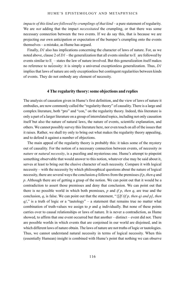*impacts of this kind are followed by crumplings of that kind* – a pure statement of regularity. We are *not* adding that the impact *necessitated* the crumpling, or that there was some necessary connection between the two events. If we do say this, that is because we are projecting our own anticipation or expectation of the bumper's crumpling onto the events themselves – a mistake, as Hume has argued.

Finally, *D1* also has implications concerning the character of laws of nature. For, as we noted above, clause 2 of  $DI$  – the generalization that all events similar to E<sub>n</sub> are followed by events similar to  $E_{2}$  – states the law of nature involved. But this generalization itself makes no reference to necessity: it is simply a universal exceptionless generalization. Thus, *D1* implies that laws of nature are only exceptionless but contingent regularities between kinds of events. They do not embody any element of necessity.

### **4 The regularity theory: some objections and replies**

The analysis of causation given in Hume's first definition, and the view of laws of nature it embodies, are now commonly called the "regularity theory" of causality. There is a large and complex literature, both "pro" and "con," on the regularity theory. Indeed, this literature is only a part of a larger literature on a group of interrelated topics, including not only causation itself but also the nature of natural laws, the nature of events, scientific explanation, and others. We cannot possibly survey this literature here, nor even touch on all of the issues that it raises. Rather, we shall try only to bring out what makes the regularity theory appealing, and to defend it against a number of objections.

The main appeal of the regularity theory is probably this: it takes some of the mystery out of causality. For the notion of a necessary connection between events, of necessity *in nature* or *natural necessity*, is a puzzling and mysterious one. Hume's attempt to pinpoint something observable that would answer to this notion, whatever else may be said about it, serves at least to bring out the elusive character of such necessity. Compare it with logical necessity – with the necessity by which philosophical questions about the nature of logical necessity, there are several ways the conclusion *q* follows from the premisses *if p*, *then q* and *p*. Although there are of getting a grasp of the notion. We can point out that it would be a contradiction to assert those premisses and deny that conclusion. We can point out that there is no possible world in which both premisses, *p* and *if p*, *then q*, are true and the conclusion, *q*, is false. We can point out that the statement, "{[*If (if p, then q) and p]*, *then*  $q_i$ ," is a truth of logic or a "tautology" – a statement that remains true no matter what combination of truth-values we assign to *p* and *q* individually. But none of these points carries over to causal relationships or laws of nature. It is never a contradiction, as Hume showed, to affirm that one event occurred but that another – distinct – event did not. There are possible worlds in which events that are conjoined in our world are disjoined, and in which different laws of nature obtain. The laws of nature are not truths of logic or tautologies. Thus, we cannot understand natural necessity in terms of logical necessity. When this (essentially Humean) insight is combined with Hume's point that nothing we can observe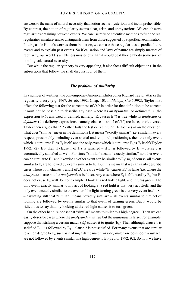answers to the name of natural necessity, that notion seems mysterious and incomprehensible. By contrast, the notion of regularity seems clear, crisp, and unmysterious. We can observe regularities obtaining between events. We can use refined scientific methods to find the real regularities in nature, and to distinguish them from those suggested by superficial examination. Putting aside Hume's worries about induction, we can use those regularities to predict future events and to explain past events. So if causation and laws of nature are simply matters of regularity, our world is a little less mysterious than it would be if they embody some sort of non-logical, natural necessity.

But while the regularity theory is very appealing, it also faces difficult objections. In the subsections that follow, we shall discuss four of them.

## *The problem of similarity*

In a number of writings, the contemporary American philosopher Richard Taylor attacks the regularity theory (e.g. 1967: 56–66; 1992: Chap. 10). In *Metaphysics* (1992); Taylor first offers the following test for the correctness of *D1*: in order for that definition to be correct, it must not be possible to describe any case where its *analysandum* or *definiendum* (the expression *to be* analyzed or defined, namely, "E1 causes E2") is true while its *analysans* or *definiens* (the defin*ing* expressions, namely, clauses 1 and 2 of *D1*) are false, or vice-versa. Taylor then argues that *D1* either fails the test or is circular. He focuses in on the question: what does "similar" mean in the definition? If it means "exactly similar" (i.e. similar in every respect, presumably including even spatial and temporal positioning), then the only event which is similar to  $E_1$  is  $E_1$  itself, and the only event which is similar to  $E_2$  is  $E_2$  itself (Taylor 1992: 92). But then if clause 1 of *D1* is satisfied – if  $E_1$  is followed by  $E_2$  – clause 2 is automatically satisfied as well. For since "similar" means "exactly similar," no other event can be similar to  $E_1$ , and likewise no other event can be similar to  $E_2$ : so, of course, all events similar to  $E_1$  are followed by events similar to  $E_2$ ! But this means that we can easily describe cases where both clauses 1 and 2 of *D1* are true while " $E_1$  causes  $E_2$ " is false (i.e. where the *analysans* is true but the *analysandum* is false). Any case where  $E_1$  is followed by  $E_2$ , but  $E_1$ does not cause  $E_2$ , will do. For example: I look at a red traffic light, and it turns green. The only event exactly similar to my act of looking at a red light is that very act itself, and the only event exactly similar to the event of the light turning green is that very event itself. So – assuming still that "similar" means "exactly similar" – all events similar to that act of looking are followed by events similar to that event of turning green. But it would be ridiculous to say that my looking at the red light causes it to turn green.

On the other hand, suppose that "similar" means "similar to a high degree." Then we can easily describe cases where the *analysandum* is true but the *analysans* is false. For example, suppose that striking a certain match  $(E_1)$  causes it to ignite  $(E_2)$ . Then although clause 1 is satisfied  $E_1$  – is followed by  $E_2$  – clause 2 is not satisfied. For many events that are similar to a high degree to  $E_1$ , such as striking a damp match, or a dry match on too smooth a surface, are not followed by events similar in a high degree to  $E<sub>2</sub>$  (Taylor 1992: 92). So now we have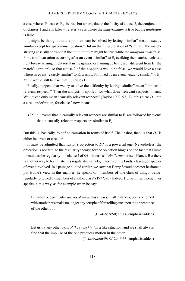a case where " $E_1$  causes  $E_2$ " is true, but where, due to the falsity of clause 2, the conjunction of clauses 1 and 2 is false – i.e. it is a case where the *analysandum* is true but the *analysans* is false.

It might be thought that the problem can be solved by letting "similar" mean "exactly similar except for space–time location." But on that interpretation of "similar," the matchstriking case still shows that the *analysandu*m might be true while the *analysans* was false. For a small variation occurring after an event "similar" to  $E_1$  (striking the match), such as a light breeze arising, might result in the ignition or flaming up being a bit different from  $E_2$  (the match's ignition); so that clause 2 of the *analysans* would be false: we would have a case where an event "exactly similar" to  $E_1$  was *not* followed by an event "exactly similar" to  $E_2$ . Yet it would still be true that  $E_1$  causes  $E_2$ .

Finally, suppose that we try to solve the difficulty by letting "similar" mean "similar in relevant respects." Then the analysis is spoiled; for what does "relevant respects" mean? Well, it can only mean "causally relevant respects" (Taylor 1992: 92). But this turns *D1* into a circular definition, for clause 2 now means:

(2b) all events that in causally relevant respects are similar to  $E_1$  are followed by events that in causally relevant respects are similar to  $E_2$ .

But this is, basically, to define causation in terms of itself. The upshot, then, is that *D1* is either incorrect or circular.

It must be admitted that Taylor's objection to *D1* is a powerful one. Nevertheless, the objection is not fatal to the regularity theory; for the objection hinges on the fact that Hume formulates the regularity – in clause 2 of *D1 –* in terms of *similarity* or resemblance. But there is another way to formulate this regularity: namely, in terms of the kinds, classes, or species of event involved. In a passage quoted earlier, we saw that Barry Stroud does not hesitate to put Hume's view in this manner; he speaks of "members of one class of things [being] regularly followed by members of another class" (1977: 90). Indeed, Hume himself sometimes speaks in this way, as for example when he says:

But when one particular *species of events* has always, in all instances, been conjoined with another, we make no longer any scruple of foretelling one upon the appearance of the other . . .

(E:74–5; S:50; F:114; emphasis added)

Let us try any other balls *of the same kind* in a like situation, and we shall always find that the impulse of the one produces motion in the other.

(T *Abstract*:649; S:129; F:33; emphasis added)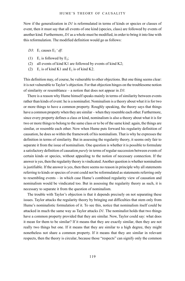Now if the generalization in *D1* is reformulated in terms of kinds or species or classes of event, then it must say that all events of one kind (species, class) are followed by events of another kind. Furthermore, *D1* as a whole must be modified, in order to bring it into line with this reformulation. The modified definition would go as follows:

*D3*: E<sub>1</sub> causes E<sub>2</sub>  $= df$ :

- (1)  $E_1$  is followed by  $E_2$ ;
- (2) all events of kind K1 are followed by events of kind K2;
- (2)  $E_1$  is of kind K1 and  $E_2$  is of kind K2.

This definition may, of course, be vulnerable to other objections. But one thing seems clear: it is not vulnerable to Taylor's objection. For that objection hinges on the troublesome notion of similarity or resemblance – a notion that does not appear in *D3.*

There is a reason why Hume himself speaks mainly in terms of similarity between events rather than kinds of event: he is a nominalist. Nominalism is a theory about what it is for two or more things to have a common property. Roughly speaking, the theory says that things have a common property when they are similar – when they resemble each other. Furthermore, since every property defines a class or kind, nominalism is also a theory about what it is for two or more things to belong to the same class or to be of the same kind: again, the things are similar, or resemble each other. Now when Hume puts forward his regularity definition of causation, he does so within the framework of his nominalism. That is why he expresses the definition in terms of similarity. But in assessing the regularity theory, it seems only fair to separate it from the issue of nominalism. One question is whether it is possible to formulate a satisfactory definition of causation *purely* in terms of regular succession between events of certain kinds or species, without appealing to the notion of necessary connection. If the answer is yes, then the regularity theory is vindicated. Another question is whether nominalism is justifiable. If the answer is yes, then there seems no reason in principle why all statements referring to kinds or species of event could not be reformulated as statements referring only to resembling events – in which case Hume's combined regularity view of causation and nominalism would be vindicated too. But in assessing the regularity theory as such, it is necessary to separate it from the question of nominalism.

The trouble with Taylor's objection is that it depends precisely on not separating these issues. Taylor attacks the regularity theory by bringing out difficulties that stem only from Hume's nominalistic formulation of it. To see this, notice that nominalism itself could be attacked in much the same way as Taylor attacks *D1.* The nominalist holds that two things have a common property provided that they are similar. Now, Taylor could say: what does it mean for them to be similar? If it means that they are exactly similar, then they are not really two things but one. If it means that they are similar to a high degree, they might nonetheless not share a common property. If it means that they are similar in relevant respects, then the theory is circular, because those "respects" can signify only the common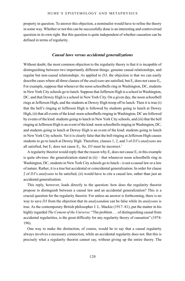property in question. To answer this objection, a nominalist would have to refine the theory in some way. Whether or not this can be successfully done is an interesting and controversial question in its own right. But this question is quite independent of whether causation can be defined in terms of regularity.

### *Causal laws versus accidental generalizations*

Without doubt, the most common objection to the regularity theory is that it is incapable of distinguishing between two importantly different things: genuine causal relationships, and regular but non-causal relationships. As applied to  $D3$ , the objection is that we can easily describe cases where all three clauses of the *analysans* are satisfied, but  $E_1$  does not cause  $E_2$ . For example, suppose that whenever the noon schoolbells ring in Washington, DC, students in New York City schools go to lunch. Suppose that Jefferson High is a school in Washington, DC, and that Dewey High is a school in New York City. On a given day, the noon schoolbell rings at Jefferson High, and the students at Dewey High troop off to lunch. Then it is true (i) that the bell's ringing at Jefferson High is followed by students going to lunch at Dewey High, (ii) that all events of the kind: noon schoolbells ringing in Washington, DC are followed by events of the kind: students going to lunch in New York City schools, and (iii) that the bell ringing at Jefferson High is an event of the kind: noon schoolbells ringing in Washington, DC, and students going to lunch at Dewey High is an event of the kind: students going to lunch in New York City schools. Yet it is clearly false that the bell ringing at Jefferson High causes students to go to lunch at Dewey High. Therefore, clauses 1, 2, and 3 of *D3*'s *analysans* are all satisfied, but  $E_1$  does not cause  $E_2$ . So,  $D3$  must be incorrect.<sup>7</sup>

A regularity theorist would reply that the reason why  $E_1$  does not cause  $E_2$  in this example is quite obvious: the generalization stated in  $(ii)$  – that whenever noon schoolbells ring in Washington, DC, students in New York City schools go to lunch **–** is not a causal law or a law of nature. Rather, it is a true but accidental or coincidental generalization. In order for clause 2 of *D3*'s *analysans* to be satisfied, (ii) would have to cite a causal law, rather than just an accidental generalization.

This reply, however, leads directly to the question: how does the regularity theorist propose to distinguish between a causal law and an accidental generalization? This is a crucial question for the regularity theorist. For unless an answer is forthcoming, there is no way to save *D3* from the objection that its *analysandum* can be false while its *analysans* is true. As the contemporary British philosopher J. L. Mackie (1917–81), put the matter in his highly regarded *The Cement of the Universe*: "The problem . . . of distinguishing causal from accidental regularities, is the great difficulty for any regularity theory of causation" (1974: 196).

One way to make the distinction, of course, would be to say that a causal regularity always involves a necessary connection, while an accidental regularity does not. But this is precisely what a regularity theorist cannot say, without giving up the entire theory. The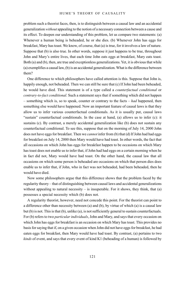problem such a theorist faces, then, is to distinguish between a causal law and an accidental generalization *without* appealing to the notion of a necessary connection between a cause and its effect. To deepen our understanding of this problem, let us compare two statements: (a) Whenever a human being is beheaded, he or she dies. (b) Whenever John has eggs for breakfast, Mary has toast. We know, of course, that (a) is true, for it involves a law of nature. Suppose that (b) is also true. In other words, suppose it just happens to be true, throughout John and Mary's entire lives, that each time John eats eggs at breakfast, Mary eats toast. Both (a) and (b), then, are true and exceptionless generalizations. Yet, it is obvious that while (a) exemplifies a causal law, (b) is an accidental generalization. What is the difference between them?

One difference to which philosophers have called attention is this. Suppose that John is, happily enough, not beheaded. Then we can still be sure that (c) If John had been beheaded, he would have died. This statement is of a type called a *counterfactual conditional* or *contrary-to-fact conditional.* Such a statement says that if something which did not happen – something which is, so to speak, counter or contrary to the facts – *had* happened, then something else would have happened. Now an important feature of causal laws is that they allow us to infer various counterfactual conditionals. As it is usually put, causal laws "sustain" counterfactual conditionals. In the case at hand, (a) allows us to infer (c): it sustains (c). By contrast, a merely accidental generalization like (b) does not sustain any counterfactual conditional. To see this, suppose that on the morning of July 14, 2000 John does not have eggs for breakfast. Then we *cannot* infer from (b) that (d) If John had had eggs for breakfast on July 14, 2000 then Mary would have had toast. In other words, the fact that all occasions on which John has eggs for breakfast happen to be occasions on which Mary has toast does not enable us to infer that, if John had had eggs on a certain morning when he in fact did not, Mary would have had toast. On the other hand, the causal law that all occasions on which some person is beheaded are occasions on which that person dies does enable us to infer that, if John, who in fact was not beheaded, had been beheaded, then he would have died.

Now some philosophers argue that this difference shows that the problem faced by the regularity theory – that of distinguishing between causal laws and accidental generalizations without appealing to natural necessity – is insuperable. For it shows, they think, that (a) possesses a special necessity which (b) does not.

A regularity theorist, however, need not concede this point. For the theorist can point to a difference other than necessity between (a) and (b), by virtue of which (a) is a causal law but (b) is not. This is that (b), unlike (a), is not sufficiently general to sustain counterfactuals. For (b) refers to two *particular individuals*, John and Mary, and says that every occasion on which John has eggs for breakfast is an occasion on which Mary has toast. This provides no basis for saying that if, on a given occasion when John did not have eggs for breakfast, he had eaten eggs for breakfast, then Mary would have had toast. By contrast, (a) pertains to two *kinds* of event, and says that every event of kind K1 (beheading of a human) is followed by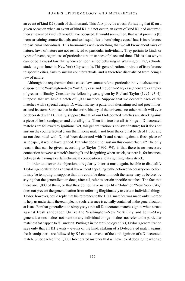an event of kind K2 (death of that human). This *does* provide a basis for saying that if, on a given occasion when an event of kind K1 did not occur, an event of kind K1 had occurred, then an event of kind K2 would have occurred. It would seem, then, that what prevents (b) from sustaining counterfactuals, and so disqualifies it from being a causal law, is its reference to particular individuals. This harmonizes with something that we all know about laws of nature: laws of nature are not restricted to particular individuals. They pertain to kinds or types of event, regardless of particular circumstances of place and time. This is also why it cannot be a causal law that whenever noon schoolbells ring in Washington, DC, schools, students go to lunch in New York City schools. This generalization, in virtue of its reference to specific cities, fails to sustain counterfactuals, and is therefore disqualified from being a law of nature.

Although the requirement that a causal law cannot refer to particular individuals seems to dispose of the Washington–New York City case and the John–Mary case, there are examples of greater difficulty. Consider the following case, given by Richard Taylor (1992: 93–4). Suppose that we have a batch of 1,000 matches. Suppose that we decorate each of the matches with a special design, D, which is, say, a pattern of alternating red and green lines, around its stem. Suppose that in the entire history of the universe, no other match will ever be decorated with D. Finally, suppose that all of our D-decorated matches are struck against a piece of fresh sandpaper, and that all ignite. Then it is true that all strikings of D-decorated matches are followed by ignitions. Yet, this generalization is no law of nature; for it does not sustain the counterfactual claim that if some match, not from the original batch of 1,000, and so not decorated with D, had been decorated with D and struck against a fresh piece of sandpaper, it would have ignited. But why does it not sustain this counterfactual? The only reason that can be given, according to Taylor (1992: 94), is that there is no necessary connection between a match's having D and its igniting when struck, as there is, for instance, between its having a certain chemical composition and its igniting when struck.

In order to answer the objection, a regularity theorist must, again, be able to disqualify Taylor's generalization as a causal law without appealing to the notion of necessary connection. It may be tempting to suppose that this could be done in much the same way as before, by saying that the generalization does, after all, refer to certain specific matches. The fact that there are 1,000 of them, or that they do not have names like "John" or "New York City," does not prevent the generalization from referring illegitimately to certain individual things. Taylor, however, could reply that his reference to the 1,000 matches was made only in order to help us understand the example; no such reference is actually contained in the generalization at issue. For that generalization simply says that all D-decorated matches ignite when struck against fresh sandpaper. Unlike the Washington–New York City and John–Mary generalizations, it does not mention any individual things – it does not refer to the particular matches that happen to fall under it. Putting it in the terminology of *D3*, Taylor's generalization says only that all K1 events – events of the kind: striking of a D-decorated match against fresh sandpaper – are followed by K2 events – events of the kind: ignition of a D-decorated match. Since each of the 1,000 D-decorated matches that will ever exist does ignite when so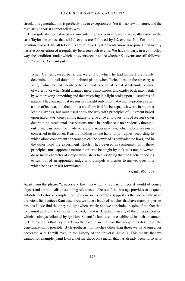struck, this generalization is perfectly true or exceptionless. Yet it is no law of nature, and the regularity theorist cannot tell us why.

The regularity theorist need not surrender. For ask yourself: would we really assert, in the case Taylor describes, that all K1 events are followed by K2 events? No. For to be in a position to assert that all K1 events are followed by K2 events, more is required than merely passive observation of a regularity between such events. We have to vary, in a controlled way, the conditions under which the events occur, to see whether K1 events are still followed by K2 events. As Kant put it:

When Galileo caused balls, the weights of which he had himself previously determined, to roll down an inclined plane; when Toricelli made the air carry a weight which he had calculated beforehand to be equal to that of a definite volume of water . . . or when Stahl changed metals into oxides, and oxides back into metal, by withdrawing something and then restoring it, a light broke upon all students of nature. They learned that reason has insight only into that which it produces after a plan of its own, and that it must not allow itself to be kept, as it were, in nature's leading-strings, but must itself show the way with principles of judgment based upon fixed laws, constraining nature to give answer to questions of reason's own determining. Accidental observations, made in obedience to no previously thoughtout plan, can never be made to yield a necessary law, which alone reason is concerned to discover. Reason, holding in one hand its principles, according to which alone concordant appearances can be admitted as equivalent to laws, and in the other hand the experiment which it has devised in conformity with these principles, must approach nature in order to be taught by it. It must not, however, do so in the character of a pupil who listens to everything that the teacher chooses to say, but of an appointed judge who compels witnesses to answer questions which he has himself formulated.

(Kant 1963: 20)

Apart from the phrase "a necessary law" (to which a regularity theorist would of course object) and the rationalistic-sounding references to "reason," this passage provides an eloquent antidote to Taylor's example. For the scenario his example suggests is the very antithesis of the scientific practices Kant describes: we have a batch of matches that have many properties besides D; we find that they all light when struck; and we conclude, in spite of the fact that we cannot control the variables involved, that it is D, rather than any of the other properties, which is always followed by ignition. Scientific laws are not established in such a manner.

The trouble is that Taylor sets up the case in such a way that no genuine testing of the generalization is possible. By hypothesis, no matches other than those we have ourselves decorated with D will ever, in the history of the universe, have D. This means that we cannot, for example, paint D on a wet match, or on a match that has already been lit, so as to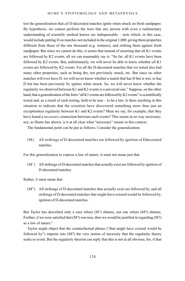test the generalization that *all* D-decorated matches ignite when struck on fresh sandpaper. By hypothesis, we cannot perform the tests that any person with even a rudimentary understanding of scientific method knows are indispensable – tests which, in this case, would include putting D on matches not included in the original 1,000, giving them properties different from those of the one thousand (e.g. wetness), and striking them against fresh sandpaper. But since we cannot do this, it seems that instead of asserting that all K1 events are followed by K2 events, all we can reasonably say is: "So far, all K1 events have been followed by K2 events. But, unfortunately, we will never be able to know whether *all* K1 events are followed by K2 events. For all the D-decorated matches that we tested also had many other properties, such as being dry, not previously struck, etc. But since no other matches will ever have D, we will never know whether a match that has D but is wet, or has D but has been previously lit, ignites when struck. So, we will never know whether the regularity we observed between K1 and K2 events is a universal one." Suppose, on the other hand, that a generalization of the form "all K1 events are followed by K2 events" is scientifically tested and, as a result of such testing, held to be true  $-$  to be a law. Is there anything in this situation to indicate that the scientists have discovered something more than just an exceptionless regularity between K1 and K2 events? Must we say, for example, that they have found a *necessary* connection between such events? This seems in no way necessary; nor, as Hume has shown, is it at all clear what "necessary" means in this context.

The fundamental point can be put as follows. Consider the generalization:

(M) All strikings of D-decorated matches are followed by ignition of Ddecorated matches.

For this generalization to express a law of nature, it must not mean just that

(M') All strikings of D-decorated matches that actually exist are followed by ignition of D-decorated matches.

Rather, it must mean that

(M") All strikings of D-decorated matches that actually exist are followed by, and all strikings of D-decorated matches that might have existed would be followed by, ignition of D-decorated matches.

But Taylor has described only a case where (M') obtains, not one where (M?) obtains. Further, if we were satisfied that  $(M)$ ? was true, then we would be justified in regarding  $(M)$ ? as a law of nature.<sup>8</sup>

Taylor might object that the counterfactual phrase ("that might have existed would be followed by") imports into (M?) the very notion of necessity that the regularity theory seeks to avoid. But the regularity theorist can reply that this is not at all obvious; for, if that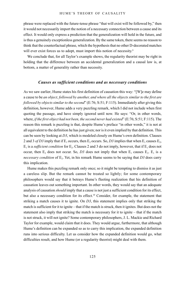phrase were replaced with the future-tense phrase "that will exist will be followed by," then it would not necessarily import the notion of a necessary connection between a cause and its effect. It would only express a prediction that the generalization will hold in the future, and is thus a genuinely exceptionless generalization. By the same token, there seems no reason to think that the counterfactual phrase, which the hypothesis that no other D-decorated matches will ever exist forces us to adopt, must import this notion of necessity.<sup>9</sup>

We conclude that, for all Taylor's example shows, the regularity theorist may be right in holding that the difference between an accidental generalization and a causal law is, at bottom, a matter of generality rather than necessity.

## *Causes as sufficient conditions and as necessary conditions*

As we saw earlier, Hume states his first definition of causation this way: "[W]e may define a cause to be *an object, followed by another, and where all the objects similar to the first are followed by objects similar to the second*" (E:76; S:51; F:115). Immediately after giving this definition, however, Hume adds a very puzzling remark, which I did not include when first quoting the passage, and have simply ignored until now. He says: "Or, in other words, where, *if the first object had not been, the second never had existed*" (E:76; S:51; F:115). The reason this remark is puzzling is that, despite Hume's preface "in other words," it is not at all equivalent to the definition he has just given; nor is it even implied by that definition. This can be seen by looking at *D3*, which is modeled closely on Hume's own definition. Clauses 2 and 3 *of D3* imply that if E<sub>1</sub> occurs, then E<sub>2</sub> occurs. So, *D3* implies that when E<sub>1</sub> causes E<sub>2</sub>,  $E_1$  is a *sufficient condition* for  $E_2$ . Clauses 2 and 3 do not imply, however, that if  $E_1$  does not occur, then  $E_2$  does not occur. So, *D3* does not imply that when  $E_1$  causes  $E_2$ .  $E_1$  is a *necessary condition* of  $E_2$ . Yet, in his remark Hume seems to be saying that *D3* does carry this implication.

Hume makes this puzzling remark only once; so it might be tempting to dismiss it as just a careless slip. But the remark cannot be treated so lightly; for some contemporary philosophers would say that it betrays Hume's fleeting realization that his definition of causation leaves out something important. In other words, they would say that an adequate analysis of causation *should* imply that a cause is not just a sufficient condition for its effect, but also a necessary condition for its effect.10 Consider, for example, the statement that striking a match causes it to ignite. On *D3*, this statement implies only that striking the match is sufficient for it to ignite – that if the match is struck, then it ignites. But does not the statement also imply that striking the match is necessary for it to ignite – that if the match is not struck, it will not ignite? Some contemporary philosophers, J. L. Mackie and Richard Taylor for example, would claim that it does. They would argue, furthermore, that although Hume's definition can be expanded so as to carry this implication, the expanded definition runs into serious difficulty. Let us consider how the expanded definition would go, what difficulties result, and how Hume (or a regularity theorist) might deal with them.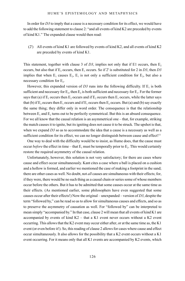In order for *D3* to imply that a cause is a necessary condition for its effect, we would have to add the following statement to clause 2: "and all events of kind K2 are preceded by events of kind K1." The expanded clause would then read:

(2') All events of kind K1 are followed by events of kind K2, and all events of kind K2 are preceded by events of kind K1.

This statement, together with clause 3 of  $D3$ , implies not only that if E1 occurs, then E<sub>2</sub> occurs, but also that if  $E_2$  occurs, then  $E_1$  occurs. So if 2' is substituted for 2 in *D3*, then *D3* implies that when  $E_1$  causes  $E_2$ ,  $E_1$  is not only a sufficient condition for  $E_2$ , but also a necessary condition for E<sub>2</sub>.

However, this expanded version of  $D3$  runs into the following difficulty. If  $E<sub>1</sub>$  is both sufficient and necessary for  $E_2$ , then  $E_2$  is both sufficient and necessary for  $E_1$ . For the former says that (a) if  $E_1$  occurs then  $E_2$  occurs and if  $E_2$  occurs then  $E_1$  occurs, while the latter says that (b) if  $E_2$  occurs then  $E_1$  occurs and if  $E_1$  occurs then  $E_2$  occurs. But (a) and (b) say exactly the same thing; they differ only in word order. The consequence is that the relationship between  $E_1$  and  $E_2$  turns out to be perfectly symmetrical. But this is an absurd consequence. For we all know that the causal relation is an asymmetrical one – that, for example, striking the match causes it to ignite, but its igniting does not cause it to be struck. The upshot is that, when we expand *D3* so as to accommodate the idea that a cause is a necessary as well as a sufficient condition for its effect, we can no longer distinguish between cause and effect!<sup>11</sup>

One way to deal with the difficulty would be to insist, as Hume does, that the cause must occur *before* the effect in time – that  $E_1$  must be temporally prior to  $E_2$ . This would certainly restore the required asymmetry of the causal relation.

Unfortunately, however, this solution is not very satisfactory; for there are cases where cause and effect occur simultaneously. Kant cites a case where a ball is placed on a cushion and a hollow is formed, and earlier we mentioned the case of making a footprint in the sand; there are other cases as well. No doubt, not *all* causes are simultaneous with their effects; for, if they were, there would be no such thing as a causal chain or series some of whose members occur before the others. But it has to be admitted that some causes occur at the same time as their effects. (As mentioned earlier, some philosophers have even suggested that some causes occur after their effects!) Now the original – unexpanded – version of *D3*, despite the term "followed by," can be read so as to allow for simultaneous causes and effects, and so as to preserve the asymmetry of causation as well. For "followed by" can be interpreted to mean simply "accompanied by." In that case, clause 2 will mean that all events of kind K1 are accompanied by events of kind  $K2$  – that a K1 event never occurs without a K2 event occurring. This allows that the K2 event may occur either after, or at the same time as, the K1 event (or even before it!). So, this reading of clause 2 allows for cases where cause and effect occur simultaneously. It also allows for the possibility that a K2 event occurs without a K1 event occurring. For it means only that all K1 events are accompanied by K2 events, which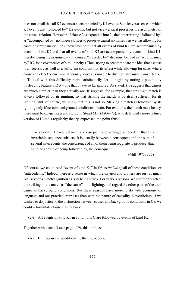does not entail that all K2 events are accompanied by K1 events. So it leaves a sense in which K1 events are "followed by" K2 events, but not vice-versa; it preserves the asymmetry of the causal relation. However, if clause 2 is expanded into 2', then interpreting "followed by" as "accompanied by" no longer suffices to preserve causal asymmetry as well as allowing for cases of simultaneity. For 2' now says both that all events of kind K1 are accompanied by events of kind K2 and that all events of kind K2 are accompanied by events of kind K1, thereby losing the asymmetry. (Of course, "preceded by" also must be read as "accompanied by" if 2' is to cover cases of simultaneity.) Thus, trying to accommodate the idea that a cause is a necessary as well as a sufficient condition for its effect while allowing for cases where cause and effect occur simultaneously leaves us unable to distinguish causes from effects.

To deal with this difficulty more satisfactorily, let us begin by noting a potentially misleading feature of *D3* – one that I have so far ignored. As stated*, D3* suggests that causes are much simpler than they actually are. It suggests, for example, that striking a match is always followed by its igniting; so that striking the match is by itself sufficient for its igniting. But, of course, we know that this is not so. Striking a match is followed by its igniting only if certain background conditions obtain. For example, the match must be dry, there must be oxygen present, etc. John Stuart Mill (1806–73), who defended a more refined version of Hume's regularity theory, expressed the point thus:

It is seldom, if ever, between a consequent and a single antecedent that this invariable sequence subsists. It is usually between a consequent and the sum of several antecedents; the concurrence of all of them being requisite to produce, that is, to be certain of being followed by, the consequent.

(Mill 1973: 327)

Of course, we could read "event of kind K1" in *D3* as *including* all of these conditions or "antecedents." Indeed, there is a sense in which the oxygen and dryness are just as much "causes" of a match's ignition as is its being struck. For various reasons, we commonly select the striking of the match as "the cause" of its lighting, and regard the other parts of the total cause as background conditions. But these reasons have more to do with economy of language and our practical purposes than with the nature of causality. Nevertheless, if we wished to do justice to the distinction between causes and background conditions in *D3*, we could reformulate clause 2 as follows:

(2A) All events of kind K1 in conditions C are followed by events of kind K2.

Together with clause 3 (see page 119), this implies:

(A) If  $E_1$  occurs in conditions C, then  $E_2$  occurs.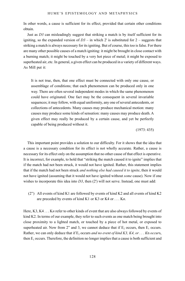In other words, a cause is sufficient for its effect, provided that certain other conditions obtain.

Just as *D3* can misleadingly suggest that striking a match is by itself sufficient for its igniting, so the expanded version of  $D3$  – in which 2' is substituted for 2 – suggests that striking a match is always necessary for its igniting. But of course, this too is false. For there are many other possible causes of a match igniting: it might be brought in close contact with a burning match; it might be touched by a very hot piece of metal; it might be exposed to superheated air, etc. In general, a given effect can be produced in a variety of different ways. As Mill put it:

It is not true, then, that one effect must be connected with only one cause, or assemblage of conditions; that each phenomenon can be produced only in one way. There are often several independent modes in which the same phenomenon could have originated. One fact may be the consequent in several invariable sequences; it may follow, with equal uniformity, any one of several antecedents, or collections of antecedents. Many causes may produce mechanical motion: many causes may produce some kinds of sensation: many causes may produce death. A given effect may really be produced by a certain cause, and yet be perfectly capable of being produced without it.

(1973: 435)

This important point provides a solution to our difficulty. For it shows that the idea that a cause is a necessary condition for its effect is not wholly accurate. Rather, a cause is necessary for its effect only on the assumption that no other cause of that effect is operative. It is incorrect, for example, to hold that "striking the match caused it to ignite" implies that if the match had not been struck, it would not have ignited. Rather, this statement implies that if the match had not been struck *and nothing else had caused it to ignite*, then it would not have ignited (assuming that it would not have ignited without *some* cause). Now if one wishes to incorporate this idea into *D3*, then (2') will not serve. Instead, one must add:

(2") All events of kind K1 are followed by events of kind K2 and all events of kind K2 are preceded by events of kind K1 or K3 or K4 or . . . K*n*.

Here, K3, K4 . . . K*n* refer to other kinds of event that are also always followed by events of kind K2. In terms of our example, they refer to such events as one match being brought into close proximity to a lighted match, or touched by a piece of hot metal, or exposed to superheated air. Now from 2" and 3, we cannot deduce that if  $E_2$  occurs, then  $E_1$  occurs. Rather, we can only deduce that if E<sub>2</sub> occurs *and no event of kind K3, K4, or ... Kn occurs*, then  $E_1$  occurs. Therefore, the definition no longer implies that a cause is both sufficient and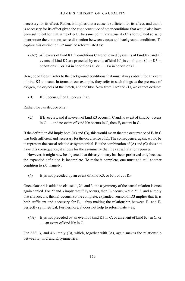#### HUME'S THEORY OF CAUSALITY

necessary for its effect. Rather, it implies that a cause is sufficient for its effect, and that it is necessary for its effect given the *nonoccurrence* of other conditions that would also have been sufficient for that same effect. The same point holds true if *D3* is formulated so as to incorporate the common-sense distinction between causes and background conditions. To capture this distinction, 2? must be reformulated as:

(2A") All events of kind K1 in conditions C are followed by events of kind K2, and all events of kind K2 are preceded by events of kind K1 in conditions C, or K3 in conditions C, or K4 in conditions C, or . . . K*n* in conditions C.

Here, conditions C refer to the background conditions that must always obtain for an event of kind K2 to occur. In terms of our example, they refer to such things as the presence of oxygen, the dryness of the match, and the like. Now from 2A? and *D3*, we cannot deduce:

(B) If  $E_2$  occurs, then  $E_1$  occurs in C.

Rather, we can deduce only:

 $(C)$  If E<sub>2</sub> occurs, and if no event of kind K3 occurs in C and no event of kind K4 occurs in C . . . and no event of kind  $Kn$  occurs in C, then  $E_1$  occurs in C.

If the definition did imply both (A) and (B), this would mean that the occurrence of  $E_1$  in C was both sufficient and necessary for the occurrence of  $E<sub>2</sub>$ . The consequence, again, would be to represent the causal relation as symmetrical. But the combination of  $(A)$  and  $(C)$  does not have this consequence; it allows for the asymmetry that the causal relation requires.

However, it might now be objected that this asymmetry has been preserved only because the expanded definition is incomplete. To make it complete, one must add still another condition to *D3*, namely:

(4)  $E_2$  is not preceded by an event of kind K3, or K4, or  $\dots$  Kn.

Once clause 4 is added to clauses 1, 2", and 3, the asymmetry of the causal relation is once again denied. For 2? and 3 imply that if  $E_1$  occurs, then  $E_2$  occurs; while 2", 3, and 4 imply that if  $E_2$  occurs, then  $E_1$  occurs. So the complete, expanded version of D3 implies that  $E_1$  is both sufficient and necessary for  $E_2$  – thus making the relationship between  $E_1$  and  $E_2$ perfectly symmetrical. Furthermore, it does not help to reformulate 4 as:

(4A)  $E_2$  is not preceded by an event of kind K3 in C, or an event of kind K4 in C, or . . . an event of kind K*n* in C.

For 2A", 3, and 4A imply (B), which, together with (A), again makes the relationship between  $E_1$  in C and  $E_2$  symmetrical.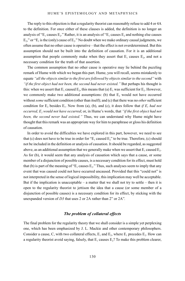The reply to this objection is that a regularity theorist can reasonably refuse to add 4 or 4A to the definition. For once either of these clauses is added, the definition is no longer an analysis of "E<sub>1</sub> causes E<sub>2</sub>." Rather, it is an analysis of "E<sub>1</sub> causes E<sub>2</sub> and nothing else causes  $E_2$ ," or "E<sub>1</sub> is the (only) cause of E<sub>2</sub>." No doubt when we make ordinary causal judgments, we often assume that no other cause is operative – that the effect is not overdetermined. But this assumption should not be built into the definition of causation. For it is an additional assumption that people commonly make when they assert that  $E_1$  causes  $E_2$ , and not a necessary condition for the truth of that assertion.

The common assumption that no other cause is operative may lie behind the puzzling remark of Hume with which we began this part. Hume, you will recall, seems mistakenly to equate "all the objects similar to the first are followed by objects similar to the second" with *"if the first object had not been, the second had never existed."* But perhaps his thought is this: when we assert that  $E_1$  caused  $E_2$ , this means that (a)  $E_1$  was sufficient for  $E_2$ . However, we commonly make two additional assumptions: (b) that  $E<sub>2</sub>$  would not have occurred without *some* sufficient condition (other than itself); and (c) that there was no *other* sufficient condition for  $E_2$  besides  $E_1$ . Now from (a), (b), and (c), it does follow that *if*  $E_1$  had not *occurred, E2 would not have occurred*; or, in Hume's words, that *"if the first object had not been, the second never had existed."* Thus, we can understand why Hume might have thought that this remark was an appropriate way for him to paraphrase or gloss his definition of causation.

In order to avoid the difficulties we have explored in this part, however, we need to see that (c) does not have to be true in order for " $E_1$  caused  $E_2$ " to be true. Therefore, (c) should not be included in the definition or analysis of causation. It should be regarded, as suggested above, as an additional assumption that we generally make when we assert that  $E_1$  caused  $E_2$ . As for (b), it would seem that any analysis of causation which says that a cause, or some member of a disjunction of possible causes, is a necessary condition for its effect, must hold that (b) is part of the meaning of " $E_1$  causes  $E_2$ ." Thus, such analyses seem to imply that any event that was caused could not have occurred uncaused. Provided that this "could not" is not interpreted in the sense of logical impossibility, this implication may well be acceptable. But if the implication is unacceptable – a matter that we shall not try to settle – then it is open to the regularity theorist to jettison the idea that a cause (or some member of a disjunction of possible causes) is a necessary condition for its effect, by sticking with the unexpanded version of *D3* that uses 2 or 2A rather than 2" or 2A"*.*

## *The problem of collateral effects*

The final problem for the regularity theory that we shall consider is a simple yet perplexing one, which has been emphasized by J. L. Mackie and other contemporary philosophers. Consider a cause, C, with two collateral effects,  $E_1$  and  $E_2$ , where  $E_1$  precedes  $E_2$ . How can a regularity theorist avoid saying, falsely, that  $E_1$  causes  $E_2$ ? To make this problem clearer,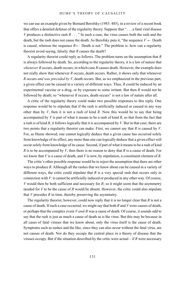we can use an example given by Bernard Berofsky (1983: 485), in a review of a recent book that offers a detailed defense of the regularity theory. Suppose that " . . . a fatal viral disease *V* produces a distinctive rash  $R$  . . . " In such a case, the virus causes both the rash and the death, but the rash does not cause the death. As Berofsky puts it, "the sequence *V* — Death is causal, whereas the sequence  $R \rightarrow$  Death is not." The problem is: how can a regularity theorist avoid saying, falsely, that *R* causes the death?

A regularity theorist could reply as follows. The problem turns on the assumption that *R* is always followed by death. So, according to the regularity theory, it is a law of nature that *whenever R* occurs, death occurs; in which case *R* causes death. However, the example does not really show that whenever *R* occurs, death occurs. Rather, it shows only that whenever *R* occurs *and was preceded by V*, death occurs. But, as we emphasized in the previous part, a given effect can be caused in a variety of different ways. Thus, *R* could be induced by an experimental vaccine or a drug, or by exposure to some irritant. But then *R* would not be followed by death; so "whenever *R* occurs, death occurs" is not a law of nature after all.

A critic of the regularity theory could make two possible responses to this reply. One response would be to stipulate that if the rash is artificially induced or caused in any way other than by *V*, then it is not a rash of kind *R*. Now this would be to say that being accompanied by *V* is part of what it means to be a rash of kind *R*, so that from the fact that a rash is of kind *R*, it follows logically that it is accompanied by *V*. But in that case, there are two points that a regularity theorist can make. First, we cannot say that *R* is caused by *V*. For, as Hume showed, one cannot logically deduce that a given cause has occurred solely from knowledge of its effect, any more than one can logically deduce that a given effect will occur solely from knowledge of its cause. Second, if part of what it means to be a rash of kind *R* is to be accompanied by *V*, then there is no reason to deny that *R* is a cause of death. For we know that *V* is a cause of death, and *V* is now, by stipulation, a constituent element of *R*.

The critic's other possible response would be to reject the assumption that there are other ways to produce *R*. Although all the rashes that we know about can be caused in a variety of different ways, the critic could stipulate that  $R$  is a very special rash that occurs only in connection with *V*: it cannot be artificially induced or produced in any other way. Of course, *V* would then be both sufficient and necessary for *R*; so it might seem that the asymmetry needed for *V* to be the cause of *R* would be absent. However, the critic could also stipulate that *V* precedes *R* in time, thereby preserving the asymmetry.

The regularity theorist, however, could now reply that it is no longer clear that *R* is not a cause of death. If such a case occurred, we might say that both *R* and *V* were causes of death, or perhaps that the complex event *V-and-R* was a cause of death. Of course, it sounds odd to say that the rash is just as much a cause of death as is the virus. But this may be because in all cases of fatal viruses that we know about, only the virus itself is the cause of death. Symptoms such as rashes and the like, since they can also occur without the fatal virus, are not causes of death. Nor do they occupy the central place in a theory of disease that the viruses occupy. But if the situation described by the critic were actual – if  $R$  were necessary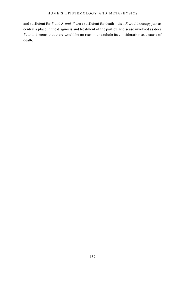and sufficient for *V* and *R-and-V* were sufficient for death – then *R* would occupy just as central a place in the diagnosis and treatment of the particular disease involved as does *V*, and it seems that there would be no reason to exclude its consideration as a cause of death.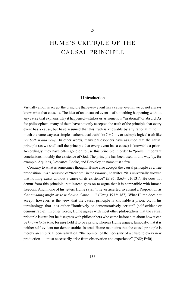# HUME'S CRITIQUE OF THE CAUSAL PRINCIPLE

#### **1 Introduction**

Virtually all of us accept the principle that every event has a cause, even if we do not always know what that cause is. The idea of an uncaused event – of something happening without any cause that explains why it happened – strikes us as somehow "irrational" or absurd. As for philosophers, many of them have not only accepted the truth of the principle that every event has a cause, but have assumed that this truth is knowable by any rational mind, in much the same way as a simple mathematical truth like  $2 + 2 = 4$  or a simple logical truth like *not both p and not-p.* In other words, many philosophers have assumed that the causal principle (as we shall call the principle that every event has a cause) is knowable a priori. Accordingly, they have often gone on to use this principle in order to "prove" important conclusions, notably the existence of God. The principle has been used in this way by, for example, Aquinas, Descartes, Locke, and Berkeley, to name just a few.

Contrary to what is sometimes thought, Hume also accepts the causal principle as a true proposition. In a discussion of "freedom" in the *Enquiry*, he writes: "it is universally allowed that nothing exists without a cause of its existence" (E:95; S:63–4; F:131). He does not demur from this principle, but instead goes on to argue that it is compatible with human freedom. And in one of his letters Hume says: "I never asserted so absurd a Proposition as *that anything might arise without a Cause . .* ." (Greig 1932: 187). What Hume does not accept, however, is the view that the causal principle is knowable a priori; or, in his terminology, that it is either "intuitively or demonstratively certain" (self-evident or demonstrable).1 In other words, Hume agrees with most other philosophers that the causal principle is *true*, but he disagrees with philosophers who came before him about how it can be *known to be true*; for *they* held it to be a priori, whereas Hume argues, famously, that it is neither self-evident nor demonstrable. Instead, Hume maintains that the causal principle is merely an empirical generalization: "the opinion of the necessity of a cause to every new production . . . must necessarily arise from observation and experience" (T:82; F:50).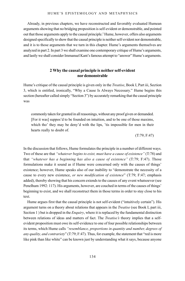#### HUME'S EPISTEMOLOGY AND METAPHYSICS

Already, in previous chapters, we have reconstructed and favorably evaluated Humean arguments showing that no bridging proposition is self-evident or demonstrable, and pointed out that those arguments apply to the causal principle.<sup>2</sup> Hume, however, offers also arguments designed specifically to show that the causal principle is neither self-evident nor demonstrable, and it is to those arguments that we turn in this chapter. Hume's arguments themselves are analyzed in part 2. In part 3 we shall examine one contemporary critique of Hume's arguments, and lastly we shall consider Immanuel Kant's famous attempt to "answer" Hume's arguments.

# **2 Why the causal principle is neither self-evident nor demonstrable**

Hume's critique of the causal principle is given only in the *Treatise*, Book I, Part iii, Section 3, which is entitled, ironically, "Why a Cause Is Always Necessary." Hume begins this section (hereafter called simply "Section 3") by accurately remarking that the causal principle was

commonly taken for granted in all reasonings, without any proof given or demanded. [For it was] suppos'd to be founded on intuition, and to be one of those maxims, which tho' they may be deny'd with the lips, 'tis impossible for men in their hearts really to doubt of.

(T:79; F:47)

In the discussion that follows, Hume formulates the principle in a number of different ways. Two of these are that *"whatever begins to exist, must have a cause of existence"* (T:78) and that *"whatever has a beginning has also a cause of existence"* (T:79; F:47). Those formulations make it sound as if Hume were concerned only with the causes of things' existence; however, Hume speaks also of our inability to "demonstrate the necessity of a cause to every new existence, *or new modification of existence*" (T:79; F:47; emphasis added), thereby showing that his concern extends to the causes of any event whatsoever (see Penelhum 1992: 117). His arguments, however, are couched in terms of the causes of things' beginning to exist, and we shall reconstruct them in those terms in order to stay close to his text.

Hume argues first that the causal principle is not self-evident ("intuitively certain"). His argument turns on a theory about relations that appears in the *Treatise* (see Book I, part iii, Section 1 ) but is dropped in the *Enquiry*, where it is replaced by the fundamental distinction between relations of ideas and matters of fact. The *Treatise's* theory implies that a selfevident proposition must owe its self-evidence to one of four possible relationships between its terms, which Hume calls *"resemblance, proportions in quantity and number, degrees of any quality, and contrariety*" (T:79; F:47). Thus, for example, the statement that "red is more like pink than like white" can be known just by understanding what it says, because anyone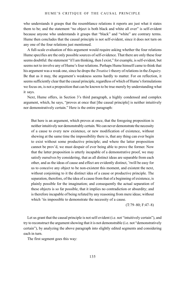who understands it grasps that the resemblance relations it reports are just what it states them to be; and the statement "no object is both black and white all over" is self-evident because anyone who understands it grasps that "black" and "white" are contrary terms. Hume then concludes that the causal principle is not self-evident, since it does not turn on any one of the four relations just mentioned.

A full-scale evaluation of this argument would require asking whether the four relations Hume specifies are the only possible sources of self-evidence. That there are only these four seems doubtful: the statement "if I am thinking, then I exist," for example, is self-evident, but seems not to involve any of Hume's four relations. Perhaps Hume himself came to think that his argument was a weak one, since he drops the *Treatise's* theory of relations in the *Enquiry.* Be that as it may, the argument's weakness seems hardly to matter. For on reflection, it seems sufficiently clear that the causal principle, regardless of which of Hume's formulations we focus on, is not a proposition that can be known to be true merely by understanding what it says.

Next, Hume offers, in Section 3's third paragraph, a highly condensed and complex argument, which, he says, "proves at once that [the causal principle] is neither intuitively nor demonstratively certain." Here is the entire paragraph:

But here is an argument, which proves at once, that the foregoing proposition is neither intuitively nor demonstrably certain. We can never demonstrate the necessity of a cause to every new existence, or new modification of existence, without shewing at the same time the impossibility there is, that any thing can ever begin to exist without some productive principle; and where the latter proposition cannot be prov'd, we must despair of ever being able to prove the former. Now that the latter proposition is utterly incapable of a demonstrative proof, we may satisfy ourselves by considering, that as all distinct ideas are separable from each other, and as the ideas of cause and effect are evidently distinct, 'twill be easy for us to conceive any object to be non-existent this moment, and existent the next, without conjoining to it the distinct idea of a cause or productive principle. The separation, therefore, of the idea of a cause from that of a beginning of existence, is plainly possible for the imagination; and consequently the actual separation of these objects is so far possible, that it implies no contradiction or absurdity; and is therefore incapable of being refuted by any reasoning from mere ideas; without which 'tis impossible to demonstrate the necessity of a cause.

(T:79–80; F:47–8)

Let us grant that the causal principle is not self-evident (i.e. not "intuitively certain"), and try to reconstruct the argument showing that it is not demonstrable (i.e. not "demonstratively certain"), by analyzing the above paragraph into slightly edited segments and considering each in turn.

The first segment goes this way: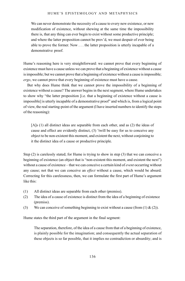We can never demonstrate the necessity of a cause to every new existence, or new modification of existence, without shewing at the same time the impossibility there is, that any thing can ever begin to exist without some productive principle; and where the latter proposition cannot be prov'd, we must despair of ever being able to prove the former. Now . . . the latter proposition is utterly incapable of a demonstrative proof.

Hume's reasoning here is very straightforward: we cannot prove that every beginning of existence must have a cause unless we can prove that a beginning of existence without a cause is impossible; but we cannot prove that a beginning of existence without a cause is impossible; *ergo*, we cannot prove that every beginning of existence must have a cause.

But why does Hume think that we cannot prove the impossibility of a beginning of existence without a cause? The answer begins in the next segment, where Hume undertakes to show why "the latter proposition [i.e. that a beginning of existence without a cause is impossible] is utterly incapable of a demonstrative proof" and which is, from a logical point of view, the real starting-point of the argument (I have inserted numbers to identify the steps of the reasoning):

[A]s (1) all distinct ideas are separable from each other, and as (2) the ideas of cause and effect are evidently distinct, (3) 'twill be easy for us to conceive any object to be non-existent this moment, and existent the next, without conjoining to it the distinct idea of a cause or productive principle.

Step (2) is carelessly stated; for Hume is trying to show in step (3) that we can conceive a beginning of existence (an object that is "non-existent this moment, and existent the next") without a cause of existence – that we can conceive a certain kind of *event* occurring without any cause; not that we can conceive an *effect* without a cause, which would be absurd. Correcting for this carelessness, then, we can formulate the first part of Hume's argument like this:

- (1) All distinct ideas are separable from each other (premiss).
- (2) The idea of a cause of existence is distinct from the idea of a beginning of existence (premiss).
- (3) We can conceive of something beginning to exist without a cause (from  $(1) & (2)$ ).

Hume states the third part of the argument in the final segment:

The separation, therefore, of the idea of a cause from that of a beginning of existence, is plainly possible for the imagination; and consequently the actual separation of these objects is so far possible, that it implies no contradiction or absurdity; and is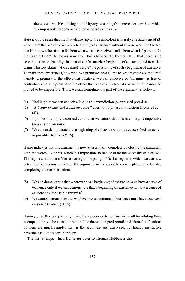#### HUME'S CRITIQUE OF THE CAUSAL PRINCIPLE

therefore incapable of being refuted by any reasoning from mere ideas; without which 'tis impossible to demonstrate the necessity of a cause.

Here it would seem that the first clause (up to the semicolon) is merely a restatement of (3) – the claim that we can *conceive* a beginning of existence without a cause **–** despite the fact that Hume switches from talk about what we can conceive to talk about what is "possible for the imagination." He moves now from this claim to the further claim that there is no "contradiction or absurdity" in the notion of a causeless beginning of existence, and from that claim to his key claim that we cannot "refute" the possibility of such a beginning of existence. To make these inferences, however, two premisses that Hume leaves unstated are required: namely, a premiss to the effect that whatever we can conceive or "imagine" is free of contradiction, and a premiss to the effect that whatever is free of contradiction cannot be proved to be impossible. Thus, we can formulate this part of the argument as follows:

- (4) Nothing that we can conceive implies a contradiction (suppressed premiss).
- (5) *"X began to exist* and *X had no cause"* does not imply a contradiction (from (3) &  $(4)$ ).
- (6) If  $p$  does not imply a contradiction, then we cannot demonstrate that  $p$  is impossible (suppressed premiss).
- (7) We cannot demonstrate that a beginning of existence without a cause of existence is impossible (from  $(5)$  &  $(6)$ ).

Hume indicates that his argument is now substantially complete by closing the paragraph with the words, "without which 'tis impossible to demonstrate the necessity of a cause." This is just a reminder of the reasoning in the paragraph's first segment, which we can now enter into our reconstruction of the argument in its logically correct place, thereby also completing the reconstruction:

- (8) We can demonstrate that whatever has a beginning of existence must have a cause of existence only if we can demonstrate that a beginning of existence without a cause of existence is impossible (premiss).
- (9) We cannot demonstrate that whatever has a beginning of existence must have a cause of existence (from  $(7)$  &  $(8)$ ).

Having given this complex argument, Hume goes on to confirm its result by refuting three attempts to prove the causal principle. The three attempted proofs and Hume's refutations of them are much simpler than is the argument just analyzed, but highly instructive nevertheless. Let us consider them.

The first attempt, which Hume attributes to Thomas Hobbes, is this: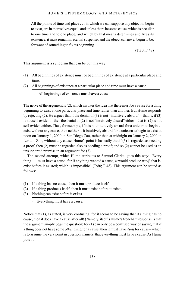All the points of time and place . . . in which we can suppose any object to begin to exist, are in themselves equal; and unless there be some cause, which is peculiar to one time and to one place, and which by that means determines and fixes its existence, it must remain in eternal suspense; and the object can never begin to be, for want of something to fix its beginning.

(T:80; F:48)

This argument is a syllogism that can be put this way:

- (1) All beginnings of existence must be beginnings of existence at a particular place and time.
- (2) All beginnings of existence at a particular place and time must have a cause.
	- •• All beginnings of existence must have a cause.

The nerve of the argument is (2), which invokes the idea that there must be a cause for a thing beginning to exist at one particular place and time rather than another. But Hume responds by rejecting (2). He argues that if the denial of (3) is not "intuitively absurd" – that is, if (3) is not self-evident – then the denial of  $(2)$  is not "intuitively absurd" either – that is,  $(2)$  is not self-evident either. Thus, for example, if it is not intuitively absurd for a unicorn to begin to exist without any cause, then neither is it intuitively absurd for a unicorn to begin to exist at noon on January 1, 2000 in San Diego Zoo, rather than at midnight on January 2, 2000 in London Zoo, without any cause. Hume's point is basically that if (3) is regarded as needing a proof, then (2) must be regarded also as needing a proof; and so (2) cannot be used as an unsupported premiss in an argument for (3).

The second attempt, which Hume attributes to Samuel Clarke, goes this way: "Every thing . . . must have a cause; for if anything wanted a cause, *it* would produce *itself*; that is, exist before it existed; which is impossible" (T:80; F:48). This argument can be stated as follows:

- (1) If a thing has no cause, then it must produce itself.
- (2) If a thing produces itself, then it must exist before it exists.
- (3) Nothing can exist before it exists.

**••** Everything must have a cause.

Notice that (1), as stated, is very confusing; for it seems to be saying that if a thing has no cause, then it does have a cause after all! (Namely, itself.) Hume's trenchant response is that the argument simply begs the question; for  $(1)$  can only be a confused way of saying that if a thing does not have some *other* thing for a cause, then it must have *itself* for cause – which is to assume the very point in question; namely, that everything must have a cause. As Hume puts it: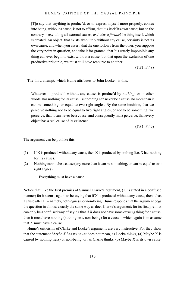[T]o say that anything is produc'd, or to express myself more properly, comes into being, without a cause, is not to affirm, that 'tis itself its own cause; but on the contrary in excluding all external causes, excludes *a fortiori* the thing itself, which is created. An object, that exists absolutely without any cause, certainly is not its own cause; and when you assert, that the one follows from the other, you suppose the very point in question, and take it for granted, that 'tis utterly impossible any thing can ever begin to exist without a cause, but that upon the exclusion of one productive principle, we must still have recourse to another.

(T:81; F:49)

The third attempt, which Hume attributes to John Locke,<sup>3</sup> is this:

Whatever is produc'd without any cause, is produc'd by *nothing*; or in other words, has nothing for its cause. But nothing can never be a cause, no more than it can be something, or equal to two right angles. By the same intuition, that we perceive nothing not to be equal to two right angles, or not to be something, we perceive, that it can never be a cause; and consequently must perceive, that every object has a real cause of its existence.

(T:81; F:49)

The argument can be put like this:

- $(1)$  If X is produced without any cause, then X is produced by nothing (i.e. X has nothing for its cause).
- (2) Nothing cannot be a cause (any more than it can be something, or can be equal to two right angles).
	- **••** Everything must have a cause.

Notice that, like the first premiss of Samuel Clarke's argument, (1) is stated in a confused manner; for it seems, again, to be saying that if X is produced without any cause, then it has a cause after all – namely, nothingness, or non-being. Hume responds that the argument begs the question in almost exactly the same way as does Clarke's argument; for its first premiss can only be a confused way of saying that if X does not have some *existing* thing for a cause, then it must have nothing (nothingness, non-being) for a cause – which again is to assume that X must have a cause.

Hume's criticisms of Clarke and Locke's arguments are very instructive. For they show that the statement *Maybe X has no cause* does not mean, as Locke thinks, (a) Maybe X is caused by nothing(ness) or non-being; or, as Clarke thinks, (b) Maybe X is its own cause.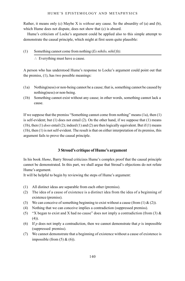Rather, it means only (c) Maybe X is *without* any cause. So the absurdity of (a) and (b), which Hume does not dispute, does not show that (c) is absurd.

Hume's criticism of Locke's argument could be applied also to this simple attempt to demonstrate the causal principle, which might at first seem quite plausible:

(1) Something cannot come from nothing (*Ex nihilo, nihil fit).*

Everything must have a cause. **• • •**

A person who has understood Hume's response to Locke's argument could point out that the premiss, (1), has two possible meanings:

- (1a) Nothing(ness) or non-being cannot be a cause; that is, something cannot be caused by nothing(ness) or non-being.
- (1b) Something cannot exist without any cause; in other words, something cannot lack a cause.

If we suppose that the premiss "Something cannot come from nothing" means (1a), then (1) is self-evident; but  $(1)$  does not entail  $(2)$ . On the other hand, if we suppose that  $(1)$  means (1b), then  $(1)$  *does* entail  $(2)$ ; indeed  $(1)$  and  $(2)$  are then logically equivalent. But if  $(1)$  means (1b), then (1) is not self-evident. The result is that on either interpretation of its premiss, this argument fails to prove the causal principle.

# **3 Stroud's critique of Hume's argument**

In his book *Hume*, Barry Stroud criticizes Hume's complex proof that the causal principle cannot be demonstrated. In this part, we shall argue that Stroud's objections do not refute Hume's argument.

It will be helpful to begin by reviewing the steps of Hume's argument:

- (1) All distinct ideas are separable from each other (premiss).
- (2) The idea of a cause of existence is a distinct idea from the idea of a beginning of existence (premiss).
- (3) We can conceive of something beginning to exist without a cause (from  $(1) \& (2)$ ).
- (4) Nothing that we can conceive implies a contradiction (suppressed premiss).
- (5) "X began to exist and X had no cause" does not imply a contradiction (from (3)  $\&$  $(4)$ ).
- (6) If *p* does not imply a contradiction, then we cannot demonstrate that *p* is impossible (suppressed premiss).
- (7) We cannot demonstrate that a beginning of existence without a cause of existence is impossible (from  $(5)$  &  $(6)$ ).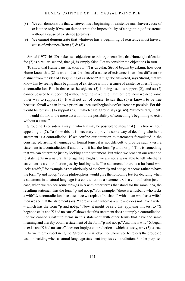- (8) We can demonstrate that whatever has a beginning of existence must have a cause of existence only if we can demonstrate the impossibility of a beginning of existence without a cause of existence (premiss).
- (9) We cannot demonstrate that whatever has a beginning of existence must have a cause of existence (from  $(7)$  &  $(8)$ ).

Stroud (1977: 46–50) makes two objections to this argument: first, that Hume's justification for (7) is circular; second, that (4) is simply false. Let us consider the objections in turn.

To show that Hume's justification for (7) is circular, Stroud begins by asking: how does Hume know that  $(2)$  is true – that the idea of a cause of existence is an idea different or distinct from the idea of a beginning of existence? It might be answered, says Stroud, that we know this by seeing that a beginning of existence without a cause of existence doesn't imply a contradiction. But in that case, he objects,  $(5)$  is being used to support  $(2)$ , and so  $(2)$ cannot be used to support (5) without arguing in a circle. Furthermore, now we need some other way to support (5). It will not do, of course, to say that (5) is known to be true because, for all we can know a priori, an uncaused beginning of existence *is* possible. For this would be to use (7) to support (5), in which case, Stroud says (p. 48), "Hume's 'argument' . . . would shrink to the mere assertion of the possibility of something's beginning to exist without a cause."

Stroud next considers a way in which it may be possible to show that (5) is true without appealing to (7). To show this, it is necessary to provide some way of deciding whether a statement is a contradiction. If we confine our attention to statements formulated in the constructed, artificial language of formal logic, it is not difficult to provide such a test: a statement is a contradiction if and only if it has the form "p and not-p." This is something that we can determine just by looking at the statement. But when we broaden our attention to statements in a natural language like English, we are not always able to tell whether a statement is a contradiction just by looking at it. The statement, "there is a husband who lacks a wife," for example, is not obviously of the form "p and not-p;" it seems rather to have the form "p and not-q."4 Some philosophers would give the following test for deciding when a statement in a natural language is a contradiction: a statement S is a contradiction just in case, when we replace some term(s) in S with other terms that stand for the same idea, the resulting statement has the form "p and not-p." For example, "there is a husband who lacks a wife" *is* a contradiction, because once we replace "husband" with "man who has a wife," then we see that the statement says, "there is a man who has a wife and does not have a wife" – which has the form "p and not-p."<sup>5</sup> Now, it might be said that applying this test to "X began to exist and X had no cause" shows that this statement does not imply a contradiction. For we cannot substitute terms in this statement with other terms that have the same meaning and thereby obtain a statement of the form "p and not-p." And this is why "X began to exist and X had no cause" does not imply a contradiction – which is to say, why (5) is true.

As we might expect in light of Stroud's initial objection, however, he rejects the proposed test for deciding when a natural-language statement implies a contradiction. For the proposed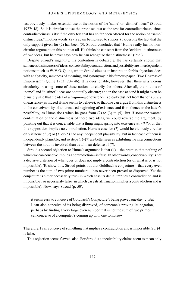test obviously "makes essential use of the notion of the 'same' or 'distinct' ideas" (Stroud 1977: 48). So it is circular to use the proposed test as the test for contradictoriness, since contradictoriness is itself the only test that has so far been offered for the notion of "same/ distinct idea." In other words, (2) is again being used to support (5), despite the fact that the only support given for (2) has been (5). Stroud concludes that "Hume really has no noncircular argument on this point at all. He thinks he can start from the 'evident' distinctness of two ideas, but he never says how he can recognize that distinctness" (ibid.).

Despite Stroud's ingenuity, his contention is debatable. He has certainly shown that sameness/distinctness of ideas, conceivability, contradiction, and possibility are interdependent notions; much as W. V. O. Quine, whom Stroud cites as an inspiration for his objection, does with analyticity, sameness of meaning, and synonymy in his famous paper "Two Dogmas of Empiricism" (Quine 1953: 20– 46). It is questionable, however, that there is a vicious circularity in using some of these notions to clarify the others. After all, the notions of "same" and "distinct" ideas are not totally obscure; and in the case at hand it might even be plausibly said that the idea of a *beginning* of existence is clearly distinct from that of a *cause* of existence (as indeed Hume seems to believe); so that one can argue from this distinctness to the conceivability of an uncaused beginning of existence and from thence to the latter's possibility, as Hume does when he goes from (2) to (3) to (5). But if someone wanted confirmation of the distinctness of these two ideas, we could reverse the argument, by pointing out that it is conceivable that a thing might spring into existence *ex nihilo*, or that this supposition implies no contradiction. Hume's case for (7) would be viciously circular only if none of (2) or (3) or (5) had any independent plausibility; but in fact each of them is independently plausible, and so steps  $(1)$ – $(7)$  are better seen as exhibiting the interconnections between the notions involved than as a linear defense of (7).

Stroud's second objection to Hume's argument is that (4) – the premiss that nothing of which we can conceive implies a contradiction – is false. In other words, conceivability is not a decisive criterion of what does or does not imply a contradiction (or of what is or is not impossible). To show this, Stroud points out that Goldbach's conjecture – that every even number is the sum of two prime numbers – has never been proved or disproved. Yet the conjecture is either necessarily true (in which case its denial implies a contradiction and is impossible), or necessarily false (in which case its affirmation implies a contradiction and is impossible). Now, says Stroud (p. 50),

it seems easy to conceive of Goldbach's Conjecture's being proved one day . . . But I can also conceive of its being disproved, of someone's proving its negation, perhaps by finding a very large even number that is not the sum of two primes. I can conceive of a computer's coming up with one tomorrow.

Therefore, I can conceive of something that implies a contradiction and is impossible. So, (4) is false.

This objection seems flawed, also. For Stroud's conceivability claims seem to mean only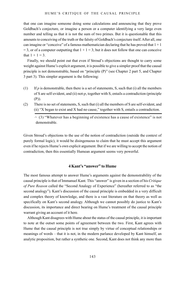that one can imagine someone doing some calculations and announcing that they prove Goldbach's conjecture, or imagine a person or a computer identifying a very large even number and telling us that it is not the sum of two primes. But it is questionable that this amounts to conceiving of the truth or the falsity of Goldbach's conjecture itself. After all, one can imagine or "conceive" of a famous mathematician declaring that he has proved that  $1 + 1$  $= 3$ , or of a computer outputting that  $1 + 1 = 3$ ; but it does not follow that one can conceive that  $1 + 1 = 3$ .

Finally, we should point out that even if Stroud's objections are thought to carry some weight against Hume's explicit argument, it is possible to give a simpler proof that the causal principle is not demonstrable, based on "principle (P)" (see Chapter 2 part 5, and Chapter 3 part 3). This simpler argument is the following:

- (1) If *p* is demonstrable, then there is a set of statements, S, such that (i) all the members of S are self-evident, and (ii) not-*p*, together with S, entails a contradiction (principle (P)).
- (2) There is no set of statements, S, such that (i) all the members of S are self-evident, and (ii) "X began to exist and X had no cause," together with S, entails a contradiction.

(3) "Whatever has a beginning of existence has a cause of existence" is not **• • •**demonstrable.

Given Stroud's objections to the use of the notion of contradiction (outside the context of purely formal logic), it would be disingenuous to claim that he must accept this argument even if he rejects Hume's own explicit argument. But if we are willing to accept the notion of contradiction, then this essentially Humean argument seems very powerful.

### **4 Kant's "answer" to Hume**

The most famous attempt to answer Hume's arguments against the demonstrability of the causal principle is that of Immanuel Kant. This "answer" is given in a section of his *Critique of Pure Reason* called the "Second Analogy of Experience" (hereafter referred to as "the second analogy"). Kant's discussion of the causal principle is embedded in a very difficult and complex theory of knowledge, and there is a vast literature on that theory as well as specifically on Kant's second analogy. Although we cannot possibly do justice to Kant's discussion, its importance and direct bearing on Hume's treatment of the causal principle warrant giving an account of it here.

Although Kant disagrees with Hume about the status of the causal principle, it is important to note at the outset some points of agreement between the two. First, Kant agrees with Hume that the causal principle is not true simply by virtue of conceptual relationships or meanings of words – that it is not, in the modern parlance developed by Kant himself, an analytic proposition, but rather a synthetic one. Second, Kant does not think any more than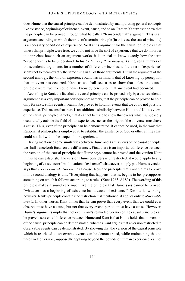does Hume that the causal principle can be demonstrated by manipulating general concepts like existence, beginning of existence, event, cause, and so on. Rather, Kant tries to show that the principle can be proved through what he calls a "transcendental" argument. This is an argument according to which the truth of a certain principle (in this case the causal principle) is a necessary condition of experience. So Kant's argument for the causal principle is that unless that principle were true, we could not have the sort of experience that we do. In order to appreciate how such an argument works, it is crucial to know exactly how the term "experience" is to be understood. In his *Critique of Pure Reason*, Kant gives a number of transcendental arguments for a number of different principles, and the term "experience" seems not to mean exactly the same thing in all of those arguments. But in the argument of the second analogy, the kind of experience Kant has in mind is that of knowing by perception that an event has occurred. Kant, as we shall see, tries to show that unless the causal principle were true, we could never know by perception that any event had occurred.

According to Kant, the fact that the causal principle can be proved only by a transcendental argument has a very important consequence: namely, that the principle can be proved to hold only for *observable* events; it cannot be proved to hold for events that we could not possibly experience. This means that there is an additional similarity between Hume and Kant's views of the causal principle: namely, that it cannot be used to show that events which supposedly occur totally outside the field of our experience, such as the origin of the universe, must have a cause. Thus, even if the principle can be demonstrated, it cannot be used, in the way that Rationalist philosophers employed it, to establish the existence of God or other entities that could not fall within the scope of our experience.

Having mentioned some similarities between Hume and Kant's views of the causal principle, we shall henceforth focus on the differences. First, there is an important difference between the version of the causal principle that Hume says cannot be proved and the version Kant thinks he can establish. The version Hume considers is unrestricted: it would apply to any beginning of existence or "modification of existence" whatsoever; simply put, Hume's version says that *every event whatsoever* has a cause. Now the principle that Kant claims to prove in his second analogy is this: "Everything that happens, that is, begins to be, presupposes something on which it follows according to a rule" (Kant 1963: A189). The wording of this principle makes it sound very much like the principle that Hume says cannot be proved: "whatever has a beginning of existence has a cause of existence." Despite its wording, however, Kant's principle contains the restriction just mentioned: it applies only to *observable events.* In other words, Kant thinks that he can prove that every event that we could ever observe must have a cause, but not that every event, period, must have a cause. However, Hume's arguments imply that not even Kant's restricted version of the causal principle can be proved; so a chief difference between Hume and Kant is that Hume holds that no version of the causal principle can be demonstrated, whereas Kant argues that a version restricted to observable events can be demonstrated. By showing that the version of the causal principle which is restricted to observable events can be demonstrated, while maintaining that an unrestricted version, supposedly applying beyond the bounds of human experience, cannot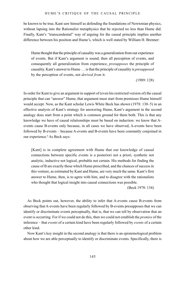be known to be true, Kant saw himself as defending the foundations of Newtonian physics, without lapsing into the Rationalist metaphysics that he rejected no less than Hume did. Finally, Kant's "transcendental" way of arguing for the causal principle implies another difference between his position and Hume's, which is well stated by William H. Brenner:

Hume thought that the principle of causality was a generalization from our experience of events. But if Kant's argument is sound, then all perception of events, and consequently all generalization from experience, *presupposes* the principle of causality. Kant's answer to Hume . . . is that the principle of causality is *presupposed* by the perception of events, not *derived from* it.

(1989: 128)

In order for Kant to give an argument in support of (even his restricted version of) the causal principle that can "answer" Hume, that argument must start from premisses Hume himself would accept. Now, as the Kant scholar Lewis White Beck has shown (1978: 130–5) in an effective analysis of Kant's strategy for answering Hume, Kant's argument in the second analogy does start from a point which is common ground for them both. This is that any knowledge we have of causal relationships must be based on induction: we know that Aevents cause B-events only because, in all cases we have observed, A-events have been followed by B-events – because A-events and B-events have been constantly conjoined in our experience.<sup>6</sup> As Beck says:

[Kant] is in complete agreement with Hume that our knowledge of causal connections between specific events is a posteriori not a priori, synthetic not analytic, inductive not logical, probable not certain. His methods for finding the cause of B are exactly those which Hume prescribed, and the chances of success in this venture, as estimated by Kant and Hume, are very much the same. Kant's first answer to Hume, then, is to agree with him, and to disagree with the rationalists who thought that logical insight into causal connections was possible.

(Beck 1978: 134)

As Beck points out, however, the ability to infer that A-events cause B-events from observing that A-events have been regularly followed by B-events presupposes that we can identify or discriminate events perceptually, that is, that we can tell by observation that an event is occurring. For if we could not do this, then we could not establish the *premiss* of the inference – that *events* of a certain kind have been regularly followed by *events* of a certain other kind.

Now Kant's key insight in the second analogy is that there is an epistemological problem about how we are able perceptually to identify or discriminate events. Specifically, there is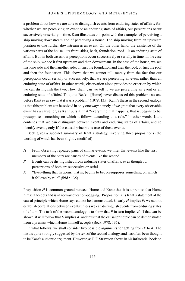a problem about how we are able to distinguish events from enduring states of affairs; for, whether we are perceiving an event or an enduring state of affairs, our perceptions occur successively or serially in time. Kant illustrates this point with the examples of perceiving a ship moving downstream and of perceiving a house. The ship moving from an upstream position to one further downstream is an event. On the other hand, the existence of the various parts of the house – its front, sides, back, foundation, roof – is an enduring state of affairs. But, in both cases, our perceptions occur successively or serially in time. In the case of the ship, we see it first upstream and then downstream. In the case of the house, we see first one side and then another side, or first the foundation and then the roof, or first the roof and then the foundation. This shows that we cannot tell, merely from the fact that our perceptions occur serially or successively, that we are perceiving an event rather than an enduring state of affairs. In other words, observation alone provides no criterion by which we can distinguish the two. How, then, can we tell if we are perceiving an event or an enduring state of affairs? To quote Beck: "[Hume] never discussed this problem; no one before Kant even saw that it was a problem" (1978: 135). Kant's thesis in the second analogy is that this problem can be solved in only one way: namely, if we grant that every observable event has a cause, or, as Kant puts it, that "everything that happens, that is, begins to be, presupposes something on which it follows according to a rule." In other words, Kant contends that we can distinguish between events and enduring states of affairs, and so identify events, only if the causal principle is true of those events.

Beck gives a succinct summary of Kant's strategy, involving three propositions (the wording of which has been slightly modified):

- *H* From observing repeated pairs of similar events, we infer that events like the first members of the pairs are causes of events like the second.
- *P* Events can be distinguished from enduring states of affairs, even though our perceptions of both are successive or serial.
- *K* "Everything that happens, that is, begins to be, presupposes something on which it follows by rule" (ibid.: 135).

Proposition *H* is common ground between Hume and Kant: thus it is a premiss that Hume himself accepts and is in no way question-begging.7 Proposition *K* is Kant's statement of the causal principle which Hume says cannot be demonstrated. Clearly *H* implies *P*: we cannot establish correlations between events unless we can distinguish events from enduring states of affairs. The task of the second analogy is to show that *P* in turn implies *K*. If that can be shown, it will follow that *H* implies *K*, and thus that the causal principle can be demonstrated from a premiss which Hume himself accepts (Beck 1978: 135).

In what follows, we shall consider two possible arguments for getting from *P* to *K*. The first is quite strongly suggested by the text of the second analogy, and has often been thought to be Kant's authentic argument. However, as P. F. Strawson shows in his influential book on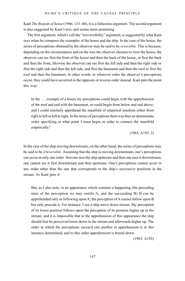Kant *The Bounds of Sense* (1966: 133–40), it is a fallacious argument. The second argument is also suggested by Kant's text, and seems more promising.

The first argument, which I call the "irreversibility" argument, is suggested by what Kant says when he compares the examples of the house and the ship. In the case of the house, the series of perceptions obtained by the observer may be said to be *reversible.* This is because, depending on the circumstances and on the way the observer chooses to view the house, the observer can see first the front of the house and then the back of the house, or first the back and then the front; likewise the observer can see first the left side and then the right side or first the right side and then the left side, and first the basement and then the roof or first the roof and then the basement. In other words, in whatever order the observer's perceptions occur, they could have occurred in the opposite or reverse order instead. Kant puts the point this way:

In the . . . example of a house my perceptions could begin with the apprehension of the roof and end with the basement, or could begin from below and end above; and I could similarly apprehend the manifold of empirical intuition either from right to left or left to right. In the series of perceptions there was thus no determinate order specifying at what point I must begin in order to connect the manifold empirically.<sup>8</sup>

(1963: A192–3)

In the case of the ship moving downstream, on the other hand, the series of perceptions may be said to be *irreversible.* Assuming that the ship is moving downstream, one's perceptions can occur in only one order: first one sees the ship upstream and then one sees it downstream; one cannot see it first downstream and then upstream. One's perceptions cannot occur in any order other than the one that corresponds to the ship's successive positions in the stream. As Kant puts it:

But, as I also note, in an appearance which contains a happening (the preceding state of the perception we may entitle A, and the succeeding B) B can be apprehended only as following upon A; the perception of A cannot follow upon B but only precede it. For instance, I see a ship move down stream. My perception of its lower position follows upon the perception of its position higher up in the stream, and it is impossible that in the apprehension of this appearance the ship should first be perceived lower down in the stream and afterwards higher up. The order in which the perceptions succeed one another in apprehension is in this instance determined, and to this order apprehension is bound down.

(1963: A192)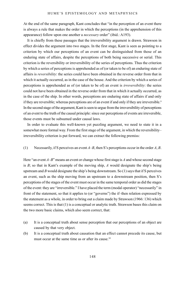At the end of the same paragraph, Kant concludes that "in the perception of an event there is always a rule that makes the order in which the perceptions (in the apprehension of this appearance) follow upon one another a *necessary* order" (ibid.: A193).

It is chiefly from these passages that the irreversibility argument is drawn. Strawson in effect divides the argument into two stages. In the first stage, Kant is seen as pointing to a criterion by which our perceptions of an event can be distinguished from those of an enduring state of affairs, despite the perceptions of both being successive or serial. This criterion is the reversibility or irreversibility of the series of perceptions. Thus the criterion by which a series of perceptions is apprehended as of (or taken to be of) an enduring state of affairs is *reversibility*: the series could have been obtained in the reverse order from that in which it actually occurred, as in the case of the house. And the criterion by which a series of perceptions is apprehended as of (or taken to be of) an event is *irreversibility*: the series could not have been obtained in the reverse order from that in which it actually occurred, as in the case of the ship. In other words, perceptions are enduring state of affairs if and only if they are reversible; whereas perceptions are of an event if and only if they are irreversible.<sup>9</sup> In the second stage of the argument, Kant is seen to argue from the irreversibility of perceptions of an event to the truth of the causal principle: since our perceptions of events are irreversible, those events must be subsumed under causal laws.

In order to evaluate this well-known yet puzzling argument, we need to state it in a somewhat more formal way. From the first stage of the argument, in which the reversibility– irreversibility criterion is put forward, we can extract the following premiss:

(1) Necessarily, if S perceives an event *A–B*, then S's perceptions occur in the order *A*, *B*.

Here "an event *A–B*" means an event or change whose first stage is *A* and whose second stage is *B*; so that in Kant's example of the moving ship, *A* would designate the ship's being upstream and  $B$  would designate the ship's being downstream. So  $(1)$  says that if S perceives an event, such as the ship moving from an upstream to a downstream position, then S's perceptions of the stages of the event must occur in the same temporal order as did the stages of the event: they are "irreversible." I have placed the term (modal operator) "necessarily" in front of the statement, so that it applies to (or "governs") the if–then relation expressed by the statement as a whole, in order to bring out a claim made by Strawson (1966: 136) which seems correct. This is that (1) is a conceptual or analytic truth. Strawson bases this claim on the two more basic claims, which also seem correct, that:

- (a) It is a conceptual truth about sense perception that our perceptions of an object are caused by that very object.
- (b) It is a conceptual truth about causation that an effect cannot precede its cause, but must occur at the same time as or after its cause.<sup>10</sup>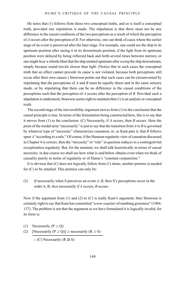He notes that (1) follows from these two conceptual truths, and so is itself a conceptual truth, provided one stipulation is made. The stipulation is that there must not be any difference in the causal conditions of the two perceptions as a result of which the perception of *A* occurs after the perception of *B*. For otherwise, one can think of cases where the earlier stage of an event is perceived after the later stage. For example, one could see the ship in its upstream position after seeing it in its downstream position, if the light from its upstream position were delayed by being reflected back and forth several times between mirrors; or one might *hear* a whistle blast that the ship emitted upstream after *seeing* the ship downstream, simply because sound travels slower than light. (Notice that in such cases the conceptual truth that an effect cannot precede its cause is not violated, because both perceptions still occur after their own causes.) Strawson points out that such cases can be circumvented by stipulating that the perceptions of *A* and *B* must be equally direct and in the same sensory mode, or by stipulating that there can be no difference in the causal conditions of the perceptions such that the perception of *A* occurs after the perception of *B*. Provided such a stipulation is understood, Strawson seems right to maintain that (1) is an analytic or conceptual truth.

The second stage of the irreversibility argument moves from (1) to the conclusion that the causal principle is true. In terms of the formulation being constructed here, this is to say that it moves from (1) to the conclusion: (C) Necessarily, if *A* occurs, then *B* occurs. Here the point of the modal term "necessarily" is just to say that the transition from *A* to *B* is governed by whatever type of "necessity" characterizes causation; or, as Kant puts it, that *B* follows upon *A* "according to a rule." Of course, if the Humean regularity view of causation discussed in Chapter 4 is correct, then the "necessity" or "rule" in question reduces to a contingent but exceptionless regularity. But, for the moment, we shall talk heuristically in terms of causal necessity; in due course we shall see how what is said below obtains even when we think of causality purely in terms of regularity or of Hume's "constant conjunction."

It is obvious that (C) does not logically follow from (1) alone; another premiss is needed for (C) to be entailed. This premiss can only be:

(2) *If* necessarily when S perceives an event *A–B*, then S's perceptions occur in the order A, B, *then* necessarily if *A* occurs, *B* occurs.

Now if the argument from  $(1)$  and  $(2)$  to  $(C)$  is really Kant's argument, then Strawson is certainly right to say that Kant has committed "a *non-sequitur* of numbing grossness" (1966: 137). The problem is not that the argument as we have formulated it is logically invalid; for its form is:

- (1) Necessarily ( $P \supset Q$ )
- (2) [Necessarily (P  $\supset$  Q)]  $\supset$  necessarily (R  $\supset$  S)
	- (C) Necessarily (R ⊃ S) **• •**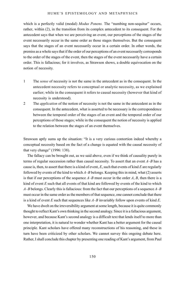which is a perfectly valid (modal) *Modus Ponens*. The "numbing non-sequitur" occurs, rather, within (2), in the transition from its complex antecedent to its consequent. For the antecedent says that when we are perceiving an event, our perceptions of the stages of the event necessarily occur in the same order as those stages themselves. But the consequent says that the stages of an event necessarily occur in a certain order. In other words, the premiss as a whole says that if the order of our perceptions of an event necessarily corresponds to the order of the stages of the event, then the stages of the event necessarily have a certain order. This is fallacious; for it involves, as Strawson shows, a double equivocation on the notion of necessity.

- 1 The *sense* of necessity is not the same in the antecedent as in the consequent. In the antecedent necessity refers to conceptual or analytic necessity, as we explained earlier; while in the consequent it refers to causal necessity (however that kind of necessity is understood).
- 2 The *application* of the notion of necessity is not the same in the antecedent as in the consequent. In the antecedent, what is asserted to be necessary is the correspondence between the temporal order of the stages of an event and the temporal order of our perceptions of those stages; while in the consequent the notion of necessity is applied to the relation between the stages of an event themselves.

Strawson aptly sums up the situation: "It is a very curious contortion indeed whereby a conceptual necessity based on the fact of a change is equated with the causal necessity of that very change" (1996: 138).

The fallacy can be brought out, as we said above, even if we think of causality purely in terms of regular succession rather than causal necessity. To assert that an event *A–B* has a cause is, then, to assert that there is a kind of event, *E*, such that events of kind *E* are regularly followed by events of the kind to which *A–B* belongs. Keeping this in mind, what (2) asserts is that if our perceptions of the sequence  $A-B$  must occur in the order  $A, B$ , then there is a kind of event *E* such that all events of that kind are followed by events of the kind to which *A–B* belongs. Clearly this is fallacious: from the fact that our perceptions of a sequence *A–B* must occur in the same order as the members of that sequence, one cannot conclude that there is a kind of event *E* such that sequences like *A–B* invariably follow upon events of kind *E*.

We have dwelt on the irreversibility argument at some length, because it is quite commonly thought to reflect Kant's own thinking in the second analogy. Since it is a fallacious argument, however, and because Kant's second analogy is a difficult text that lends itself to more than one interpretation, it is natural to wonder whether Kant has a better argument for the causal principle. Kant scholars have offered many reconstructions of his reasoning, and these in turn have been criticized by other scholars. We cannot survey this ongoing debate here. Rather, I shall conclude this chapter by presenting one reading of Kant's argument, from Paul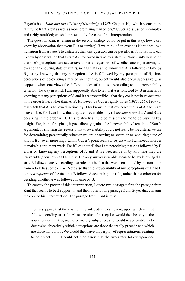Guyer's book *Kant and the Claims of Knowledge* (1987: Chapter 10), which seems more faithful to Kant's text as well as more promising than others.<sup>11</sup> Guyer's discussion is complex and richly ramified; we shall present only the core of his interpretation.

The question Kant is raising in the second analogy could be put in this way: how can I know by observation that event E is occurring? If we think of an event as Kant does, as a transition from a state A to a state B, then this question can be put also as follows: how can I know by observation that a state A is followed in time by a state B? Now Kant's key point, that one's perceptions are successive or serial regardless of whether one is perceiving an event or an enduring state of affairs, means that I cannot know that A is followed in time by B just by knowing that my perception of A is followed by my perception of B, since perceptions of co-existing states of an enduring object would also occur successively, as happens when one views the different sides of a house. According to the irreversibility criterion, the way in which I am supposedly able to tell that A is followed by B in time is by knowing that my perceptions of A and B are irreversible – that they could not have occurred in the order B, A, rather than A, B. However, as Guyer rightly notes (1987: 256), I *cannot* really tell that A is followed in time by B by knowing that my perceptions of A and B are irreversible. For I can know that they are irreversible only if I *already* know that A and B are occurring in the order A, B. This relatively simple point seems to me to be Guyer's key insight. For, in the first place, it goes directly against the "irreversibility" reading of Kant's argument, by showing that reversibility–irreversibility could not really be the criteria we use for determining perceptually whether we are observing an event or an enduring state of affairs. But, even more importantly, Guyer's point seems to be just what Kant needs in order to make his argument work. For if I cannot tell that I am perceiving that A is followed by B either by knowing my perceptions of A and B are successive or by knowing they are irreversible, then how can I tell this? The only answer available seems to be: by knowing that state B follows state A according to a rule; that is, that the event constituted by the transition from A to B has some *cause.* Note also that the irreversibility of my perceptions of A and B is a *consequence* of the fact that B follows A according to a rule, rather than a criterion for deciding whether A was followed in time by B.

To convey the power of this interpretation, I quote two passages: first the passage from Kant that seems to best support it, and then a fairly long passage from Guyer that contains the core of his interpretation. The passage from Kant is this:

Let us suppose that there is nothing antecedent to an event, upon which it must follow according to a rule. All succession of perception would then be only in the apprehension, that is, would be merely subjective, and would never enable us to determine objectively which perceptions are those that really precede and which are those that follow. We would then have only a play of representations, relating to no object . . . . I could not then assert that the two states follow upon one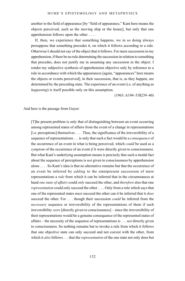another in the field of appearance [by "field of appearance," Kant here means the objects perceived, such as the moving ship or the house], but only that one apprehension follows upon the other . . . .

If, then, we experience that something happens, we in so doing always presuppose that something precedes it, on which it follows according to a rule. Otherwise I should not say of the object that it follows. For mere succession in my apprehension, if there be no rule determining the succession in relation to something that precedes, does not justify me in assuming any succession in the object. I render my subjective synthesis of apprehension objective only by reference to a rule in accordance with which the appearances [again, "appearances" here means the objects or events perceived], in their succession, that is, as they happen, are determined by the preceding state. The experience of an event (i.e. of anything as *happening*) is itself possible only on this assumption.

(1963: A194–5/B239–40)

And here is the passage from Guyer:

[T]he present problem is only that of distinguishing between an event occurring among represented states of affairs from the event of a change in representations [i.e. perceptions] themselves . . . . Thus, the significance of the irreversibility of a sequence of representations . . . is only that such a fact would be a *consequence* of the occurrence of an event in what is being perceived, which *could* be used as a *symptom* of the occurrence of an event *if* it were directly given to consciousness. But what Kant's underlying assumption means is precisely that such a modal fact about the sequence of perceptions is *not* given to consciousness by apprehension alone . . . . So Kant's idea is that no alternative remains but that the occurrence of an event be inferred by *adding* to the omnipresent succession of mere representations a *rule* from which it can be inferred that in the circumstances at hand *one state of affairs* could *only* succeed the other, and *therefore* also that one *representation* could only succeed the other . . . . Only from a rule which says that one of the represented states *must* succeed the other can it be inferred that it *does* succeed the other. For . . . though their succession *could* be inferred from the *necessary* sequence or irreversibility of the representations of them if such irreversibility *were* [directly given to consciousness] – since the irreversibility of their representations would be a genuine consequence of the represented states of affairs – the necessity of the sequence of representations is . . . *not* directly given to consciousness. So nothing remains but to invoke a rule from which it follows that one objective state can only succeed and not coexist with the other, from which it *also* follows . . . that the *representation* of the one state not only does but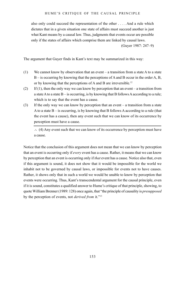also only could succeed the representation of the other . . . . And a rule which dictates that in a given situation one state of affairs must succeed another is just what Kant means by a causal law. Thus, judgments that events occur are possible only if the states of affairs which comprise them are linked by causal laws.

(Guyer 1987: 247–9)

The argument that Guyer finds in Kant's text may be summarized in this way:

- (1) We cannot know by observation that an event a transition from a state A to a state B – is occurring by knowing that the perceptions of A and B occur in the order A, B, or by knowing that the perceptions of A and B are irreversible.12
- $(2)$  If (1), then the only way we can know by perception that an event a transition from a state A to a state  $B - i$ s occurring, is by knowing that B follows A according to a rule; which is to say that the event has a cause.
- (3) If the only way we can know by perception that an event a transition from a state A to a state  $B - iS$  occurring, is by knowing that B follows A according to a rule (that the event has a cause), then any event such that we can know of its occurrence by perception must have a cause.

(4) Any event such that we can know of its occurrence by perception must have **• • •**a cause.

Notice that the conclusion of this argument does not mean that we can know by perception that an event is occurring only if *every* event has a cause. Rather, it means that we can know by perception that an event is occurring only if *that* event has a cause. Notice also that, even if this argument is sound, it does not show that it would be impossible for the world we inhabit not to be governed by causal laws, or impossible for events not to have causes. Rather, it shows only that in such a world we would be unable to know by perception that events were occurring. Thus, Kant's transcendental argument for the causal principle, even if it is sound, constitutes a qualified answer to Hume's critique of that principle, showing, to quote William Brenner (1989: 128) once again, that "the principle of causality is *presupposed* by the perception of events, not *derived from* it."13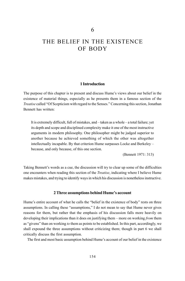# THE BELIEF IN THE EXISTENCE OF BODY

#### **1 Introduction**

The purpose of this chapter is to present and discuss Hume's views about our belief in the existence of material things, especially as he presents them in a famous section of the *Treatise* called "Of Scepticism with regard to the Senses." Concerning this section, Jonathan Bennett has written:

It is extremely difficult, full of mistakes, and – taken as a whole – a total failure; yet its depth and scope and disciplined complexity make it one of the most instructive arguments in modern philosophy. One philosopher might be judged superior to another because he achieved something of which the other was altogether intellectually incapable. By that criterion Hume surpasses Locke and Berkeley – because, and only because, of this one section.

(Bennett 1971: 313)

Taking Bennett's words as a cue, the discussion will try to clear up some of the difficulties one encounters when reading this section of the *Treatise*, indicating where I believe Hume makes mistakes, and trying to identify ways in which his discussion is nonetheless instructive.

#### **2 Three assumptions behind Hume's account**

Hume's entire account of what he calls the "belief in the existence of body" rests on three assumptions. In calling these "assumptions," I do not mean to say that Hume never gives reasons for them, but rather that the emphasis of his discussion falls more heavily on developing their implications than it does on justifying them – more on working *from* them as "givens" than on working *to* them as points to be established. In this part, accordingly, we shall expound the three assumptions without criticizing them; though in part 6 we shall critically discuss the first assumption.

The first and most basic assumption behind Hume's account of our belief in the existence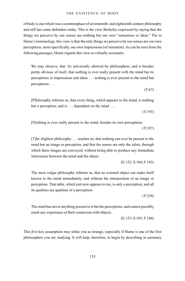of body is one which was a commonplace of seventeenth- and eighteenth-century philosophy and still has some defenders today. This is the view Berkeley expressed by saying that the things we perceive by our senses are nothing but our own "sensations or ideas." Put in Hume's terminology, this view is that the only things we perceive by our senses are our own perceptions, more specifically, our own impressions (of sensation). As can be seen from the following passages, Hume regards this view as virtually axiomatic:

We may observe, that 'tis universally allowed by philosophers, and is besides pretty obvious of itself, that nothing is ever really present with the mind but its perceptions or impressions and ideas . . . nothing is ever present to the mind but perceptions . . .

(T:67)

[P]hilosophy informs us, that every thing, which appears to the mind, is nothing but a perception, and is . . . dependent on the mind . . .

(T:193)

[N]othing is ever really present to the mind, besides its own perceptions

(T:197)

[T]he slightest philosophy . . . teaches us, that nothing can ever be present to the mind but an image or perception, and that the senses are only the inlets, through which these images are conveyed, without being able to produce any immediate intercourse between the mind and the object.

(E:152; S:104; F:183)

The most vulgar philosophy informs us, that no external object can make itself known to the mind immediately, and without the interposition of an image or perception. That table, which just now appears to me, is only a perception, and all its qualities are qualities of a perception.

(T:239)

The mind has never anything present to it but the perceptions, and cannot possibly reach any experience of their connexion with objects.

(E:153; S:105; F:184)

This *first* key assumption may strike you as strange, especially if Hume is one of the first philosophers you are studying. It will help, therefore, to begin by describing in summary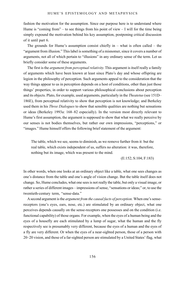fashion the motivation for the assumption. Since our purpose here is to understand where Hume is "coming from" – to see things from his point of view  $-1$  will for the time being simply expound the motivation behind his key assumption, postponing critical discussion of it until part 6.

The grounds for Hume's assumption consist chiefly in – what is often called – the "argument from illusion." This label is something of a misnomer, since it covers a number of arguments, not all of which pertain to "illusions" in any ordinary sense of the term. Let us briefly consider some of these arguments.

The first is the *argument from perceptual relativity.* This argument is itself really a family of arguments which have been known at least since Plato's day and whose offspring are legion in the philosophy of perception. Such arguments appeal to the consideration that the way things appear to us in perception depends on a host of conditions, other than just those things' properties, in order to support various philosophical conclusions about perception and its objects. Plato, for example, used arguments, particularly in the *Theatetus* (see 151D– 186E), from perceptual relativity to show that perception is not knowledge; and Berkeley used them in his *Three Dialogues* to show that sensible qualities are nothing but sensations or ideas (Berkeley 1993a: 168–82 especially). In the version most directly relevant to Hume's first assumption, the argument is supposed to show that what we really perceive by our senses is not bodies themselves, but rather our own impressions, "perceptions," or "images." Hume himself offers the following brief statement of the argument:

The table, which we see, seems to diminish, as we remove further from it: but the real table, which exists independent of us, suffers no alteration: it was, therefore, nothing but its image, which was present to the mind.

(E:152; S:104; F:183)

In other words, when one looks at an ordinary object like a table, what one sees changes as one's distance from the table and one's angle of vision change. But the table itself does not change. So, Hume concludes, what one sees is not really the table, but only a visual image, or rather a series of different images – impressions of sense, "sensations or ideas;" or, to use the twentieth-century term, "sense-data."

A second argument is the *argument from the causal facts of perception.* When one's sensereceptors (one's eyes, ears, nose, etc.) are stimulated by an ordinary object, what one perceives depends causally on the sense-receptors one possesses and on the condition (i.e. functional capability) of those organs. For example, when the eyes of a human being and the eyes of a housefly are each stimulated by a lump of sugar, what the human and the fly respectively see is presumably very different, because the eyes of a human and the eyes of a fly are very different. Or when the eyes of a near-sighted person, those of a person with 20–20 vision, and those of a far-sighted person are stimulated by a United States' flag, what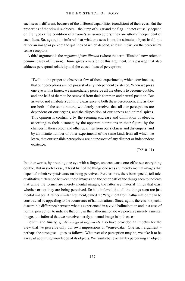each sees is different, because of the different capabilities (condition) of their eyes. But the properties of the stimulus-objects – the lump of sugar and the flag – do not causally depend on the type or the condition of anyone's sense-receptors; they are utterly independent of such facts. So, again, it is inferred that what one sees is not the stimulus-object itself, but rather an image or percept the qualities of which depend, at least in part, on the perceiver's sense-receptors.

A third argument is the *argument from illusion* (where the term "illusion" now refers to genuine cases of illusion). Hume gives a version of this argument, in a passage that also adduces perceptual relativity and the causal facts of perception:

'Twill . . . be proper to observe a few of those experiments, which convince us, that our perceptions are not possest of any independent existence. When we press one eye with a finger, we immediately perceive all the objects to become double, and one half of them to be remov'd from their common and natural position. But as we do not attribute a continu'd existence to both these perceptions, and as they are both of the same nature, we clearly perceive, that all our perceptions are dependent on our organs, and the disposition of our nerves and animal spirits. This opinion is confirm'd by the seeming encrease and diminution of objects, according to their distance; by the apparent alterations in their figure; by the changes in their colour and other qualities from our sickness and distempers; and by an infinite number of other experiments of the same kind; from all which we learn, that our sensible perceptions are not possest of any distinct or independent existence.

(T:210–11)

In other words, by pressing one eye with a finger, one can cause oneself to see everything double. But in such a case, at least half of the things one sees are merely mental images that depend for their very existence on being perceived. Furthermore, there is no special, tell-tale, qualitative difference between these images and the other half of the things seen to indicate that while the former are merely mental images, the latter are material things that exist whether or not they are being perceived. So it is inferred that all the things seen are just mental images. A rather similar argument, called the "argument from hallucination," can be constructed by appealing to the occurrence of hallucinations. Since, again, there is no special discernible difference between what is experienced in a vivid hallucination and in a case of normal perception to indicate that only in the hallucination do we perceive merely a mental image, it is inferred that we perceive merely a mental image in both cases.

Fourth, and finally, *epistemological arguments* also have provided an impetus for the view that we perceive only our own impressions or "sense-data." One such argument – perhaps the strongest – goes as follows. Whatever else perception may be, we take it to be a way of acquiring knowledge of its objects. We firmly believe that by perceiving an object,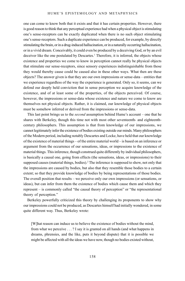one can come to know both that it exists and that it has certain properties. However, there is good reason to think that any perceptual experience had when a physical object is stimulating one's sense-receptors can be exactly duplicated when there is no such object stimulating one's sense-receptors. Such a duplicate experience can be produced, for example, by directly stimulating the brain, or in a drug-induced hallucination, or in a naturally occurring hallucination, or in a vivid dream. Conceivably, it could even be produced by a deceiving God, or by an evil deceiver like the one postulated by Descartes.<sup>1</sup> Therefore, it is inferred, the objects whose existence and properties we come to know in perception cannot really be physical objects that stimulate our sense-receptors, since sensory experiences indistinguishable from those they would thereby cause could be caused also in these other ways. What then are these objects? The answer given is that they are our own impressions or sense-data – entities that we experience regardless of the way the experience is generated. Only so, it seems, can we defend our deeply held conviction that in sense perception we acquire knowledge of the existence, and of at least some of the properties, of the objects perceived. Of course, however, the impressions or sense-data whose existence and nature we come to know are themselves not physical objects. Rather, it is claimed, our knowledge of physical objects must be somehow inferred or derived from the impressions or sense-data.

This last point brings us to the *second* assumption behind Hume's account – one that he shares with Berkeley, though this time not with most other seventeenth- and eighteenthcentury philosophers. This assumption is that from knowledge of our impressions, we cannot legitimately infer the existence of bodies existing outside our minds. Many philosophers of the Modern period, including notably Descartes and Locke, have held that our knowledge of the existence of material things – of the entire material world – is based on an inference or argument from the occurrence of our sensations, ideas, or impressions to the existence of material things. This inference, though construed quite differently by individual philosophers, is basically a causal one, going from effects (the sensations, ideas, or impressions) to their supposed causes (material things, bodies).<sup>2</sup> The inference is supposed to show, not only that the impressions are caused by bodies, but also that they resemble those bodies to a certain extent; so that they provide knowledge of bodies by being representations of those bodies. The overall position that results – we perceive only our own impressions (or sensations, or ideas), but can infer from them the existence of bodies which cause them and which they represent – is commonly called "the causal theory of perception" or "the representational theory of perception."

Berkeley powerfully criticized this theory by challenging its proponents to show why our impressions could not be produced, as Descartes himself had initially wondered, in some quite different way. Thus, Berkeley wrote:

[W]hat reason can induce us to believe the existence of bodies without the mind, from what we perceive . . . ? I say it is granted on all hands (and what happens in dreams, phrensies, and the like, puts it beyond dispute) that it is possible we might be affected with all the ideas we have now, though no bodies existed without,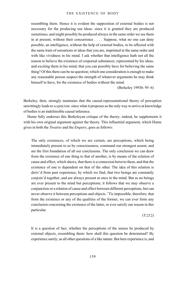resembling them. Hence it is evident the supposition of external bodies is not necessary for the producing our ideas: since it is granted they are produced sometimes, and might possibly be produced always in the same order we see them in at present, without their concurrence . . . . Suppose, what no one can deny possible, an intelligence, without the help of external bodies, to be affected with the same train of sensations or ideas that you are, imprinted in the same order and with like vividness in his mind. I ask whether that intelligence hath not all the reason to believe the existence of corporeal substances, represented by his ideas, and exciting them in his mind, that you can possibly have for believing the same thing? Of this there can be no question; which one consideration is enough to make any reasonable person suspect the strength of whatever arguments he may think himself to have, for the existence of bodies without the mind.

(Berkeley 1993b: 95–6)

Berkeley, then, strongly maintains that the causal-representational theory of perception unwittingly leads to *scepticism*: since what it proposes as the only way to arrive at knowledge of bodies is an indefensible causal inference.

Hume fully endorses this Berkeleyan critique of the theory; indeed, he supplements it with his own original argument against the theory. This influential argument, which Hume gives in both the *Treatise* and the *Enquiry*, goes as follows:

The only existences, of which we are certain, are perceptions, which being immediately present to us by consciousness, command our strongest assent, and are the first foundation of all our conclusions. The only conclusion we can draw from the existence of one thing to that of another, is by means of the relation of cause and effect, which shews, that there is a connexion betwixt them, and that the existence of one is dependent on that of the other. The idea of this relation is deriv'd from past experience, by which we find, that two beings are constantly conjoin'd together, and are always present at once to the mind. But as no beings are ever present to the mind but perceptions; it follows that we may observe a conjunction or a relation of cause and effect between different perceptions, but can never observe it between perceptions and objects. 'Tis impossible, therefore, that from the existence or any of the qualities of the former, we can ever form any conclusion concerning the existence of the latter, or ever satisfy our reason in this particular.

(T:212)

It is a question of fact, whether the perceptions of the senses be produced by external objects, resembling them: how shall this question be determined? By experience surely; as all other questions of a like nature. But here experience is, and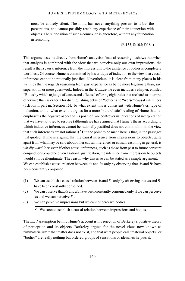must be entirely silent. The mind has never anything present to it but the perceptions, and cannot possibly reach any experience of their connexion with objects. The supposition of such a connexion is, therefore, without any foundation in reasoning.

(E:153; S:105; F:184)

This argument stems directly from Hume's analysis of causal reasoning; it shows that when that analysis is combined with the view that we perceive only our own impressions, the result is that a causal inference from the impressions to the existence of bodies is completely worthless. Of course, Hume is committed by his critique of induction to the view that causal inferences cannot be rationally justified. Nevertheless, it is clear from many places in his writings that he regards reasoning from past experience as being more legitimate than, say, superstition or mere guesswork. Indeed, in the *Treatise*, he even includes a chapter, entitled "Rules by which to judge of causes and effects," offering eight rules that are hard to interpret otherwise than as criteria for distinguishing between "better" and "worse" causal inferences (T:Book I, part iii, Section 15). To what extent this is consistent with Hume's critique of induction, and to what extent it argues for a more "naturalistic" reading of Hume that deemphasizes the negative aspect of his position, are controversial questions of interpretation that we have not tried to resolve (although we have argued that Hume's thesis according to which inductive inferences cannot be rationally justified does not commit him to the view that such inferences are not rational).<sup>3</sup> But the point to be made here is that, in the passages just quoted, Hume is arguing that the causal inference from impressions to objects, quite apart from what may be said about other causal inferences or causal reasoning in general, is *wholly worthless*: even if other causal inferences, such as those from past to future constant conjunctions, could be given a rational justification, the inference from impressions to objects would still be illegitimate. The reason why this is so can be stated as a simple argument: We can establish a causal relation between *A*s and *B*s only by observing that *A*s and *B*s have been constantly conjoined.

- (1) We can establish a causal relation between *A*s and *B*s only by observing that *A*s and *B*s have been constantly conjoined.
- (2) We can observe that *A*s and *B*s have been constantly conjoined only if we can perceive *A*s and we can perceive *B*s.
- (3) We can perceive impressions but we cannot perceive bodies.

•• We cannot establish a causal relation between impressions and bodies.

The *third* assumption behind Hume's account is his rejection of Berkeley's positive theory of perception and its objects. Berkeley argued for the novel view, now known as "immaterialism," that matter does not exist, and that what people call "material objects" or "bodies" are really nothing but ordered groups of sensations or ideas. As he puts it: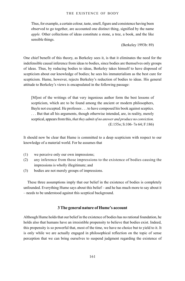Thus, for example, a certain colour, taste, smell, figure and consistence having been observed to go together, are accounted one distinct thing, signified by the name *apple.* Other collections of ideas constitute a stone, a tree, a book, and the like sensible things.

(Berkeley 1993b: 89)

One chief benefit of this theory, as Berkeley sees it, is that it eliminates the need for the indefensible causal inference from ideas to bodies, since bodies are themselves only groups of ideas. Thus, by reducing bodies to ideas, Berkeley takes himself to have disposed of scepticism about our knowledge of bodies; he sees his immaterialism as the best cure for scepticism. Hume, however, rejects Berkeley's reduction of bodies to ideas. His general attitude to Berkeley's views is encapsulated in the following passage:

[M]ost of the writings of that very ingenious author form the best lessons of scepticism, which are to be found among the ancient or modern philosophers, Bayle not excepted. He professes . . . to have composed his book against sceptics. . . . But that all his arguments, though otherwise intended, are, in reality, merely sceptical, appears from this, *that they admit of no answer and produce no conviction.* (E:155*n*; S:106–7*n* 64; F:186)

It should now be clear that Hume is committed to a deep scepticism with respect to our knowledge of a material world. For he assumes that

- (1) we perceive only our own impressions;
- (2) any inference from those impressions to the existence of bodies causing the impressions is wholly illegitimate; and
- (3) bodies are not merely groups of impressions.

These three assumptions imply that our belief in the existence of bodies is completely unfounded. Everything Hume says about this belief – and he has much more to say about it – needs to be understood against this sceptical background.

#### **3 The general nature of Hume's account**

Although Hume holds that our belief in the existence of bodies has no rational foundation, he holds also that humans have an irresistible propensity to believe that bodies exist. Indeed, this propensity is so powerful that, most of the time, we have no choice but to yield to it. It is only while we are actually engaged in philosophical reflection on the topic of sense perception that we can bring ourselves to suspend judgment regarding the existence of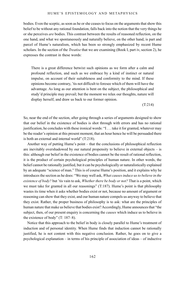bodies. Even the sceptic, as soon as he or she ceases to focus on the arguments that show this belief to be without any rational foundation, falls back into the notion that the very things he or she perceives *are* bodies. This contrast between the results of reasoned reflection, on the one hand, and what we spontaneously and naturally believe, on the other hand, is part and parcel of Hume's naturalism, which has been so strongly emphasized by recent Hume scholars. In the section of the *Treatise* that we are examining (Book I, part iv, section 2), he expresses the contrast in these words:

There is a great difference betwixt such opinions as we form after a calm and profound reflection, and such as we embrace by a kind of instinct or natural impulse, on account of their suitableness and conformity to the mind. If these opinions become contrary, 'tis not difficult to foresee which of them will have the advantage. As long as our attention is bent on the subject, the philosophical and study'd principle may prevail; but the moment we relax our thoughts, nature will display herself, and draw us back to our former opinion.

(T:214)

So, near the end of the section, after going through a series of arguments designed to show that our belief in the existence of bodies is shot through with errors and has no rational justification, he concludes with these ironical words: "I . . . take it for granted, whatever may be the reader's opinion at this present moment, that an hour hence he will be persuaded there is both an external and internal world" (T:218).

Another way of putting Hume's point – that the conclusions of philosophical reflection are inevitably overshadowed by our natural propensity to believe in external objects – is this: although our belief in the existence of bodies cannot be the result of rational reflection, it is the product of certain psychological principles of human nature. In other words, the belief cannot be rationally justified, but it can be psychologically or naturalistically explained by an adequate "science of man." This is of course Hume's position, and it explains why he introduces the section as he does: "We may well ask, *What causes induce us to believe in the existence of body?* but 'tis vain to ask, *Whether there be body or not?* That is a point, which we must take for granted in all our reasonings" (T:187). Hume's point is that philosophy wastes its time when it asks whether bodies exist or not, because no amount of argument or reasoning can show that they exist, and our human nature compels us anyway to believe that they exist. Rather, the proper business of philosophy is to ask: what are the principles of human nature that make us believe that bodies exist? Accordingly, Hume announces that "the subject, then, of our present enquiry is concerning the *causes* which induce us to believe in the existence of body" (T: 187–8).

Notice that this approach to the belief in body is closely parallel to Hume's treatment of induction and of personal identity. When Hume finds that induction cannot be rationally justified, he is not content with this negative conclusion. Rather, he goes on to give a psychological explanation – in terms of his principle of association of ideas – of inductive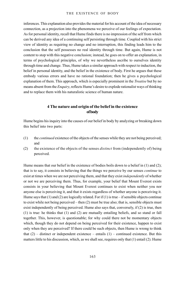inferences. This explanation also provides the material for his account of the idea of necessary connection, as a projection into the phenomena we perceive of our feelings of expectation. As for personal identity, recall that Hume finds there is no impression of the self from which can be derived any idea of a continuing self persisting through time. Coupled with his strict view of identity as requiring no change and no interruption, this finding leads him to the conclusion that the self possesses no real identity through time. But again, Hume is not content to stop with this negative conclusion; instead, he goes on to offer an explanation, in terms of psychological principles, of why we nevertheless ascribe to ourselves identity through time and change. Thus, Hume takes a similar approach with respect to induction, the belief in personal identity, and the belief in the existence of body. First he argues that these embody various errors and have no rational foundation; then he gives a psychological explanation of them. This approach, which is especially prominent in the *Treatise* but by no means absent from the *Enquiry*, reflects Hume's desire to explode rationalist ways of thinking and to replace them with his naturalistic science of human nature.

# **4 The nature and origin of the belief in the existence of body**

Hume begins his inquiry into the causes of our belief in body by analyzing or breaking down this belief into two parts:

- (1) the *continued* existence of the objects of the senses while they are not being perceived; and
- (2) the existence of the objects of the senses *distinct* from (independently of) being perceived.

Hume means that our belief in the existence of bodies boils down to a belief in (1) and (2); that is to say, it consists in believing that the things we perceive by our senses *continue* to exist at times when we are not perceiving them, and that they exist *independently* of whether or not we are perceiving them. Thus, for example, your belief that Mount Everest exists consists in your believing that Mount Everest continues to exist when neither you nor anyone else is perceiving it, and that it exists regardless of whether anyone is perceiving it. Hume says that  $(1)$  and  $(2)$  are logically related. For if  $(1)$  is true – if sensible objects continue to exist while not being perceived – then (2) must be true also; that is, sensible objects must exist independently of being perceived. Hume also says that, conversely, if (2) is true, then (1) is true: he thinks that (1) and (2) are mutually entailing beliefs, and so stand or fall together. This, however, is questionable; for why could there not be momentary objects which, though they do not depend on being perceived for their existence, happen to exist only when they are perceived? If there could be such objects, then Hume is wrong to think that  $(2)$  – distinct or independent existence – entails  $(1)$  – continued existence. But this matters little to his discussion, which, as we shall see, requires only that (1) entail (2). Hume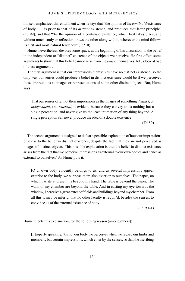himself emphasizes this entailment when he says that "the opinion of the *continu'd* existence of body . . . is prior to that of its *distinct* existence, and produces that latter principle" (T:199), and that "'tis the opinion of a continu'd existence, which first takes place, and without much study or reflection draws the other along with it, wherever the mind follows its first and most natural tendency" (T:210).

Hume, nevertheless, devotes some space, at the beginning of his discussion, to the belief in the independent or "distinct" existence of the objects we perceive. He first offers some arguments to show that this belief cannot arise from the *senses* themselves; let us look at two of these arguments.

The first argument is that our impressions themselves have no distinct existence; so the only way our senses could produce a belief in distinct existence would be if we perceived those impressions as images or representations of some other distinct objects. But, Hume says:

That our senses offer not their impressions as the images of something *distinct*, or *independent*, and *external*, is evident; because they convey to us nothing but a single perception, and never give us the least intimation of any thing beyond. A single perception can never produce the idea of a double existence.

(T:189)

The second argument is designed to defeat a possible explanation of how our impressions give rise to the belief in distinct existence, despite the fact that they are not perceived as images of distinct objects. This possible explanation is that the belief in distinct existence arises from the fact that we perceive impressions as external to our own bodies and hence as external to ourselves.<sup>4</sup> As Hume puts it:

[O]ur own body evidently belongs to us; and as several impressions appear exterior to the body, we suppose them also exterior to ourselves. The paper, on which I write at present, is beyond my hand. The table is beyond the paper. The walls of my chamber are beyond the table. And in casting my eye towards the window, I perceive a great extent of fields and buildings beyond my chamber. From all this it may be infer'd, that no other faculty is requir'd, besides the senses, to convince us of the external existence of body.

(T:190–1)

Hume rejects this explanation, for the following reason (among others):

[P]roperly speaking, 'tis not our body we perceive, when we regard our limbs and members, but certain impressions, which enter by the senses, so that the ascribing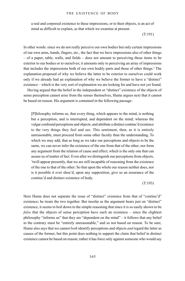a real and corporeal existence to these impressions, or to their objects, is an act of mind as difficult to explain, as that which we examine at present.

(T:191)

In other words: since we do not really perceive our own bodies but only certain impressions of our own arms, hands, fingers, etc., the fact that we have impressions also of other things – of a paper, table, walls, and fields – does not amount to perceiving those items to be exterior to our bodies or to ourselves; it amounts only to perceiving an array of impressions that includes the impressions both of our own bodily parts and those of other things.<sup>5</sup> The explanation proposed of why we believe the latter to be exterior to ourselves could work only if we already had an explanation of why we believe the former to have a "distinct" existence – which is the very sort of explanation we are looking for and have not yet found.

Having argued that the belief in the independent or "distinct" existence of the objects of sense perception cannot arise from the senses themselves, Hume argues next that it cannot be based on reason. His argument is contained in the following passage:

[P]hilosophy informs us, that every thing, which appears to the mind, is nothing but a perception, and is interrupted, and dependent on the mind; whereas the vulgar confound perceptions and objects; and attribute a distinct continu'd existence to the very things they feel and see. This sentiment, then, as it is entirely unreasonable, must proceed from some other faculty than the understanding. To which we may add, that as long as we take our perceptions and objects to be the same, we can never infer the existence of the one from that of the other, nor form any argument from the relation of cause and effect; which is the only one that can assure us of matter of fact. Even after we distinguish our perceptions from objects, 'twill appear presently, that we are still incapable of reasoning from the existence of the one to that of the other: So that upon the whole our reason neither does, nor is it possible it ever shou'd, upon any supposition, give us an assurance of the continu'd and distinct existence of body.

(T:193)

Here Hume does not separate the issue of "distinct" existence from that of "continu'd" existence; he treats the two together. But insofar as the argument bears just on "distinct" existence, it seems to boil down to the simple reasoning that since it is so easily shown to be *false* that the objects of sense perception have such an existence – since the slightest philosophy "informs us" that they are "dependent on the mind" – it follows that any belief to the contrary must be "entirely unreasonable," and so not based on reason. To be sure, Hume also says that we cannot *both* identify perceptions and objects *and* regard the latter as causes of the former, but this point does nothing to support the claim that belief in distinct existence cannot be based on reason; rather it has force only against someone who would say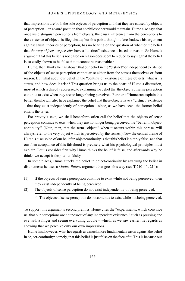that impressions are both the sole objects of perception and that they are caused by objects of perception – an absurd position that no philosopher would maintain. Hume also says that once we distinguish perceptions from objects, the causal inference from the perceptions to the existence of objects is illegitimate; but this point, though it foreshadows his argument against causal theories of perception, has no bearing on the question of whether the belief that *the very objects we perceive* have a "distinct" existence is based on reason. So Hume's argument that this belief is not based on reason does seem to reduce to saying that the belief is so easily shown to be false that it cannot be reasonable.<sup>6</sup>

Hume, then, thinks he has shown that our belief in the "distinct" or independent existence of the objects of sense perception cannot arise either from the senses themselves or from reason. But what about our belief in the "continu'd" existence of these objects: what is its status, and how does it arise? This question brings us to the heart of Hume's discussion, most of which is directly addressed to explaining the belief that the objects of sense perception continue to exist when they are no longer being perceived. Further, if Hume can explain this belief, then he will also have explained the belief that these objects have a "distinct" existence – that they exist independently of perception – since, as we have seen, the former belief entails the latter

For brevity's sake, we shall henceforth often call the belief that the objects of sense perception continue to exist when they are no longer being perceived the "belief in objectcontinuity." (Note, then, that the term "object," when it occurs within this phrase, will always refer to the very object which is perceived by the senses.) Now the central theme of Hume's discussion of our belief in objectcontinuity is that this belief is simply false, and that our firm acceptance of this falsehood is precisely what his psychological principles must explain. Let us consider first why Hume thinks the belief is false, and afterwards why he thinks we accept it despite its falsity.

In some places, Hume attacks the belief in object-continuity by attacking the belief in distinctness; he uses a *Modus Tollens* argument that goes this way (see T:210–11, 214):

- (1) If the objects of sense perception continue to exist while not being perceived, then they exist independently of being perceived.
- (2) The objects of sense perception do not exist independently of being perceived.

•• The objects of sense perception do not continue to exist while not being perceived.

To support this argument's second premiss, Hume cites the "experiments, which convince us, that our perceptions are not possest of any independent existence," such as pressing one eye with a finger and seeing everything double – which, as we saw earlier, he regards as showing that we perceive only our own impressions.

Hume has, however, what he regards as a much more fundamental reason against the belief in object-continuity: namely, that this belief is just false on the face of it. This is because our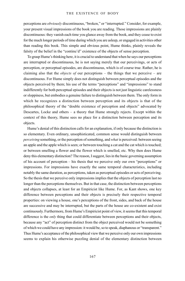perceptions are *obviously* discontinuous, "broken," or "interrupted." Consider, for example, your present visual impressions of the book you are reading. Those impressions are plainly discontinuous: they vanish each time you glance away from the book, and they cease to exist for the much longer periods of time during which you are asleep, or engaged in activities other than reading this book. This simple and obvious point, Hume thinks, plainly reveals the falsity of the belief in the "continu'd" existence of the objects of sense perception.

To grasp Hume's thinking here, it is crucial to understand that when he says our perceptions are interrupted or discontinuous, he is not saying merely that our perceivings, or acts of perception, or perceptual episodes, are discontinuous, which is of course true. Rather, he is claiming also that the *objects of* our perceptions – the things that we perceive – are discontinuous. For Hume simply does not distinguish between perceptual episodes and the objects perceived by them; his use of the terms "perceptions" and "impressions" to stand indifferently for both perceptual episodes and their objects is not just linguistic carelessness or sloppiness, but embodies a genuine failure to distinguish between them. The only form in which he recognizes a distinction between perception and its objects is that of the philosophical theory of the "double existence of perception and objects" advocated by Descartes, Locke and others – a theory that Hume strongly rejects. Except within the context of this theory, Hume sees no place for a distinction between perception and its objects.

Hume's denial of this distinction calls for an explanation, if only because the distinction is so elementary. Even ordinary, unsophisticated, common sense would distinguish between *perceiving* something, or the perception of something, and *what* is perceived: between seeing an apple and the apple which is seen; or between touching a cat and the cat which is touched; or between smelling a flower and the flower which is smelled, etc. Why then does Hume deny this elementary distinction? The reason, I suggest, lies in the basic governing assumption of his account of perception – his thesis that we perceive only our own "perceptions" or impressions. For impressions have exactly the same temporal characteristics, including notably the same duration, as perceptions, taken as perceptual episodes or acts of perceiving. So the thesis that we perceive only impressions implies that the objects of perception last no longer than the perceptions themselves. But in that case, the distinction between perceptions and objects collapses, at least for an Empiricist like Hume. For, as Kant shows, one key difference between perceptions and their objects is precisely their respective temporal properties: on viewing a house, one's perceptions of the front, sides, and back of the house are successive and may be interrupted, but the parts of the house are co-existent and exist continuously. Furthermore, from Hume's Empiricist point of view, it seems that this temporal difference is the *only* thing that could differentiate between perceptions and their objects, because any "act" of perception distinct from the object perceived would not be something of which we could have any impression: it would be, so to speak, diaphanous or "transparent." Thus Hume's acceptance of the philosophical view that we perceive only our own impressions seems to explain his otherwise puzzling denial of the elementary distinction between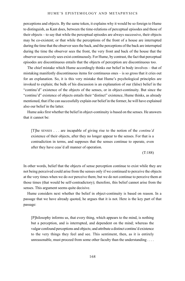perceptions and objects. By the same token, it explains why it would be so foreign to Hume to distinguish, as Kant does, between the time-relations of perceptual episodes and those of their objects – to say that while the perceptual episodes are always successive, their objects may be co-existent; or that while the perceptions of the front of a house are interrupted during the time that the observer sees the back, and the perceptions of the back are interrupted during the time the observer sees the front, the very front and back of the house that the observer successively sees exist continuously. For Hume, by contrast, the fact that perceptual episodes are discontinuous entails that the objects of perception are discontinuous too.

The chief mistake which Hume accordingly thinks our belief in body involves – that of mistaking manifestly discontinuous items for continuous ones – is so gross that it cries out for an explanation. So, it is this very mistake that Hume's psychological principles are invoked to explain; the bulk of his discussion is an explanation of our (false) belief in the "continu'd" existence of the objects of the senses, or in object-continuity. But since the "continu'd" existence of objects entails their "distinct" existence, Hume thinks, as already mentioned, that if he can successfully explain our belief in the former, he will have explained also our belief in the latter.

Hume asks first whether the belief in object-continuity is based on the senses. He answers that it cannot be:

[T]he SENSES . . . are incapable of giving rise to the notion of the *continu'd* existence of their objects, after they no longer appear to the senses. For that is a contradiction in terms, and supposes that the senses continue to operate, even after they have ceas'd all manner of operation.

(T:188)

In other words, belief that the objects of sense perception continue to exist while they are not being perceived could arise from the senses only if we continued to perceive the objects at the very times when we do *not* perceive them; but we do not continue to perceive them at those times (that would be self-contradictory); therefore, this belief cannot arise from the senses. This argument seems quite decisive.

Hume considers next whether the belief in object-continuity is based on reason. In a passage that we have already quoted, he argues that it is not. Here is the key part of that passage:

[P]hilosophy informs us, that every thing, which appears to the mind, is nothing but a perception, and is interrupted, and dependent on the mind; whereas the vulgar confound perceptions and objects; and attribute a distinct continu'd existence to the very things they feel and see. This sentiment, then, as it is entirely unreasonable, must proceed from some other faculty than the understanding . . . .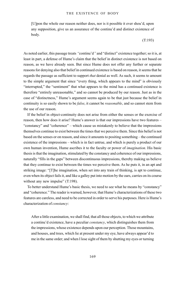[U]pon the whole our reason neither does, nor is it possible it ever shou'd, upon any supposition, give us an assurance of the continu'd and distinct existence of body.

(T:193)

As noted earlier, this passage treats *"*continu'd*"* and "distinct" existence together; so it is, at least in part, a defense of Hume's claim that the belief in distinct existence is not based on reason, as we have already seen. But since Hume does not offer any further or separate reasons for denying also that belief in continued existence is based on reason, it seems that he regards the passage as sufficient to support *that* denial as well. As such, it seems to amount to the simple argument that since "every thing, which appears to the mind" is obviously "interrupted," the "sentiment" that what appears to the mind has a continued existence is therefore "entirely unreasonable," and so cannot be produced by our reason. Just as in the case of "distinctness," Hume's argument seems again to be that just because the belief in continuity is so easily shown to be *false*, it cannot be *reasonable*, and so cannot stem from the use of our reason.

If the belief in object-continuity does not arise from either the senses or the exercise of reason, then how does it arise? Hume's answer is that our impressions have two features – "constancy" and "coherence" – which cause us mistakenly to believe that the impressions themselves continue to exist between the times that we perceive them. Since this belief is not based on the senses or on reason, and since it amounts to positing something – the continued existence of the impressions – which is in fact untrue, and which is purely a product of our own human invention, Hume ascribes it to the faculty or power of *imagination.* His basic thesis is that the imagination, stimulated by the constancy and coherence of our impressions, naturally "fills in the gaps" between discontinuous impressions, thereby making us believe that they continue to exist between the times we perceive them. As he puts it, in an apt and striking image: "[T]he imagination, when set into any train of thinking, is apt to continue, even when its object fails it, and like a galley put into motion by the oars, carries on its course without any new impulse" (T:198).

To better understand Hume's basic thesis, we need to see what he means by "constancy" and "coherence." The reader is warned, however, that Hume's characterizations of these two features are careless, and need to be corrected in order to serve his purposes. Here is Hume's characterization of *constancy*:

After a little examination, we shall find, that all those objects, to which we attribute a continu'd existence, have a peculiar *constancy*, which distinguishes them from the impressions, whose existence depends upon our perception. Those mountains, and houses, and trees, which lie at present under my eye, have always appear'd to me in the same order; and when I lose sight of them by shutting my eyes or turning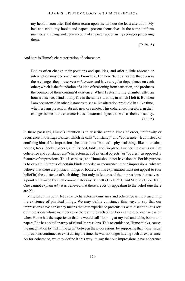my head, I soon after find them return upon me without the least alteration. My bed and table, my books and papers, present themselves in the same uniform manner, and change not upon account of any interruption in my seeing or perceiving them.

 $(T:194-5)$ 

And here is Hume's characterization of coherence:

Bodies often change their positions and qualities, and after a little absence or interruption may become hardly knowable. But here 'tis observable, that even in these changes they preserve a *coherence*, and have a regular dependence on each other; which is the foundation of a kind of reasoning from causation, and produces the opinion of their continu'd existence. When I return to my chamber after an hour's absence, I find not my fire in the same situation, in which I left it: But then I am accustom'd in other instances to see a like alteration produc'd in a like time, whether I am present or absent, near or remote. This coherence, therefore, in their changes is one of the characteristics of external objects, as well as their constancy. (T:195)

In these passages, Hume's intention is to describe certain kinds of order, uniformity or recurrence in our *impressions*, which he calls "constancy" and "coherence." But instead of confining himself to impressions, he talks about "bodies" – physical things like mountains, houses, trees, books, papers, and his bed, table, and fireplace. Further, he even says that coherence and constancy are "characteristics of external objects" or "bodies," as opposed to features of impressions. This is careless, and Hume should not have done it. For his purpose is to explain, in terms of certain kinds of order or recurrence in our impressions, why we believe that there are physical things or bodies; so his explanation must not appeal to (our belief in) the existence of such things, but only to features of the impressions themselves – a point well made by such commentators as Bennett (1971: 323) and Stroud (1977: 100). One cannot explain *why* it is believed that there are Xs by appealing to the belief *that* there are Xs.

Mindful of this point, let us try to characterize constancy and coherence without assuming the existence of physical things. We may define constancy this way: to say that our impressions have constancy means that our experience presents us with discontinuous sets of impressions whose members exactly resemble each other. For example, on each occasion when Hume has the experience that he would call "looking at my bed and table, books and papers," he has a similar array of visual impressions. This resemblance, Hume thinks, causes the imagination to "fill in the gaps" between these occasions, by supposing that those visual impressions continued to exist during the times he was no longer having such an experience. As for coherence, we may define it this way: to say that our impressions have coherence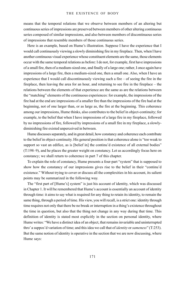means that the temporal relations that we observe between members of an altering but continuous series of impressions are preserved between members of other altering continuous series composed of similar impressions, and also between members of discontinuous series of impressions that resemble members of those continuous series.

Here is an example, based on Hume's illustration. Suppose I have the experience that I would call continuously viewing a slowly diminishing fire in my fireplace. Then, when I have another continuous visual experience whose constituent elements are the same, those elements occur with the same temporal relations as before: I do not, for example, first have impressions of a small fire, then of a medium-sized one, and finally of a large one; rather, I once again have impressions of a large fire, then a medium-sized one, then a small one. Also, when I have an experience that I would call discontinuously viewing such a fire – of seeing the fire in the fireplace, then leaving the area for an hour, and returning to see fire in the fireplace – the relations between the elements of that experience are the same as are the relations between the "matching" elements of the continuous experiences: for example, the impressions of the fire had at the end are impressions of a smaller fire than the impressions of the fire had at the beginning, not of one larger than, or as large as, the fire at the beginning. This coherence among our impressions, Hume thinks, also contributes to the belief in object-continuity; for example, to the belief that when I have impressions of a large fire in my fireplace, followed by no impressions of fire, followed by impressions of a small fire in my fireplace, a slowlydiminishing fire existed unperceived in between.

Hume discusses separately, and in great detail, how constancy and coherence each contribute to the belief in object-continuity. His general position is that coherence alone is "too weak to support so vast an edifice, as is [belief in] the continu'd existence of all external bodies" (T:198–9), and he places the greater weight on constancy. Let us accordingly focus here on constancy; we shall return to coherence in part 7 of this chapter.

To explain the role of constancy, Hume presents a four-part "system" that is supposed to show how the constancy of our impressions gives rise to the belief in their "continu'd existence." Without trying to cover or discuss all the complexities in his account, its salient points may be summarized in the following way.

The "first part of [Hume's] system" is just his account of identity, which was discussed in Chapter 1. It will be remembered that Hume's account is essentially an account of identity through time: it aims to say what is required for any thing to retain its identity, to remain the same thing, through a period of time. His view, you will recall, is a strict one: identity through time requires not only that there be no break or interruption in a thing's existence throughout the time in question, but also that the thing not change in any way during that time. This definition of identity is stated most explicitly in the section on personal identity, where Hume writes: "We have a distinct idea of an object, that remains invariable and uninterrupted thro' a suppos'd variation of time; and this idea we call that of *identity* or *sameness*" (T:253). But the same notion of identity is operative in the section that we are now discussing, where Hume says: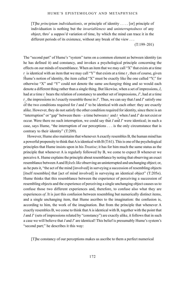[T]he *principium individuationis*, or principle of identity . . . . [or] principle of individuation is nothing but the *invariableness* and *uninterruptedness* of any object, thro' a suppos'd variation of time, by which the mind can trace it in the different periods of its existence, without any break of the view ...

(T:199–201)

The "second part" of Hume's "system" turns on a common element as between identity (as he has defined it) and constancy, and invokes a psychological principle concerning the effects on our minds of resemblance. When an item that we may call "X" that exists at a time *t* is identical with an item that we may call "Y" that exists at a time  $t$ , then of course, given Hume's notion of identity, the item called "X" must be exactly like the one called "Y;" for otherwise "X" and "Y" could not denote the same *unchanging* thing and so would each denote a different thing rather than a single thing. But likewise, when a set of impressions, *I*, had at a time *t* bears the relation of constancy to another set of impressions, *I*', had at a time  $t$ , the impressions in *I* exactly resemble those in *I*<sup>'</sup>. Thus, we can say that *I* and *I*<sup>'</sup> satisfy one  $\frac{1}{2}$  of the two conditions required for *I* and *I*' to be identical with each other: they are exactly alike. However, they do not satisfy the other condition required for identity, since there is an "interruption" or "gap" between them – a time between  $t$  and  $t$  when  $I$  and  $I'$  do not exist or occur. Were there no such interruption, we could say that *I* and *I*' were identical; in such a case, says Hume, "the interruption of our perceptions . . . is the only circumstance that is contrary to their identity" (T:209).

However, Hume also maintains that whenever A exactly resembles B, the human mind has a powerful propensity to think that A is identical with B (T:61). This is one of the psychological principles that Hume insists upon in his *Treatise*; it has for him much the same status as the principle that whenever A is regularly followed by B, we come to expect B whenever we perceive A. Hume explains the principle about resemblance by noting that observing an exact resemblance between A and B *feels like* observing an uninterrupted and unchanging object; or, as he puts it, "the act of the mind [involved] in surveying a succession of resembling objects [itself resembles] that [act of mind involved] in surveying an identical object" (T:205*n*). Hume thinks that this resemblance between the experience of perceiving a succession of resembling objects and the experience of perceiving a single unchanging object causes us to confuse those two different experiences and, therefore, to confuse also what they are experiences *of*. It is just this confusion between resembling but numerically distinct items, and a single unchanging item, that Hume ascribes to the imagination: the confusion is, according to him, the work of the imagination. But from the principle that whenever A exactly resembles B, we come to think that A is identical with B, together with the point that *I* and *I*' (sets of impressions related by "constancy") are exactly alike, it follows that in such a case we will believe that *I* and *I*' are identical! This belief is presumably Hume's system's "second part;" he describes it this way:

[T]he constancy of our perceptions makes us ascribe to them a perfect numerical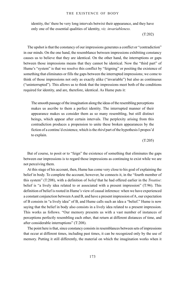identity, tho' there be very long intervals betwixt their appearance, and they have only one of the essential qualities of identity, *viz. invariableness.*

(T:202)

The upshot is that the constancy of our impressions generates a conflict or "contradiction" in our minds. On the one hand, the resemblance between impressions exhibiting constancy causes us to believe that they are identical. On the other hand, the interruptions or gaps between those impressions means that they cannot be identical. Now the "third part" of Hume's "system" is that we resolve this conflict by "feigning" or positing the existence of something that eliminates or fills the gaps between the interrupted impressions; we come to think of those impressions not only as exactly alike ("invariable") but also as continuous ("uninterrupted"). This allows us to think that the impressions meet both of the conditions required for identity, and are, therefore, identical. As Hume puts it:

The smooth passage of the imagination along the ideas of the resembling perceptions makes us ascribe to them a perfect identity. The interrupted manner of their appearance makes us consider them as so many resembling, but still distinct beings, which appear after certain intervals. The perplexity arising from this contradiction produces a propension to unite these broken appearances by the fiction of a continu'd existence, which is the *third* part of the hypothesis I propos'd to explain.

(T:205)

But of course, to posit or to "feign" the existence of something that eliminates the gaps between our impressions is to regard those impressions as continuing to exist while we are not perceiving them.

At this stage of his account, then, Hume has come very close to his goal of explaining the belief in body. To complete the account, however, he connects it, in the "fourth member of this system" (T:208), with a definition of *belief* that he had offered earlier in the *Treatise*: belief is "a lively idea related to or associated with a present impression" (T:96). This definition of belief is rooted in Hume's view of causal inference: when we have experienced a constant conjunction between A and B, and have a present impression of A, our expectation of B consists in "a lively idea" of B, and Hume calls such an idea a "belief." Hume is now saying that the belief in body also consists in a lively idea related to a present impression. This works as follows. "Our memory presents us with a vast number of instances of perceptions perfectly resembling each other, that return at different distances of time, and after considerable interruptions" (T:208).

The point here is that, since constancy consists in resemblances between sets of impressions that occur at different times, including past times, it can be recognized only by the use of memory. Putting it still differently, the material on which the imagination works when it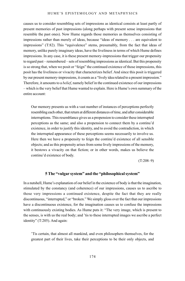causes us to consider resembling sets of impressions as identical consists at least partly of present memories of past impressions (along perhaps with present sense impressions that resemble the past ones). Now Hume regards those memories as themselves consisting of impressions rather than merely of ideas, because "ideas of memory . . . are equivalent to impressions" (T:82). This "equivalence" stems, presumably, from the fact that ideas of memory, unlike purely imaginary ideas, have the liveliness in terms of which Hume defines impressions. In any case, it is these present memory-impressions that trigger our propensity to regard past – remembered – sets of resembling impressions as identical. But this propensity is so strong that, when we posit or "feign" the continued existence of those impressions, this posit has the liveliness or vivacity that characterizes belief. And since this posit is triggered by our present memory-impressions, it counts as a "lively idea related to a present impression." Therefore, it amounts to a *belief*, namely belief in the continued existence of our impressions – which is the very belief that Hume wanted to explain. Here is Hume's own summary of the entire account:

Our memory presents us with a vast number of instances of perceptions perfectly resembling each other, that return at different distances of time, and after considerable interruptions. This resemblance gives us a propension to consider these interrupted perceptions as the same; and also a propension to connect them by a continu'd existence, in order to justify this identity, and to avoid the contradiction, in which the interrupted appearance of these perceptions seems necessarily to involve us. Here then we have a propensity to feign the continu'd existence of all sensible objects; and as this propensity arises from some lively impressions of the memory, it bestows a vivacity on that fiction; or in other words, makes us believe the continu'd existence of body.

(T:208–9)

## **5 The "vulgar system" and the "philosophical system"**

In a nutshell, Hume's explanation of our belief in the existence of body is that the imagination, stimulated by the constancy (and coherence) of our impressions, causes us to ascribe to those very impressions a continued existence, despite the fact that they are really discontinuous, "interrupted," or "broken." We simply gloss over the fact that our impressions have a discontinuous existence, for the imagination causes us to confuse the impressions with continuously existing bodies. As Hume puts it: "The very image, which is present to the senses, is with us the real body; and 'tis to these interrupted images we ascribe a perfect identity" (T:205). And again:

'Tis certain, that almost all mankind, and even philosophers themselves, for the greatest part of their lives, take their perceptions to be their only objects, and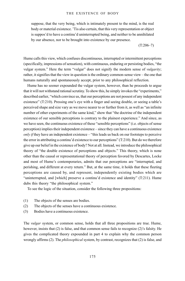suppose, that the very being, which is intimately present to the mind, is the real body or material existence. 'Tis also certain, that this very representation or object is suppos'd to have a continu'd uninterrupted being, and neither to be annihilated by our absence, nor to be brought into existence by our presence.

(T:206–7)

Hume calls this view, which confuses discontinuous, interrupted or intermittent perceptions (specifically, impressions of sensation), with continuous, enduring or persisting bodies, "the vulgar system." Here the term "vulgar" does not signify the modern sense of *vulgarity*; rather, it signifies that the view in question is the ordinary common-sense view – the one that humans naturally and spontaneously accept, prior to any philosophical reflection.

Hume has no sooner expounded the vulgar system, however, than he proceeds to argue that it will not withstand rational scrutiny. To show this, he simply invokes the "experiments," described earlier, "which convince us, that our perceptions are not possest of any independent existence" (T:210). Pressing one's eye with a finger and seeing double, or seeing a table's perceived shape and size vary as we move nearer to or further from it, as well as "an infinite number of other experiments of the same kind," show that "the doctrine of the independent existence of our sensible perceptions is contrary to the plainest experience." And since, as we have seen, the continuous existence of these "sensible perceptions" (i.e. objects of sense perception) implies their independent existence – since they can have a continuous existence *only if* they have an independent existence – "this leads us back on our footsteps to perceive the error in attributing a continu'd existence to our perceptions"  $(T:210)$ . But do we therefore give up our belief in the existence of body? Not at all. Instead, we introduce the philosophical theory of "the double existence of perceptions and objects." This theory, which is none other than the causal or representational theory of perception favored by Descartes, Locke and most of Hume's contemporaries, admits that our perceptions are "interrupted, and perishing, and different at every return." But, at the same time, it holds that these fleeting perceptions are caused by, and represent, independently existing bodies which are "uninterrupted, and [which] preserve a continu'd existence and identity" (T:211). Hume dubs this theory "the philosophical system."

To see the logic of the situation, consider the following three propositions:

- (1) The objects of the senses are bodies.
- (2) The objects of the senses have a continuous existence.
- (3) Bodies have a continuous existence.

The *vulgar* system, or common sense, holds that all three propositions are true. Hume, however, insists that (2) is false, and that common sense fails to recognize (2)'s falsity. He gives the complicated theory expounded in part 4 to explain why the common person wrongly affirms (2). The *philosophical* system, by contrast, recognizes that (2) is false, and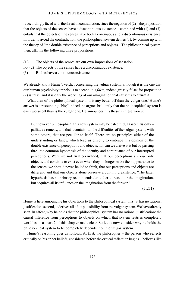is accordingly faced with the threat of contradiction, since the negation of  $(2)$  – the proposition that the objects of the senses have a discontinuous existence – combined with  $(1)$  and  $(3)$ , entails that the objects of the senses have both a continuous and a discontinuous existence. In order to avoid the contradiction, the philosophical system denies (1), by coming up with the theory of "the double existence of perceptions and objects." The philosophical system, then, affirms the following three propositions:

- (1') The objects of the senses are our own impressions of sensation.
- not (2) The objects of the senses have a discontinuous existence.
- (3) Bodies have a continuous existence.

We already know Hume's verdict concerning the vulgar system: although it is the one that our human psychology impels us to accept, it is *false*, indeed grossly false; for proposition (2) is false, and it is only the workings of our imagination that cause us to affirm it.

What then of the philosophical system: is it any better off than the vulgar one? Hume's answer is a resounding "No;" indeed, he argues brilliantly that the philosophical system is even worse off than is the vulgar one. He announces this thesis in these words:

But however philosophical this new system may be esteem'd, I assert 'tis only a palliative remedy, and that it contains all the difficulties of the vulgar system, with some others, that are peculiar to itself. There are no principles either of the understanding or fancy, which lead us directly to embrace this opinion of the double existence of perceptions and objects, nor can we arrive at it but by passing thro' the common hypothesis of the identity and continuance of our interrupted perceptions. Were we not first perswaded, that our perceptions are our only objects, and continue to exist even when they no longer make their appearance to the senses, we shou'd never be led to think, that our perceptions and objects are different, and that our objects alone preserve a continu'd existence. "The latter hypothesis has no primary recommendation either to reason or the imagination, but acquires all its influence on the imagination from the former."

(T:211)

Hume is here announcing his objections to the philosophical system: first, it has no rational justification; second, it derives all of its plausibility from the vulgar system. We have already seen, in effect, why he holds that the philosophical system has no rational justification: the causal inference from perceptions to objects on which that system rests is completely worthless – as part 2 of this chapter made clear. So let us now consider why he holds the philosophical system to be completely dependent on the vulgar system.

Hume's reasoning goes as follows. At first, the philosopher – the person who reflects critically on his or her beliefs, considered before the critical reflection begins – believes like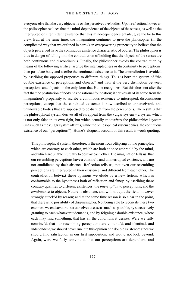everyone else that the very objects he or she perceives *are* bodies. Upon reflection, however, the philosopher realizes that the mind-dependence of the objects of the senses, as well as the interrupted or intermittent existence that this mind-dependence entails, give the lie to this view. But, at the same time, the imagination continues to give the philosopher (in the complicated way that we outlined in part 4) an overpowering propensity to believe that the objects perceived have the continuous existence characteristic of bodies. The philosopher is thus in danger of falling into the contradiction of holding that the objects of the senses are both continuous and discontinuous. Finally, the philosopher avoids the contradiction by means of the following artifice: ascribe the interruptedness or discontinuity to perceptions, then postulate body and ascribe the continued existence to it. The contradiction is avoided by ascribing the opposed properties to different things. Thus is born the system of "the double existence of perceptions and objects," and with it the very distinction between perceptions and objects, in the only form that Hume recognizes. But this does not alter the fact that the postulation of body has no rational foundation; it derives all of its force from the imagination's propensity to ascribe a continuous existence to interrupted, discontinuous perceptions, except that the continued existence is now ascribed to unperceivable and unknowable bodies that are supposed to be distinct from the perceptions. The result is that the philosophical system derives all of its appeal from the vulgar system – a system which is not only false in its own right, but which actually *contradicts* the philosophical system (inasmuch as the vulgar system affirms, while the philosophical system denies, the continuous existence of our "perceptions")! Hume's eloquent account of this result is worth quoting:

This philosophical system, therefore, is the monstrous offspring of two principles, which are contrary to each other, which are both at once embrac'd by the mind, and which are unable mutually to destroy each other. The imagination tells us, that our resembling perceptions have a continu'd and uninterrupted existence, and are not annihilated by their absence. Reflection tells us, that even our resembling perceptions are interrupted in their existence, and different from each other. The contradiction betwixt these opinions we elude by a new fiction, which is conformable to the hypotheses both of reflection and fancy, by ascribing these contrary qualities to different existences; the *interruption* to perceptions, and the *continuance* to objects. Nature is obstinate, and will not quit the field, however strongly attack'd by reason; and at the same time reason is so clear in the point, that there is no possibility of disguising her. Not being able to reconcile these two enemies, we endeavour to set ourselves at ease as much as possible, by successively granting to each whatever it demands, and by feigning a double existence, where each may find something, that has all the conditions it desires. Were we fully convinc'd, that our resembling perceptions are continu'd, and identical, and independent, we shou'd never run into this opinion of a double existence; since we shou'd find satisfaction in our first supposition, and wou'd not look beyond. Again, were we fully convinc'd, that our perceptions are dependent, and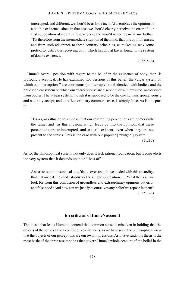interrupted, and different, we shou'd be as little inclin'd to embrace the opinion of a double existence; since in that case we shou'd clearly perceive the error of our first supposition of a continu'd existence, and wou'd never regard it any farther. 'Tis therefore from the intermediate situation of the mind, that this opinion arises, and from such adherence to these contrary principles, as makes us seek some pretext to justify our receiving both; which happily at last is found in the system of double existence.

(T:215–6)

Hume's overall position with regard to the belief in the existence of body, then, is profoundly sceptical. He has examined two versions of this belief: the vulgar system on which our "perceptions" are continuous (uninterrupted) and identical with bodies; and the philosophical system on which our "perceptions" are discontinuous (interrupted) and distinct from bodies. The vulgar system, though it is supposed to be the one humans spontaneously and naturally accept, and to reflect ordinary common sense, is simply false. As Hume puts it:

'Tis a gross illusion to suppose, that our resembling perceptions are numerically the same; and 'tis this illusion, which leads us into the opinion, that these perceptions are uninterrupted, and are still existent, even when they are not present to the senses. This is the case with our popular [ "vulgar"] system. (T:217)

As for the philosophical system, not only does it lack rational foundation, but it contradicts the very system that it depends upon or "lives off:"

And as to our philosophical one, 'tis . . . over-and-above loaded with this absurdity, that it at once denies and establishes the vulgar supposition. . . . What then can we look for from this confusion of groundless and extraordinary opinions but error and falsehood? And how can we justify to ourselves any belief we repose in them? (T:217–8)

## **6 A criticism of Hume's account**

The thesis that leads Hume to contend that common sense is mistaken in holding that the objects of the senses have a continuous existence is, as we have seen, the philosophical view that the objects of our perceptions are our own impressions. As I have said, this thesis is the most basic of the three assumptions that govern Hume's whole account of the belief in the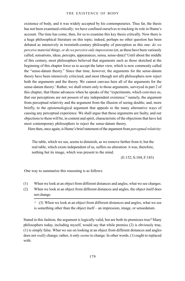existence of body, and it was widely accepted by his contemporaries. Thus far, the thesis has not been examined critically; we have confined ourselves to tracking its role in Hume's account. The time has come, then, for us to examine this key thesis critically. Now there is a huge philosophical literature on this topic; indeed, perhaps no other question has been debated as intensively in twentieth-century philosophy of perception as this one: *do we perceive material things, or do we perceive only impressions* (or, as these have been variously called, sensations, ideas, percepts, appearances, sensa, sense-data)? Until about the middle of this century, most philosophers believed that arguments such as those sketched at the beginning of this chapter force us to accept the latter view, which is now commonly called the "sense-datum theory." Since that time, however, the arguments for the sense-datum theory have been intensively criticized, and most (though not all) philosophers now reject both the arguments and the theory. We cannot canvass here all of the arguments for the sense-datum theory.<sup>7</sup> Rather, we shall return only to those arguments, surveyed in part 2 of this chapter, that Hume advances when he speaks of the "experiments, which convince us, that our perceptions are not possest of any independent existence:" namely, the argument from perceptual relativity and the argument from the illusion of seeing double; and, more briefly, to the epistemological argument that appeals to the many alternative ways of causing any perceptual experience. We shall argue that those arguments are faulty, and our objections to them will be, in content and spirit, characteristic of the objections that have led most contemporary philosophers to reject the sense-datum theory.

Here then, once again, is Hume's brief statement of the argument from *perceptual relativity*:

The table, which we see, seems to diminish, as we remove farther from it; but the real table, which exists independent of us, suffers no alteration: it was, therefore, nothing but its image, which was present to the mind.

(E:152; S:104; F:183)

One way to summarize this reasoning is as follows:

- (1) When we look at an object from different distances and angles, what we see changes.
- (2) When we look at an object from different distances and angles, the object itself does not change.

**• • •** (3) When we look at an object from different distances and angles, what we see is something other than the object itself – an impression, image, or sensedatum.

Stated in this fashion, the argument is logically valid, but are both its premisses true? Many philosophers today, including myself, would say that while premiss (2) is obviously true, (1) is simply false. What we see on looking at an object from different distances and angles does not *really* change; rather, it only *seems* to change. In other words, (1) ought to replaced with: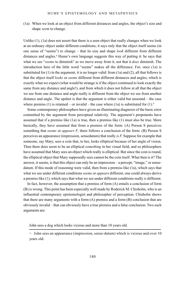(1a) When we look at an object from different distances and angles, the object's size and shape *seem* to change.

Unlike  $(1)$ ,  $(1a)$  does not assert that there is a seen object that really changes when we look at an ordinary object under different conditions; it says only that the object itself seems (in one sense of "seems") to change – that its size and shape *look* different from different distances and angles.<sup>8</sup> Hume's own language suggests this way of putting it: he says that what we see "*seems* to diminish" as we move away from it, not that it *does* diminish. The introduction here of the little word "seems" makes all the difference. For, once (1a) is substituted for  $(1)$  in the argument, it is no longer valid: from  $(1a)$  and  $(2)$ , all that follows is that the object itself *looks* or *seems* different from different distances and angles, which is exactly what we expect (what would be strange is if the object continued to look exactly the same from any distance and angle!), and from which it does not follow at all that the object we see from one distance and angle really is different from the object we see from another distance and angle. The upshot is that the argument is either valid but unsound – the case where premiss (1) is retained – or invalid – the case where (1a) is substituted for  $(1)$ .<sup>9</sup>

Some contemporary philosophers have given an illuminating diagnosis of the basic error committed by the argument from perceptual relativity. The argument's proponents have assumed that if a premiss like (1a) is true, then a premiss like (1) must also be true. More basically, they have assumed that from a premiss of the form: (A) Person S perceives something that *seems* or *appears F*, there follows a conclusion of the form: (B) Person S perceives an appearance (impression, sensedatum) that really *is F.* Suppose for example that someone, say Mary, sees a coin that, to her, looks elliptical because of her angle of vision. Then there does seem to be an elliptical *something* in her visual field, and so philosophers have assumed that Mary sees an object which really is elliptical. But since the coin is round, the elliptical object that Mary supposedly sees cannot be the coin itself. What then is it? The answer, it seems, is that this object can only be an impression – a percept, "image," or sensedatum. If this mode of reasoning were valid, then from a premiss like (1a), which says that what we see under different conditions *seems* or *appears* different, one could always derive a premiss like (1), which says that what we see under different conditions really *is* different.

In fact, however, the assumption that a premiss of form (A) entails a conclusion of form (B) is wrong. This point has been especially well made by Roderick M. Chisholm, who is an influential contemporary epistemologist and philosopher of perception. Chisholm shows that there are many arguments with a form-(A) premiss and a form-(B) conclusion that are obviously invalid – that can obviously have a true premiss and a false conclusion. Two such arguments are:

John sees a dog which looks vicious and more than 10 years old.

John sees an appearance (impression, sense-datum) which is vicious and over 10 **• • •**years old.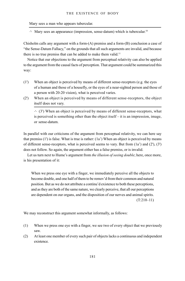#### Mary sees a man who appears tubercular.

 $\therefore$  Mary sees an appearance (impression, sense-datum) which is tubercular.<sup>10</sup>

Chisholm calls any argument with a form-(A) premiss and a form-(B) conclusion a case of "the Sense-Datum Fallacy," on the grounds that all such arguments are invalid, and because there is no true premiss that can be added to make them valid.<sup>11</sup>

Notice that our objections to the argument from perceptual relativity can also be applied to the argument from the causal facts of perception. That argument could be summarized this way:

- (1') When an object is perceived by means of different sense-receptors (e.g. the eyes of a human and those of a housefly, or the eyes of a near-sighted person and those of a person with 20-20 vision), what is perceived varies.
- (2') When an object is perceived by means of different sense-receptors, the object itself does not vary.

(3') When an object is perceived by means of different sense-receptors, what **• • •**is perceived is something other than the object itself – it is an impression, image, or sense-datum.

In parallel with our criticisms of the argument from perceptual relativity, we can here say that premiss  $(1')$  is false. What is true is rather:  $(1a')$  When an object is perceived by means of different sense-receptors, what is perceived seems to vary. But from (1a') and (2'), (3') does not follow. So again, the argument either has a false premiss, or is invalid.

Let us turn next to Hume's argument from *the illusion of seeing double*; here, once more, is his presentation of it:

When we press one eye with a finger, we immediately perceive all the objects to become double, and one half of them to be remov'd from their common and natural position. But as we do not attribute a continu'd existence to both these perceptions, and as they are both of the same nature, we clearly perceive, that all our perceptions are dependent on our organs, and the disposition of our nerves and animal spirits. (T:210–11)

We may reconstruct this argument somewhat informally, as follows:

- (1) When we press one eye with a finger, we see two of every object that we previously saw.
- (2) At least one member of every such pair of objects lacks a continuous and independent existence.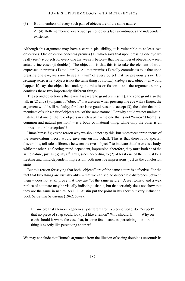(3) Both members of every such pair of objects are of the same nature.

(4) Both members of every such pair of objects lack a continuous and independent **• • •**existence.

Although this argument may have a certain plausibility, it is vulnerable to at least two objections. One objection concerns premiss (1), which says that upon pressing one eye we really see *two* objects for every one that we saw before – that the number of objects now seen actually increases (it doubles). The objection is that this is to take the element of truth expressed in premiss (1) too literally. All that premiss (1) really commits us to is that upon pressing one eye, we *seem* to see a "twin" of every object that we previously saw. But *seeming to see* a new object is not the same thing as *actually seeing* a new object – as would happen if, say, the object had undergone mitosis or fission – and the argument simply confuses these two importantly different things.

The second objection is that even if we were to grant premiss (1), and so to grant also the talk in (2) and (3) of pairs of "objects" that are seen when pressing one eye with a finger, the argument would still be faulty; for there is no good reason to accept (3), the claim that both members of such a pair of objects are "of the same nature." For why could we not maintain, instead, that one of the two objects in such a pair – the one that is not "remov'd from [its] common and natural position" – is a body or material thing, while only the other is an impression or "perception"?

Hume himself gives no reason why we should not say this, but more recent proponents of the sense-datum theory would give one on his behalf. This is that there is no special, discernible, tell-tale difference between the two "objects" to indicate that the one is a body, while the other is a fleeting, mind-dependent, impression; therefore, they must both be of the same nature, just as  $(3)$  says.<sup>12</sup> Thus, since according to  $(2)$  at least one of them must be a fleeting and mind-dependent impression, both must be impressions, just as the conclusion states.

But this reason for saying that both "objects" are of the same nature is defective. For the fact that two things are visually alike – that we can see no discernible difference between them – does not at all prove that they are "of the same nature." A real tomato and a wax replica of a tomato may be visually indistinguishable, but that certainly does not show that they are the same in nature. As J. L. Austin put the point in his short but very influential book *Sense and Sensibilia* (1962: 50–2):

If I am told that a lemon is generically different from a piece of soap, do I "expect" that no piece of soap could look just like a lemon? Why should I? . . . . Why on earth should it *not* be the case that, in some few instances, perceiving one sort of thing is exactly like perceiving another?

We may conclude that Hume's argument from the illusion of seeing double is unsound: its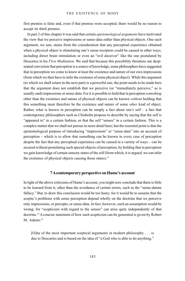first premiss is false and, even if that premiss were accepted, there would be no reason to accept its third premiss.

In part 2 of this chapter it was said that certain *epistemological arguments* have motivated the view that we perceive impressions or sense-data rather than physical objects. One such argument, we saw, stems from the consideration that any perceptual experience obtained when a physical object is stimulating one's sense-receptors could be caused in other ways, including direct brain stimulation or even an "evil deceiver" like the one postulated by Descartes in his *First Meditation.* We said that because this possibility threatens our deepseated conviction that perception is a source of knowledge, some philosophers have suggested that in perception we come to know at least the existence and nature of our own impressions (from which we then have to infer the existence of some physical object). While this argument (to which we shall return in the next part) is a powerful one, the point needs to be made here that the argument does not establish that we perceive (or "immediately perceive," as is usually said) impressions or sense-data. For it is possible to hold that in perception *something* other than the existence and nature of physical objects can be known *without* holding that this something must therefore be the existence and nature of some *other* kind of object. Rather, what is known in perception can be simply a fact about one's self – a fact that contemporary philosophers such as Chisholm propose to describe by saying that the self is "appeared to" in a certain fashion, or that the self "senses" in a certain fashion. This is a complex matter that we shall not pursue in more detail here; but the essential point is that the epistemological purpose of introducing "impressions" or "sense-data" into an account of perception – which is to allow that something can be known in every case of perception despite the fact that any perceptual experience can be caused in a variety of ways – can be secured without postulating such special objects of perception, by holding that in perception we gain knowledge of certain sensory states of the self (from which, it is argued, we can infer the existence of physical objects causing those states).<sup>13</sup>

#### **7 A contemporary perspective on Hume's account**

In light of the above criticisms of Hume's account, you might now conclude that there is little to be learned from it, other than the avoidance of certain errors, such as the "sense-datum fallacy." But, to draw this conclusion would be too hasty; for it would be to assume that the sceptic's problems with sense perception depend wholly on the doctrine that we perceive only impressions, or percepts, or sense-data. In fact, however, such an assumption would be wrong; for "scepticism with regard to the senses" can arise quite independently of that doctrine.14 A concise statement of how such scepticism can be generated is given by Robert M. Adams:<sup>15</sup>

[O]ne of the most important sceptical arguments in modern philosophy . . . is due to Descartes and is based on the idea of "a God who is able to do anything."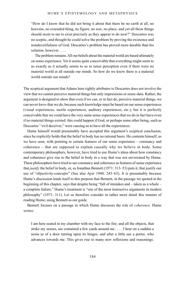"How do I know that he did not bring it about that there be no earth at all, no heavens, no extended thing, no figure, no size, no place, and yet all these things should seem to me to exist precisely as they appear to do now?" Descartes was no sceptic, and thought he could solve the problem by proving the existence and nondeceitfulness of God. Descartes's problem has proved more durable than his solution, however . . . .

The problem remains. All our beliefs about the material world are based ultimately on sense experience. Yet it seems quite conceivable that everything might seem to us exactly as it actually seems to us in sense perception even if there were no material world at all outside our minds. So how do we know there is a material world outside our minds?

The sceptical argument that Adams here rightly attributes to Descartes does not involve the view that we cannot perceive material things but only impressions or sense-data. Rather, the argument is designed to show that even if we can, or in fact do, perceive material things, we can never *know* that we do, because such knowledge must be based on our sense experiences (visual experiences, tactile experiences, auditory experiences, etc.); but it is perfectly conceivable that we could have the very same sense experiences that we do in fact have even if no material things existed: this could happen if God, or perhaps some other being, such as Descartes' "evil deceiver," were causing us to have all the experiences.

Hume himself would presumably have accepted this argument's sceptical conclusion, since he explicitly holds that the belief in body has no rational basis. He contents himself, as we have seen, with pointing to certain features of our sense experience – constancy and coherence – that are supposed to explain causally why we believe in body. Some contemporary philosophers, however, have tried to use Hume's ideas about how constancy and coherence give rise to the belief in body in a way that was not envisioned by Hume. These philosophers have tried to see constancy and coherence as features of sense experience that *justify* the belief in body, or, as Jonathan Bennett (1971: 313–53) puts it, that justify our use of "objectivity-concepts" (See also Ayer 1940: 243–63). It is presumably because Hume's discussion lends itself to this purpose that Bennett, in the passage we quoted at the beginning of this chapter, says that despite being "full of mistakes and – taken as a whole – a complete failure," Hume's treatment is "one of the most instructive arguments in modern philosophy" (1971: 311). Let us therefore consider in rather more detail this manner of reading Hume, using Bennett as our guide.

Bennett focuses on a passage in which Hume discusses the role of *coherence.* Hume writes:

I am here seated in my chamber with my face to the fire; and all the objects, that strike my senses, are contained a few yards around me . . . . I hear on a sudden a noise as of a door turning upon its hinges; and after a little see a porter, who advances towards me. This gives rise to many new reflexions and reasonings.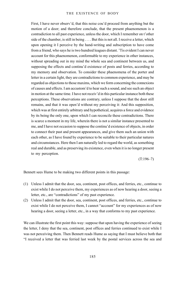First, I have never observ'd, that this noise cou'd proceed from anything but the motion of a door; and therefore conclude, that the present phaenomenon is a contradiction to all past experience, unless the door, which I remember on t'other side of the chamber, is still in being . . . . But this is not all. I receive a letter, which upon opening it I perceive by the hand-writing and subscription to have come from a friend, who says he is two hundred leagues distant. 'Tis evident I can never account for this phaenomenon, conformable to my experience in other instances, without spreading out in my mind the whole sea and continent between us, and supposing the effects and continu'd existence of posts and ferries, according to my memory and observation. To consider these phaenomena of the porter and letter in a certain light, they are contradictions to common experience, and may be regarded as objections to those maxims, which we form concerning the connexions of causes and effects. I am accustom'd to hear such a sound, and see such an object in motion at the same time. I have not receiv'd in this particular instance both these perceptions. These observations are contrary, unless I suppose that the door still remains, and that it was open'd without my perceiving it: And this supposition, which was at first entirely arbitrary and hypothetical, acquires a force and evidence by its being the only one, upon which I can reconcile these contradictions. There is scarce a moment in my life, wherein there is not a similar instance presented to me, and I have not occasion to suppose the continu'd existence of objects, in order to connect their past and present appearances, and give them such an union with each other, as I have found by experience to be suitable to their particular natures and circumstances. Here then I am naturally led to regard the world, as something real and durable, and as preserving its existence, even when it is no longer present to my perception.

(T:196–7)

Bennett sees Hume to be making two different points in this passage:

- (1) Unless I admit that the door, sea, continent, post offices, and ferries, etc., continue to exist while I do not perceive them, my experiences as of now hearing a door, seeing a letter, etc., are "contradictions" of my past experience.
- (2) Unless I admit that the door, sea, continent, post offices, and ferries, etc., continue to exist while I do not perceive them, I cannot "account" for my experiences as of now hearing a door, seeing a letter, etc., in a way that conforms to my past experience.

We can illustrate the first point this way: suppose that upon having the experience of seeing the letter, I deny that the sea, continent, post offices and ferries continued to exist while I was not perceiving them. Then Bennett reads Hume as saying that I must believe both that "I received a letter that was ferried last week by the postal services across the sea and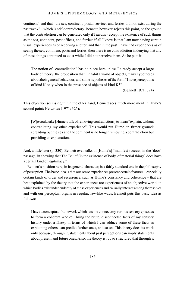continent" and that "the sea, continent, postal services and ferries did not exist during the past week" – which is self-contradictory. Bennett, however, rejects this point, on the ground that the contradiction can be generated only if I *already* accept the existence of such things as the sea, continent, post offices, and ferries: if all I know is that I am now having certain visual experiences as of receiving a letter, and that in the past I have had experiences as of seeing the sea, continent, posts and ferries, then there is no contradiction in denying that any of these things continued to exist while I did not perceive them. As he puts it:

The notion of "contradiction" has no place here unless I already accept a large body of theory: the proposition that I inhabit a world of objects, many hypotheses about their general behaviour, and some hypotheses of the form "I have perceptions of kind K only when in the presence of objects of kind K\*".

(Bennett 1971: 324)

This objection seems right. On the other hand, Bennett sees much more merit in Hume's second point: He writes (1971: 325):

[W]e could take [Hume's talk of removing contradictions] to mean "explain, without contradicting my other experience". This would put Hume on firmer ground: spreading out the sea and the continent is no longer removing a contradiction but providing an explanation.

And, a little later (p. 330), Bennett even talks of [Hume's] "manifest success, in the 'door' passage, in showing that The Belief [in the existence of body, of material things] does have a certain kind of legitimacy."

Bennett's position here, in its general character, is a fairly standard one in the philosophy of perception. The basic idea is that our sense experiences present certain features – especially certain kinds of order and recurrence, such as Hume's constancy and coherence – that are best explained by the theory that the experiences are experiences of an objective world, in which bodies exist independently of those experiences and causally interact among themselves and with our perceptual organs in regular, law-like ways. Bennett puts this basic idea as follows:

I have a conceptual framework which lets me connect my various sensory episodes to form a coherent whole: I bring the brute, disconnected facts of my sensory history under a *theory* in terms of which I can adduce some of these facts as explaining others, can predict further ones, and so on. This theory does its work only because, through it, statements about past perceptions can imply statements about present and future ones. Also, the theory is . . . so structured that through it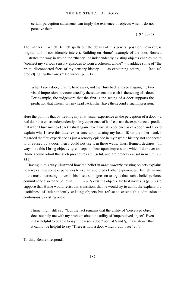certain perception-statements can imply the existence of objects when I do not perceive them.

(1971: 325)

The manner in which Bennett spells out the details of this general position, however, is original and of considerable interest. Building on Hume's example of the door, Bennett illustrates the way in which the "theory" of independently existing objects enables me to "connect my various sensory episodes to form a coherent whole" – to adduce some of "the brute, disconnected facts of my sensory history . . . as explaining others, . . . [and as] predict[ing] further ones." He writes (p. 331):

When I see a door, turn my head away, and then turn back and see it again, my two visual impressions are connected by the statement that each is the seeing of a door. For example, the judgement that the first is the seeing of a door supports the prediction that when I turn my head back I shall have the second visual impression.

Here the point is that by treating my first visual experience as the perception of a door  $-a$ real door that exists independently of my experience of it – I can use the experience to predict that when I turn my head back I shall again have a visual experience as of a door, and also to explain why I have this latter experience upon turning my head. If, on the other hand, I regarded the first experience as just a sensory episode in my psychic history, not connected to or caused by a door, then I could not use it in these ways. Thus, Bennett declares: "In ways like this I bring objectivity-concepts to bear upon impressions which I do have; and Hume should admit that such procedures are useful, and are broadly causal in nature" (p. 331).

Having in this way illustrated how the belief in *independently* existing objects explains how we can use some experiences to explain and predict other experiences, Bennett, in one of the most interesting moves in his discussion, goes on to argue that such a belief perforce commits one also to the belief in *continuously* existing objects. He first invites us (p. 332) to suppose that Hume would resist this transition: that he would try to admit the explanatory usefulness of independently existing objects but refuse to extend this admission to continuously existing ones:

Hume might still say: "But the fact remains that the utility of 'perceived object' does not help me with my problem about the utility of 'unperceived object'. Even if it is helpful to be able to say 'I now see a door' both at  $t_1$  and  $t_3$ , I have shown that it cannot be helpful to say 'There is now a door which I don't see' at  $t_2$ ."

To this, Bennett responds: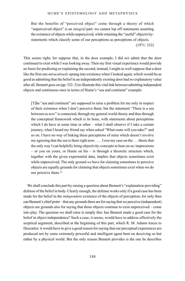#### HUME'S EPISTEMOLOGY AND METAPHYSICS

But the benefits of "perceived object" come through a theory of which "unperceived object" is an *integral* part: we cannot lop off statements asserting the existence of objects while unperceived, while retaining the "useful" objectivitystatements which classify some of our perceptions as perceptions of objects. (1971: 332)

This seems right; for suppose that, in the door example, I did *not* admit that the door continued to exist while I was looking away. Then my first visual experience would provide no basis for predicting or explaining the second; instead, I might as well suppose that a door like the first one *miraculously* sprang into existence when I looked again, which would be as good as admitting that the belief in an independently existing door had *no* explanatory value after all. Bennett goes on (pp. 332–3) to illustrate this vital link between admitting independent objects and continuous ones in terms of Hume's "sea and continent" example:

[T]he "sea and continent" are supposed to raise a problem for me only in respect of their existence when I don't perceive them; but the statement "There is a sea between us *now*" is connected, through my general world-theory and thus through the conceptual framework which is its bone, with statements about perceptions which I do have at some time or other – what I shall observe if I take a certain journey, what I heard my friend say when asked "What route will you take?" and so on. I have no way of linking these perceptions of mine which doesn't involve my agreeing that the sea is there right now . . . . I rest my case on the . . . thesis that the only way I can helpfully bring objectivity-concepts to bear on *my* impressions – or you on yours, or Hume on his – is through a theoretic structure which, together with the given experiential data, implies that objects sometimes exist while unperceived. The only ground *we* have for claiming sometimes to perceive objects are equally grounds for claiming that objects sometimes exist when we do not perceive them.16

We shall conclude this part by raising a question about Bennett's "explanation-providing" defense of the belief in body. Clearly enough, the defense works only if a good case has been made for the belief in the *independent* existence of the objects of perception; for only then can Bennett's chief point – that any grounds there are for saying that we perceive (independent) objects are grounds also for saying that those objects continue to exist unperceived – come into play. The question we shall raise is simply this: has Bennett made a good case for the belief in object-independence? Such a case, it seems, would have to address effectively the sceptical argument, described at the beginning of this part, which R. M. Adams traces to Descartes: it would have to give a good reason for saying that our perceptual experiences are produced not by some extremely powerful and intelligent agent bent on deceiving us but rather by a physical world. But the only reason Bennett provides is the one he describes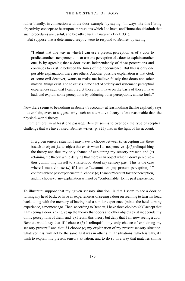rather blandly, in connection with the door example, by saying: "In ways like this I bring objectivity-concepts to bear upon impressions which I do have; and Hume should admit that such procedures are useful, and broadly causal in nature" (1971: 331).

But suppose that a determined sceptic were to respond to Bennett by saying:

"I admit that one way in which I can use a present perception as of a door to predict another such perception, or use one perception of a door to explain another one, is by agreeing that a door exists independently of those perceptions and continues to exist in between the times of their occurrence. But this is only one possible explanation; there are others. Another possible explanation is that God, or some evil deceiver, wants to make me believe falsely that doors and other material things exist, and so causes in me a set of orderly and systematic perceptual experiences such that I can predict those I will have on the basis of those I have had, and explain some perceptions by adducing other perceptions, and so forth."

Now there seems to be nothing in Bennett's account – at least nothing that he explicitly says – to explain, even to suggest, why such an alternative theory is less reasonable than the physical-world theory.

Furthermore, in at least one passage, Bennett seems to overlook the type of sceptical challenge that we have raised. Bennett writes (p. 325) that, in the light of his account:

In a given sensory situation I may have to choose between (*a*) accepting that there is such an object [i.e. an object that exists when I do not perceive it], (*b*) relinquishing the theory and thus my only chance of explaining my sensory present, and (*c*) retaining the theory while denying that there is an object which I don't perceive – thus committing myself to a falsehood about my sensory past. This is the case where I must choose (*a*) if I am to "account for [my present perception] 17 conformable to past experience": if I choose (*b*) I cannot "account for" the perception, and if I choose (*c*) my explanation will not be "conformable" to my past experience.

To illustrate: suppose that my "given sensory situation" is that I seem to see a door on turning my head back, or have an experience as of seeing a door on seeming to turn my head back, along with the memory of having had a similar experience (minus the head-turning experience) a moment ago. Then, according to Bennett, I have three choices: (*a*) I accept that I am seeing a door; (*b*) I give up the theory that doors and other objects exist independently of my perceptions of them; and (*c*) I retain this theory but deny that I am now seeing a door. Bennett would say that if I choose (*b*) I relinquish "my only chance of explaining my sensory present;" and that if I choose (*c*) my explanation of my present sensory situation, whatever it is, will not be the same as it was in other similar situations; which is why, if I wish to explain my present sensory situation, and to do so in a way that matches similar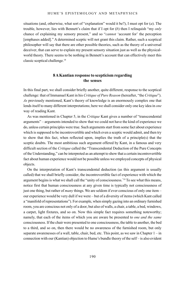situations (and, otherwise, what sort of "explanation" would it be?), I must opt for (*a*). The trouble, however, lies with Bennett's claim that if I opt for (*b*) then I relinquish "my *only* chance of explaining my sensory present," and so "*cannot* 'account for' the perception [emphases added]." A determined sceptic will not grant this claim. Rather, such a sceptical philosopher will say that there are other possible theories, such as the theory of a universal deceiver, that can serve to explain my present sensory situation just as well as the physicalworld theory. There seems to be nothing in Bennett's account that can effectively meet this classic sceptical challenge.18

# **8 A Kantian response to scepticism regarding the senses**

In this final part, we shall consider briefly another, quite different, response to the sceptical challenge: that of Immanuel Kant in his *Critique of Pure Reason* (hereafter, "the *Critique*"). *As* previously mentioned, Kant's theory of knowledge is an enormously complex one that lends itself to many different interpretations; here we shall consider only one key idea in *one* way of reading Kant.

As was mentioned in Chapter 5, in the *Critique* Kant gives a number of "transcendental arguments" – arguments intended to show that we could not have the kind of experience we do, unless certain principles were true. Such arguments start from some fact about experience which is supposed to be incontrovertible and which even a sceptic would admit, and then try to show that this fact, when reflected upon, implies the truth of a principle(s) that the sceptic doubts. The most ambitious such argument offered by Kant, in a famous and very difficult section of the *Critique* called the "Transcendental Deduction of the Pure Concepts of the Understanding," can be interpreted as an attempt to show that a certain incontrovertible fact about human experience would not be possible unless we employed concepts of physical objects.

On the interpretation of Kant's transcendental deduction (as this argument is usually called) that we shall briefly consider, the incontrovertible fact of experience with which the argument begins is what we shall call the "unity of consciousness."19 To see what this means, notice first that human consciousness at any given time is typically not consciousness of just one thing, but rather of *many* things. We are seldom if ever conscious of only one item – our experience would be very dull if we were – but of a diversity of items (which Kant called a "manifold of representations"). For example, when simply gazing into an ordinary furnished room, you are conscious not only of a door, but also of walls, a chair, a table, a bed, windows, a carpet, light fixtures, and so on. Now this simple fact requires something noteworthy; namely, that each of the items of which you are aware be presented to *one and the same* consciousness. If the chair were presented to one consciousness, the table to another, the bed to a third, and so on, then there would be no awareness of the furnished room, but only separate awarenesses of a wall, table, chair, bed, etc. This point, as we saw in Chapter  $1 - in$ connection with our (Kantian) objection to Hume's bundle theory of the self – is also evident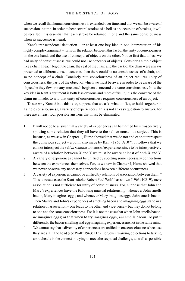when we recall that human consciousness is extended over time, and that we can be aware of succession in time. In order to hear several strokes of a bell as a succession of strokes, it will be recalled, it is essential that each stroke be retained in one and the same consciousness when its successor is heard.

Kant's transcendental deduction  $-$  or at least one key idea in one interpretation of his highly complex argument – turns on the relation between this fact of the unity of consciousness on the one hand, and the use of concepts of objects on the other. Notice first that unless we had unity of consciousness, we could not use concepts of objects. Consider a simple object like a chair. If each leg of the chair, the seat of the chair, and the back of the chair were always presented to different consciousnesses, then there could be no consciousness of a chair, and so no concept of a chair. Concisely put, consciousness of an object requires unity of consciousness; the parts of the object of which we must be aware in order to be aware of the object, be they few or many, must each be given to one and the same consciousness. Now the key idea in Kant's argument is both less obvious and more difficult; it is the converse of the claim just made: to wit, that unity of consciousness requires consciousness of an object.

To see why Kant thinks this is so, suppose that we ask: what unifies, or holds together in a single consciousness, a variety of experiences? This is not an easy question to answer, for there are at least four possible answers that must be eliminated:

- 1 It will not do to answer that a variety of experiences can be unified by introspectively spotting some relation that they all have to the self or conscious subject. This is because, as we saw in Chapter 1, Hume showed that we do not and cannot introspect the conscious subject – a point also made by Kant  $(1963: A107)$ . It follows that we cannot introspect the self *in relation* to items of experience, since to be introspectively aware of a relation between X and Y we must be aware at least of both X and Y.
- 2 A variety of experiences cannot be unified by spotting some necessary connections between the experiences themselves. For, as we saw in Chapter 4, Hume showed that we never observe any necessary connections between different occurrences.
- 3 A variety of experiences cannot be unified by relations of association between them.20 This is because, as the Kant scholar Robert Paul Wolff has shown (1963: 108–9), mere association is not sufficient for unity of consciousness. For, suppose that John and Mary's experiences have the following unusual relationship: whenever John smells bacon, Mary imagines eggs; and whenever Mary imagines eggs, John smells bacon. Then Mary's and John's experiences of smelling bacon and imagining eggs stand in a relation of association – one leads to the other and vice-versa – but they do not belong to one and the same consciousness. For it is not the case that when John smells bacon, *he* imagines eggs; or that when Mary imagines eggs, *she* smells bacon. To put it differently, the bacon-smelling and egg-imagining experiences are not in the same mind.
- 4 We cannot say that a diversity of experiences are unified in one consciousness because they are all in the head (see Wolff 1963: 115). For, even waiving objections to talking about heads in the context of trying to meet the sceptical challenge, as well as possible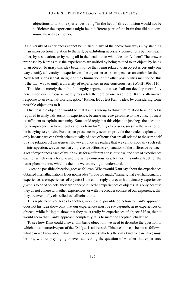objections to talk of experiences being "in the head," this condition would not be sufficient: the experiences might be in different parts of the brain that did not communicate with each other.

If a diversity of experiences cannot be unified in any of the above four ways – by standing in an introspectional relation to the self, by exhibiting necessary connections between each other, by association, or by being all in the head – then what does unify them? The answer proposed by Kant is this: the experiences are unified by being related to an object, by being *of* an object. To grasp this idea better, notice that being related to an object is certainly one way to unify a diversity of experiences: the object serves, so to speak, as an anchor for them. Now Kant's idea is that, in light of the elimination of the other possibilities mentioned, this is the *only* way to unify a diversity of experiences in one consciousness (Wolff 1963: 116).

This idea is merely the nub of a lengthy argument that we shall not develop more fully here, since our purpose is merely to sketch the core of one reading of Kant's alternative response to an external-world sceptic.21 Rather, let us test Kant's idea, by considering some possible objections to it.

One possible objection would be that Kant is wrong to think that relation to an object is required to unify a diversity of experience, because mere *co-presence* to one consciousness is sufficient to explain such unity. Kant could reply that this objection just begs the question; for "co-presence" is here merely another term for "unity of consciousness" – the very notion he is trying to explain. Further, co-presence may seem to provide the needed explanation, only because we can think schematically of a set of items that are all related to the same self by (the relation of) awareness. However, once we realize that we cannot spot any such self in introspection, we can see that co-presence offers no explanation of the difference between a set of experiences each of which exists for a different consciousness, and a set of experiences each of which exists for one and the same consciousness. Rather, it is only a label for the latter phenomenon, which is the one we are trying to understand.

A second possible objection goes as follows. What would Kant say about the experiences obtained in a hallucination? Does not his idea "prove too much," namely, that even hallucinatory experiences are experiences of objects? Kant could reply that even hallucinatory experiences *purport* to be of objects, they are conceptualized *as* experiences of objects. It is only because they do not cohere with other experiences, or with the broader context of our experience, that they are eventually classified as hallucinations.

This reply, however, leads to another, more basic, possible objection to Kant's approach: does not his idea show only that our experiences must be *conceptualized as* experiences of objects, while failing to show that they must really *be* experiences of objects? If so, then it would seem that Kant's approach completely fails to meet the sceptical challenge.

To see how Kant could answer this basic objection, we need to describe the question to which the constructive part of the *Critique* is addressed. This question can be put as follows: what can we know about what human experience (which is the only kind we can have) must be like, without prejudging or even addressing the question of whether that experience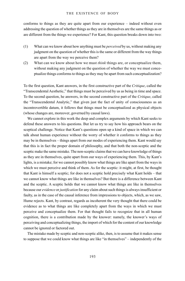conforms to things as they are quite apart from our experience – indeed without even addressing the question of whether things as they are in themselves are the same things as or are different from the things we experience? For Kant, this question breaks down into two:

- (1) What can we know about how anything must be *perceived* by us, without making any judgment on the question of whether this is the same or different from the way things are apart from the way we perceive them?
- (2) What can we know about how we must *think* things are, or conceptualize them, without making any judgment on the question of whether the way we must conceptualize things conforms to things as they may be apart from such conceptualization?

To the first question, Kant answers, in the first constructive part of the *Critique*, called the "Transcendental Aesthetic," that things must be perceived by us as being in time and space. To the second question, he answers, in the second constructive part of the *Critique*, called the "Transcendental Analytic," that given just the fact of unity of consciousness as an incontrovertible datum, it follows that things must be conceptualized as physical objects (whose changes are, moreover, governed by causal laws).

We cannot explore in this work the deep and complex arguments by which Kant seeks to defend these answers to his questions. But let us try to say how his approach bears on the sceptical challenge. Notice that Kant's questions open up a kind of space in which we can talk about human experience without the worry of whether it conforms to things as they may be in themselves – things apart from our modes of experiencing them. Kant would say that this is in fact the proper domain of philosophy, and that both the non-sceptic and the sceptic make the same mistake. The non-sceptic claims that we can have knowledge of things as they are in themselves, quite apart from our ways of experiencing them. This, by Kant's lights, is a mistake; for we cannot possibly know what things are like apart from the ways in which we must perceive and think of them. As for the sceptic: it might, at first, be thought that Kant is himself a sceptic; for does not a sceptic hold precisely what Kant holds – that we cannot know what things are like in themselves? But there is a difference between Kant and the sceptic. A sceptic holds that we cannot know what things are like in themselves because our *evidence* or *justification* for any claim about such things is always insufficient or faulty, as in the case of the causal inference from impressions to objects, which, as we saw, Hume rejects. Kant, by contrast, regards as incoherent the very thought that there could be evidence as to what things are like completely apart from the ways in which we must perceive and conceptualize them. For that thought fails to recognize that in all human cognition, there is a contribution made by the knower: namely, the knower's ways of perceiving and conceptualizing things, the import of which for the content of our knowledge cannot be ignored or factored out.

The mistake made by sceptic and non-sceptic alike, then, is to assume that it makes sense to suppose that we could know what things are like "in themselves" – independently of the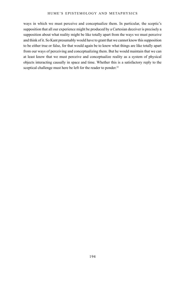ways in which we must perceive and conceptualize them. In particular, the sceptic's supposition that all our experience might be produced by a Cartesian deceiver is precisely a supposition about what reality might be like totally apart from the ways we must perceive and think of it. So Kant presumably would have to grant that we cannot know this supposition to be either true or false, for that would again be to know what things are like totally apart from our ways of perceiving and conceptualizing them. But he would maintain that we can at least know that we must perceive and conceptualize reality as a system of physical objects interacting causally in space and time. Whether this is a satisfactory reply to the sceptical challenge must here be left for the reader to ponder.<sup>22</sup>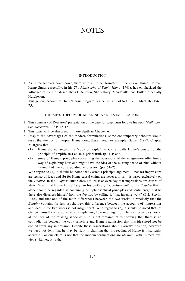#### INTRODUCTION

- 1 As Hume scholars have shown, there were still other formative influences on Hume. Norman Kemp Smith especially, in his *The Philosophy of David Hume* (1941), has emphasized the influence of the British moralists Hutcheson, Shaftesbury, Mandeville, and Butler, especially Hutcheson.
- 2 This general account of Hume's basic program is indebted in part to D. G. C. MacNabb 1967: 75.

#### 1 HUME'S THEORY OF MEANING AND ITS IMPLICATIONS

- 1 This summary of Descartes' presentation of the case for scepticism follows his *First Meditation.* See Descartes 1984: 12–15.
- 2 This topic will be discussed in more depth in Chapter 6.
- 3 Despite the advantages of the modern formulations, some contemporary scholars would resist the attempt to interpret Hume along these lines. For example, Garrett (1997: Chapter 2) argues that:
	- (1) Hume did not regard the "copy principle" (as Garrett calls Hume's version of the principle of empiricism) as an a priori truth (p. 43); and
	- (2) some of Hume's principles concerning the operations of the imagination offer him a way of explaining how one might have the idea of the missing shade of blue without having had the corresponding impression (pp. 51–2).

With regard to  $(1)$ , it should be noted that Garrett's principal argument – that  $(a)$  impressions are *causes* of ideas and (b) for Hume causal claims are never a priori – is based exclusively on the *Treatise.* In the *Enquiry*, Hume does not insist or even say that impressions are causes of ideas. Given that Hume himself says in his prefatory "advertisement" to the *Enquiry* that it alone should be regarded as containing his "philosophical principles and sentiments," that he there also distances himself from the *Treatise* by calling it "that juvenile work" (E:2; S:xviii, F:52), and that one of the main differences between the two works is precisely that the *Enquiry* contains far less psychology, this difference between the accounts of impressions and ideas in the two works is not insignificant. With regard to (2), it should be noted that (as Garrett himself seems quite aware) explaining how one might, on Humean principles, arrive at the idea of the missing shade of blue is not tantamount to showing that there is no contradiction between the copy principle and Hume's admission that this idea need not be copied from any impression. Despite these reservations about Garrett's position, however, we need not deny that he may be right in claiming that his reading of Hume is historically accurate. For our claim is not that the modern formulations are *identical* with Hume's own views. Rather, it is that: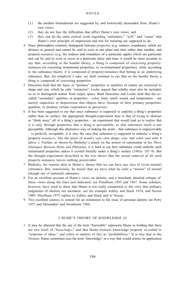- (1) the modern formulations are suggested by, and historically descended from, Hume's own views;
- (2) they do not face the difficulties that afflict Hume's own views; and
- (3) they can do the same critical work regarding "substance," "self," and "cause" that Hume's own principle of empiricism and test for meaning are supposed to do.
- 4 Since philosophers routinely distinguish between *properties* (e.g. redness, roundness), which are abstract or general and cannot be said to exist at one place and time rather than another, and property*-instances* (e.g. the redness and roundness of a particular apple) which are particular and can be said to exist or occur at a particular place and time, it would be more accurate to say that, according to the bundle theory, a thing is composed of coexisting propertyinstances (or coexisting instantiated properties, or co-instantiated properties), while according to the substance theory, it is composed of property-instances that belong to an underlying substance. But, for simplicity's sake, we shall continue to say that on the bundle theory a thing is composed of coexisting properties.
- 5 Descartes held that the basic or "primary" properties or qualities of matter are restricted to shape and size, which he calls "extension"; Locke argued that solidity must also be included, so as to distinguish matter from empty space. Both Descartes and Locke held that the socalled "secondary" qualities or properties – color, taste, smell, sound, and temperature – are merely capacities or dispositions that objects have, because of their primary properties/ qualities, to produce certain experiences in perceivers.
- 6 It has been suggested to me that since substance is supposed to underlie a thing's properties rather than its surface, the appropriate thought-experiment here is that of trying to abstract or "think away" all of a thing's properties – an experiment that would lead us to realize that it is only through properties that a thing is perceptible, so that substance itself is not perceptible. Although this alternative way of making the point – that substance is unperceivable – is perfectly acceptable, it is also the case that substance is supposed to underlie a thing's property*-instances*, like the piece of wood's very own shape, size, and color (see note 4 above ). Further, as shown by Berkeley's attack on the notion of substratum in his *Three Dialogues Between Hylas and Philonous*, it is hard to see how substance could underlie such instantiated properties unless it existed literally under a thing's surface (1993a: 187–9). But the thought-experiment described in the text shows that the actual removal of all such property-instances leaves nothing perceivable.
- 7 Berkeley, for reasons akin to Hume's, denies that we can have any *idea* of (even mental) substance. But, notoriously, he insists that we have what he calls a "notion" of mental (though not of material) substance.
- 8 For an excellent account of Hume's views on identity, and a trenchant, detailed critique of those views along the lines just indicated, see Penelhum 1955 and 1967. Some scholars, however, have tried to show that Hume is not really committed to the view that ordinary judgments of identity are mistaken: see for example Ashley and Stack 1974, and Noxon 1969. Penelhum 1975 replies to Ashley and Stack and to Noxon.
- 9 Two excellent sources to consult for an orientation to the issue of personal identity are Perry 1975 and Shoemaker and Swinburne 1984.

#### 2 HUME'S THEORY OF KNOWLEDGE (I)

1 It may be objected that the use of the term "knowable" represents Hume as holding that there are two *kinds* of "*knowledge*," and that Hume restricts knowledge properly so-called to "relations of ideas," and refers to matters of fact as "probabilities." It is true that in the *Treatise*, Hume sometimes uses the term "knowledge" in a way that would restrict its application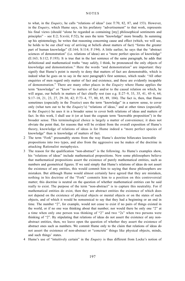to what, in the *Enquiry*, he calls "relations of ideas" (see T:70, 82, 87, and 153). However, in the *Enquiry*, which Hume says, in his prefatory "advertisement" to that work, represents his final views (should "alone be regarded as containing [my] philosophical sentiments and principles" – see E:2; S:xviii; F:52), he uses the term "knowledge" more broadly. In summing up his epistemology, he writes that reasoning concerning cause and effect (which, we will see, he holds to be our chief way of arriving at beliefs about matters of fact) "forms the greater part of human knowledge" (E:164; S:114; F:194). A little earlier, he says that the "abstract sciences of demonstration" (i.e. relations of ideas) are a "more perfect species of knowledge" (E:163; S:112; F:193). It is true that in the last sentence of the same paragraph, he adds that definitional and mathematical truths "may safely, I think, be pronounced the only objects of knowledge and demonstration." Here the words "and demonstration" are important: they signify that Hume's point is merely to deny that matters of fact are demonstrable, which is indeed what he goes on to say in the next paragraph's first sentence, which reads: "All other enquiries of men regard only matter of fact and existence, and these are evidently incapable of demonstration." There are many other places in the *Enquiry* where Hume applies the term "knowledge" or "know" to matters of fact and/or to the causal relation on which, he will argue, our beliefs in matters of fact chiefly rest (see e.g. E:27–9, 33, 35, 41, 45–6, 64; S:17–18, 21, 23, 27, 29–30, 42; F:73–4, 77, 80, 85, 89, 104). The fact is, then, that Hume sometimes (especially in the *Treatise*) uses the term "knowledge" in a narrow sense, to cover only (what turn out to be the *Enquiry*'s) "relations of ideas," and at other times (especially in the *Enquiry*) he uses it in a broader sense to cover both relations of ideas and matters of fact. In this work, I shall use it (or at least the cognate term "knowable proposition") in the broader sense. This terminological choice is largely a matter of convenience; it does not obviate the point that, for reasons that will be evident from the overall exposition of Hume's theory, knowledge of relations of ideas is for Hume indeed a "more perfect species of knowledge" than is knowledge of matters of fact.

- 2 The term "Fork" presumably stems from the way Hume's doctrine bifurcates knowable propositions into two types, and also from the aggressive use he makes of the doctrine in attacking Rationalist metaphysics.
- 3 The reason for the qualification "non-abstract" is the following. As Hume's examples show, his "relations of ideas" include mathematical propositions. Now some philosophers believe that mathematical propositions assert the existence of purely mathematical entities, such as numbers and geometrical figures. If we said simply that Hume's relations of ideas do not assert the existence of any entities, this would commit him to saying that these philosophers are mistaken. But although Hume would almost certainly have agreed that they are mistaken, nothing in his doctrine of the "Fork" commits him to a position on this controversial matter; this doctrine is neutral on the question of whether mathematical entities can be said really to exist. The purpose of the term "non-abstract" is to capture this neutrality. For if mathematical entities do exist, then they are abstract entities the existence of which does not depend on the existence of physical objects or mental objects or on the states of such objects, and of which it would be nonsensical to say that they had a beginning or an end in time. The number "2", for example, would not cease to exist if no pairs of things existed in the world, or if no one was thinking about that number; nor would there be only one "2" at a time when only one person was thinking of "2" and two "2s" when two persons were thinking of "2". By stipulating that relations of ideas do not assert the existence of any nonabstract entities, then, we leave open the question of whether they assert the existence of abstract ones such as numbers. We commit Hume only to the claim that relations of ideas do not assert the existence of non-abstract or "concrete" things like physical objects, minds, and such things' states.
- 4 Hume's use of "intuitively certain" in the *Enquiry* is thus different from Locke's notion of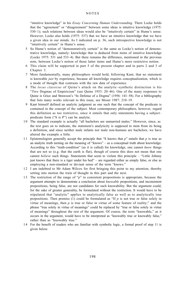"intuitive knowledge" in his *Essay Concerning Human Understanding.* There Locke holds that the "agreement" or "disagreement" between some ideas is intuitive knowledge (1975: 530–1); such relations between ideas would also be "intuitively certain" in Hume's sense. However, Locke also holds (1975: 537) that we have an intuitive knowledge that we have a given idea in our minds. As I indicated on p. 36, such introspective knowledge is not "intuitively certain" in Hume's sense.

- 5 So Hume's notion of "demonstratively certain" is the same as Locke's notion of demonstrative knowledge, namely: knowledge that is deduced from items of intuitive knowledge (Locke 1975: 531 and 533–4). But there remains the difference, mentioned in the previous note, between Locke's notion of those latter items and Hume's more restrictive notion.
- 6 This claim will be supported in part 5 of the present chapter and in parts 2 and 3 of Chapter 3.
- 7 More fundamentally, many philosophers would hold, following Kant, that no statement is knowable *just* by experience, because all knowledge requires conceptualization, which is a mode of thought that contrasts with the raw data of experience.
- 8 The *locus classicus* of Quine's attack on the analytic–synthetic distinction is his "Two Dogmas of Empiricism" (see Quine 1953: 20–46). One of the many responses to Quine is Grice and Strawson's "In Defense of a Dogma" (1956: 141–58). For a bibliography that lists many works relevant to this issue, see Moser 1987: 210–19.
- 9 Kant himself defined an analytic judgment as one such that the concept of the predicate is contained in the concept of the subject. Most contemporary philosophers, however, regard this definition as too restrictive, since it entails that only statements having a subject– predicate form ("S is P") can be analytic.
- 10 The standard example is actually "all bachelors are unmarried males." However, since, as the text goes on to indicate, the statement's analyticity is supposed to stem from its being a definition, and since neither male infants nor male non-humans are bachelors, we have altered the example a little.
- 11 Epistemologists generally accept the principle that "S knows that *p*" entails that *p* is true as an analytic truth turning on the meaning of "knows" – as a conceptual truth about knowledge. According to this "truth-condition" (as it is called) for knowledge, one cannot *know* things that are not so  $(e.g.$  that the earth is flat), though of course this does not mean that one cannot *believe* such things. Statements that seem to violate this principle – "Little Johnny just knows that there is a tiger under his bed" – are regarded either as simply false, or else as employing a non-standard or deviant sense of the term "knows."
- 1 2 I am indebted to Mr Adam Wilcox for first bringing this point to my attention, thereby setting into motion the train of thought in this part and the next.
- 13 The restriction of the range of "*p*" to consistent propositions is appropriate, because the argument attempts to demonstrate a conclusion about *knowable* propositions, and inconsistent propositions, being false, are not candidates for such knowability. But the argument could, for the sake of greater generality, be formulated without the restriction. It would have to be stipulated that "analytic" applies to analytically false as well as to analytically true propositions. Then premiss (1) could be formulated as "If *p* is not true or false solely in virtue of meanings, then  $p$  is true or false in virtue of some feature of reality;" and the phrase "true solely in virtue of meanings" could be replaced by "true or false solely in virtue of meanings" throughout the rest of the argument. Of course, the term "knowable," as it occurs in the argument, would have to be interpreted as "knowably true or knowably false," rather than as "knowably true."
- 1 4 For the benefit of readers who are familiar with symbolic logic, a formal proof of step 11 is given below.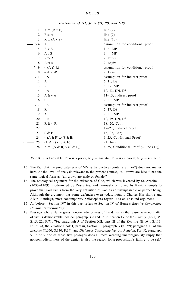| 1.                | $K \supset (R \vee E)$            | line $(7)$                                 |
|-------------------|-----------------------------------|--------------------------------------------|
| 2 <sup>1</sup>    | $R \equiv A$                      | line $(9)$                                 |
| 3.                | $K \supset (A \vee S)$            | line $(10)$                                |
| $\rightarrow$ 4.  | K                                 | assumption for conditional proof           |
| 5.                | R v E                             | 1, 4, MP                                   |
| 6.                | A v S                             | 3, 4, MP                                   |
| 7.                | $R \supset A$                     | 2, Equiv                                   |
| 8.                | $A \supset R$                     | 2, Equiv                                   |
| 9.                | $\sim$ (A & R)                    | assumption for conditional proof           |
| 10.               | $\sim$ A v $\sim$ R               | 9, Dem                                     |
| $\rightarrow$ 11. | $\sim$ S                          | assumption for indirect proof              |
| 12.               | A                                 | 6, 11, DS                                  |
| 13.               | R                                 | 8, 12, MP                                  |
| 14.               | $\sim$ A                          | 10, 13, DN, DS                             |
| $-15.$            | A < A                             | $11-15$ , Indirect proof                   |
| 16.               | S                                 | 7, 18, MP                                  |
| $\rightarrow$ 17. | $\sim$ E                          | assumption for indirect proof              |
| 18.               | R                                 | 5, 17, DS                                  |
| 19.               | A                                 | 7, 18, MP                                  |
| 20.               | $\sim$ R                          | 10, 19, DN, DS                             |
| 21.               | R < R                             | 18, 20, Conj.                              |
| 22.               | E                                 | 17-21, Indirect Proof                      |
| 23.               | S & E                             | 16, 22, Conj.                              |
| 24.               | $\sim$ (A & R) $\supset$ (S & E)  | 9-23, Conditional Proof                    |
| 25.               | $(A & R)$ v $(S & E)$             | $24$ , Impl                                |
| 26.               | $K \supset [(A \& R) v (S \& E)]$ | 4–25, Conditional Proof $(=$ line $(11)$ ) |
|                   |                                   |                                            |

#### *Derivation of (11) from (7), (9), and (10):*

*Key*: K: *p* is knowable; R: *p* is a priori; A: *p* is analytic; E: *p* is empirical; S: *p* is synthetic.

- 15 The fact that the predicate-term of MV is disjunctive (contains an "or") does not matter here. At the level of analysis relevant to the present context, "all crows are black" has the same logical form as "all crows are male or female."
- 16 The ontological argument for the existence of God, which was invented by St. Anselm (1033–1109), modernized by Descartes, and famously criticized by Kant, attempts to prove that God exists from the very definition of God as an unsurpassable or perfect being. Although the argument has some defenders even today, notably Charles Hartshorne and Alvin Plantinga, most contemporary philosophers regard it as an unsound argument.
- 1 7 As before, "Section IV" in this part refers to Section IV of Hume's *Enquiry Concerning Human Understanding.*
- 18 Passages where Hume gives noncontradictoriness of the denial as the reason why no matter of fact is demonstrable include: paragraphs 2 and 18 in Section IV of the *Enquiry* (E:25, 35; S:15, 22; F:71, 79); paragraph 5 of Section XII, part III of the *Enquiry* (E:164; S:113; F:193–4), the *Treatise* Book I, part iii, Section 3, paragraph 3 (p. 79); paragraph 11 of the *Abstract* (T:650; S:130; F:34); and *Dialogues Concerning Natural Religion*, Part X, paragraph 5. In only one of these five passages does Hume's wording unambiguously imply that noncontradictoriness of the denial is also the reason for a proposition's failing to be self-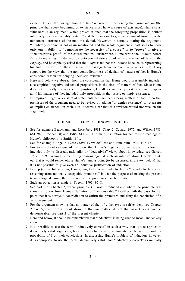evident. This is the passage from the *Treatise*, where, in criticizing the causal maxim (the principle that every beginning of existence must have a cause of existence), Hume says: "But here is an argument, which proves at once that the foregoing proposition is neither intuitively nor demonstrably certain," and then goes on to give an argument turning on the noncontradictoriness of the maxim's denial. However, in actually stating the argument, "intuitively certain" is not again mentioned, and the whole argument is cast so as to show only our inability to "demonstrate the necessity of a cause," or to "prove" or give a "demonstrative proof" of the causal maxim. Furthermore, Hume wrote the *Treatise* before fully formulating his distinction between relations of ideas and matters of fact in the *Enquiry*, and he explicitly asked that the *Enquiry* and not the *Treatise* be taken as representing his final position. For these reasons, the passage from the *Treatise* provides little if any support for the view that the non-contradictoriness of denials of matters of fact is Hume's considered reason for denying their self-evidence.

- 19 Here and below we abstract from the consideration that Hume would presumably include also empirical negative existential propositions in the class of matters of fact. Since Hume does not explicitly discuss such propositions, I shall for simplicity's sake continue to speak as if his matters of fact included only propositions that assert or imply existence.
- 20 If empirical negative existential statements are included among matters of fact, then the premisses of the argument need to be revised by adding "or denies existence" to "*p* asserts or implies existence" in each. But it seems clear that this revision would not weaken the argument.

#### 3 HUME'S THEORY OF KNOWLEDGE (II)

- 1 See for example Beauchamp and Rosenberg 1981: Chap. 2; Capaldi 1975; and Wilson 1983: 661–94; 1985: 52–68; and 1986: 611–28. The main inspiration for naturalistic readings of Hume's philosophy is Smith 1941.
- 2 See for example Fogelin 1985; Stove 1979: 203–25; and Penelhum 1992: 107–13.
- 3 For an excellent critique of the view that Hume's negative points about induction are intended only to discredit rationalist or "deductivist" views about knowledge, see Garrett 1997: 83–91. Among other telling reasons against such an interpretation, Garrett points out that it would render otiose Hume's famous point (to be discussed in the text below) that it is not possible to give even an inductive justification of induction.
- 4 In step (i), the full meaning I am giving to the term "inductively" is "by inductively correct reasoning from rationally acceptable premisses," but for the purpose of making the present terminological point, the reference to the premisses can be omitted.
- 5 Such an objection is made in Fogelin 1993: 97–8.
- 6 See part 5 of Chapter 2, where principle (P) was introduced and where the principle was shown to follow from Hume's definition of "demonstrable," together with the basic logical point that it is always a contradiction to affirm the premisses and deny the conclusion of a valid argument.
- 7 For the argument showing that no matter of fact of either type is self-evident, see Chapter 2 part 5; for the argument showing that no matter of fact that asserts existence is demonstrable, see part 2 of the present chapter.
- 8 Here and below, it should be remembered that "inductive" is being used to mean "inductively correct."
- 9 It is possible to use the term "inductively correct" in such a way that it also applies to deductively valid arguments, because deductively valid arguments can be said to confer a probability of 1 on their conclusions. In discussing Hume's problem of induction, however, it is appropriate to use the terms "deductively valid" and "inductively correct" as mutually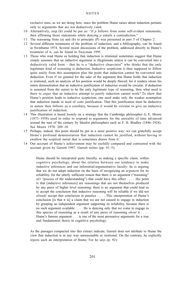exclusive ones, as we are doing here, since the problem Hume raises about induction pertains only to arguments that are not deductively valid.

- 1 0 Alternatively, step (b) could be put as: "if *p* follows from some self-evident statements, then affirming those statements while denying *p* entails a contradiction."
- 11 The reasoning from (a) and (b) to principle (P) was presented in part 5 of Chapter 2.
- 12 Several different treatments of the problem of induction, and a bibliography, can be found in Swinburne 1974. Several recent discussions of the problem, addressed directly to Hume's treatment of it, can be found in Tweyman 1995.
- 13 Those who read Hume as holding that induction is irrational sometimes suggest that Hume simply assumes that an inductive argument is illegitimate unless it can be converted into a deductively valid form – that he is a "deductive chauvinist" who thinks that the only legitimate kind of reasoning is deduction. Inductive scepticism is then supposed to follow quite easily from this assumption plus the point that induction cannot be converted into deduction. Even if we granted for the sake of the argument that Hume holds that induction is irrational, such an analysis of his position would be deeply flawed; for it renders otiose his entire demonstration that an inductive justification of induction would be circular: if deduction is assumed from the outset to be the only legitimate type of reasoning, then what need is there to *argue* that an inductive attempt to justify induction cannot work? To show that Hume's position leads to inductive scepticism, one need make only the weaker assumption that induction stands in need of *some* justification. That this justification must be deductive in nature then follows as a corollary, because it would be circular to give an inductive justification of induction.
- 1 4 This illustration is based loosely on a strategy that the Cambridge philosopher G. E. Moore (1873–1958) used in order to respond to arguments for the unreality of time advanced around the turn of the century by Idealist philosophers such as F. H. Bradley (1846–1924). See Moore 1970: 209–10.
- 15 Perhaps, indeed, this point should be put in a more positive way: we can gratefully accept Hume's profound demonstration that induction cannot be justified, without having to swallow the sceptical moral that is sometimes drawn from it.
- 1 6 Our account of Hume's achievement may be usefully compared and contrasted with the account given by Garrett 1997. Garrett writes (pp. 91–5):

Hume should be interpreted quite literally, as making a specific claim, within cognitive psychology, about the relation between our tendency to make inductive inferences and our inferential/argumentative faculty: he is arguing that we do not adopt induction on the basis of recognizing an *argument* for its reliability, for the utterly sufficient reason that there *is* no argument ("reasoning" or3 "process of the understanding") that could have this effect . . . . His point is that [inductive inferences] are reasonings that are not themselves produced by any piece of higher level reasoning: there is no argument that could lead us to accept the conclusion that inductive reasoning will be reliable if we did not *already* accept that conclusion in practice . . . . This interpretation of Hume's conclusion [is that it is] a claim that we are not caused to engage in induction by grasping an independent argument supporting its reliability, because there is no such argument available . . . . He is denying only that we come to engage in this species of reasoning as a result of any piece of reasoning *about* it . . . . Hume's famous argument . . . is one of the most persuasive arguments for a true and fundamental thesis in cognitive psychology.

As the passages compacted into this extract indicate, Garrett does not attribute to Hume the view that induction is in any way unreasonable or irrational. On the contrary, he explicitly rejects such an interpretation of Hume. For he says (p. 92):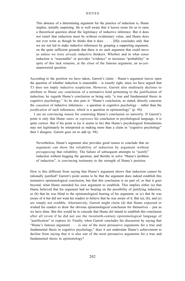This absence of a determining argument for the practice of induction is, Hume implies, initially surprising. He is well aware that it leaves room for us to raise a theoretical question about the legitimacy of inductive inference. But it does not entail that induction must be without evidentiary value, and Hume does not ever write as though he thinks that it does . . . . [H]e concludes only that we are not led to make inductive inferences by grasping a supporting argument, on the quite sufficient grounds that there is no such argument that could move us unless we were *already* inductive thinkers. Whether and in what sense induction is "reasonable" or provides "evidence" or increases "probability" in spite of this lack remains, at the close of the famous argument, an as-yetunanswered question.

According to the position we have taken, Garrett's claim – Hume's argument leaves open the question of whether induction is reasonable – is exactly right, since we have argued that T3 does not imply inductive scepticism. However, Garrett also studiously declines to attribute to Hume *any* conclusion of a normative kind pertaining to the justification of induction; he regards Hume's conclusion as being only "a true and fundamental thesis in cognitive psychology." As he also puts it: "Hume's conclusion, as stated, directly concerns the *causation* of inductive inferences – a question in cognitive psychology – rather than the *justification* of such inferences, which is a question in epistemology" (p. 94).

I see no convincing reason for construing Hume's conclusion so narrowly. If Garrett's point is only that Hume *states* or *expresses* his conclusion in psychological language, it is quite correct. But if his point is (as it seems to be) that Hume's psychological formulations may not legitimately be interpreted as making more than a claim in "cognitive psychology" then I disagree. Garrett goes on to add (p. 94):

Nevertheless, Hume's argument also provides good reason to conclude that no argument can show the reliability of induction by argument without *presupposing* that reliability. The failure of subsequent attempts to "justify" induction without begging the question, and thereby to solve "Hume's problem of induction", is convincing testimony to the strength of Hume's position.

How is this different from saying that Hume's argument shows that induction cannot be rationally justified? Garrett's point seems to be that the argument does indeed establish this normative epistemological conclusion, but that this conclusion is no part of, or that it goes beyond, what Hume intended his own argument to establish. This implies either (a) that Hume believed that his argument had no bearing on the possibility of justifying induction, or (b) that he was blind to the epistemological bearing of his argument, or (c) that he was aware of it but did not want his readers to believe that he was aware of it. But (a), (b), and (c) are simply not credible. Alternatively, Garrett might claim (d) that Hume expected or wished his readers to draw the obvious epistemological conclusion for themselves – just as we have done. But this would be to concede that Hume *did* intend to establish this conclusion after all (even if he did not use the twentieth-century epistemological language of "justification" to express it). Finally, when Garrett concludes his discussion by saying that "Hume's famous argument . . . is one of the most persuasive arguments for a true and fundamental thesis in cognitive psychology," does it not understate Hume's achievement to decline from saying that it is also one of the most persuasive arguments for a true and fundamental thesis in epistemology?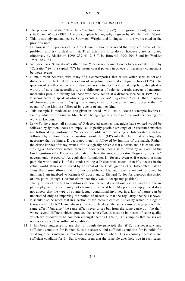#### 4 HUME'S THEORY OF CAUSALITY

- 1 The proponents of the "New Hume" include: Craig (1987); Livingstone (1984); Strawson (1989); and Wright (1983). A more complete bibliography is given by Winkler 1991: 578–9.
- 2 This is strongly maintained by Strawson, Wright, and Livingston in the works cited in the previous note.
- 3 In fairness to proponents of the New Hume, it should be noted that they are aware of this problem, and try to deal with it. Their attempts to to do so, however, are criticized effectively by Blackburn 1990: 239–41, 245–7, by Botterill 1990: 204–5 and by Winkler 1991: 552–61.
- 4 Winkler uses "Causation" rather than "necessary connection between events," but by "Causation" (with a capital "C") he means causal powers in objects or necessary connections between events.
- 5 Hume himself believed, with many of his contempories, that causes which seem to act at a distance are in fact linked by a chain of as-yet-undiscovered contiguous links (T:75). The question of whether action at a distance occurs is too technical to take up here, though it is worthy of note that according to one philosopher of science, certain aspects of quantum mechanics pose a difficulty for those who deny action at a distance (see Sklar 1995: 5).
- 6 It seems better to speak of observing events as *not violating* clause 2 of D1 than to speak of observing events as *satisfying* that clause, since, of course, we cannot observe that *all* events of one kind are followed by events of another kind.
- 7 This example is modeled on one given in Broad 1962: 455–6. Broad's example involves factory whistles blowing in Manchester being regularly followed by workers leaving for work in London.
- 8 In (M?), the clause "all strikings of D-decorated matches that might have existed would be followed by ignition" does not imply "all logically possible strikings of D-decorated matches are followed by ignition" or "in every possible world, striking a D-decorated match is followed by ignition." Such a construal would turn  $(M?)$  into the claim that it is logically necessary that striking a D-decorated match is followed by ignition of the match. Rather, the clause implies "for any event e, if it is logically possible that e occurs and e is of the kind: striking a D-decorated match, then if e does occur, then e is followed by an event of the kind: ignition of a D-decorated match." Here the modal operator "logically possible" governs only "e occurs." An equivalent formulation is "for any event e, if e occurs in some possible world and e is of the kind: striking a D-decorated match, then if e occurs in the actual world, then e is followed by an event of the kind: ignition of a D-decorated match." Thus the clause allows that in other possible worlds, such events are not followed by ignition. I am indebted to Kenneth G. Lucey and to Richard Taylor for vigorous discussion of this point (though I do not claim that they would accept my position).
- 9 The question of the truth-conditions of counterfactual conditionals is an unsolved one in philosophy, and I am certainly not claiming to solve it here. My point is simply that it does not appear that the type of counterfactual conditional involved in a law of nature can be understood only as importing the notion of necessity that the regularity theory eschews.
- 1 0 It should also be noted that in a section of the *Treatise* entitled "Rules by which to Judge of Causes and Effects," Hume stresses that not only does "the same cause always produce the same effect," but also "the same effect never arises but from the same cause . . . [so that] where several different objects produce the same effect, it must be by means of some quality which we discover to be common amongst them" (T:174–5). This implies that causes are necessary as well as sufficient conditions.
- 11 It has been suggested to me that, although the principle that if  $E_1$  is a necessary and sufficient condition for  $E_2$  then  $E_2$  is a necessary and sufficient condition for  $E_1$  holds for what logic calls material implication, it may not hold when E1 is a causally necessary and sufficient condition for  $E<sub>2</sub>$ . But it would seem that the principle does hold true in such cases.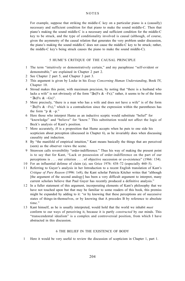For example, suppose that striking the middle-C key on a particular piano is a (causally) necessary and sufficient condition for that piano to make the sound middle-C. Then that piano's making the sound middle-C is a necessary and sufficient condition for the middle-C key to be struck, and the type of conditionality involved is causal (although, of course, given the asymmetry of the causal relation that generates the very problem under discussion, the piano's making the sound middle-C does not cause the middle-C key to be struck; rather, the middle-C key's being struck causes the piano to make the sound middle-C).

#### 5 HUME'S CRITIQUE OF THE CAUSAL PRINCIPLE

- 1 The term "intuitively or demonstratively certain," and my paraphrase "self-evident or demonstrable," are explained in Chapter 2 part 2.
- 2 See Chapter 2 part 5, and Chapter 3 part 3.
- 3 This argument is given by Locke in his *Essay Concerning Human Understanding*, Book IV, Chapter 10.
- 4 Stroud makes this point, with maximum precision, by noting that "there is a husband who lacks a wife" is not obviously of the form " $\exists x (Fx & \neg Fx)$ ;" rather, it seems to be of the form " $\exists x (Fx & \neg Gx)$ ".
- 5 More precisely, "there is a man who has a wife and does not have a wife" is of the form " $\exists x (Fx & \neg Fx),$ " which is a contradiction since the expression within the parentheses has the form "p  $\& \sim p$ ."
- 6 Here those who interpret Hume as an inductive sceptic would substitute "belief" for "knowledge" and "believe" for "know." This substitution would not affect the logic of Beck's analysis of Kant's position.
- 7 More accurately, *H* is a proposition that Hume accepts when he puts to one side his scepticism about perception (discussed in Chapter 6), as he invariably does when discussing causality and induction.
- 8 By "the manifold of empirical intuition," Kant means basically the things that are perceived (seen) as the observer views the scene.
- 9 Strawson calls reversibility "order-indifference." Thus his way of making the present point is to say that for Kant, "Lack or possession of order-indifference on the part of our perceptions is . . . our criterion . . . of objective succession or co-existence" (1966: 134).
- 10 For an influential defense of claim (a), see Grice 1976: 438–72 (especially 460–5).
- 1 1 Referring to Guyer's analysis in her Introduction to a recent English translation of Kant's *Critique of Pure Reason* (1996: 1*n*8), the Kant scholar Patricia Kitcher writes that "although [the argument of the second analogy] has been a very difficult argument to interpret, many current scholars believe that Paul Guyer has recently produced a definitive analysis."
- 12 In a fuller statement of this argument, incorporating elements of Kant's philosophy that we have not touched upon but that may be familiar to some readers of this book, this premiss might be expanded by adding to it: "or by knowing that these perceptions are of successive states of things-in-themselves, or by knowing that A precedes B by reference to absolute time."
- 13 Kant himself, as he is usually interpreted, would hold that the world we inhabit *must* conform to our ways of perceiving it, because it is partly *constructed* by our minds. This "transcendental idealism" is a complex and controversial position, from which I have abstracted in this discussion.

# 6 THE BELIEF IN THE EXISTENCE OF BODY

1 Here it would be very useful to review the discussion of scepticism in Chapter 1, part 1.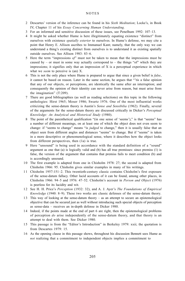- 2 Descartes' version of the inference can be found in his *Sixth Meditation*; Locke's, in Book IV, Chapter 11 of his *Essay Concerning Human Understanding.*
- 3 For an informed and sensitive discussion of these issues, see Penelhum 1992: 107–13.
- 4 It might be asked whether Hume is here illegitimately equating existence "distinct" from ourselves with existence *spatially exterior* to ourselves. In Hume's defense, we may cite a point that Henry E. Allison ascribes to Immanuel Kant; namely, that the only way we can understand a thing's existing distinct from ourselves is to understand it as existing spatially outside ourselves. See Allison 1983: 83–6.
- 5 Here the term "impressions *of*" must not be taken to mean that the impressions must be caused by – or must in some way actually correspond to – the things "of" which they are impressions; it signifies only that an impression of  $X$  is a perceptual experience in which what we *seem* to perceive is (an) X.
- 6 This is not the only place where Hume is prepared to argue that since a given belief is *false*, it cannot be based on reason. Later in the same section, he argues that "'tis a false opinion that any of our objects, or perceptions, are identically the same after an interruption; and consequently the opinion of their identity can never arise from reason, but must arise from the imagination" (T:209).
- 7 There are good bibliographies (as well as reading selections) on this topic in the following anthologies: Hirst 1965; Moser 1986; Swartz 1976. One of the most influential works criticizing the sense-datum theory is Austin's *Sense and Sensibilia* (1962). Finally, several of the arguments for the sense-datum theory are discussed critically in Dicker's *Perceptual Knowledge: An Analytical and Historical Study* (1980).
- 8 The point of the parenthetical qualification "(in one sense of 'seems')," is that "seems" has a number of different meanings, on at least one of which the object does not even seem to change: if "seems to change" means "is *judged* to change," then it is usually false that an object seen from different angles and distances "seems" to change. But if "seems" is taken in a more descriptive or phenomenological sense, where it describes how the object looks from different perspectives, then (1a) is true.
- 9 Here "unsound" is being used in accordance with the standard definition of a "sound" argument as one that (a) is logically valid and (b) has all true premisses: since premiss (1) is false, the version of the argument that contains that premiss fails to meet condition (b) and is accordingly unsound.
- 10 The first example is adapted from one in Chisholm 1978: 27; the second is adapted from Chisholm 1966: 95. Chisholm gives similar examples in many of his writings.
- 1 1 Chisholm 1957:151–2. This twentieth-century classic contains Chisholm's first exposure of the sense-datum fallacy. Other lucid accounts of it can be found, among other places, in Chisholm 1966: 94–5 and 1976: 47–52. Chisholm's account in *Person and Objec*t (1976) is peerless for its lucidity and wit.
- 1 2 See H. H. Price's *Perception* (1932: 32), and A. J. Ayer's *The Foundations of Empirical Knowledge* (1940: 8–9). These two works are classic defenses of the sense-datum theory.
- 13 This way of looking at the sense-datum theory as an attempt to secure an epistemological objective that can be secured just as well without introducing such special objects of perception as sense-data – receives an in-depth defense in Dicker 1980.
- 14 Indeed, if the points made at the end of part 6 are right, then the epistemological problems of perception *do* arise independently of the sense-datum theory, and that theory is an attempt to deal with them. See Dicker 1980.
- 1 5 This passage is from the "Editor's Introduction" in Berkeley 1979: xxii; the quotation is from Descartes 1979: 15.
- 1 6 As the opening clause in this passage shows, throughout his discussion Bennett sees Hume as *not* realizing that a commitment to independent objects implies a commitment to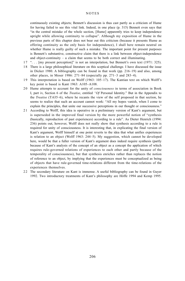## NOTES

continuously existing objects; Bennett's discussion is thus cast partly as a criticism of Hume for having failed to see this vital link. Indeed, in one place (p. 315) Bennett even says that "in the central mistake of the whole section, [Hume] apparently tries to keep independence upright while allowing continuity to collapse". Although my exposition of Hume in the previous parts of this chapter does not bear out this criticism (because it presents Hume as offering continuity as the only basis for independence), I shall here remain neutral on whether Hume is really guilty of such a mistake. The important point for present purposes is Bennett's substantive, constructive claim that there is a link between object-independence and object-continuity – a claim that seems to be both correct and illuminating.

- 1 7 ". . . [my present perception]" is not an interpolation, but Bennett's own text (1971: 325).
- 1 8 There is a large philosophical literature on this sceptical challenge. I have discussed the issue in Dicker 1980. A bibliography can be found in that work (pp. 216–19) and also, among other places, in Moser 1986: 271–84 (especially pp. 271–3 and 283–4).
- 1 9 This interpretation is based on Wolff (1963: 105–17). The Kantian text on which Wolff's key point is based is Kant 1963: A105–A108.
- 20 Hume attempts to account for the unity of *consciousness* in terms of association in Book I, part iv, Section 6 of the *Treatise*, entitled *"Of* Personal Identity." But in the Appendix to the *Treatise* (T:635–6), where he recants the view of the self proposed in that section, he seems to realize that such an account cannot work: "All my hopes vanish, when I come to explain the principles, that unite our successive perceptions in our thought or consciousness."
- 21 According to Wolff, this idea is operative in a preliminary version of Kant's argument, but is superseded in the improved final version by the more powerful notion of "synthesis (basically, reproduction of past experiences) according to a rule". As Dieter Henrich (1994: 236) points out, however, Wolff does not really show that synthesis according to a rule is required for unity of consciousness. It is interesting that, in explicating the final version of Kant's argument, Wolff himself at one point reverts to the idea that what unifies experiences is relation to an object (Wolff 1963: 244–5). My suggestion, which cannot be developed here, would be that a fuller version of Kant's argument does indeed require synthesis (partly because of Kant's analysis of the concept of an object as a concept the application of which requires rule-governed relations of experiences to each other and partly because of the temporality of consciousness), but that synthesis enriches rather than replaces the notion of reference to an object, by implying that the experiences must be conceptualized as being of objects that have rule-governed time-relations different from the time-relations of the experiences themselves.
- 2 2 The secondary literature on Kant is immense. A useful bibliography can be found in Guyer 1992. Two introductory treatments of Kant's philosophy are Höffe 1994 and Kemp 1995.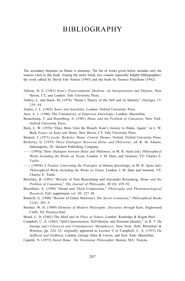The secondary literature on Hume is immense. The list of works given below includes only the sources cited in this book. Among the items listed, two contain especially helpful bibliographies: the work edited by David Fate Norton (1993) and the book by Terence Penelhum (1992).

- Allison, H. E. (1983) *Kant's Transcendental Idealism: An Interpretation and Defense*, New Haven, CT, and London: Yale University Press.
- Ashley, L. and Stack, M. (1974) "Hume's Theory of the Self and its Identity," *Dialogue* 13: 239–54.
- Austin, J. L. (1962) *Sense and Sensibilia*, London: Oxford University Press.
- Ayer, A. J. (1940) The *Foundations of Empirical Knowledge*; London: Macmillan.
- Beauchamp, T. and Rosenberg, A. (1981) *Hume and the Problem of Causation*, New York: Oxford University Press.
- Beck, L. W. (1978) "Once More Unto the Breach: Kant's Answer to Hume, Again," in L. W. Beck *Essays on Kant and Hume*, New Haven, CT: Yale University Press.
- Bennett, J. (1971) *Locke, Berkeley, Hume: Central Themes*, Oxford: Oxford University Press.
- Berkeley, G. (1979) *Three Dialogues Betwwen Hylas and Philonous*, ed. R. M. Adams, Indianapolis, IN: Hackett Publishing Company.
- —— (1993a) *Three Dialogues between Hylas and Philonous*, in M. R. Ayers (ed.) *Philosophical Works Including the Works on Vision*, London: J. M. Dent, and Vermont, VT: Charles E. Tuttle.
- —— (1993b) *A Treatise Concerning the Principles of Human Knowledge*, in M. R. Ayers (ed.) *Philosophical Works Including the Works on Vision*, London: J. M. Dent and Vermont, VT: Charles E. Tuttle.
- Berofsky, B. (1983) "Review of Tom Beauchamp and Alexander Rosenberg, *Hume and the Problem of Causation*," *The Journal of Philosophy*, 80 (8): 478–92.
- Blackburn, S. (1990) "Hume and Thick Connexions," *Philosophy and Phenomenological Research*, Fall, supplement vol. 50: 237–50.
- Botterill, G. (1990) "Review of Galen Strawson's *The Secret Connexion*," *Philosophical Books* 31(4): 203–5.
- Brenner, W. H. (1989) *Elements of Modern Philosophy: Descartes through Kant*, Englewood Cliffs, NJ: Prentice-Hall.
- Broad, C. D. (1962) The *Mind and its Place in Nature*, London: Routledge & Kegan Paul.
- Campbell, C. A. (1962) "Self-Consciousness, Self-Identity and Personal Identity," in R. T. De George (ed.) *Classical and Contemporary Metaphysics*, New York: Holt, Rhinehart & Winston, pp. 224–35; originally appeared as Lecture V in Campbell, C. A. (1957) *On Selfhood and Godhood*, London: George Allen & Unwin, and New York: Macmillan.
- Capaldi, N. (1975) *David Hume: The Newtonian Philosopher,* Boston, MA: Twayne.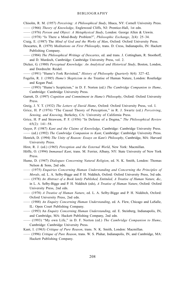- Chisolm, R. M. (1957) *Perceiving: A Philosophical Study*, Ithaca, NY: Cornell University Press. —— (1966) *Theory of Knowledge*, Englewood Cliffs, NJ: Prentice-Hall, 1st edn.
	- —— (1976) *Person and Object: A Metaphysical Study*, London: George Allen & Unwin.
- —— (1978) "Is There a Mind-Body Problem?", *Philosophic Exchange*, 2(4): 25–34.

Craig, E. (1987) The *Mind of God and the Works of Man*, Oxford: Oxford University Press.

- Descartes, R. (1979) *Meditations on First Philosophy*, trans. D. Cress, Indianapolis, IN: Hackett Publishing Company.
- —— (1984) *The Philosophical Writings of Descartes*, ed. and trans. J. Cottingham, R. Stoothoff, and D. Murdoch, Cambridge: Cambridge University Press, vol. 2.
- Dicker, G. (1980) *Perceptual Knowledge: An Analytical and Historical Study*, Boston, London, and Dordrecht: Reidel.
- —— (1991) "Hume's Fork Revisited," *History of Philosophy Quarterly* 8(4): 327–42.
- Fogelin, R. J. (1985) *Hume's Skepticism in the* Treatise of Human Nature, London: Routledge and Kegan Paul.
- —— (1993) "Hume's Scepticism," in D. F. Norton (ed.) *The Cambridge Companion to Hume*, Cambridge: Cambridge University Press.
- Garrett, D. (1997) *Cognition and Commitment in Hume's Philosophy*, Oxford: Oxford University Press.
- Greig, J. Y. T. (1932) *The Letters of David Hume*, Oxford: Oxford University Press, vol. I.
- Grice, H. P (1976) "The Causal Theory of Perception," in R. J. Swartz (ed.) *Perceiving*, *Sensing, and Knowing*, Berkeley, CA: University of California Press.
- Grice, H. P and Strawson, P. F. (1956) "In Defense of a Dogma," *The Philosophical Review* 65(2): 141–58.
- Guyer, P. (1987) *Kant and the Claims of Knowledge*, Cambridge: Cambridge University Press.
- —— (ed.) (1992) *The Cambridge Companion to Kant*, Cambridge: Cambridge University Press.
- Henrich, D. (1994) *The Unity of Reason: Essays on Kant's Philosophy*, Cambridge, MA: Harvard University Press.
- Hirst, R. J. (ed.) (1965) *Perception and the External World*, New York: Macmillan.
- Höffe, O. (1994) *Immanuel Kant*, trans. M. Ferrier, Albany, NY: State University of New York Press.
- Hume, D. (1947) *Dialogues Concerning Natural Religion*, ed. N. K. Smith, London: Thomas Nelson & Sons, 2nd edn.
- —— (1975) *Enquiries Concerning Human Understanding and Concerning the Principles of Morals*, ed. L. A. Selby-Bigge and P. H. Nidditch, Oxford: Oxford University Press, 3rd edn.
- —— (1978) *An Abstract of a Book lately Published, Entituled, A Treatise of Human Nature, &c*, in L. A. Selby-Bigge and P. H. Nidditch (eds), *A Treatise of Human Nature*, Oxford: Oxford University Press, 2nd edn.
- —— (1978) *A Treatise of Human Nature*, ed. L. A. Selby-Bigge and P. H. Nidditch, Oxford: Oxford University Press, 2nd edn.
- —— (1988) *An Enquiry Concerning Human Understanding*, ed. A. Flew, Chicago and LaSalle, IL: Open Court Publishing Company.
- —— (1993) An *Enquiry Concerning Human Understanding*, ed. E. Steinberg, Indianapolis, IN, and Cambridge, MA: Hackett Publishing Company, 2nd edn.
- —— (1993) "My own Life," in D. F. Norton (ed.) *The Cambridge Companion to Hume*, Cambridge: Cambridge University Press.
- Kant, I. (1963) *Critique of Pure Reason*, trans. N. K. Smith, London: Macmillan.
- —— (1996) *Critique of Pure Reason*, trans. W. S. Pluhar, Indianapolis, IN, and Cambridge, MA: Hackett Publishing Company.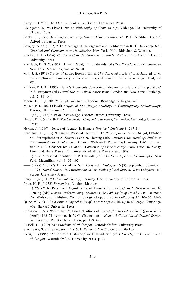Kemp, J. (1995) The *Philosophy of Kant*, Bristol: Thoemmes Press.

- Livingston, D. W. (1984) *Hume's Philosophy of Common Life*, Chicago, IL: University of Chicago Press.
- Locke, J. (1975) *An Essay Concerning Human Understanding*, ed. P. H. Nidditch, Oxford: Oxford University Press.
- Lovejoy, A. O. (1962) "The Meanings of 'Emergence' and its Modes," in R. T. De George (ed.) *Classical and Contemporary Metaphysics*, New York: Holt, Rhinehart & Winston.
- Mackie, J. L. (1974) *The Cement of the Universe: A Study of Causation*, Oxford: Oxford University Press.
- MacNabb, D. G. C. (1967) "Hume, David," in P. Edwards (ed.) *The Encyclopedia of Philosophy*, New York: Macmillan, vol. 4: 74–90.
- Mill, J. S. (1973) *System of Logic*, Books I–III, in *The Collected Works of J. S. Mill*, ed. J. M. Robson, Toronto: University of Toronto Press, and London: Routledge & Kegan Paul, vol. VII.
- Millican, P. J. R. (1995) "Hume's Arguments Concerning Induction: Structure and Interpretation," in S. Tweyman (ed.) *David Hume: Critical Assessments*, London and New York: Routledge, vol. 2: 99–144.
- Moore, G. E. (1970) *Philosophical Studies*, London: Routledge & Kegan Paul.
- Moser, P. K. (ed.) (1986) *Empirical Knowledge: Readings in Contemporary Epistemology*, Totowa, NJ: Rowman & Littlefield.
- —— (ed.) (1987) *A Priori Knowledge*, Oxford: Oxford University Press.
- Norton, D. F. (ed.) (1993) *The Cambridge Companion to Hume*, Cambridge: Cambridge University Press.
- Noxon, J. (1969) "Senses of Identity in Hume's *Treatise*," *Dialogue* 8: 367–84.
- Penelhum, T. (1955) "Hume on Personal Identity," The *Philosophical Review* 64 (4), October: 571–89; reprinted in A. Sesonske and N. Fleming (eds.) *Human Understanding: Studies in the Philosophy of David Hume*, Belmont: Wadsworth Publishing Company, 1965: reprinted also in V. C. Chappell (ed.) *Hume: A Collection of Critical Essays*, New York: Doubleday, 1966, and Notre Dame, IN: University of Notre Dame Press, 1968.
- —— (1967) "Personal Identity," in P. Edwards (ed.) *The Encyclopedia of Philosophy*, New York: Macmillan, vol. 6: 95–107.
- —— (1975) "Hume's Theory of the Self Revisited," *Dialogue* 16 (3), September: 389–409.
- —— (1992) *David Hume: An Introduction to His Philosophical System*, West Lafayette, IN: Purdue University Press.
- Perry, J. (ed.) (1975) *Personal Identity*, Berkeley, CA: University of California Press.
- Price, H. H. (1932) *Perception*, London: Methuen.
- —— (1965) "The Permanent Significance of Hume's Philosophy," in A. Sesonske and N. Fleming (eds) *Human Understanding: Studies in the Philosophy of David Hume*, Belmont, CA: Wadsworth Publishing Company; originally published in *Philosophy* 15: 10– 36, 1940.
- Quine, W. V. O. (1953) *From a Logical Point of View; 9 Logico-Philosophical Essays*, Cambridge, MA: Harvard University Press.
- Robinson, J. A. (1962) "Hume's Two Definitions of 'Cause'," The *Philosophical Quarterly* 12 (April): 162–71; reprinted in V. C. Chappell (ed.) *Hume: A Collection of Critical Essays*, Garden City, NY: Doubleday, 1966, pp. 129–47.
- Russell, B. (1912) *The Problems of Philosophy*, Oxford: Oxford University Press.
- Shoemaker, S. and Swinburne, R. (1984) *Personal Identity*, Oxford: Blackwell.
- Sklar, L. (1995) "Action at a Distance," in T. Honderich (ed.) *The Oxford Companion to Philosophy*, Oxford: Oxford University Press, p. 5.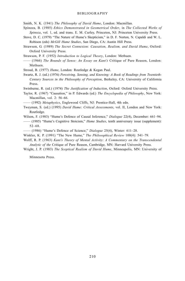Smith, N. K. (1941) *The Philosophy of David Hume*, London: Macmillan.

Spinoza, B. (1985) *Ethics Demonstrated in Geometrical Order*, in *The Collected Works of Spinoza*, vol. 1, ed. and trans. E. M. Curley, Princeton, NJ: Princeton University Press.

Stove, D. C. (1979) "The Nature of Hume's Skepticism," in D. F. Norton, N. Capaldi and W. L. Robison (eds) *McGill Hume Studies*, San Diego, CA: Austin Hill Press.

Strawson, G. (1989) *The Secret Connexion: Causation, Realism, and David Hume*, Oxford: Oxford University Press.

Strawson, P. F. (1952) *Introduction to Logical Theory*, London: Methuen.

—— (1966) *The Bounds of Sense: An Essay on Kant's* Critique of Pure Reason, London: Methuen.

Stroud, B. (1977) *Hume*, London: Routledge & Kegan Paul.

Swartz, R. J. (ed.) (1976) *Perceiving, Sensing, and Knowing: A Book of Readings from Twentieth*-*Century Sources in the Philosophy of Perception*, Berkeley, CA: University of California Press.

Swinburne, R. (ed.) (1974) *The Justification of Induction*, Oxford: Oxford University Press.

Taylor, R. (1967) "Causation," in P. Edwards (ed.) *The Encyclopedia of Philosophy*, New York: Macmillan, vol. 2: 56–66.

—— (1992) *Metaphysics*, Englewood Cliffs, NJ: Prentice-Hall, 4th edn.

Tweyman, S. (ed.) (1995) *David Hume: Critical Assessments*, vol. II, London and New York: Routledge.

Wilson, F. (1983) "Hume's Defence of Causal Inference," *Dialogue* 22(4), December: 661–94. —— (1985) "Hume's Cognitive Stoicism," *Hume Studies*, tenth anniversary issue (supplement): 52–68.

—— (1986) "Hume's Defence of Science," *Dialogue* 25(4), Winter: 611–28.

Winkler, K. P. (1991) "The New Hume," *The Philosophical Review* 100(4): 541–79.

Wolff, R. P. (1963) *Kant's Theory of Mental Activity: A Commentary on the Transcendental Analytic of the* Critique of Pure Reason, Cambridge, MN: Harvard University Press.

Wright, J. P. (1983) *The Sceptical Realism of David Hume*, Minneapolis, MN: University of

Minnesota Press.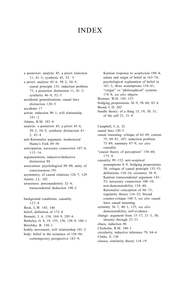# INDEX

a posteriori: analytic 45; a priori istinction 11, 41–3; synthetic 45, 52– 5 a priori: analytic 45–6, 50–2, 54–5; causal principle 133; induction problem 73; a posteriori distinction 11, 41–3; synthetic 46–9, 52–5 accidental generalizations, causal laws distinction 120–5 accidents 17 action: induction 90–1; will elationship 101–2 Adams, R.M. 183–4 analytic: a posteriori 45; a priori 45–6, 50–2, 54–5; synthetic distinction 41– 2, 43–4 anti-Rationalist argument, modernized Hume's Fork 49–50 anticipation, necessary connection 107–8, 115–16 argumentation, inductive/deductive distinction 80 association: psychological 89–90; unity of consciousness 191 asymmetry, of causal relations 126–7, 129 Austin, J.L. 182 awareness: personaidentity 32–4; transcendental deduction 190–2 background conditions, causality 127–9 Beck, L.W. 145, 146 belief, definition of 173–4 Bennett, J. 6, 154, 184–9, 205–6 Berkeley, G. 8, 19, 155, 156, 158–9, 160–1 Berofsky, B. 130–1

bodily movement, will relationship 101–2

body: belief in the existence of 154–94; contemporary perspective 183–9;

Kantian response to scepticism 190–4; nature and origin of belief in 163–74; psychological explanation of belief in 161–3; three assumptions 154–61; "vulgar" vs "philosophical" systems

174–8; *see also* objects

Brenner, W.H. 145, 153

bridging propositions 38–9, 58–60, 83–4

Broad, C.D. 203

bundle theory: of a thing 15, 19, 30, 31; of the self 21, 31–4

Campbell, C.A. 32

causal laws 120–5

causal reasoning: critique of 62–89; custom 75, 89–91, 107; induction problem 73–89; summary 87–9; *see also* causality "causal theory of perception" 158–60, 175–8 causality 99–132; anti-sceptical

assumptions 8–9; bridging propositions 58; critique of causal principle 133–53; definitions 110–16; existence 38–9; Kantian transcendental argument 143– 53; necessary connection 100–10; non-demonstrability 134–40; Rationalist conception of 66–73; regularity theory 116–32; Stroud counter-critique 140–3; *see also* causal laws; causal reasoning certainty 36–7, 40–1, 135; *see also* demonstrability; self-evidence change: argument from 15–17, 21–3, 30; identity through 23–31 chaos, induction 96

Chisholm, R.M. 180–1

circularity, inductive inference 79, 84–6

Clarke, S. 138

classes, similarity theory 118–19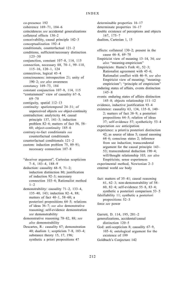co-presence 192 coherence 169–71, 184–6 coincidences *see* accidental generalizations collateral effects 130–2 conceivability, causal principle 142–3 conceptualization 192–4 conditionals, counterfactual 121–2 conditions, sufficient/necessary distinction 125–30 conjunction, constant 107–8, 114, 115 connection, necessary 68, 70–1, 99–110, 115–16, 120–1, 124 connectives, logical 43–4 consciousness: introspection 21; unity of 190–2; *see also* awareness constancy 169–73, 184 constant conjunction 107–8, 114, 115 "containment" view of causality 67–8, 69–70 contiguity, spatial 112–13 continuity: spatiotemporal 24–31; of unperceived objects *see* object-continuity contradiction: analyticity 44; causal principle 137, 141–3; induction problem 82–4; matters of fact 56, 58– 60; object-continuity 185–6 contrary-to-fact conditionals *see* counterfactual conditionals counterfactual conditionals 121–2 custom: induction problem 75, 89–91; necessary connection 107–8 "deceiver argument", Cartesian scepticism 7–8, 183–4, 188–9 deduction: causality 68–9, 71–2; induction distinction 80; justification of induction 92–3; necessary connection 103–4; Rationalist method

 $1 - 2$ demonstrability: causality 71–2, 133–4, 135–40, 143; induction 82–4, 88; matters of fact 40–1, 58–60; a posteriori propositions 64–5; relations of ideas 36–7; *see also* demonstrative reasoning; self-evidence demonstration *see* demonstrability

- demonstrative reasoning 78–82, 88; *see also* demonstrability
- Descartes, R.: causality 67; demonstration 40; dualism 1; scepticism 7–8, 183–4; substance theory 15, 17, 196; synthetic a priori propositions 47

determinable properties 16–17 determinate properties 16–17 double existence of perceptions and objects 167, 175–7 dualism, Cartesian 1, 15

effects: collateral 130–2; present in the cause 66–8, 69–70 Empiricist view of meaning 13–14, 34; *see also* "meaning-empiricism" Empiricists: Hume's Fork 41, 52–3; Rationalist agreement with 45–6; Rationalist conflict with 46–9; *see also* Empiricist view of meaning; "meaningempiricism"; "principle of empiricism" enduring states of affairs, events distinction 145–8 events: enduring states of affairs distinction 145–8; objects relationship 111–12 evidence, inductive justification 93–4 existence: causality 63, 134, 135–8, 140– 2; matters of fact 38–9; a posteriori propositions 64–5; relation of ideas 37; self-evidence 57; syntheticity 53–4 expectation *see* anticipation experience: a priori/a posteriori distinction 42; as source of ideas 5; causal easoning 64–6; conscious states 2; inference from see induction; transcendental argument for the causal principle 143– 53; transcendental deduction 190–4; will/thought relationship 103; *see also* Empiricists; sense experiences

experimental method, Newtonian 2–3 external world *see* body

fact: matters of 35–41; causal reasoning 61, 62–3; non-demonstrability of 58– 60, 82–4; self-evidence 55–8, 83–4; synthetic a posteriori comparison 53–5 falsifiability 11; synthetic a posteriori propositions 52–3 force *see* power

Garrett, D. 114, 195, 201–2

generalizations, accidental/causal distinction 120–5

God: anti-scepticism 8; causality 67–9, 105–6; ontological argument for the existence of 199 Goldbach's Conjecture 142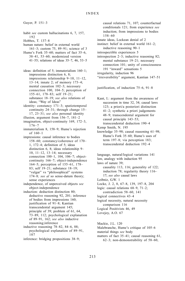Guyer, P. 151–3

- habit *see* custom hallucinations 6, 7, 157, 192
- Hobbes, T. 137–8
- human nature: belief in external world 161–3; custom 75, 89–91; science of 3
- Hume's Fork 35–60; matters of fact 35–6, 38–41, 53–60; modernized version 41–55; relations of ideas 35–7, 46, 53–5
- ideas: definition of 5; immaterialism 160–1; impressions distinction 6, 8; impressions relationship 9–10, 11–12, 13–14; innate 2; of memory 173–4; mental causation 102–3; necessary connection 100, 104–5; perception of 155–61, 178–83; self 19–21; substance 18–19; *see also* relations of ideas; "Way of Ideas"
- identity: constancy 171–3; spatiotemporal continuity 24–31; through change 15– 17, 23–31; *see also* personal identity
- illusion, argument from 156–7, 181–2
- imagination, object-continuity 169, 172–3, 176–7
- immaterialism 8, 158–9; Hume's rejection of 160–1
- impressions: causal inference to bodies 158–60; constancy/coherence of 170– 1, 172–4; definition of 5; ideas distinction 6, 8; ideas relationship 9– 10, 11–12, 13–14; necessary connection 100–1, 104, 106–7; objectcontinuity 166–7; object-independence 164–5; perception of 155–61, 178– 83; self 19–21; substance 18–19; "vulgar" vs "philosophical" systems 174–8*; see al* so sense-datum theory; sense experiences
- independence, of unperceived objects *see* object-independence
- induction: deduction distinction 80; deductive reasoning 92, 201; inference of bodies from impressions 160; justification of 91–8; Kantian transcendental argument 145; principle of 39; problem of 61, 64, 73–89, 112; psychological explanation of 89–91, 162; *see also* inductive reasoning;inference
- inductive reasoning 78–82, 84–6, 88; psychological explanation of 89–91, 107
- inference: bridging propositions 38–9;

causal relations 71, 107; counterfactual conditionals 121; from experience *see* induction; from impressions to bodies 158–60

innate ideas, Lockean denial of 2

instinct: belief in external world 161–2; inductive reasoning 90–1

- introspectible experiences 5
- introspection 2–3; inductive reasoning 82; mental substance 19–21; necessary connection 101; unity of consciousness 191 "inward" sensations 5 irregularity, induction 96

"irreversibility" argument, Kantian 147–51

justification, of induction 75–6, 91–8

Kant, I.: argument from the awareness of succession in time 32, 34; causal laws 123; a priori/a posteriori distinction 41–2; synthetic a priori judgements 48–9; transcendental argument for causal principle 143–53; transcendental deduction 190–4

Kemp Smith, N. 195

knowledge 35–98; causal reasoning 61–98; Hume's Fork 35–60; Hume's uses of term 197–8; via perception 183; transcendental deduction 192–4

language, natural/logical variations 141 law, analogy with induction 95 laws of nature 39; causality 113, 116; generality of 122; induction 78; regularity theory 116– 17; *see also* causal laws Leibniz, G.W. 1 Locke, J. 2, 8, 67–8, 139, 197–8, 204 logic: causal relations 68–9, 71–2; contradiction 58–60, 141 logical connectives 43–4 logical necessity, natural necessity comparison 116 Logical Positivists 46, 49 Lovejoy, A.O. 67

- Mackie, J.L. 120
- Malebranche, Hume's critique of 105–6
- material things *see* body
- matters of fact 35–41; causal reasoning 61, 62–3; non-demonstrability of 58–60,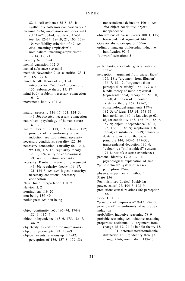82–4; self-evidence 55–8, 83–4;

- synthetic a posteriori comparison 53–5
- meaning 5–34; impressions and ideas 5–14;
- self 19–21, 31–4; substance 15–31; test for 12–14, 18–19, 21, 100, 109– 10; verifiability criterion of 49; *see also* "meaning-empiricism";
	- nominalism "meaning-empiricism"
	- 13–14, 19, 21
- memory 62, 173–4
- mental causation 102–3
- mental substance *see* mind
- method: Newtonian 2–3; scientific 123–4
- Mill, J.S. 127–8
- mind: bundle theory of 21, 31–4; introspection 2–3, 19–21; perception 155; substance theory 15, 17
- mind-body problem, necessary connection 101–2
- movement, bodily 101–2

natural necessity 116–17, 121, 124–5, 149–50; *see also* necessary connection naturalism, psychology of human nature 161–3

nature: laws of 39, 113, 116, 116–17, 122; principle of the uniformity of *see* induction; *see also* natural necessity necessary conditions, causality 125–30 necessary connection: causality 68, 70–1, 99–110, 115–16; regularity theory

- 120–1, 124; unity of consciousness 191; *see also* natural necessity necessity: Kantian irreversibility argument
- 149–50; regularity theory 116–17, 121, 124–5; *see also* logical necessity; necessary conditions; necessary connection
- New Hume interpretation 108–9
- Newton, I. 2
- nominalism 119–20
- non-being 139–40
- nothingness *see* non-being

object-continuity 163, 166–74, 174–8, 185–6, 187–9 object-independence 163–6, 175, 186–7, 188–9 objectivity, as criterion for impressions 6 objectivity-concepts 184, 187–9

objects: events relationship 111–12;

perception of 156, 157–8, 179–83;

- transcendental deduction 190–4; *see also* object-continuity; objectindependence observation: of causal events 100–1, 115; transcendental argument 144 Occasionalism, critique of 105–6 ordinary language philosophy, inductive justification 95-6 "outward" sensations 5
- particularity, accidental generalizations 121–2
- perception: "argument from causal facts" 156, 181; "argument from illusion" 156–7, 181–2; "argument from perceptual relativity" 156, 179–81; bundle theory of mind 32; causal (representational) theory of 158–60, 175–8; definition of 5; double existence theory 167, 175–7; epistemological arguments 157–8, 182–3; of ideas 155–61, 178–83; immaterialism 160–1; knowledge 62; object-continuity 163, 166–74, 185–6, 187–9; object-independence 163–6, 175, 186–7, 188–9; scepticism 7–8, 183–4; of substance 17–19; transcendental argument for the causal principle 144, 145–6, 147–53; transcendental deduction 190–4; "vulgar" vs "philosophical" systems 174–8; *see als* o sense experiences personal identity 19–21, 31–4; psychological explanation of 162–3 "philosophical" system of senseperception 174–8 physics, experimental method 2 Plato 156 Positivism *see* Logical Positivists power, causal 77, 104–5, 108–9 prediction: causal relations 66; perception 186–7 Price, H.H. 13 "principle of empiricism" 9–13, 99–100 principle of the uniformity of nature *see* induction probability, inductive reasoning 78–9 probable reasoning *see* inductive reasoning properties: accidental 17; argument from change  $15-17$ ,  $21-3$ ; bundle theory 15, 19, 30, 31; determinate/determinable distinction 16–17; identity through change 25–6; nominalism 119–20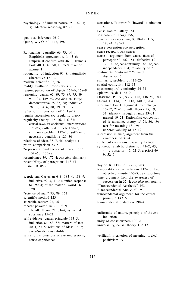psychology: of human nature 75, 162–3; 3; inductive reasoning 89–91

qualities, inference 76–7 Quine, W.V.O. 43, 142, 198

Rationalists: causality 66–73, 144; Empiricist agreement with 45–6; Empiricist conflict with 46–9; Hume's Fork 40–1, 49–50; Hume's reaction against 1

rationality: of induction 91–8; naturalistic alternative 161–3

- realism, scientific 22, 26
- reality, synthetic propositions 51–2
- reason, perception of objects 165–6, 168–9
- reasoning: causal 62–89, 73–89, 75, 89– 91, 107, 159–60, *see also* causality; demonstrative 78–82, 88; inductive 78–82, 84–6, 88, 89–91, 107
- reflection, impressions of 5, 18–19
- regular succession *see* regularity theory
- regularity theory 115–16, 116–32; causal laws vs accidental eneralizations 120–25; collateral effects 130–2; similarity problem 117–20; sufficient/ necessary conditions 125–30
- relations of ideas 35–7, 46; analytic a
- priori comparison 53–5
- "representational theory of perception" 158–60, 175–8
- resemblance 39, 172–4; *see also* similarity reversibility, of perceptions 147–51 Russell, B. 85–6
- scepticism: Cartesian 6–8, 183–4, 188–9; inductive 92–3, 113; Kantian response to 190–4; of the material world 161, 178
- "science of man" 75, 89, 162
- scientific method 123–4
- scientific realism 22, 26
- "secret powers" 76–7, 108–9
- self: bundle theory 21, 31–4; as mental substance 19–21
- self-evidence: causal principle 133–5; induction 81, 83, 88; matters of fact 40–1, 55–8; relations of ideas 36–7; *see also* demonstrability
- sensation, impressions of *see* impressions; sense experiences

sensations, "outward"/ "inward" distinction 5 Sense Datum Fallacy 181 sense-datum theory 156, 179 sense experiences 5–6, 8, 18–19, 155, 183–4, 185–9 sense-perception *see* perception sense-receptors *see* senses senses: "argument from causal facts of perception" 156, 181; defective 10– 12, 14; object-continuity 168; objectindependence 164; reliability of 7–8 sentiments, "outward"/ "inward" distinction 5 similarity, problem of 117–20 spatial contiguity 112–13 spatiotemporal continuity 24–31 Spinoza, B. de 1, 68–9 Strawson, P.F. 91, 93–7, 146, 148–50, 204 Stroud, B. 114, 115, 118, 140–3, 204 substance 15–31; argument from change 15–17, 21–3; bundle theory 15, 19, 31; identity through change 23–31; mental 19–21; Rationalist conception of 1; substance theory 15–21, 30, 196; test for meaning 18–19; unperceivability of 17–19 succession in time, argument from the awareness of 32–4 sufficient conditions, causality 125–30 synthetic: analytic distinction 41–2, 43, 44; a posteriori 45, 52–5; a priori 46– 9, 52–5

Taylor, R. 117–19, 122–5, 203

- temporality: causal relations 112–13, 126; object-continuity 167–8; *see also* time time: argument from the awareness of succession in 32–4; *see also* temporality
- "Transcendental Aesthetic" 193
- "Transcendental Analytic" 193
- transcendental argument, for the causal principle 143–53 transcendental deduction 190–4
- uniformity of nature, principle of the *see* induction unity of consciousness 190–2 universality, causal theory 112–13
- verifiability criterion of meaning, logical positivism 49